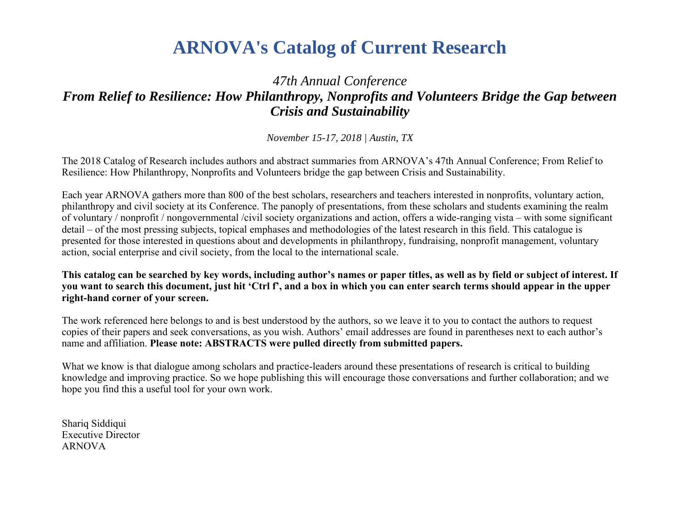# **ARNOVA's Catalog of Current Research**

## *47th Annual Conference From Relief to Resilience: How Philanthropy, Nonprofits and Volunteers Bridge the Gap between Crisis and Sustainability*

*November 15-17, 2018 | Austin, TX*

The 2018 Catalog of Research includes authors and abstract summaries from ARNOVA's 47th Annual Conference; From Relief to Resilience: How Philanthropy, Nonprofits and Volunteers bridge the gap between Crisis and Sustainability.

Each year ARNOVA gathers more than 800 of the best scholars, researchers and teachers interested in nonprofits, voluntary action, philanthropy and civil society at its Conference. The panoply of presentations, from these scholars and students examining the realm of voluntary / nonprofit / nongovernmental /civil society organizations and action, offers a wide-ranging vista – with some significant detail – of the most pressing subjects, topical emphases and methodologies of the latest research in this field. This catalogue is presented for those interested in questions about and developments in philanthropy, fundraising, nonprofit management, voluntary action, social enterprise and civil society, from the local to the international scale.

**This catalog can be searched by key words, including author's names or paper titles, as well as by field or subject of interest. If you want to search this document, just hit 'Ctrl f', and a box in which you can enter search terms should appear in the upper right-hand corner of your screen.** 

The work referenced here belongs to and is best understood by the authors, so we leave it to you to contact the authors to request copies of their papers and seek conversations, as you wish. Authors' email addresses are found in parentheses next to each author's name and affiliation. **Please note: ABSTRACTS were pulled directly from submitted papers.** 

What we know is that dialogue among scholars and practice-leaders around these presentations of research is critical to building knowledge and improving practice. So we hope publishing this will encourage those conversations and further collaboration; and we hope you find this a useful tool for your own work.

Shariq Siddiqui Executive Director ARNOVA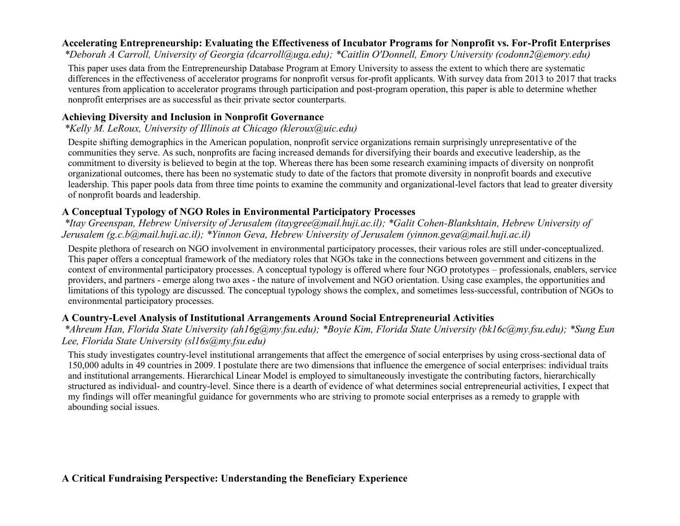#### **Accelerating Entrepreneurship: Evaluating the Effectiveness of Incubator Programs for Nonprofit vs. For-Profit Enterprises**

*\*Deborah A Carroll, University of Georgia (dcarroll@uga.edu); \*Caitlin O'Donnell, Emory University (codonn2@emory.edu)*

This paper uses data from the Entrepreneurship Database Program at Emory University to assess the extent to which there are systematic differences in the effectiveness of accelerator programs for nonprofit versus for-profit applicants. With survey data from 2013 to 2017 that tracks ventures from application to accelerator programs through participation and post-program operation, this paper is able to determine whether nonprofit enterprises are as successful as their private sector counterparts.

#### **Achieving Diversity and Inclusion in Nonprofit Governance**

*\*Kelly M. LeRoux, University of Illinois at Chicago (kleroux@uic.edu)*

Despite shifting demographics in the American population, nonprofit service organizations remain surprisingly unrepresentative of the communities they serve. As such, nonprofits are facing increased demands for diversifying their boards and executive leadership, as the commitment to diversity is believed to begin at the top. Whereas there has been some research examining impacts of diversity on nonprofit organizational outcomes, there has been no systematic study to date of the factors that promote diversity in nonprofit boards and executive leadership. This paper pools data from three time points to examine the community and organizational-level factors that lead to greater diversity of nonprofit boards and leadership.

#### **A Conceptual Typology of NGO Roles in Environmental Participatory Processes**

*\*Itay Greenspan, Hebrew University of Jerusalem (itaygree@mail.huji.ac.il); \*Galit Cohen-Blankshtain, Hebrew University of Jerusalem (g.c.b@mail.huji.ac.il); \*Yinnon Geva, Hebrew University of Jerusalem (yinnon.geva@mail.huji.ac.il)*

Despite plethora of research on NGO involvement in environmental participatory processes, their various roles are still under-conceptualized. This paper offers a conceptual framework of the mediatory roles that NGOs take in the connections between government and citizens in the context of environmental participatory processes. A conceptual typology is offered where four NGO prototypes – professionals, enablers, service providers, and partners - emerge along two axes - the nature of involvement and NGO orientation. Using case examples, the opportunities and limitations of this typology are discussed. The conceptual typology shows the complex, and sometimes less-successful, contribution of NGOs to environmental participatory processes.

#### **A Country-Level Analysis of Institutional Arrangements Around Social Entrepreneurial Activities**

*\*Ahreum Han, Florida State University (ah16g@my.fsu.edu); \*Boyie Kim, Florida State University (bk16c@my.fsu.edu); \*Sung Eun Lee, Florida State University (sl16s@my.fsu.edu)*

This study investigates country-level institutional arrangements that affect the emergence of social enterprises by using cross-sectional data of 150,000 adults in 49 countries in 2009. I postulate there are two dimensions that influence the emergence of social enterprises: individual traits and institutional arrangements. Hierarchical Linear Model is employed to simultaneously investigate the contributing factors, hierarchically structured as individual- and country-level. Since there is a dearth of evidence of what determines social entrepreneurial activities, I expect that my findings will offer meaningful guidance for governments who are striving to promote social enterprises as a remedy to grapple with abounding social issues.

## **A Critical Fundraising Perspective: Understanding the Beneficiary Experience**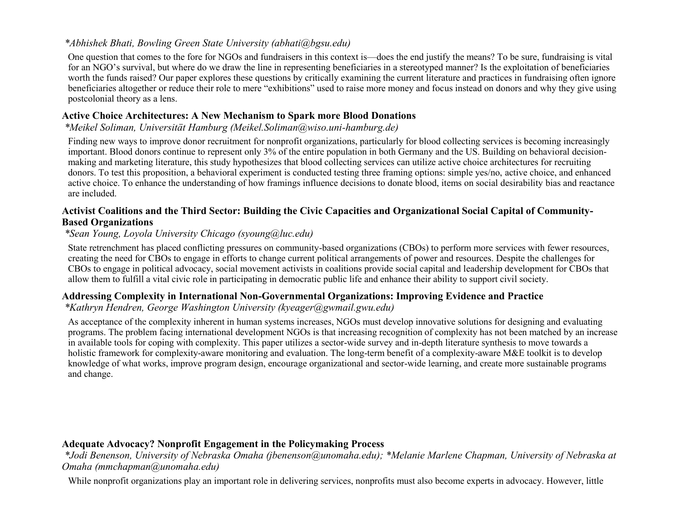#### *\*Abhishek Bhati, Bowling Green State University (abhati@bgsu.edu)*

One question that comes to the fore for NGOs and fundraisers in this context is—does the end justify the means? To be sure, fundraising is vital for an NGO's survival, but where do we draw the line in representing beneficiaries in a stereotyped manner? Is the exploitation of beneficiaries worth the funds raised? Our paper explores these questions by critically examining the current literature and practices in fundraising often ignore beneficiaries altogether or reduce their role to mere "exhibitions" used to raise more money and focus instead on donors and why they give using postcolonial theory as a lens.

#### **Active Choice Architectures: A New Mechanism to Spark more Blood Donations**

#### *\*Meikel Soliman, Universität Hamburg (Meikel.Soliman@wiso.uni-hamburg.de)*

Finding new ways to improve donor recruitment for nonprofit organizations, particularly for blood collecting services is becoming increasingly important. Blood donors continue to represent only 3% of the entire population in both Germany and the US. Building on behavioral decisionmaking and marketing literature, this study hypothesizes that blood collecting services can utilize active choice architectures for recruiting donors. To test this proposition, a behavioral experiment is conducted testing three framing options: simple yes/no, active choice, and enhanced active choice. To enhance the understanding of how framings influence decisions to donate blood, items on social desirability bias and reactance are included.

#### **Activist Coalitions and the Third Sector: Building the Civic Capacities and Organizational Social Capital of Community-Based Organizations**

## *\*Sean Young, Loyola University Chicago (syoung@luc.edu)*

State retrenchment has placed conflicting pressures on community-based organizations (CBOs) to perform more services with fewer resources, creating the need for CBOs to engage in efforts to change current political arrangements of power and resources. Despite the challenges for CBOs to engage in political advocacy, social movement activists in coalitions provide social capital and leadership development for CBOs that allow them to fulfill a vital civic role in participating in democratic public life and enhance their ability to support civil society.

#### **Addressing Complexity in International Non-Governmental Organizations: Improving Evidence and Practice**

#### *\*Kathryn Hendren, George Washington University (kyeager@gwmail.gwu.edu)*

As acceptance of the complexity inherent in human systems increases, NGOs must develop innovative solutions for designing and evaluating programs. The problem facing international development NGOs is that increasing recognition of complexity has not been matched by an increase in available tools for coping with complexity. This paper utilizes a sector-wide survey and in-depth literature synthesis to move towards a holistic framework for complexity-aware monitoring and evaluation. The long-term benefit of a complexity-aware M&E toolkit is to develop knowledge of what works, improve program design, encourage organizational and sector-wide learning, and create more sustainable programs and change.

## **Adequate Advocacy? Nonprofit Engagement in the Policymaking Process**

*\*Jodi Benenson, University of Nebraska Omaha (jbenenson@unomaha.edu); \*Melanie Marlene Chapman, University of Nebraska at Omaha (mmchapman@unomaha.edu)*

While nonprofit organizations play an important role in delivering services, nonprofits must also become experts in advocacy. However, little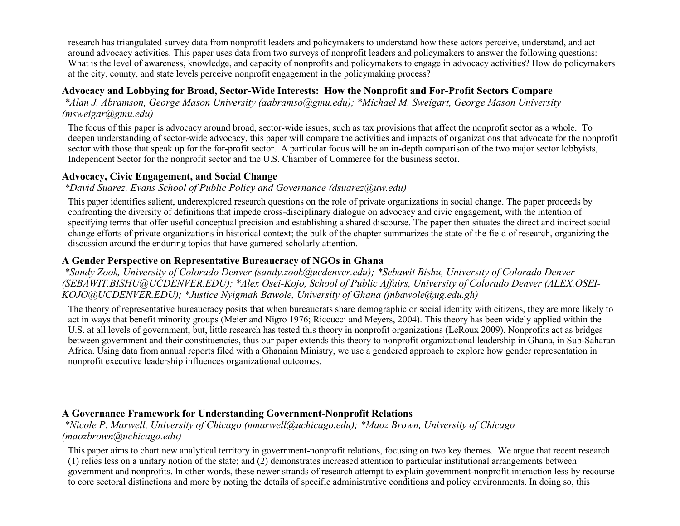research has triangulated survey data from nonprofit leaders and policymakers to understand how these actors perceive, understand, and act around advocacy activities. This paper uses data from two surveys of nonprofit leaders and policymakers to answer the following questions: What is the level of awareness, knowledge, and capacity of nonprofits and policymakers to engage in advocacy activities? How do policymakers at the city, county, and state levels perceive nonprofit engagement in the policymaking process?

## **Advocacy and Lobbying for Broad, Sector-Wide Interests: How the Nonprofit and For-Profit Sectors Compare**

*\*Alan J. Abramson, George Mason University (aabramso@gmu.edu); \*Michael M. Sweigart, George Mason University (msweigar@gmu.edu)*

The focus of this paper is advocacy around broad, sector-wide issues, such as tax provisions that affect the nonprofit sector as a whole. To deepen understanding of sector-wide advocacy, this paper will compare the activities and impacts of organizations that advocate for the nonprofit sector with those that speak up for the for-profit sector. A particular focus will be an in-depth comparison of the two major sector lobbyists, Independent Sector for the nonprofit sector and the U.S. Chamber of Commerce for the business sector.

#### **Advocacy, Civic Engagement, and Social Change**

#### *\*David Suarez, Evans School of Public Policy and Governance (dsuarez@uw.edu)*

This paper identifies salient, underexplored research questions on the role of private organizations in social change. The paper proceeds by confronting the diversity of definitions that impede cross-disciplinary dialogue on advocacy and civic engagement, with the intention of specifying terms that offer useful conceptual precision and establishing a shared discourse. The paper then situates the direct and indirect social change efforts of private organizations in historical context; the bulk of the chapter summarizes the state of the field of research, organizing the discussion around the enduring topics that have garnered scholarly attention.

#### **A Gender Perspective on Representative Bureaucracy of NGOs in Ghana**

*\*Sandy Zook, University of Colorado Denver (sandy.zook@ucdenver.edu); \*Sebawit Bishu, University of Colorado Denver (SEBAWIT.BISHU@UCDENVER.EDU); \*Alex Osei-Kojo, School of Public Affairs, University of Colorado Denver (ALEX.OSEI-KOJO@UCDENVER.EDU); \*Justice Nyigmah Bawole, University of Ghana (jnbawole@ug.edu.gh)*

The theory of representative bureaucracy posits that when bureaucrats share demographic or social identity with citizens, they are more likely to act in ways that benefit minority groups (Meier and Nigro 1976; Riccucci and Meyers, 2004). This theory has been widely applied within the U.S. at all levels of government; but, little research has tested this theory in nonprofit organizations (LeRoux 2009). Nonprofits act as bridges between government and their constituencies, thus our paper extends this theory to nonprofit organizational leadership in Ghana, in Sub-Saharan Africa. Using data from annual reports filed with a Ghanaian Ministry, we use a gendered approach to explore how gender representation in nonprofit executive leadership influences organizational outcomes.

#### **A Governance Framework for Understanding Government-Nonprofit Relations**

*\*Nicole P. Marwell, University of Chicago (nmarwell@uchicago.edu); \*Maoz Brown, University of Chicago (maozbrown@uchicago.edu)*

This paper aims to chart new analytical territory in government-nonprofit relations, focusing on two key themes. We argue that recent research (1) relies less on a unitary notion of the state; and (2) demonstrates increased attention to particular institutional arrangements between government and nonprofits. In other words, these newer strands of research attempt to explain government-nonprofit interaction less by recourse to core sectoral distinctions and more by noting the details of specific administrative conditions and policy environments. In doing so, this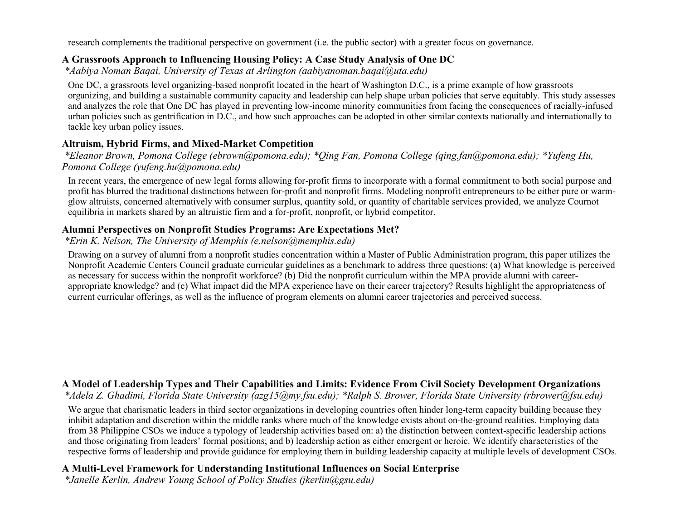research complements the traditional perspective on government (i.e. the public sector) with a greater focus on governance.

#### **A Grassroots Approach to Influencing Housing Policy: A Case Study Analysis of One DC**

*\*Aabiya Noman Baqai, University of Texas at Arlington (aabiyanoman.baqai@uta.edu)*

One DC, a grassroots level organizing-based nonprofit located in the heart of Washington D.C., is a prime example of how grassroots organizing, and building a sustainable community capacity and leadership can help shape urban policies that serve equitably. This study assesses and analyzes the role that One DC has played in preventing low-income minority communities from facing the consequences of racially-infused urban policies such as gentrification in D.C., and how such approaches can be adopted in other similar contexts nationally and internationally to tackle key urban policy issues.

## **Altruism, Hybrid Firms, and Mixed-Market Competition**

*\*Eleanor Brown, Pomona College (ebrown@pomona.edu); \*Qing Fan, Pomona College (qing.fan@pomona.edu); \*Yufeng Hu, Pomona College (yufeng.hu@pomona.edu)*

In recent years, the emergence of new legal forms allowing for-profit firms to incorporate with a formal commitment to both social purpose and profit has blurred the traditional distinctions between for-profit and nonprofit firms. Modeling nonprofit entrepreneurs to be either pure or warmglow altruists, concerned alternatively with consumer surplus, quantity sold, or quantity of charitable services provided, we analyze Cournot equilibria in markets shared by an altruistic firm and a for-profit, nonprofit, or hybrid competitor.

## **Alumni Perspectives on Nonprofit Studies Programs: Are Expectations Met?**

*\*Erin K. Nelson, The University of Memphis (e.nelson@memphis.edu)*

Drawing on a survey of alumni from a nonprofit studies concentration within a Master of Public Administration program, this paper utilizes the Nonprofit Academic Centers Council graduate curricular guidelines as a benchmark to address three questions: (a) What knowledge is perceived as necessary for success within the nonprofit workforce? (b) Did the nonprofit curriculum within the MPA provide alumni with careerappropriate knowledge? and (c) What impact did the MPA experience have on their career trajectory? Results highlight the appropriateness of current curricular offerings, as well as the influence of program elements on alumni career trajectories and perceived success.

## **A Model of Leadership Types and Their Capabilities and Limits: Evidence From Civil Society Development Organizations**

*\*Adela Z. Ghadimi, Florida State University (azg15@my.fsu.edu); \*Ralph S. Brower, Florida State University (rbrower@fsu.edu)*

We argue that charismatic leaders in third sector organizations in developing countries often hinder long-term capacity building because they inhibit adaptation and discretion within the middle ranks where much of the knowledge exists about on-the-ground realities. Employing data from 38 Philippine CSOs we induce a typology of leadership activities based on: a) the distinction between context-specific leadership actions and those originating from leaders' formal positions; and b) leadership action as either emergent or heroic. We identify characteristics of the respective forms of leadership and provide guidance for employing them in building leadership capacity at multiple levels of development CSOs.

## **A Multi-Level Framework for Understanding Institutional Influences on Social Enterprise**

*\*Janelle Kerlin, Andrew Young School of Policy Studies (jkerlin@gsu.edu)*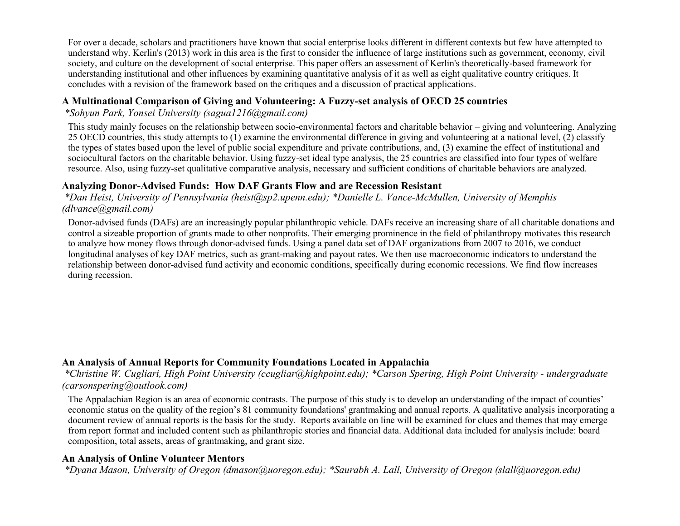For over a decade, scholars and practitioners have known that social enterprise looks different in different contexts but few have attempted to understand why. Kerlin's (2013) work in this area is the first to consider the influence of large institutions such as government, economy, civil society, and culture on the development of social enterprise. This paper offers an assessment of Kerlin's theoretically-based framework for understanding institutional and other influences by examining quantitative analysis of it as well as eight qualitative country critiques. It concludes with a revision of the framework based on the critiques and a discussion of practical applications.

#### **A Multinational Comparison of Giving and Volunteering: A Fuzzy-set analysis of OECD 25 countries**

*\*Sohyun Park, Yonsei University (sagua1216@gmail.com)*

This study mainly focuses on the relationship between socio-environmental factors and charitable behavior – giving and volunteering. Analyzing 25 OECD countries, this study attempts to (1) examine the environmental difference in giving and volunteering at a national level, (2) classify the types of states based upon the level of public social expenditure and private contributions, and, (3) examine the effect of institutional and sociocultural factors on the charitable behavior. Using fuzzy-set ideal type analysis, the 25 countries are classified into four types of welfare resource. Also, using fuzzy-set qualitative comparative analysis, necessary and sufficient conditions of charitable behaviors are analyzed.

#### **Analyzing Donor-Advised Funds: How DAF Grants Flow and are Recession Resistant**

*\*Dan Heist, University of Pennsylvania (heist@sp2.upenn.edu); \*Danielle L. Vance-McMullen, University of Memphis (dlvance@gmail.com)*

Donor-advised funds (DAFs) are an increasingly popular philanthropic vehicle. DAFs receive an increasing share of all charitable donations and control a sizeable proportion of grants made to other nonprofits. Their emerging prominence in the field of philanthropy motivates this research to analyze how money flows through donor-advised funds. Using a panel data set of DAF organizations from 2007 to 2016, we conduct longitudinal analyses of key DAF metrics, such as grant-making and payout rates. We then use macroeconomic indicators to understand the relationship between donor-advised fund activity and economic conditions, specifically during economic recessions. We find flow increases during recession.

#### **An Analysis of Annual Reports for Community Foundations Located in Appalachia**

*\*Christine W. Cugliari, High Point University (ccugliar@highpoint.edu); \*Carson Spering, High Point University - undergraduate (carsonspering@outlook.com)*

The Appalachian Region is an area of economic contrasts. The purpose of this study is to develop an understanding of the impact of counties' economic status on the quality of the region's 81 community foundations' grantmaking and annual reports. A qualitative analysis incorporating a document review of annual reports is the basis for the study. Reports available on line will be examined for clues and themes that may emerge from report format and included content such as philanthropic stories and financial data. Additional data included for analysis include: board composition, total assets, areas of grantmaking, and grant size.

#### **An Analysis of Online Volunteer Mentors**

*\*Dyana Mason, University of Oregon (dmason@uoregon.edu); \*Saurabh A. Lall, University of Oregon (slall@uoregon.edu)*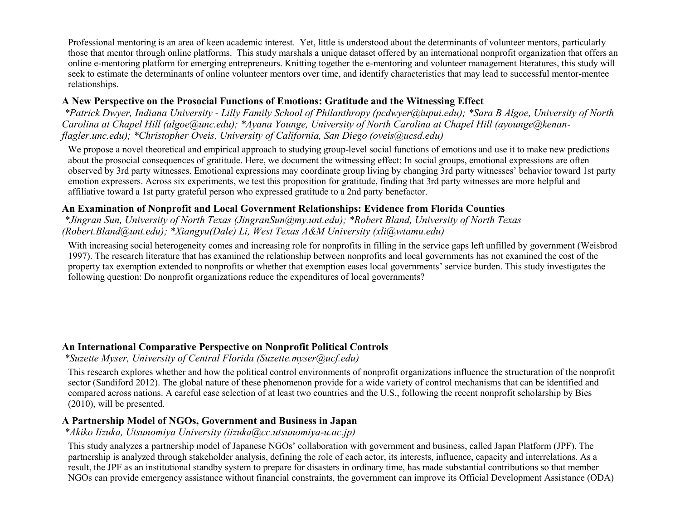Professional mentoring is an area of keen academic interest. Yet, little is understood about the determinants of volunteer mentors, particularly those that mentor through online platforms. This study marshals a unique dataset offered by an international nonprofit organization that offers an online e-mentoring platform for emerging entrepreneurs. Knitting together the e-mentoring and volunteer management literatures, this study will seek to estimate the determinants of online volunteer mentors over time, and identify characteristics that may lead to successful mentor-mentee relationships.

#### **A New Perspective on the Prosocial Functions of Emotions: Gratitude and the Witnessing Effect**

*\*Patrick Dwyer, Indiana University - Lilly Family School of Philanthropy (pcdwyer@iupui.edu); \*Sara B Algoe, University of North Carolina at Chapel Hill (algoe@unc.edu); \*Ayana Younge, University of North Carolina at Chapel Hill (ayounge@kenanflagler.unc.edu); \*Christopher Oveis, University of California, San Diego (oveis@ucsd.edu)*

We propose a novel theoretical and empirical approach to studying group-level social functions of emotions and use it to make new predictions about the prosocial consequences of gratitude. Here, we document the witnessing effect: In social groups, emotional expressions are often observed by 3rd party witnesses. Emotional expressions may coordinate group living by changing 3rd party witnesses' behavior toward 1st party emotion expressers. Across six experiments, we test this proposition for gratitude, finding that 3rd party witnesses are more helpful and affiliative toward a 1st party grateful person who expressed gratitude to a 2nd party benefactor.

## **An Examination of Nonprofit and Local Government Relationships: Evidence from Florida Counties**

*\*Jingran Sun, University of North Texas (JingranSun@my.unt.edu); \*Robert Bland, University of North Texas (Robert.Bland@unt.edu); \*Xiangyu(Dale) Li, West Texas A&M University (xli@wtamu.edu)*

With increasing social heterogeneity comes and increasing role for nonprofits in filling in the service gaps left unfilled by government (Weisbrod 1997). The research literature that has examined the relationship between nonprofits and local governments has not examined the cost of the property tax exemption extended to nonprofits or whether that exemption eases local governments' service burden. This study investigates the following question: Do nonprofit organizations reduce the expenditures of local governments?

## **An International Comparative Perspective on Nonprofit Political Controls**

*\*Suzette Myser, University of Central Florida (Suzette.myser@ucf.edu)*

This research explores whether and how the political control environments of nonprofit organizations influence the structuration of the nonprofit sector (Sandiford 2012). The global nature of these phenomenon provide for a wide variety of control mechanisms that can be identified and compared across nations. A careful case selection of at least two countries and the U.S., following the recent nonprofit scholarship by Bies (2010), will be presented.

## **A Partnership Model of NGOs, Government and Business in Japan**

*\*Akiko Iizuka, Utsunomiya University (iizuka@cc.utsunomiya-u.ac.jp)*

This study analyzes a partnership model of Japanese NGOs' collaboration with government and business, called Japan Platform (JPF). The partnership is analyzed through stakeholder analysis, defining the role of each actor, its interests, influence, capacity and interrelations. As a result, the JPF as an institutional standby system to prepare for disasters in ordinary time, has made substantial contributions so that member NGOs can provide emergency assistance without financial constraints, the government can improve its Official Development Assistance (ODA)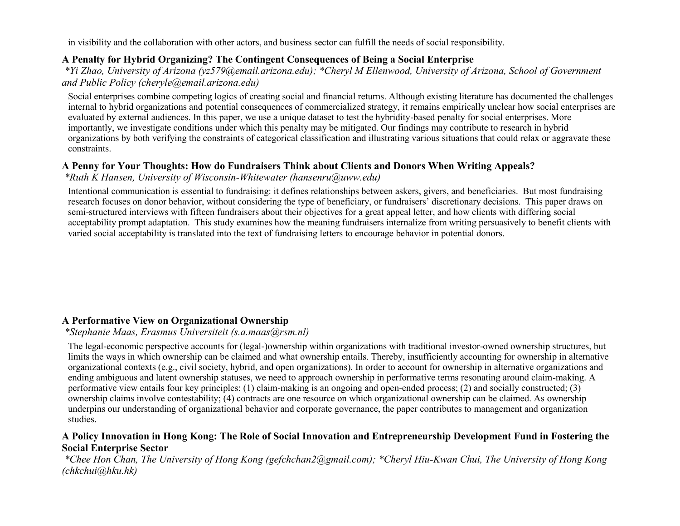in visibility and the collaboration with other actors, and business sector can fulfill the needs of social responsibility.

#### **A Penalty for Hybrid Organizing? The Contingent Consequences of Being a Social Enterprise**

*\*Yi Zhao, University of Arizona (yz579@email.arizona.edu); \*Cheryl M Ellenwood, University of Arizona, School of Government and Public Policy (cheryle@email.arizona.edu)*

Social enterprises combine competing logics of creating social and financial returns. Although existing literature has documented the challenges internal to hybrid organizations and potential consequences of commercialized strategy, it remains empirically unclear how social enterprises are evaluated by external audiences. In this paper, we use a unique dataset to test the hybridity-based penalty for social enterprises. More importantly, we investigate conditions under which this penalty may be mitigated. Our findings may contribute to research in hybrid organizations by both verifying the constraints of categorical classification and illustrating various situations that could relax or aggravate these constraints.

#### **A Penny for Your Thoughts: How do Fundraisers Think about Clients and Donors When Writing Appeals?**

*\*Ruth K Hansen, University of Wisconsin-Whitewater (hansenru@uww.edu)*

Intentional communication is essential to fundraising: it defines relationships between askers, givers, and beneficiaries. But most fundraising research focuses on donor behavior, without considering the type of beneficiary, or fundraisers' discretionary decisions. This paper draws on semi-structured interviews with fifteen fundraisers about their objectives for a great appeal letter, and how clients with differing social acceptability prompt adaptation. This study examines how the meaning fundraisers internalize from writing persuasively to benefit clients with varied social acceptability is translated into the text of fundraising letters to encourage behavior in potential donors.

#### **A Performative View on Organizational Ownership**

*\*Stephanie Maas, Erasmus Universiteit (s.a.maas@rsm.nl)*

The legal-economic perspective accounts for (legal-)ownership within organizations with traditional investor-owned ownership structures, but limits the ways in which ownership can be claimed and what ownership entails. Thereby, insufficiently accounting for ownership in alternative organizational contexts (e.g., civil society, hybrid, and open organizations). In order to account for ownership in alternative organizations and ending ambiguous and latent ownership statuses, we need to approach ownership in performative terms resonating around claim-making. A performative view entails four key principles: (1) claim-making is an ongoing and open-ended process; (2) and socially constructed; (3) ownership claims involve contestability; (4) contracts are one resource on which organizational ownership can be claimed. As ownership underpins our understanding of organizational behavior and corporate governance, the paper contributes to management and organization studies.

#### **A Policy Innovation in Hong Kong: The Role of Social Innovation and Entrepreneurship Development Fund in Fostering the Social Enterprise Sector**

*\*Chee Hon Chan, The University of Hong Kong (gefchchan2@gmail.com); \*Cheryl Hiu-Kwan Chui, The University of Hong Kong (chkchui@hku.hk)*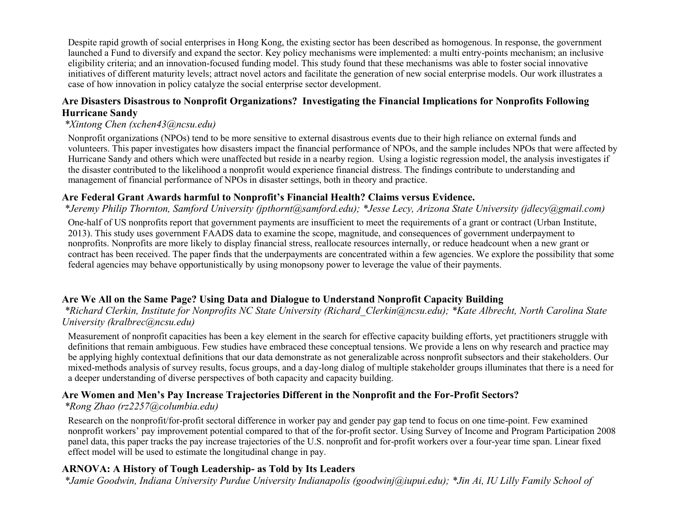Despite rapid growth of social enterprises in Hong Kong, the existing sector has been described as homogenous. In response, the government launched a Fund to diversify and expand the sector. Key policy mechanisms were implemented: a multi entry-points mechanism; an inclusive eligibility criteria; and an innovation-focused funding model. This study found that these mechanisms was able to foster social innovative initiatives of different maturity levels; attract novel actors and facilitate the generation of new social enterprise models. Our work illustrates a case of how innovation in policy catalyze the social enterprise sector development.

#### **Are Disasters Disastrous to Nonprofit Organizations? Investigating the Financial Implications for Nonprofits Following Hurricane Sandy**

## *\*Xintong Chen (xchen43@ncsu.edu)*

Nonprofit organizations (NPOs) tend to be more sensitive to external disastrous events due to their high reliance on external funds and volunteers. This paper investigates how disasters impact the financial performance of NPOs, and the sample includes NPOs that were affected by Hurricane Sandy and others which were unaffected but reside in a nearby region. Using a logistic regression model, the analysis investigates if the disaster contributed to the likelihood a nonprofit would experience financial distress. The findings contribute to understanding and management of financial performance of NPOs in disaster settings, both in theory and practice.

#### **Are Federal Grant Awards harmful to Nonprofit's Financial Health? Claims versus Evidence.**

*\*Jeremy Philip Thornton, Samford University (jpthornt@samford.edu); \*Jesse Lecy, Arizona State University (jdlecy@gmail.com)*

One-half of US nonprofits report that government payments are insufficient to meet the requirements of a grant or contract (Urban Institute, 2013). This study uses government FAADS data to examine the scope, magnitude, and consequences of government underpayment to nonprofits. Nonprofits are more likely to display financial stress, reallocate resources internally, or reduce headcount when a new grant or contract has been received. The paper finds that the underpayments are concentrated within a few agencies. We explore the possibility that some federal agencies may behave opportunistically by using monopsony power to leverage the value of their payments.

## **Are We All on the Same Page? Using Data and Dialogue to Understand Nonprofit Capacity Building**

*\*Richard Clerkin, Institute for Nonprofits NC State University (Richard\_Clerkin@ncsu.edu); \*Kate Albrecht, North Carolina State University (kralbrec@ncsu.edu)*

Measurement of nonprofit capacities has been a key element in the search for effective capacity building efforts, yet practitioners struggle with definitions that remain ambiguous. Few studies have embraced these conceptual tensions. We provide a lens on why research and practice may be applying highly contextual definitions that our data demonstrate as not generalizable across nonprofit subsectors and their stakeholders. Our mixed-methods analysis of survey results, focus groups, and a day-long dialog of multiple stakeholder groups illuminates that there is a need for a deeper understanding of diverse perspectives of both capacity and capacity building.

#### **Are Women and Men's Pay Increase Trajectories Different in the Nonprofit and the For-Profit Sectors?**

#### *\*Rong Zhao (rz2257@columbia.edu)*

Research on the nonprofit/for-profit sectoral difference in worker pay and gender pay gap tend to focus on one time-point. Few examined nonprofit workers' pay improvement potential compared to that of the for-profit sector. Using Survey of Income and Program Participation 2008 panel data, this paper tracks the pay increase trajectories of the U.S. nonprofit and for-profit workers over a four-year time span. Linear fixed effect model will be used to estimate the longitudinal change in pay.

## **ARNOVA: A History of Tough Leadership- as Told by Its Leaders**

*\*Jamie Goodwin, Indiana University Purdue University Indianapolis (goodwinj@iupui.edu); \*Jin Ai, IU Lilly Family School of*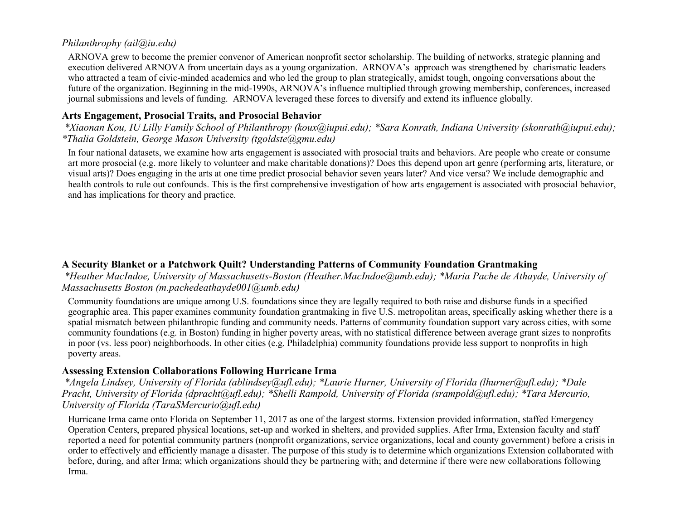#### *Philanthrophy (ail@iu.edu)*

ARNOVA grew to become the premier convenor of American nonprofit sector scholarship. The building of networks, strategic planning and execution delivered ARNOVA from uncertain days as a young organization. ARNOVA's approach was strengthened by charismatic leaders who attracted a team of civic-minded academics and who led the group to plan strategically, amidst tough, ongoing conversations about the future of the organization. Beginning in the mid-1990s, ARNOVA's influence multiplied through growing membership, conferences, increased journal submissions and levels of funding. ARNOVA leveraged these forces to diversify and extend its influence globally.

## **Arts Engagement, Prosocial Traits, and Prosocial Behavior**

*\*Xiaonan Kou, IU Lilly Family School of Philanthropy (koux@iupui.edu); \*Sara Konrath, Indiana University (skonrath@iupui.edu); \*Thalia Goldstein, George Mason University (tgoldste@gmu.edu)*

In four national datasets, we examine how arts engagement is associated with prosocial traits and behaviors. Are people who create or consume art more prosocial (e.g. more likely to volunteer and make charitable donations)? Does this depend upon art genre (performing arts, literature, or visual arts)? Does engaging in the arts at one time predict prosocial behavior seven years later? And vice versa? We include demographic and health controls to rule out confounds. This is the first comprehensive investigation of how arts engagement is associated with prosocial behavior, and has implications for theory and practice.

#### **A Security Blanket or a Patchwork Quilt? Understanding Patterns of Community Foundation Grantmaking**

*\*Heather MacIndoe, University of Massachusetts-Boston (Heather.MacIndoe@umb.edu); \*Maria Pache de Athayde, University of Massachusetts Boston (m.pachedeathayde001@umb.edu)*

Community foundations are unique among U.S. foundations since they are legally required to both raise and disburse funds in a specified geographic area. This paper examines community foundation grantmaking in five U.S. metropolitan areas, specifically asking whether there is a spatial mismatch between philanthropic funding and community needs. Patterns of community foundation support vary across cities, with some community foundations (e.g. in Boston) funding in higher poverty areas, with no statistical difference between average grant sizes to nonprofits in poor (vs. less poor) neighborhoods. In other cities (e.g. Philadelphia) community foundations provide less support to nonprofits in high poverty areas.

#### **Assessing Extension Collaborations Following Hurricane Irma**

*\*Angela Lindsey, University of Florida (ablindsey@ufl.edu); \*Laurie Hurner, University of Florida (lhurner@ufl.edu); \*Dale Pracht, University of Florida (dpracht@ufl.edu); \*Shelli Rampold, University of Florida (srampold@ufl.edu); \*Tara Mercurio, University of Florida (TaraSMercurio@ufl.edu)*

Hurricane Irma came onto Florida on September 11, 2017 as one of the largest storms. Extension provided information, staffed Emergency Operation Centers, prepared physical locations, set-up and worked in shelters, and provided supplies. After Irma, Extension faculty and staff reported a need for potential community partners (nonprofit organizations, service organizations, local and county government) before a crisis in order to effectively and efficiently manage a disaster. The purpose of this study is to determine which organizations Extension collaborated with before, during, and after Irma; which organizations should they be partnering with; and determine if there were new collaborations following Irma.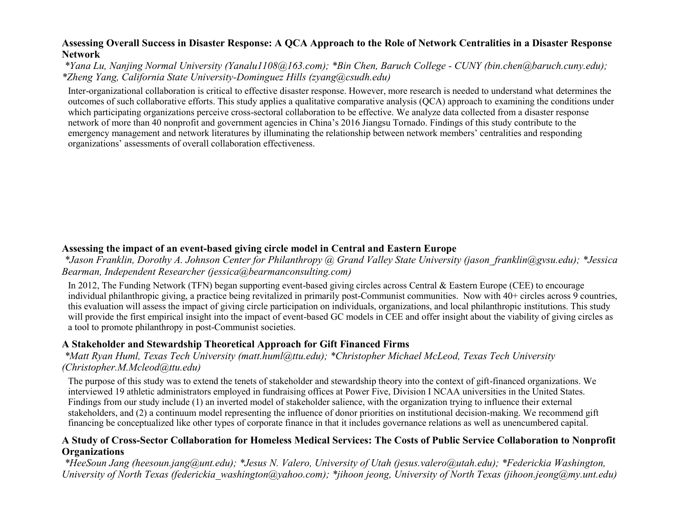#### **Assessing Overall Success in Disaster Response: A QCA Approach to the Role of Network Centralities in a Disaster Response Network**

*\*Yana Lu, Nanjing Normal University (Yanalu1108@163.com); \*Bin Chen, Baruch College - CUNY (bin.chen@baruch.cuny.edu); \*Zheng Yang, California State University-Dominguez Hills (zyang@csudh.edu)*

Inter-organizational collaboration is critical to effective disaster response. However, more research is needed to understand what determines the outcomes of such collaborative efforts. This study applies a qualitative comparative analysis (QCA) approach to examining the conditions under which participating organizations perceive cross-sectoral collaboration to be effective. We analyze data collected from a disaster response network of more than 40 nonprofit and government agencies in China's 2016 Jiangsu Tornado. Findings of this study contribute to the emergency management and network literatures by illuminating the relationship between network members' centralities and responding organizations' assessments of overall collaboration effectiveness.

#### **Assessing the impact of an event-based giving circle model in Central and Eastern Europe**

*\*Jason Franklin, Dorothy A. Johnson Center for Philanthropy @ Grand Valley State University (jason\_franklin@gvsu.edu); \*Jessica Bearman, Independent Researcher (jessica@bearmanconsulting.com)*

In 2012, The Funding Network (TFN) began supporting event-based giving circles across Central & Eastern Europe (CEE) to encourage individual philanthropic giving, a practice being revitalized in primarily post-Communist communities. Now with 40+ circles across 9 countries, this evaluation will assess the impact of giving circle participation on individuals, organizations, and local philanthropic institutions. This study will provide the first empirical insight into the impact of event-based GC models in CEE and offer insight about the viability of giving circles as a tool to promote philanthropy in post-Communist societies.

#### **A Stakeholder and Stewardship Theoretical Approach for Gift Financed Firms**

*\*Matt Ryan Huml, Texas Tech University (matt.huml@ttu.edu); \*Christopher Michael McLeod, Texas Tech University (Christopher.M.Mcleod@ttu.edu)*

The purpose of this study was to extend the tenets of stakeholder and stewardship theory into the context of gift-financed organizations. We interviewed 19 athletic administrators employed in fundraising offices at Power Five, Division I NCAA universities in the United States. Findings from our study include (1) an inverted model of stakeholder salience, with the organization trying to influence their external stakeholders, and (2) a continuum model representing the influence of donor priorities on institutional decision-making. We recommend gift financing be conceptualized like other types of corporate finance in that it includes governance relations as well as unencumbered capital.

#### **A Study of Cross-Sector Collaboration for Homeless Medical Services: The Costs of Public Service Collaboration to Nonprofit Organizations**

*\*HeeSoun Jang (heesoun.jang@unt.edu); \*Jesus N. Valero, University of Utah (jesus.valero@utah.edu); \*Federickia Washington, University of North Texas (federickia\_washington@yahoo.com); \*jihoon jeong, University of North Texas (jihoon.jeong@my.unt.edu)*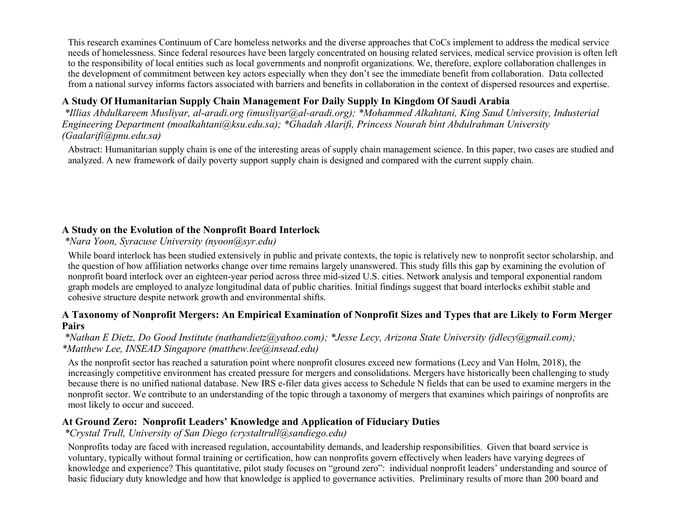This research examines Continuum of Care homeless networks and the diverse approaches that CoCs implement to address the medical service needs of homelessness. Since federal resources have been largely concentrated on housing related services, medical service provision is often left to the responsibility of local entities such as local governments and nonprofit organizations. We, therefore, explore collaboration challenges in the development of commitment between key actors especially when they don't see the immediate benefit from collaboration. Data collected from a national survey informs factors associated with barriers and benefits in collaboration in the context of dispersed resources and expertise.

## **A Study Of Humanitarian Supply Chain Management For Daily Supply In Kingdom Of Saudi Arabia**

*\*Illias Abdulkareem Musliyar, al-aradi.org (imusliyar@al-aradi.org); \*Mohammed Alkahtani, King Saud University, Industerial Engineering Department (moalkahtani@ksu.edu.sa); \*Ghadah Alarifi, Princess Nourah bint Abdulrahman University (Gaalarifi@pnu.edu.sa)*

Abstract: Humanitarian supply chain is one of the interesting areas of supply chain management science. In this paper, two cases are studied and analyzed. A new framework of daily poverty support supply chain is designed and compared with the current supply chain.

## **A Study on the Evolution of the Nonprofit Board Interlock**

*\*Nara Yoon, Syracuse University (nyoon@syr.edu)*

While board interlock has been studied extensively in public and private contexts, the topic is relatively new to nonprofit sector scholarship, and the question of how affiliation networks change over time remains largely unanswered. This study fills this gap by examining the evolution of nonprofit board interlock over an eighteen-year period across three mid-sized U.S. cities. Network analysis and temporal exponential random graph models are employed to analyze longitudinal data of public charities. Initial findings suggest that board interlocks exhibit stable and cohesive structure despite network growth and environmental shifts.

#### **A Taxonomy of Nonprofit Mergers: An Empirical Examination of Nonprofit Sizes and Types that are Likely to Form Merger Pairs**

#### *\*Nathan E Dietz, Do Good Institute (nathandietz@yahoo.com); \*Jesse Lecy, Arizona State University (jdlecy@gmail.com); \*Matthew Lee, INSEAD Singapore (matthew.lee@insead.edu)*

As the nonprofit sector has reached a saturation point where nonprofit closures exceed new formations (Lecy and Van Holm, 2018), the increasingly competitive environment has created pressure for mergers and consolidations. Mergers have historically been challenging to study because there is no unified national database. New IRS e-filer data gives access to Schedule N fields that can be used to examine mergers in the nonprofit sector. We contribute to an understanding of the topic through a taxonomy of mergers that examines which pairings of nonprofits are most likely to occur and succeed.

#### **At Ground Zero: Nonprofit Leaders' Knowledge and Application of Fiduciary Duties**

*\*Crystal Trull, University of San Diego (crystaltrull@sandiego.edu)*

Nonprofits today are faced with increased regulation, accountability demands, and leadership responsibilities. Given that board service is voluntary, typically without formal training or certification, how can nonprofits govern effectively when leaders have varying degrees of knowledge and experience? This quantitative, pilot study focuses on "ground zero": individual nonprofit leaders' understanding and source of basic fiduciary duty knowledge and how that knowledge is applied to governance activities. Preliminary results of more than 200 board and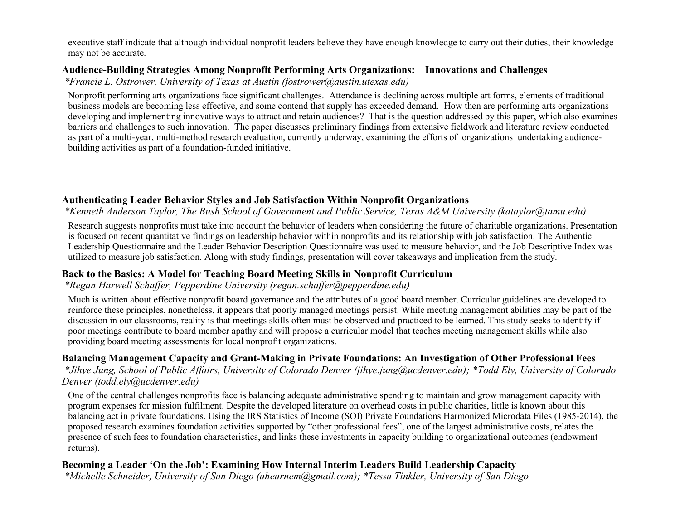executive staff indicate that although individual nonprofit leaders believe they have enough knowledge to carry out their duties, their knowledge may not be accurate.

#### **Audience-Building Strategies Among Nonprofit Performing Arts Organizations: Innovations and Challenges**

*\*Francie L. Ostrower, University of Texas at Austin (fostrower@austin.utexas.edu)*

Nonprofit performing arts organizations face significant challenges. Attendance is declining across multiple art forms, elements of traditional business models are becoming less effective, and some contend that supply has exceeded demand. How then are performing arts organizations developing and implementing innovative ways to attract and retain audiences? That is the question addressed by this paper, which also examines barriers and challenges to such innovation. The paper discusses preliminary findings from extensive fieldwork and literature review conducted as part of a multi-year, multi-method research evaluation, currently underway, examining the efforts of organizations undertaking audiencebuilding activities as part of a foundation-funded initiative.

## **Authenticating Leader Behavior Styles and Job Satisfaction Within Nonprofit Organizations**

#### *\*Kenneth Anderson Taylor, The Bush School of Government and Public Service, Texas A&M University (kataylor@tamu.edu)*

Research suggests nonprofits must take into account the behavior of leaders when considering the future of charitable organizations. Presentation is focused on recent quantitative findings on leadership behavior within nonprofits and its relationship with job satisfaction. The Authentic Leadership Questionnaire and the Leader Behavior Description Questionnaire was used to measure behavior, and the Job Descriptive Index was utilized to measure job satisfaction. Along with study findings, presentation will cover takeaways and implication from the study.

#### **Back to the Basics: A Model for Teaching Board Meeting Skills in Nonprofit Curriculum**

#### *\*Regan Harwell Schaffer, Pepperdine University (regan.schaffer@pepperdine.edu)*

Much is written about effective nonprofit board governance and the attributes of a good board member. Curricular guidelines are developed to reinforce these principles, nonetheless, it appears that poorly managed meetings persist. While meeting management abilities may be part of the discussion in our classrooms, reality is that meetings skills often must be observed and practiced to be learned. This study seeks to identify if poor meetings contribute to board member apathy and will propose a curricular model that teaches meeting management skills while also providing board meeting assessments for local nonprofit organizations.

#### **Balancing Management Capacity and Grant-Making in Private Foundations: An Investigation of Other Professional Fees**

*\*Jihye Jung, School of Public Affairs, University of Colorado Denver (jihye.jung@ucdenver.edu); \*Todd Ely, University of Colorado Denver (todd.ely@ucdenver.edu)*

One of the central challenges nonprofits face is balancing adequate administrative spending to maintain and grow management capacity with program expenses for mission fulfilment. Despite the developed literature on overhead costs in public charities, little is known about this balancing act in private foundations. Using the IRS Statistics of Income (SOI) Private Foundations Harmonized Microdata Files (1985-2014), the proposed research examines foundation activities supported by "other professional fees", one of the largest administrative costs, relates the presence of such fees to foundation characteristics, and links these investments in capacity building to organizational outcomes (endowment returns).

## **Becoming a Leader 'On the Job': Examining How Internal Interim Leaders Build Leadership Capacity**

*\*Michelle Schneider, University of San Diego (ahearnem@gmail.com); \*Tessa Tinkler, University of San Diego*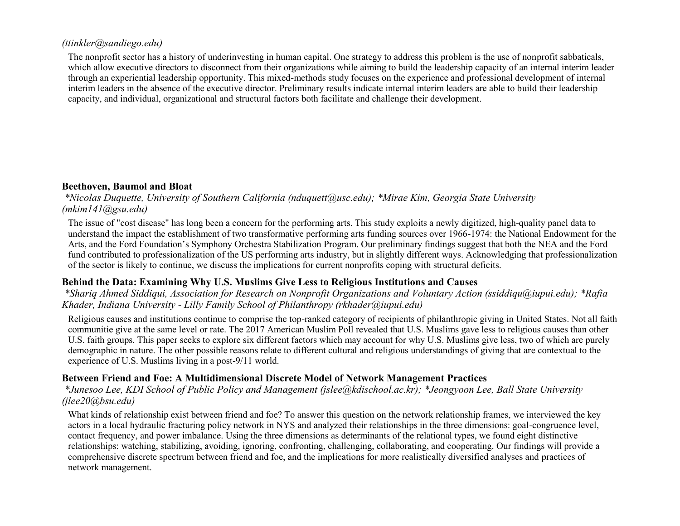#### *(ttinkler@sandiego.edu)*

The nonprofit sector has a history of underinvesting in human capital. One strategy to address this problem is the use of nonprofit sabbaticals, which allow executive directors to disconnect from their organizations while aiming to build the leadership capacity of an internal interim leader through an experiential leadership opportunity. This mixed-methods study focuses on the experience and professional development of internal interim leaders in the absence of the executive director. Preliminary results indicate internal interim leaders are able to build their leadership capacity, and individual, organizational and structural factors both facilitate and challenge their development.

#### **Beethoven, Baumol and Bloat**

*\*Nicolas Duquette, University of Southern California (nduquett@usc.edu); \*Mirae Kim, Georgia State University (mkim141@gsu.edu)*

The issue of "cost disease" has long been a concern for the performing arts. This study exploits a newly digitized, high-quality panel data to understand the impact the establishment of two transformative performing arts funding sources over 1966-1974: the National Endowment for the Arts, and the Ford Foundation's Symphony Orchestra Stabilization Program. Our preliminary findings suggest that both the NEA and the Ford fund contributed to professionalization of the US performing arts industry, but in slightly different ways. Acknowledging that professionalization of the sector is likely to continue, we discuss the implications for current nonprofits coping with structural deficits.

#### **Behind the Data: Examining Why U.S. Muslims Give Less to Religious Institutions and Causes**

*\*Shariq Ahmed Siddiqui, Association for Research on Nonprofit Organizations and Voluntary Action (ssiddiqu@iupui.edu); \*Rafia Khader, Indiana University - Lilly Family School of Philanthropy (rkhader@iupui.edu)*

Religious causes and institutions continue to comprise the top-ranked category of recipients of philanthropic giving in United States. Not all faith communitie give at the same level or rate. The 2017 American Muslim Poll revealed that U.S. Muslims gave less to religious causes than other U.S. faith groups. This paper seeks to explore six different factors which may account for why U.S. Muslims give less, two of which are purely demographic in nature. The other possible reasons relate to different cultural and religious understandings of giving that are contextual to the experience of U.S. Muslims living in a post-9/11 world.

#### **Between Friend and Foe: A Multidimensional Discrete Model of Network Management Practices**

*\*Junesoo Lee, KDI School of Public Policy and Management (jslee@kdischool.ac.kr); \*Jeongyoon Lee, Ball State University (jlee20@bsu.edu)*

What kinds of relationship exist between friend and foe? To answer this question on the network relationship frames, we interviewed the key actors in a local hydraulic fracturing policy network in NYS and analyzed their relationships in the three dimensions: goal-congruence level, contact frequency, and power imbalance. Using the three dimensions as determinants of the relational types, we found eight distinctive relationships: watching, stabilizing, avoiding, ignoring, confronting, challenging, collaborating, and cooperating. Our findings will provide a comprehensive discrete spectrum between friend and foe, and the implications for more realistically diversified analyses and practices of network management.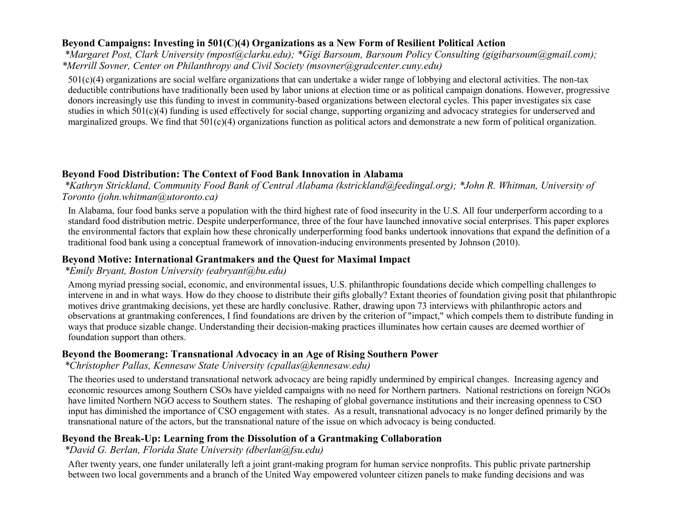#### **Beyond Campaigns: Investing in 501(C)(4) Organizations as a New Form of Resilient Political Action**

*\*Margaret Post, Clark University (mpost@clarku.edu); \*Gigi Barsoum, Barsoum Policy Consulting (gigibarsoum@gmail.com); \*Merrill Sovner, Center on Philanthropy and Civil Society (msovner@gradcenter.cuny.edu)*

 $501(c)(4)$  organizations are social welfare organizations that can undertake a wider range of lobbying and electoral activities. The non-tax deductible contributions have traditionally been used by labor unions at election time or as political campaign donations. However, progressive donors increasingly use this funding to invest in community-based organizations between electoral cycles. This paper investigates six case studies in which 501(c)(4) funding is used effectively for social change, supporting organizing and advocacy strategies for underserved and marginalized groups. We find that 501(c)(4) organizations function as political actors and demonstrate a new form of political organization.

## **Beyond Food Distribution: The Context of Food Bank Innovation in Alabama**

*\*Kathryn Strickland, Community Food Bank of Central Alabama (kstrickland@feedingal.org); \*John R. Whitman, University of Toronto (john.whitman@utoronto.ca)*

In Alabama, four food banks serve a population with the third highest rate of food insecurity in the U.S. All four underperform according to a standard food distribution metric. Despite underperformance, three of the four have launched innovative social enterprises. This paper explores the environmental factors that explain how these chronically underperforming food banks undertook innovations that expand the definition of a traditional food bank using a conceptual framework of innovation-inducing environments presented by Johnson (2010).

## **Beyond Motive: International Grantmakers and the Quest for Maximal Impact**

#### *\*Emily Bryant, Boston University (eabryant@bu.edu)*

Among myriad pressing social, economic, and environmental issues, U.S. philanthropic foundations decide which compelling challenges to intervene in and in what ways. How do they choose to distribute their gifts globally? Extant theories of foundation giving posit that philanthropic motives drive grantmaking decisions, yet these are hardly conclusive. Rather, drawing upon 73 interviews with philanthropic actors and observations at grantmaking conferences, I find foundations are driven by the criterion of "impact," which compels them to distribute funding in ways that produce sizable change. Understanding their decision-making practices illuminates how certain causes are deemed worthier of foundation support than others.

#### **Beyond the Boomerang: Transnational Advocacy in an Age of Rising Southern Power**

*\*Christopher Pallas, Kennesaw State University (cpallas@kennesaw.edu)*

The theories used to understand transnational network advocacy are being rapidly undermined by empirical changes. Increasing agency and economic resources among Southern CSOs have yielded campaigns with no need for Northern partners. National restrictions on foreign NGOs have limited Northern NGO access to Southern states. The reshaping of global governance institutions and their increasing openness to CSO input has diminished the importance of CSO engagement with states. As a result, transnational advocacy is no longer defined primarily by the transnational nature of the actors, but the transnational nature of the issue on which advocacy is being conducted.

## **Beyond the Break-Up: Learning from the Dissolution of a Grantmaking Collaboration**

#### *\*David G. Berlan, Florida State University (dberlan@fsu.edu)*

After twenty years, one funder unilaterally left a joint grant-making program for human service nonprofits. This public private partnership between two local governments and a branch of the United Way empowered volunteer citizen panels to make funding decisions and was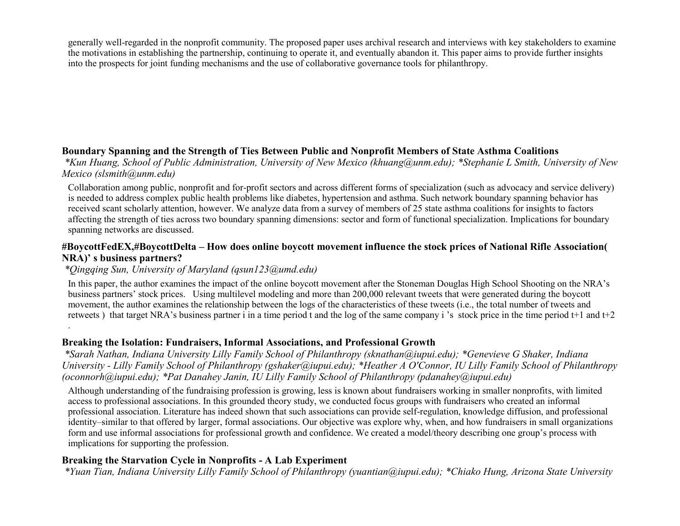generally well-regarded in the nonprofit community. The proposed paper uses archival research and interviews with key stakeholders to examine the motivations in establishing the partnership, continuing to operate it, and eventually abandon it. This paper aims to provide further insights into the prospects for joint funding mechanisms and the use of collaborative governance tools for philanthropy.

## **Boundary Spanning and the Strength of Ties Between Public and Nonprofit Members of State Asthma Coalitions**

*\*Kun Huang, School of Public Administration, University of New Mexico (khuang@unm.edu); \*Stephanie L Smith, University of New Mexico (slsmith@unm.edu)*

Collaboration among public, nonprofit and for-profit sectors and across different forms of specialization (such as advocacy and service delivery) is needed to address complex public health problems like diabetes, hypertension and asthma. Such network boundary spanning behavior has received scant scholarly attention, however. We analyze data from a survey of members of 25 state asthma coalitions for insights to factors affecting the strength of ties across two boundary spanning dimensions: sector and form of functional specialization. Implications for boundary spanning networks are discussed.

#### **#BoycottFedEX,#BoycottDelta – How does online boycott movement influence the stock prices of National Rifle Association( NRA)' s business partners?**

#### *\*Qingqing Sun, University of Maryland (qsun123@umd.edu)*

.

In this paper, the author examines the impact of the online boycott movement after the Stoneman Douglas High School Shooting on the NRA's business partners' stock prices. Using multilevel modeling and more than 200,000 relevant tweets that were generated during the boycott movement, the author examines the relationship between the logs of the characteristics of these tweets (i.e., the total number of tweets and retweets ) that target NRA's business partner i in a time period t and the log of the same company i 's stock price in the time period t+1 and t+2

#### **Breaking the Isolation: Fundraisers, Informal Associations, and Professional Growth**

*\*Sarah Nathan, Indiana University Lilly Family School of Philanthropy (sknathan@iupui.edu); \*Genevieve G Shaker, Indiana University - Lilly Family School of Philanthropy (gshaker@iupui.edu); \*Heather A O'Connor, IU Lilly Family School of Philanthropy (oconnorh@iupui.edu); \*Pat Danahey Janin, IU Lilly Family School of Philanthropy (pdanahey@iupui.edu)*

Although understanding of the fundraising profession is growing, less is known about fundraisers working in smaller nonprofits, with limited access to professional associations. In this grounded theory study, we conducted focus groups with fundraisers who created an informal professional association. Literature has indeed shown that such associations can provide self-regulation, knowledge diffusion, and professional identity–similar to that offered by larger, formal associations. Our objective was explore why, when, and how fundraisers in small organizations form and use informal associations for professional growth and confidence. We created a model/theory describing one group's process with implications for supporting the profession.

#### **Breaking the Starvation Cycle in Nonprofits - A Lab Experiment**

*\*Yuan Tian, Indiana University Lilly Family School of Philanthropy (yuantian@iupui.edu); \*Chiako Hung, Arizona State University*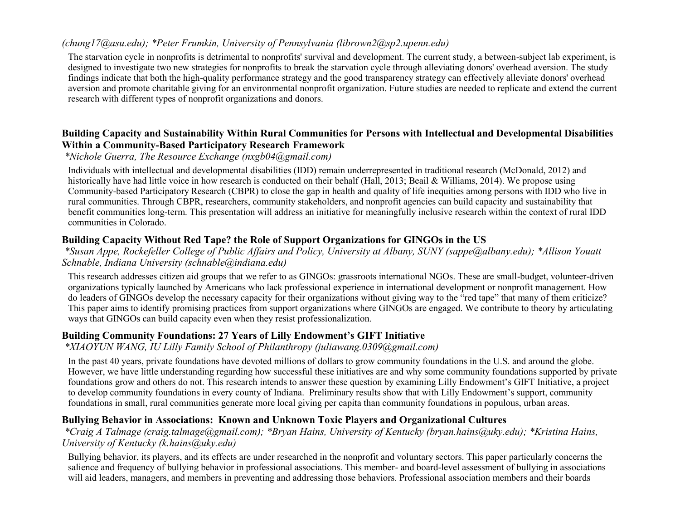#### *(chung17@asu.edu); \*Peter Frumkin, University of Pennsylvania (librown2@sp2.upenn.edu)*

The starvation cycle in nonprofits is detrimental to nonprofits' survival and development. The current study, a between-subject lab experiment, is designed to investigate two new strategies for nonprofits to break the starvation cycle through alleviating donors' overhead aversion. The study findings indicate that both the high-quality performance strategy and the good transparency strategy can effectively alleviate donors' overhead aversion and promote charitable giving for an environmental nonprofit organization. Future studies are needed to replicate and extend the current research with different types of nonprofit organizations and donors.

#### **Building Capacity and Sustainability Within Rural Communities for Persons with Intellectual and Developmental Disabilities Within a Community-Based Participatory Research Framework**

#### *\*Nichole Guerra, The Resource Exchange (nxgb04@gmail.com)*

Individuals with intellectual and developmental disabilities (IDD) remain underrepresented in traditional research (McDonald, 2012) and historically have had little voice in how research is conducted on their behalf (Hall, 2013; Beail & Williams, 2014). We propose using Community-based Participatory Research (CBPR) to close the gap in health and quality of life inequities among persons with IDD who live in rural communities. Through CBPR, researchers, community stakeholders, and nonprofit agencies can build capacity and sustainability that benefit communities long-term. This presentation will address an initiative for meaningfully inclusive research within the context of rural IDD communities in Colorado.

## **Building Capacity Without Red Tape? the Role of Support Organizations for GINGOs in the US**

*\*Susan Appe, Rockefeller College of Public Affairs and Policy, University at Albany, SUNY (sappe@albany.edu); \*Allison Youatt Schnable, Indiana University (schnable@indiana.edu)*

This research addresses citizen aid groups that we refer to as GINGOs: grassroots international NGOs. These are small-budget, volunteer-driven organizations typically launched by Americans who lack professional experience in international development or nonprofit management. How do leaders of GINGOs develop the necessary capacity for their organizations without giving way to the "red tape" that many of them criticize? This paper aims to identify promising practices from support organizations where GINGOs are engaged. We contribute to theory by articulating ways that GINGOs can build capacity even when they resist professionalization.

## **Building Community Foundations: 27 Years of Lilly Endowment's GIFT Initiative**

#### *\*XIAOYUN WANG, IU Lilly Family School of Philanthropy (juliawang.0309@gmail.com)*

In the past 40 years, private foundations have devoted millions of dollars to grow community foundations in the U.S. and around the globe. However, we have little understanding regarding how successful these initiatives are and why some community foundations supported by private foundations grow and others do not. This research intends to answer these question by examining Lilly Endowment's GIFT Initiative, a project to develop community foundations in every county of Indiana. Preliminary results show that with Lilly Endowment's support, community foundations in small, rural communities generate more local giving per capita than community foundations in populous, urban areas.

#### **Bullying Behavior in Associations: Known and Unknown Toxic Players and Organizational Cultures**

#### *\*Craig A Talmage (craig.talmage@gmail.com); \*Bryan Hains, University of Kentucky (bryan.hains@uky.edu); \*Kristina Hains, University of Kentucky (k.hains@uky.edu)*

Bullying behavior, its players, and its effects are under researched in the nonprofit and voluntary sectors. This paper particularly concerns the salience and frequency of bullying behavior in professional associations. This member- and board-level assessment of bullying in associations will aid leaders, managers, and members in preventing and addressing those behaviors. Professional association members and their boards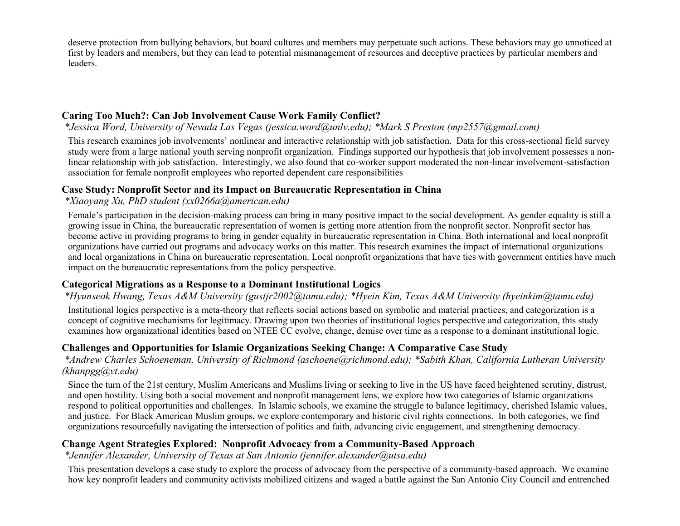deserve protection from bullying behaviors, but board cultures and members may perpetuate such actions. These behaviors may go unnoticed at first by leaders and members, but they can lead to potential mismanagement of resources and deceptive practices by particular members and leaders.

#### **Caring Too Much?: Can Job Involvement Cause Work Family Conflict?**

*\*Jessica Word, University of Nevada Las Vegas (jessica.word@unlv.edu); \*Mark S Preston (mp2557@gmail.com)*

This research examines job involvements' nonlinear and interactive relationship with job satisfaction. Data for this cross-sectional field survey study were from a large national youth serving nonprofit organization. Findings supported our hypothesis that job involvement possesses a nonlinear relationship with job satisfaction. Interestingly, we also found that co-worker support moderated the non-linear involvement-satisfaction association for female nonprofit employees who reported dependent care responsibilities

#### **Case Study: Nonprofit Sector and its Impact on Bureaucratic Representation in China**

#### *\*Xiaoyang Xu, PhD student (xx0266a@american.edu)*

Female's participation in the decision-making process can bring in many positive impact to the social development. As gender equality is still a growing issue in China, the bureaucratic representation of women is getting more attention from the nonprofit sector. Nonprofit sector has become active in providing programs to bring in gender equality in bureaucratic representation in China. Both international and local nonprofit organizations have carried out programs and advocacy works on this matter. This research examines the impact of international organizations and local organizations in China on bureaucratic representation. Local nonprofit organizations that have ties with government entities have much impact on the bureaucratic representations from the policy perspective.

#### **Categorical Migrations as a Response to a Dominant Institutional Logics**

## *\*Hyunseok Hwang, Texas A&M University (gustjr2002@tamu.edu); \*Hyein Kim, Texas A&M University (hyeinkim@tamu.edu)*

Institutional logics perspective is a meta-theory that reflects social actions based on symbolic and material practices, and categorization is a concept of cognitive mechanisms for legitimacy. Drawing upon two theories of institutional logics perspective and categorization, this study examines how organizational identities based on NTEE CC evolve, change, demise over time as a response to a dominant institutional logic.

#### **Challenges and Opportunities for Islamic Organizations Seeking Change: A Comparative Case Study**

*\*Andrew Charles Schoeneman, University of Richmond (aschoene@richmond.edu); \*Sabith Khan, California Lutheran University (khanpgg@vt.edu)*

Since the turn of the 21st century, Muslim Americans and Muslims living or seeking to live in the US have faced heightened scrutiny, distrust, and open hostility. Using both a social movement and nonprofit management lens, we explore how two categories of Islamic organizations respond to political opportunities and challenges. In Islamic schools, we examine the struggle to balance legitimacy, cherished Islamic values, and justice. For Black American Muslim groups, we explore contemporary and historic civil rights connections. In both categories, we find organizations resourcefully navigating the intersection of politics and faith, advancing civic engagement, and strengthening democracy.

## **Change Agent Strategies Explored: Nonprofit Advocacy from a Community-Based Approach**

*\*Jennifer Alexander, University of Texas at San Antonio (jennifer.alexander@utsa.edu)*

This presentation develops a case study to explore the process of advocacy from the perspective of a community-based approach. We examine how key nonprofit leaders and community activists mobilized citizens and waged a battle against the San Antonio City Council and entrenched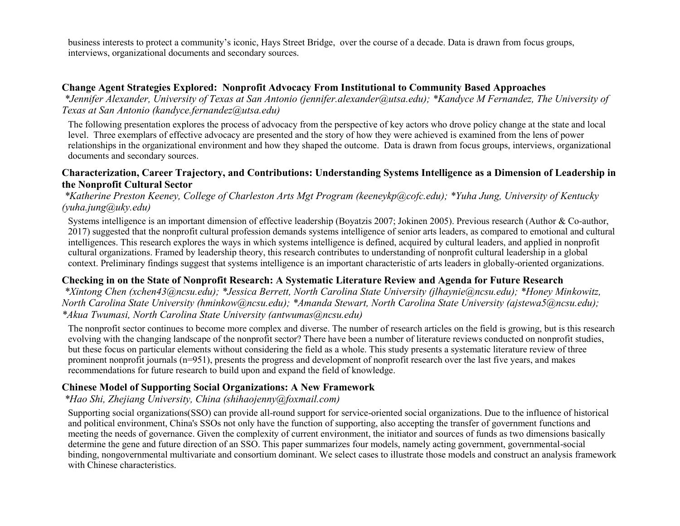business interests to protect a community's iconic, Hays Street Bridge, over the course of a decade. Data is drawn from focus groups, interviews, organizational documents and secondary sources.

#### **Change Agent Strategies Explored: Nonprofit Advocacy From Institutional to Community Based Approaches**

*\*Jennifer Alexander, University of Texas at San Antonio (jennifer.alexander@utsa.edu); \*Kandyce M Fernandez, The University of Texas at San Antonio (kandyce.fernandez@utsa.edu)*

The following presentation explores the process of advocacy from the perspective of key actors who drove policy change at the state and local level. Three exemplars of effective advocacy are presented and the story of how they were achieved is examined from the lens of power relationships in the organizational environment and how they shaped the outcome. Data is drawn from focus groups, interviews, organizational documents and secondary sources.

#### **Characterization, Career Trajectory, and Contributions: Understanding Systems Intelligence as a Dimension of Leadership in the Nonprofit Cultural Sector**

*\*Katherine Preston Keeney, College of Charleston Arts Mgt Program (keeneykp@cofc.edu); \*Yuha Jung, University of Kentucky (yuha.jung@uky.edu)*

Systems intelligence is an important dimension of effective leadership (Boyatzis 2007; Jokinen 2005). Previous research (Author & Co-author, 2017) suggested that the nonprofit cultural profession demands systems intelligence of senior arts leaders, as compared to emotional and cultural intelligences. This research explores the ways in which systems intelligence is defined, acquired by cultural leaders, and applied in nonprofit cultural organizations. Framed by leadership theory, this research contributes to understanding of nonprofit cultural leadership in a global context. Preliminary findings suggest that systems intelligence is an important characteristic of arts leaders in globally-oriented organizations.

#### **Checking in on the State of Nonprofit Research: A Systematic Literature Review and Agenda for Future Research**

*\*Xintong Chen (xchen43@ncsu.edu); \*Jessica Berrett, North Carolina State University (jlhaynie@ncsu.edu); \*Honey Minkowitz, North Carolina State University (hminkow@ncsu.edu); \*Amanda Stewart, North Carolina State University (ajstewa5@ncsu.edu); \*Akua Twumasi, North Carolina State University (antwumas@ncsu.edu)*

The nonprofit sector continues to become more complex and diverse. The number of research articles on the field is growing, but is this research evolving with the changing landscape of the nonprofit sector? There have been a number of literature reviews conducted on nonprofit studies, but these focus on particular elements without considering the field as a whole. This study presents a systematic literature review of three prominent nonprofit journals (n=951), presents the progress and development of nonprofit research over the last five years, and makes recommendations for future research to build upon and expand the field of knowledge.

#### **Chinese Model of Supporting Social Organizations: A New Framework**

*\*Hao Shi, Zhejiang University, China (shihaojenny@foxmail.com)*

Supporting social organizations(SSO) can provide all-round support for service-oriented social organizations. Due to the influence of historical and political environment, China's SSOs not only have the function of supporting, also accepting the transfer of government functions and meeting the needs of governance. Given the complexity of current environment, the initiator and sources of funds as two dimensions basically determine the gene and future direction of an SSO. This paper summarizes four models, namely acting government, governmental-social binding, nongovernmental multivariate and consortium dominant. We select cases to illustrate those models and construct an analysis framework with Chinese characteristics.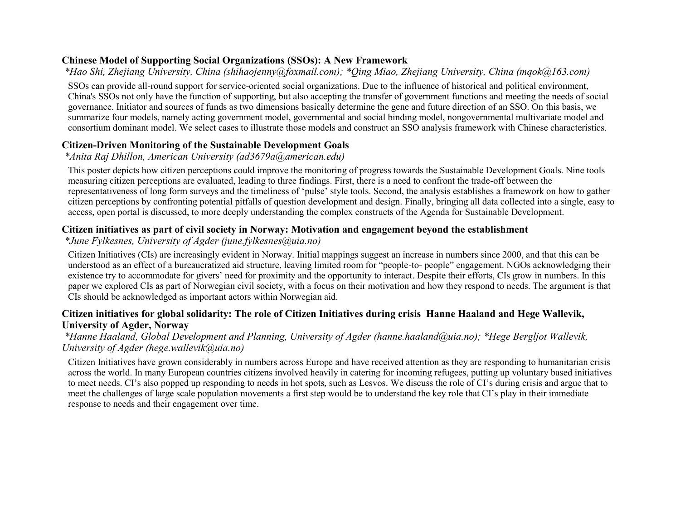#### **Chinese Model of Supporting Social Organizations (SSOs): A New Framework**

*\*Hao Shi, Zhejiang University, China (shihaojenny@foxmail.com); \*Qing Miao, Zhejiang University, China (mqok@163.com)*

SSOs can provide all-round support for service-oriented social organizations. Due to the influence of historical and political environment, China's SSOs not only have the function of supporting, but also accepting the transfer of government functions and meeting the needs of social governance. Initiator and sources of funds as two dimensions basically determine the gene and future direction of an SSO. On this basis, we summarize four models, namely acting government model, governmental and social binding model, nongovernmental multivariate model and consortium dominant model. We select cases to illustrate those models and construct an SSO analysis framework with Chinese characteristics.

## **Citizen-Driven Monitoring of the Sustainable Development Goals**

#### *\*Anita Raj Dhillon, American University (ad3679a@american.edu)*

This poster depicts how citizen perceptions could improve the monitoring of progress towards the Sustainable Development Goals. Nine tools measuring citizen perceptions are evaluated, leading to three findings. First, there is a need to confront the trade-off between the representativeness of long form surveys and the timeliness of 'pulse' style tools. Second, the analysis establishes a framework on how to gather citizen perceptions by confronting potential pitfalls of question development and design. Finally, bringing all data collected into a single, easy to access, open portal is discussed, to more deeply understanding the complex constructs of the Agenda for Sustainable Development.

## **Citizen initiatives as part of civil society in Norway: Motivation and engagement beyond the establishment**

## *\*June Fylkesnes, University of Agder (june.fylkesnes@uia.no)*

Citizen Initiatives (CIs) are increasingly evident in Norway. Initial mappings suggest an increase in numbers since 2000, and that this can be understood as an effect of a bureaucratized aid structure, leaving limited room for "people-to- people" engagement. NGOs acknowledging their existence try to accommodate for givers' need for proximity and the opportunity to interact. Despite their efforts, CIs grow in numbers. In this paper we explored CIs as part of Norwegian civil society, with a focus on their motivation and how they respond to needs. The argument is that CIs should be acknowledged as important actors within Norwegian aid.

## **Citizen initiatives for global solidarity: The role of Citizen Initiatives during crisis Hanne Haaland and Hege Wallevik, University of Agder, Norway**

#### *\*Hanne Haaland, Global Development and Planning, University of Agder (hanne.haaland@uia.no); \*Hege Bergljot Wallevik, University of Agder (hege.wallevik@uia.no)*

Citizen Initiatives have grown considerably in numbers across Europe and have received attention as they are responding to humanitarian crisis across the world. In many European countries citizens involved heavily in catering for incoming refugees, putting up voluntary based initiatives to meet needs. CI's also popped up responding to needs in hot spots, such as Lesvos. We discuss the role of CI's during crisis and argue that to meet the challenges of large scale population movements a first step would be to understand the key role that CI's play in their immediate response to needs and their engagement over time.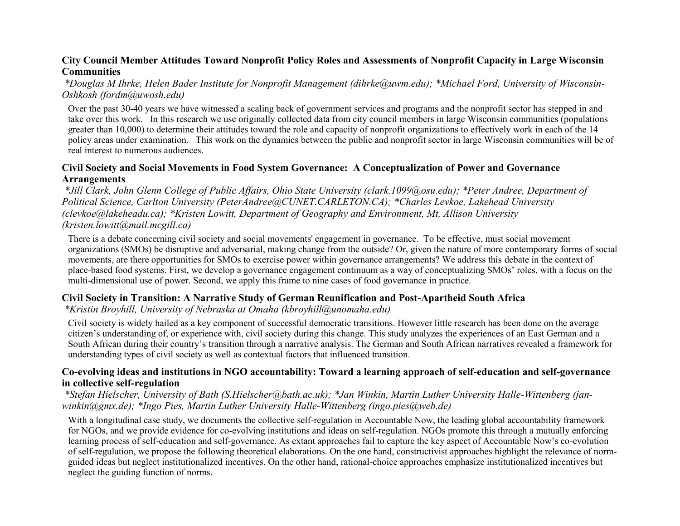#### **City Council Member Attitudes Toward Nonprofit Policy Roles and Assessments of Nonprofit Capacity in Large Wisconsin Communities**

#### *\*Douglas M Ihrke, Helen Bader Institute for Nonprofit Management (dihrke@uwm.edu); \*Michael Ford, University of Wisconsin-Oshkosh (fordm@uwosh.edu)*

Over the past 30-40 years we have witnessed a scaling back of government services and programs and the nonprofit sector has stepped in and take over this work. In this research we use originally collected data from city council members in large Wisconsin communities (populations greater than 10,000) to determine their attitudes toward the role and capacity of nonprofit organizations to effectively work in each of the 14 policy areas under examination. This work on the dynamics between the public and nonprofit sector in large Wisconsin communities will be of real interest to numerous audiences.

#### **Civil Society and Social Movements in Food System Governance: A Conceptualization of Power and Governance Arrangements**

*\*Jill Clark, John Glenn College of Public Affairs, Ohio State University (clark.1099@osu.edu); \*Peter Andree, Department of Political Science, Carlton University (PeterAndree@CUNET.CARLETON.CA); \*Charles Levkoe, Lakehead University (clevkoe@lakeheadu.ca); \*Kristen Lowitt, Department of Geography and Environment, Mt. Allison University (kristen.lowitt@mail.mcgill.ca)*

There is a debate concerning civil society and social movements' engagement in governance. To be effective, must social movement organizations (SMOs) be disruptive and adversarial, making change from the outside? Or, given the nature of more contemporary forms of social movements, are there opportunities for SMOs to exercise power within governance arrangements? We address this debate in the context of place-based food systems. First, we develop a governance engagement continuum as a way of conceptualizing SMOs' roles, with a focus on the multi-dimensional use of power. Second, we apply this frame to nine cases of food governance in practice.

#### **Civil Society in Transition: A Narrative Study of German Reunification and Post-Apartheid South Africa**

*\*Kristin Broyhill, University of Nebraska at Omaha (kbroyhill@unomaha.edu)*

Civil society is widely hailed as a key component of successful democratic transitions. However little research has been done on the average citizen's understanding of, or experience with, civil society during this change. This study analyzes the experiences of an East German and a South African during their country's transition through a narrative analysis. The German and South African narratives revealed a framework for understanding types of civil society as well as contextual factors that influenced transition.

#### **Co-evolving ideas and institutions in NGO accountability: Toward a learning approach of self-education and self-governance in collective self-regulation**

*\*Stefan Hielscher, University of Bath (S.Hielscher@bath.ac.uk); \*Jan Winkin, Martin Luther University Halle-Wittenberg (janwinkin@gmx.de); \*Ingo Pies, Martin Luther University Halle-Wittenberg (ingo.pies@web.de)*

With a longitudinal case study, we documents the collective self-regulation in Accountable Now, the leading global accountability framework for NGOs, and we provide evidence for co-evolving institutions and ideas on self-regulation. NGOs promote this through a mutually enforcing learning process of self-education and self-governance. As extant approaches fail to capture the key aspect of Accountable Now's co-evolution of self-regulation, we propose the following theoretical elaborations. On the one hand, constructivist approaches highlight the relevance of normguided ideas but neglect institutionalized incentives. On the other hand, rational-choice approaches emphasize institutionalized incentives but neglect the guiding function of norms.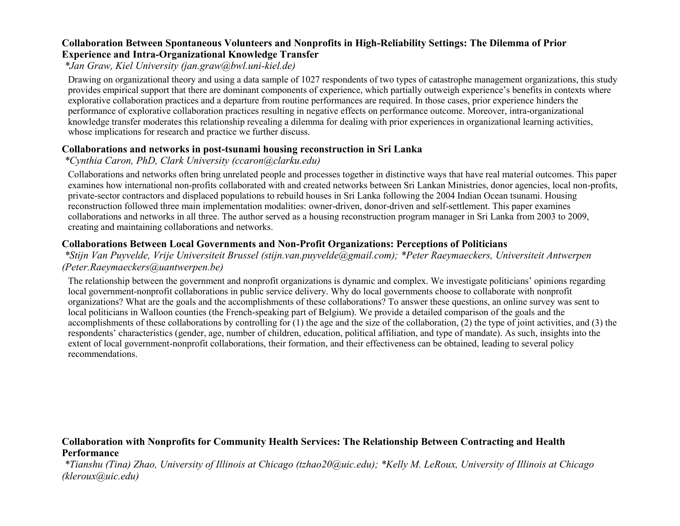#### **Collaboration Between Spontaneous Volunteers and Nonprofits in High-Reliability Settings: The Dilemma of Prior Experience and Intra-Organizational Knowledge Transfer**

*\*Jan Graw, Kiel University (jan.graw@bwl.uni-kiel.de)*

Drawing on organizational theory and using a data sample of 1027 respondents of two types of catastrophe management organizations, this study provides empirical support that there are dominant components of experience, which partially outweigh experience's benefits in contexts where explorative collaboration practices and a departure from routine performances are required. In those cases, prior experience hinders the performance of explorative collaboration practices resulting in negative effects on performance outcome. Moreover, intra-organizational knowledge transfer moderates this relationship revealing a dilemma for dealing with prior experiences in organizational learning activities, whose implications for research and practice we further discuss.

#### **Collaborations and networks in post-tsunami housing reconstruction in Sri Lanka**

## *\*Cynthia Caron, PhD, Clark University (ccaron@clarku.edu)*

Collaborations and networks often bring unrelated people and processes together in distinctive ways that have real material outcomes. This paper examines how international non-profits collaborated with and created networks between Sri Lankan Ministries, donor agencies, local non-profits, private-sector contractors and displaced populations to rebuild houses in Sri Lanka following the 2004 Indian Ocean tsunami. Housing reconstruction followed three main implementation modalities: owner-driven, donor-driven and self-settlement. This paper examines collaborations and networks in all three. The author served as a housing reconstruction program manager in Sri Lanka from 2003 to 2009, creating and maintaining collaborations and networks.

## **Collaborations Between Local Governments and Non-Profit Organizations: Perceptions of Politicians**

*\*Stijn Van Puyvelde, Vrije Universiteit Brussel (stijn.van.puyvelde@gmail.com); \*Peter Raeymaeckers, Universiteit Antwerpen (Peter.Raeymaeckers@uantwerpen.be)*

The relationship between the government and nonprofit organizations is dynamic and complex. We investigate politicians' opinions regarding local government-nonprofit collaborations in public service delivery. Why do local governments choose to collaborate with nonprofit organizations? What are the goals and the accomplishments of these collaborations? To answer these questions, an online survey was sent to local politicians in Walloon counties (the French-speaking part of Belgium). We provide a detailed comparison of the goals and the accomplishments of these collaborations by controlling for (1) the age and the size of the collaboration, (2) the type of joint activities, and (3) the respondents' characteristics (gender, age, number of children, education, political affiliation, and type of mandate). As such, insights into the extent of local government-nonprofit collaborations, their formation, and their effectiveness can be obtained, leading to several policy recommendations.

## **Collaboration with Nonprofits for Community Health Services: The Relationship Between Contracting and Health Performance**

*\*Tianshu (Tina) Zhao, University of Illinois at Chicago (tzhao20@uic.edu); \*Kelly M. LeRoux, University of Illinois at Chicago (kleroux@uic.edu)*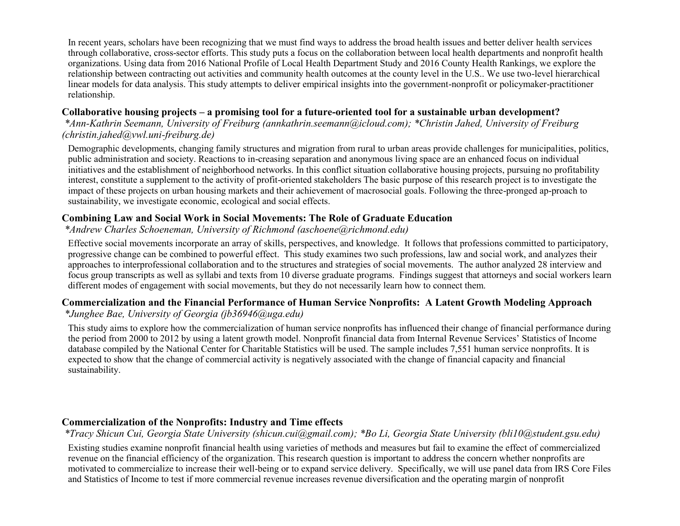In recent years, scholars have been recognizing that we must find ways to address the broad health issues and better deliver health services through collaborative, cross-sector efforts. This study puts a focus on the collaboration between local health departments and nonprofit health organizations. Using data from 2016 National Profile of Local Health Department Study and 2016 County Health Rankings, we explore the relationship between contracting out activities and community health outcomes at the county level in the U.S.. We use two-level hierarchical linear models for data analysis. This study attempts to deliver empirical insights into the government-nonprofit or policymaker-practitioner relationship.

#### **Collaborative housing projects – a promising tool for a future-oriented tool for a sustainable urban development?**

*\*Ann-Kathrin Seemann, University of Freiburg (annkathrin.seemann@icloud.com); \*Christin Jahed, University of Freiburg (christin.jahed@vwl.uni-freiburg.de)*

Demographic developments, changing family structures and migration from rural to urban areas provide challenges for municipalities, politics, public administration and society. Reactions to in-creasing separation and anonymous living space are an enhanced focus on individual initiatives and the establishment of neighborhood networks. In this conflict situation collaborative housing projects, pursuing no profitability interest, constitute a supplement to the activity of profit-oriented stakeholders The basic purpose of this research project is to investigate the impact of these projects on urban housing markets and their achievement of macrosocial goals. Following the three-pronged ap-proach to sustainability, we investigate economic, ecological and social effects.

## **Combining Law and Social Work in Social Movements: The Role of Graduate Education**

#### *\*Andrew Charles Schoeneman, University of Richmond (aschoene@richmond.edu)*

Effective social movements incorporate an array of skills, perspectives, and knowledge. It follows that professions committed to participatory, progressive change can be combined to powerful effect. This study examines two such professions, law and social work, and analyzes their approaches to interprofessional collaboration and to the structures and strategies of social movements. The author analyzed 28 interview and focus group transcripts as well as syllabi and texts from 10 diverse graduate programs. Findings suggest that attorneys and social workers learn different modes of engagement with social movements, but they do not necessarily learn how to connect them.

## **Commercialization and the Financial Performance of Human Service Nonprofits: A Latent Growth Modeling Approach**

## *\*Junghee Bae, University of Georgia (jb36946@uga.edu)*

This study aims to explore how the commercialization of human service nonprofits has influenced their change of financial performance during the period from 2000 to 2012 by using a latent growth model. Nonprofit financial data from Internal Revenue Services' Statistics of Income database compiled by the National Center for Charitable Statistics will be used. The sample includes 7,551 human service nonprofits. It is expected to show that the change of commercial activity is negatively associated with the change of financial capacity and financial sustainability.

## **Commercialization of the Nonprofits: Industry and Time effects**

*\*Tracy Shicun Cui, Georgia State University (shicun.cui@gmail.com); \*Bo Li, Georgia State University (bli10@student.gsu.edu)*

Existing studies examine nonprofit financial health using varieties of methods and measures but fail to examine the effect of commercialized revenue on the financial efficiency of the organization. This research question is important to address the concern whether nonprofits are motivated to commercialize to increase their well-being or to expand service delivery. Specifically, we will use panel data from IRS Core Files and Statistics of Income to test if more commercial revenue increases revenue diversification and the operating margin of nonprofit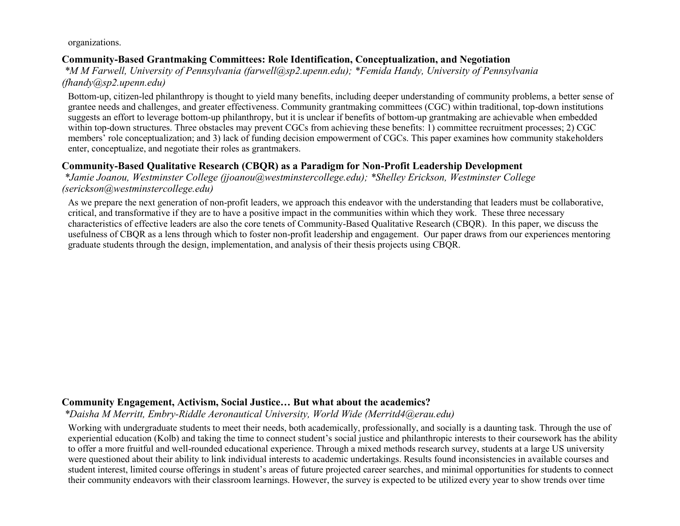organizations.

#### **Community-Based Grantmaking Committees: Role Identification, Conceptualization, and Negotiation**

*\*M M Farwell, University of Pennsylvania (farwell@sp2.upenn.edu); \*Femida Handy, University of Pennsylvania (fhandy@sp2.upenn.edu)*

Bottom-up, citizen-led philanthropy is thought to yield many benefits, including deeper understanding of community problems, a better sense of grantee needs and challenges, and greater effectiveness. Community grantmaking committees (CGC) within traditional, top-down institutions suggests an effort to leverage bottom-up philanthropy, but it is unclear if benefits of bottom-up grantmaking are achievable when embedded within top-down structures. Three obstacles may prevent CGCs from achieving these benefits: 1) committee recruitment processes; 2) CGC members' role conceptualization; and 3) lack of funding decision empowerment of CGCs. This paper examines how community stakeholders enter, conceptualize, and negotiate their roles as grantmakers.

## **Community-Based Qualitative Research (CBQR) as a Paradigm for Non-Profit Leadership Development**

*\*Jamie Joanou, Westminster College (jjoanou@westminstercollege.edu); \*Shelley Erickson, Westminster College (serickson@westminstercollege.edu)*

As we prepare the next generation of non-profit leaders, we approach this endeavor with the understanding that leaders must be collaborative, critical, and transformative if they are to have a positive impact in the communities within which they work. These three necessary characteristics of effective leaders are also the core tenets of Community-Based Qualitative Research (CBQR). In this paper, we discuss the usefulness of CBQR as a lens through which to foster non-profit leadership and engagement. Our paper draws from our experiences mentoring graduate students through the design, implementation, and analysis of their thesis projects using CBQR.

## **Community Engagement, Activism, Social Justice… But what about the academics?**

*\*Daisha M Merritt, Embry-Riddle Aeronautical University, World Wide (Merritd4@erau.edu)*

Working with undergraduate students to meet their needs, both academically, professionally, and socially is a daunting task. Through the use of experiential education (Kolb) and taking the time to connect student's social justice and philanthropic interests to their coursework has the ability to offer a more fruitful and well-rounded educational experience. Through a mixed methods research survey, students at a large US university were questioned about their ability to link individual interests to academic undertakings. Results found inconsistencies in available courses and student interest, limited course offerings in student's areas of future projected career searches, and minimal opportunities for students to connect their community endeavors with their classroom learnings. However, the survey is expected to be utilized every year to show trends over time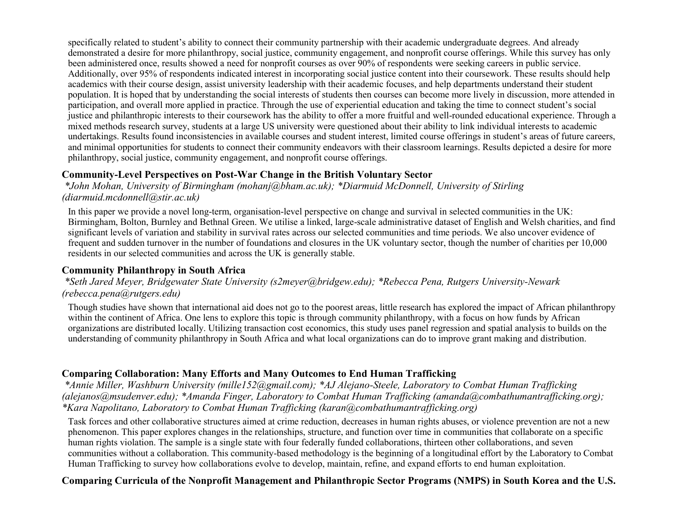specifically related to student's ability to connect their community partnership with their academic undergraduate degrees. And already demonstrated a desire for more philanthropy, social justice, community engagement, and nonprofit course offerings. While this survey has only been administered once, results showed a need for nonprofit courses as over 90% of respondents were seeking careers in public service. Additionally, over 95% of respondents indicated interest in incorporating social justice content into their coursework. These results should help academics with their course design, assist university leadership with their academic focuses, and help departments understand their student population. It is hoped that by understanding the social interests of students then courses can become more lively in discussion, more attended in participation, and overall more applied in practice. Through the use of experiential education and taking the time to connect student's social justice and philanthropic interests to their coursework has the ability to offer a more fruitful and well-rounded educational experience. Through a mixed methods research survey, students at a large US university were questioned about their ability to link individual interests to academic undertakings. Results found inconsistencies in available courses and student interest, limited course offerings in student's areas of future careers, and minimal opportunities for students to connect their community endeavors with their classroom learnings. Results depicted a desire for more philanthropy, social justice, community engagement, and nonprofit course offerings.

#### **Community-Level Perspectives on Post-War Change in the British Voluntary Sector**

*\*John Mohan, University of Birmingham (mohanj@bham.ac.uk); \*Diarmuid McDonnell, University of Stirling (diarmuid.mcdonnell@stir.ac.uk)*

In this paper we provide a novel long-term, organisation-level perspective on change and survival in selected communities in the UK: Birmingham, Bolton, Burnley and Bethnal Green. We utilise a linked, large-scale administrative dataset of English and Welsh charities, and find significant levels of variation and stability in survival rates across our selected communities and time periods. We also uncover evidence of frequent and sudden turnover in the number of foundations and closures in the UK voluntary sector, though the number of charities per 10,000 residents in our selected communities and across the UK is generally stable.

#### **Community Philanthropy in South Africa**

#### *\*Seth Jared Meyer, Bridgewater State University (s2meyer@bridgew.edu); \*Rebecca Pena, Rutgers University-Newark (rebecca.pena@rutgers.edu)*

Though studies have shown that international aid does not go to the poorest areas, little research has explored the impact of African philanthropy within the continent of Africa. One lens to explore this topic is through community philanthropy, with a focus on how funds by African organizations are distributed locally. Utilizing transaction cost economics, this study uses panel regression and spatial analysis to builds on the understanding of community philanthropy in South Africa and what local organizations can do to improve grant making and distribution.

#### **Comparing Collaboration: Many Efforts and Many Outcomes to End Human Trafficking**

*\*Annie Miller, Washburn University (mille152@gmail.com); \*AJ Alejano-Steele, Laboratory to Combat Human Trafficking (alejanos@msudenver.edu); \*Amanda Finger, Laboratory to Combat Human Trafficking (amanda@combathumantrafficking.org); \*Kara Napolitano, Laboratory to Combat Human Trafficking (karan@combathumantrafficking.org)*

Task forces and other collaborative structures aimed at crime reduction, decreases in human rights abuses, or violence prevention are not a new phenomenon. This paper explores changes in the relationships, structure, and function over time in communities that collaborate on a specific human rights violation. The sample is a single state with four federally funded collaborations, thirteen other collaborations, and seven communities without a collaboration. This community-based methodology is the beginning of a longitudinal effort by the Laboratory to Combat Human Trafficking to survey how collaborations evolve to develop, maintain, refine, and expand efforts to end human exploitation.

#### **Comparing Curricula of the Nonprofit Management and Philanthropic Sector Programs (NMPS) in South Korea and the U.S.**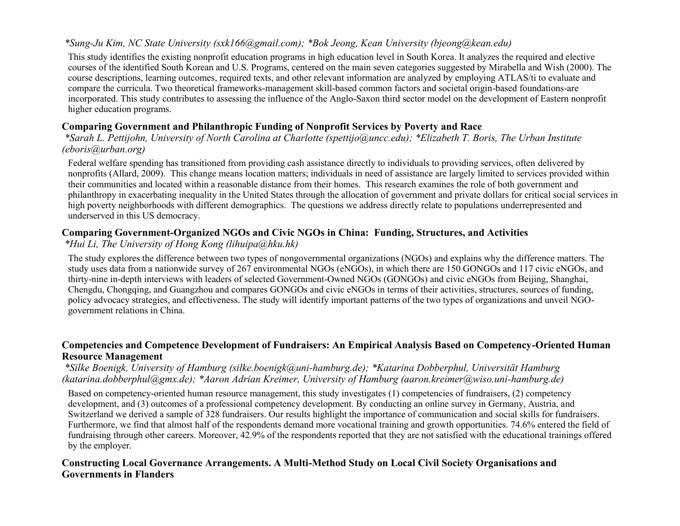## *\*Sung-Ju Kim, NC State University (sxk166@gmail.com); \*Bok Jeong, Kean University (bjeong@kean.edu)*

This study identifies the existing nonprofit education programs in high education level in South Korea. It analyzes the required and elective courses of the identified South Korean and U.S. Programs, centered on the main seven categories suggested by Mirabella and Wish (2000). The course descriptions, learning outcomes, required texts, and other relevant information are analyzed by employing ATLAS/ti to evaluate and compare the curricula. Two theoretical frameworks-management skill-based common factors and societal origin-based foundations-are incorporated. This study contributes to assessing the influence of the Anglo-Saxon third sector model on the development of Eastern nonprofit higher education programs.

## **Comparing Government and Philanthropic Funding of Nonprofit Services by Poverty and Race**

*\*Sarah L. Pettijohn, University of North Carolina at Charlotte (spettijo@uncc.edu); \*Elizabeth T. Boris, The Urban Institute (eboris@urban.org)*

Federal welfare spending has transitioned from providing cash assistance directly to individuals to providing services, often delivered by nonprofits (Allard, 2009). This change means location matters; individuals in need of assistance are largely limited to services provided within their communities and located within a reasonable distance from their homes. This research examines the role of both government and philanthropy in exacerbating inequality in the United States through the allocation of government and private dollars for critical social services in high poverty neighborhoods with different demographics. The questions we address directly relate to populations underrepresented and underserved in this US democracy.

## **Comparing Government-Organized NGOs and Civic NGOs in China: Funding, Structures, and Activities**

*\*Hui Li, The University of Hong Kong (lihuipa@hku.hk)*

The study explores the difference between two types of nongovernmental organizations (NGOs) and explains why the difference matters. The study uses data from a nationwide survey of 267 environmental NGOs (eNGOs), in which there are 150 GONGOs and 117 civic eNGOs, and thirty-nine in-depth interviews with leaders of selected Government-Owned NGOs (GONGOs) and civic eNGOs from Beijing, Shanghai, Chengdu, Chongqing, and Guangzhou and compares GONGOs and civic eNGOs in terms of their activities, structures, sources of funding, policy advocacy strategies, and effectiveness. The study will identify important patterns of the two types of organizations and unveil NGOgovernment relations in China.

#### **Competencies and Competence Development of Fundraisers: An Empirical Analysis Based on Competency-Oriented Human Resource Management**

#### *\*Silke Boenigk, University of Hamburg (silke.boenigk@uni-hamburg.de); \*Katarina Dobberphul, Universität Hamburg (katarina.dobberphul@gmx.de); \*Aaron Adrian Kreimer, University of Hamburg (aaron.kreimer@wiso.uni-hamburg.de)*

Based on competency-oriented human resource management, this study investigates (1) competencies of fundraisers, (2) competency development, and (3) outcomes of a professional competency development. By conducting an online survey in Germany, Austria, and Switzerland we derived a sample of 328 fundraisers. Our results highlight the importance of communication and social skills for fundraisers. Furthermore, we find that almost half of the respondents demand more vocational training and growth opportunities. 74.6% entered the field of fundraising through other careers. Moreover, 42.9% of the respondents reported that they are not satisfied with the educational trainings offered by the employer.

## **Constructing Local Governance Arrangements. A Multi-Method Study on Local Civil Society Organisations and Governments in Flanders**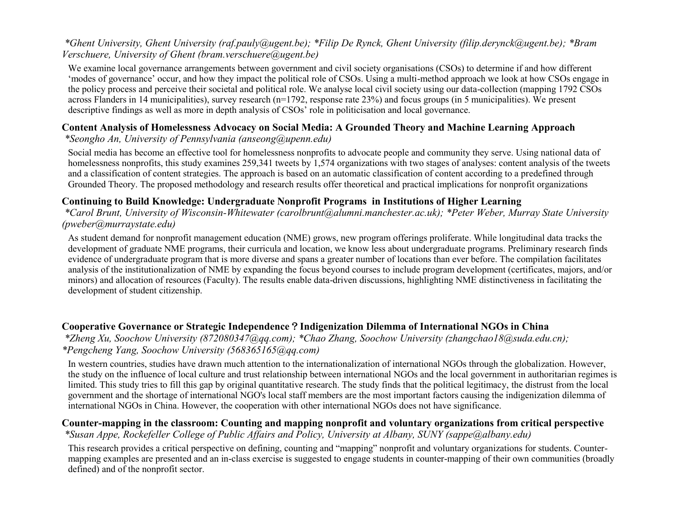#### *\*Ghent University, Ghent University (raf.pauly@ugent.be); \*Filip De Rynck, Ghent University (filip.derynck@ugent.be); \*Bram Verschuere, University of Ghent (bram.verschuere@ugent.be)*

We examine local governance arrangements between government and civil society organisations (CSOs) to determine if and how different 'modes of governance' occur, and how they impact the political role of CSOs. Using a multi-method approach we look at how CSOs engage in the policy process and perceive their societal and political role. We analyse local civil society using our data-collection (mapping 1792 CSOs across Flanders in 14 municipalities), survey research (n=1792, response rate 23%) and focus groups (in 5 municipalities). We present descriptive findings as well as more in depth analysis of CSOs' role in politicisation and local governance.

## **Content Analysis of Homelessness Advocacy on Social Media: A Grounded Theory and Machine Learning Approach**

*\*Seongho An, University of Pennsylvania (anseong@upenn.edu)*

Social media has become an effective tool for homelessness nonprofits to advocate people and community they serve. Using national data of homelessness nonprofits, this study examines 259,341 tweets by 1,574 organizations with two stages of analyses: content analysis of the tweets and a classification of content strategies. The approach is based on an automatic classification of content according to a predefined through Grounded Theory. The proposed methodology and research results offer theoretical and practical implications for nonprofit organizations

## **Continuing to Build Knowledge: Undergraduate Nonprofit Programs in Institutions of Higher Learning**

*\*Carol Brunt, University of Wisconsin-Whitewater (carolbrunt@alumni.manchester.ac.uk); \*Peter Weber, Murray State University (pweber@murraystate.edu)*

As student demand for nonprofit management education (NME) grows, new program offerings proliferate. While longitudinal data tracks the development of graduate NME programs, their curricula and location, we know less about undergraduate programs. Preliminary research finds evidence of undergraduate program that is more diverse and spans a greater number of locations than ever before. The compilation facilitates analysis of the institutionalization of NME by expanding the focus beyond courses to include program development (certificates, majors, and/or minors) and allocation of resources (Faculty). The results enable data-driven discussions, highlighting NME distinctiveness in facilitating the development of student citizenship.

## **Cooperative Governance or Strategic Independence**?**Indigenization Dilemma of International NGOs in China**

*\*Zheng Xu, Soochow University (872080347@qq.com); \*Chao Zhang, Soochow University (zhangchao18@suda.edu.cn); \*Pengcheng Yang, Soochow University (568365165@qq.com)*

In western countries, studies have drawn much attention to the internationalization of international NGOs through the globalization. However, the study on the influence of local culture and trust relationship between international NGOs and the local government in authoritarian regimes is limited. This study tries to fill this gap by original quantitative research. The study finds that the political legitimacy, the distrust from the local government and the shortage of international NGO's local staff members are the most important factors causing the indigenization dilemma of international NGOs in China. However, the cooperation with other international NGOs does not have significance.

#### **Counter-mapping in the classroom: Counting and mapping nonprofit and voluntary organizations from critical perspective** *\*Susan Appe, Rockefeller College of Public Affairs and Policy, University at Albany, SUNY (sappe@albany.edu)*

This research provides a critical perspective on defining, counting and "mapping" nonprofit and voluntary organizations for students. Countermapping examples are presented and an in-class exercise is suggested to engage students in counter-mapping of their own communities (broadly defined) and of the nonprofit sector.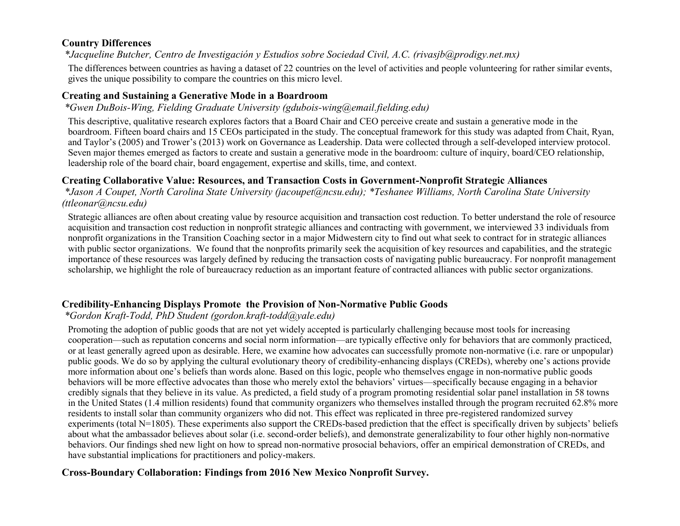#### **Country Differences**

*\*Jacqueline Butcher, Centro de Investigación y Estudios sobre Sociedad Civil, A.C. (rivasjb@prodigy.net.mx)*

The differences between countries as having a dataset of 22 countries on the level of activities and people volunteering for rather similar events, gives the unique possibility to compare the countries on this micro level.

#### **Creating and Sustaining a Generative Mode in a Boardroom**

#### *\*Gwen DuBois-Wing, Fielding Graduate University (gdubois-wing@email.fielding.edu)*

This descriptive, qualitative research explores factors that a Board Chair and CEO perceive create and sustain a generative mode in the boardroom. Fifteen board chairs and 15 CEOs participated in the study. The conceptual framework for this study was adapted from Chait, Ryan, and Taylor's (2005) and Trower's (2013) work on Governance as Leadership. Data were collected through a self-developed interview protocol. Seven major themes emerged as factors to create and sustain a generative mode in the boardroom: culture of inquiry, board/CEO relationship, leadership role of the board chair, board engagement, expertise and skills, time, and context.

## **Creating Collaborative Value: Resources, and Transaction Costs in Government-Nonprofit Strategic Alliances**

*\*Jason A Coupet, North Carolina State University (jacoupet@ncsu.edu); \*Teshanee Williams, North Carolina State University (ttleonar@ncsu.edu)*

Strategic alliances are often about creating value by resource acquisition and transaction cost reduction. To better understand the role of resource acquisition and transaction cost reduction in nonprofit strategic alliances and contracting with government, we interviewed 33 individuals from nonprofit organizations in the Transition Coaching sector in a major Midwestern city to find out what seek to contract for in strategic alliances with public sector organizations. We found that the nonprofits primarily seek the acquisition of key resources and capabilities, and the strategic importance of these resources was largely defined by reducing the transaction costs of navigating public bureaucracy. For nonprofit management scholarship, we highlight the role of bureaucracy reduction as an important feature of contracted alliances with public sector organizations.

#### **Credibility-Enhancing Displays Promote the Provision of Non-Normative Public Goods**

## *\*Gordon Kraft-Todd, PhD Student (gordon.kraft-todd@yale.edu)*

Promoting the adoption of public goods that are not yet widely accepted is particularly challenging because most tools for increasing cooperation—such as reputation concerns and social norm information—are typically effective only for behaviors that are commonly practiced, or at least generally agreed upon as desirable. Here, we examine how advocates can successfully promote non-normative (i.e. rare or unpopular) public goods. We do so by applying the cultural evolutionary theory of credibility-enhancing displays (CREDs), whereby one's actions provide more information about one's beliefs than words alone. Based on this logic, people who themselves engage in non-normative public goods behaviors will be more effective advocates than those who merely extol the behaviors' virtues—specifically because engaging in a behavior credibly signals that they believe in its value. As predicted, a field study of a program promoting residential solar panel installation in 58 towns in the United States (1.4 million residents) found that community organizers who themselves installed through the program recruited 62.8% more residents to install solar than community organizers who did not. This effect was replicated in three pre-registered randomized survey experiments (total N=1805). These experiments also support the CREDs-based prediction that the effect is specifically driven by subjects' beliefs about what the ambassador believes about solar (i.e. second-order beliefs), and demonstrate generalizability to four other highly non-normative behaviors. Our findings shed new light on how to spread non-normative prosocial behaviors, offer an empirical demonstration of CREDs, and have substantial implications for practitioners and policy-makers.

## **Cross-Boundary Collaboration: Findings from 2016 New Mexico Nonprofit Survey.**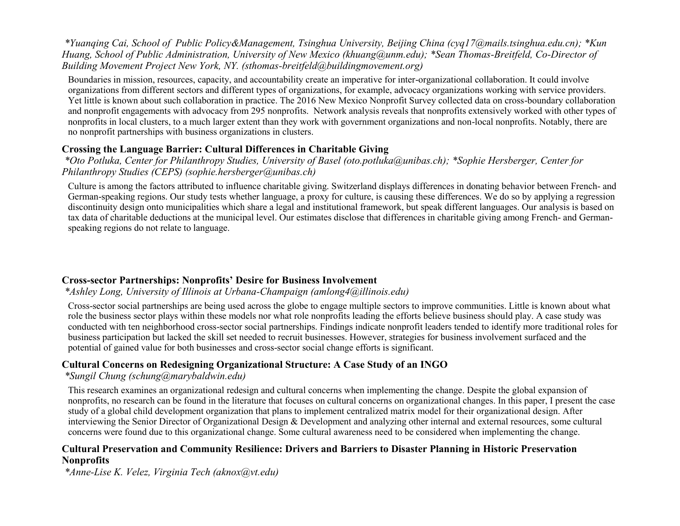*\*Yuanqing Cai, School of Public Policy&Management, Tsinghua University, Beijing China (cyq17@mails.tsinghua.edu.cn); \*Kun Huang, School of Public Administration, University of New Mexico (khuang@unm.edu); \*Sean Thomas-Breitfeld, Co-Director of Building Movement Project New York, NY. (sthomas-breitfeld@buildingmovement.org)*

Boundaries in mission, resources, capacity, and accountability create an imperative for inter-organizational collaboration. It could involve organizations from different sectors and different types of organizations, for example, advocacy organizations working with service providers. Yet little is known about such collaboration in practice. The 2016 New Mexico Nonprofit Survey collected data on cross-boundary collaboration and nonprofit engagements with advocacy from 295 nonprofits. Network analysis reveals that nonprofits extensively worked with other types of nonprofits in local clusters, to a much larger extent than they work with government organizations and non-local nonprofits. Notably, there are no nonprofit partnerships with business organizations in clusters.

#### **Crossing the Language Barrier: Cultural Differences in Charitable Giving**

*\*Oto Potluka, Center for Philanthropy Studies, University of Basel (oto.potluka@unibas.ch); \*Sophie Hersberger, Center for Philanthropy Studies (CEPS) (sophie.hersberger@unibas.ch)*

Culture is among the factors attributed to influence charitable giving. Switzerland displays differences in donating behavior between French- and German-speaking regions. Our study tests whether language, a proxy for culture, is causing these differences. We do so by applying a regression discontinuity design onto municipalities which share a legal and institutional framework, but speak different languages. Our analysis is based on tax data of charitable deductions at the municipal level. Our estimates disclose that differences in charitable giving among French- and Germanspeaking regions do not relate to language.

#### **Cross-sector Partnerships: Nonprofits' Desire for Business Involvement**

#### *\*Ashley Long, University of Illinois at Urbana-Champaign (amlong4@illinois.edu)*

Cross-sector social partnerships are being used across the globe to engage multiple sectors to improve communities. Little is known about what role the business sector plays within these models nor what role nonprofits leading the efforts believe business should play. A case study was conducted with ten neighborhood cross-sector social partnerships. Findings indicate nonprofit leaders tended to identify more traditional roles for business participation but lacked the skill set needed to recruit businesses. However, strategies for business involvement surfaced and the potential of gained value for both businesses and cross-sector social change efforts is significant.

#### **Cultural Concerns on Redesigning Organizational Structure: A Case Study of an INGO**

#### *\*Sungil Chung (schung@marybaldwin.edu)*

This research examines an organizational redesign and cultural concerns when implementing the change. Despite the global expansion of nonprofits, no research can be found in the literature that focuses on cultural concerns on organizational changes. In this paper, I present the case study of a global child development organization that plans to implement centralized matrix model for their organizational design. After interviewing the Senior Director of Organizational Design & Development and analyzing other internal and external resources, some cultural concerns were found due to this organizational change. Some cultural awareness need to be considered when implementing the change.

#### **Cultural Preservation and Community Resilience: Drivers and Barriers to Disaster Planning in Historic Preservation Nonprofits**

*\*Anne-Lise K. Velez, Virginia Tech (aknox@vt.edu)*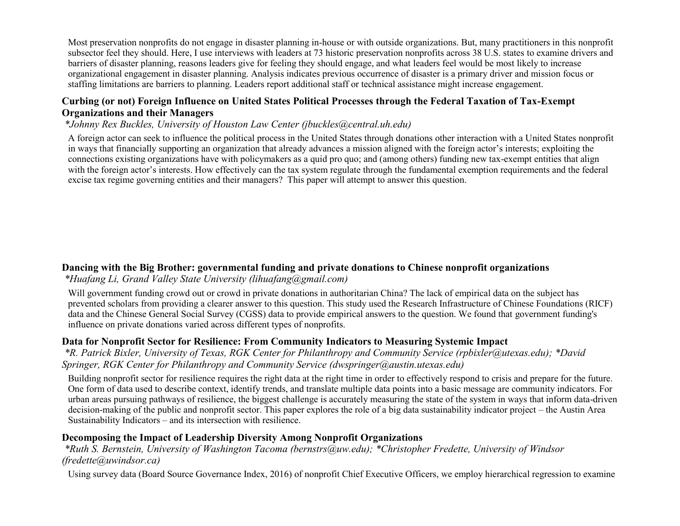Most preservation nonprofits do not engage in disaster planning in-house or with outside organizations. But, many practitioners in this nonprofit subsector feel they should. Here, I use interviews with leaders at 73 historic preservation nonprofits across 38 U.S. states to examine drivers and barriers of disaster planning, reasons leaders give for feeling they should engage, and what leaders feel would be most likely to increase organizational engagement in disaster planning. Analysis indicates previous occurrence of disaster is a primary driver and mission focus or staffing limitations are barriers to planning. Leaders report additional staff or technical assistance might increase engagement.

#### **Curbing (or not) Foreign Influence on United States Political Processes through the Federal Taxation of Tax-Exempt Organizations and their Managers**

#### *\*Johnny Rex Buckles, University of Houston Law Center (jbuckles@central.uh.edu)*

A foreign actor can seek to influence the political process in the United States through donations other interaction with a United States nonprofit in ways that financially supporting an organization that already advances a mission aligned with the foreign actor's interests; exploiting the connections existing organizations have with policymakers as a quid pro quo; and (among others) funding new tax-exempt entities that align with the foreign actor's interests. How effectively can the tax system regulate through the fundamental exemption requirements and the federal excise tax regime governing entities and their managers? This paper will attempt to answer this question.

## **Dancing with the Big Brother: governmental funding and private donations to Chinese nonprofit organizations**

#### *\*Huafang Li, Grand Valley State University (lihuafang@gmail.com)*

Will government funding crowd out or crowd in private donations in authoritarian China? The lack of empirical data on the subject has prevented scholars from providing a clearer answer to this question. This study used the Research Infrastructure of Chinese Foundations (RICF) data and the Chinese General Social Survey (CGSS) data to provide empirical answers to the question. We found that government funding's influence on private donations varied across different types of nonprofits.

#### **Data for Nonprofit Sector for Resilience: From Community Indicators to Measuring Systemic Impact**

*\*R. Patrick Bixler, University of Texas, RGK Center for Philanthropy and Community Service (rpbixler@utexas.edu); \*David Springer, RGK Center for Philanthropy and Community Service (dwspringer@austin.utexas.edu)*

Building nonprofit sector for resilience requires the right data at the right time in order to effectively respond to crisis and prepare for the future. One form of data used to describe context, identify trends, and translate multiple data points into a basic message are community indicators. For urban areas pursuing pathways of resilience, the biggest challenge is accurately measuring the state of the system in ways that inform data-driven decision-making of the public and nonprofit sector. This paper explores the role of a big data sustainability indicator project – the Austin Area Sustainability Indicators – and its intersection with resilience.

#### **Decomposing the Impact of Leadership Diversity Among Nonprofit Organizations**

*\*Ruth S. Bernstein, University of Washington Tacoma (bernstrs@uw.edu); \*Christopher Fredette, University of Windsor (fredette@uwindsor.ca)*

Using survey data (Board Source Governance Index, 2016) of nonprofit Chief Executive Officers, we employ hierarchical regression to examine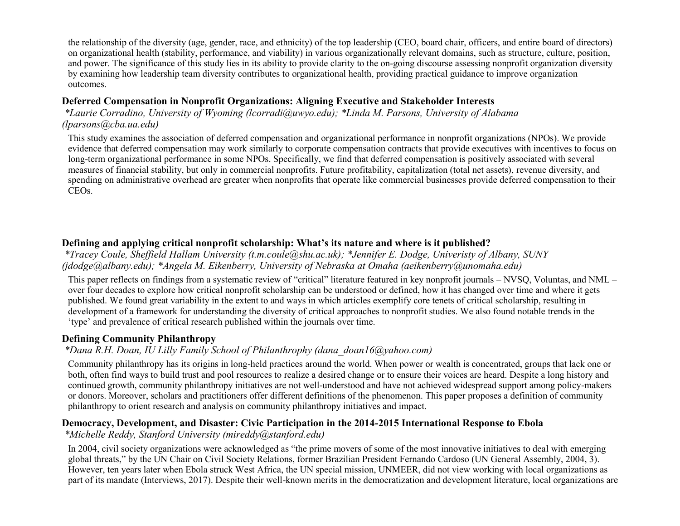the relationship of the diversity (age, gender, race, and ethnicity) of the top leadership (CEO, board chair, officers, and entire board of directors) on organizational health (stability, performance, and viability) in various organizationally relevant domains, such as structure, culture, position, and power. The significance of this study lies in its ability to provide clarity to the on-going discourse assessing nonprofit organization diversity by examining how leadership team diversity contributes to organizational health, providing practical guidance to improve organization outcomes.

#### **Deferred Compensation in Nonprofit Organizations: Aligning Executive and Stakeholder Interests**

*\*Laurie Corradino, University of Wyoming (lcorradi@uwyo.edu); \*Linda M. Parsons, University of Alabama (lparsons@cba.ua.edu)*

This study examines the association of deferred compensation and organizational performance in nonprofit organizations (NPOs). We provide evidence that deferred compensation may work similarly to corporate compensation contracts that provide executives with incentives to focus on long-term organizational performance in some NPOs. Specifically, we find that deferred compensation is positively associated with several measures of financial stability, but only in commercial nonprofits. Future profitability, capitalization (total net assets), revenue diversity, and spending on administrative overhead are greater when nonprofits that operate like commercial businesses provide deferred compensation to their CEOs.

## **Defining and applying critical nonprofit scholarship: What's its nature and where is it published?**

*\*Tracey Coule, Sheffield Hallam University (t.m.coule@shu.ac.uk); \*Jennifer E. Dodge, Univeristy of Albany, SUNY (jdodge@albany.edu); \*Angela M. Eikenberry, University of Nebraska at Omaha (aeikenberry@unomaha.edu)*

This paper reflects on findings from a systematic review of "critical" literature featured in key nonprofit journals – NVSQ, Voluntas, and NML – over four decades to explore how critical nonprofit scholarship can be understood or defined, how it has changed over time and where it gets published. We found great variability in the extent to and ways in which articles exemplify core tenets of critical scholarship, resulting in development of a framework for understanding the diversity of critical approaches to nonprofit studies. We also found notable trends in the 'type' and prevalence of critical research published within the journals over time.

#### **Defining Community Philanthropy**

#### *\*Dana R.H. Doan, IU Lilly Family School of Philanthrophy (dana\_doan16@yahoo.com)*

Community philanthropy has its origins in long-held practices around the world. When power or wealth is concentrated, groups that lack one or both, often find ways to build trust and pool resources to realize a desired change or to ensure their voices are heard. Despite a long history and continued growth, community philanthropy initiatives are not well-understood and have not achieved widespread support among policy-makers or donors. Moreover, scholars and practitioners offer different definitions of the phenomenon. This paper proposes a definition of community philanthropy to orient research and analysis on community philanthropy initiatives and impact.

#### **Democracy, Development, and Disaster: Civic Participation in the 2014-2015 International Response to Ebola**

#### *\*Michelle Reddy, Stanford University (mireddy@stanford.edu)*

In 2004, civil society organizations were acknowledged as "the prime movers of some of the most innovative initiatives to deal with emerging global threats," by the UN Chair on Civil Society Relations, former Brazilian President Fernando Cardoso (UN General Assembly, 2004, 3). However, ten years later when Ebola struck West Africa, the UN special mission, UNMEER, did not view working with local organizations as part of its mandate (Interviews, 2017). Despite their well-known merits in the democratization and development literature, local organizations are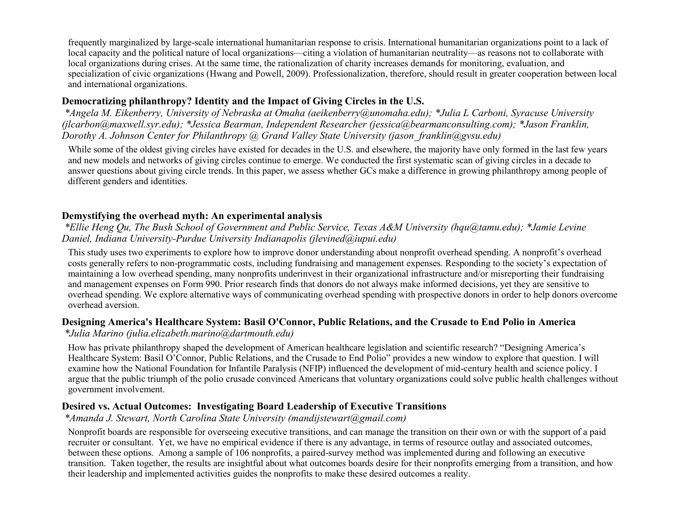frequently marginalized by large-scale international humanitarian response to crisis. International humanitarian organizations point to a lack of local capacity and the political nature of local organizations—citing a violation of humanitarian neutrality—as reasons not to collaborate with local organizations during crises. At the same time, the rationalization of charity increases demands for monitoring, evaluation, and specialization of civic organizations (Hwang and Powell, 2009). Professionalization, therefore, should result in greater cooperation between local and international organizations.

## **Democratizing philanthropy? Identity and the Impact of Giving Circles in the U.S.**

*\*Angela M. Eikenberry, University of Nebraska at Omaha (aeikenberry@unomaha.edu); \*Julia L Carboni, Syracuse University (jlcarbon@maxwell.syr.edu); \*Jessica Bearman, Independent Researcher (jessica@bearmanconsulting.com); \*Jason Franklin, Dorothy A. Johnson Center for Philanthropy @ Grand Valley State University (jason\_franklin@gvsu.edu)*

While some of the oldest giving circles have existed for decades in the U.S. and elsewhere, the majority have only formed in the last few years and new models and networks of giving circles continue to emerge. We conducted the first systematic scan of giving circles in a decade to answer questions about giving circle trends. In this paper, we assess whether GCs make a difference in growing philanthropy among people of different genders and identities.

## **Demystifying the overhead myth: An experimental analysis**

*\*Ellie Heng Qu, The Bush School of Government and Public Service, Texas A&M University (hqu@tamu.edu); \*Jamie Levine Daniel, Indiana University-Purdue University Indianapolis (jlevined@iupui.edu)*

This study uses two experiments to explore how to improve donor understanding about nonprofit overhead spending. A nonprofit's overhead costs generally refers to non-programmatic costs, including fundraising and management expenses. Responding to the society's expectation of maintaining a low overhead spending, many nonprofits underinvest in their organizational infrastructure and/or misreporting their fundraising and management expenses on Form 990. Prior research finds that donors do not always make informed decisions, yet they are sensitive to overhead spending. We explore alternative ways of communicating overhead spending with prospective donors in order to help donors overcome overhead aversion.

#### **Designing America's Healthcare System: Basil O'Connor, Public Relations, and the Crusade to End Polio in America**

*\*Julia Marino (julia.elizabeth.marino@dartmouth.edu)*

How has private philanthropy shaped the development of American healthcare legislation and scientific research? "Designing America's Healthcare System: Basil O'Connor, Public Relations, and the Crusade to End Polio" provides a new window to explore that question. I will examine how the National Foundation for Infantile Paralysis (NFIP) influenced the development of mid-century health and science policy. I argue that the public triumph of the polio crusade convinced Americans that voluntary organizations could solve public health challenges without government involvement.

#### **Desired vs. Actual Outcomes: Investigating Board Leadership of Executive Transitions**

*\*Amanda J. Stewart, North Carolina State University (mandijstewart@gmail.com)*

Nonprofit boards are responsible for overseeing executive transitions, and can manage the transition on their own or with the support of a paid recruiter or consultant. Yet, we have no empirical evidence if there is any advantage, in terms of resource outlay and associated outcomes, between these options. Among a sample of 106 nonprofits, a paired-survey method was implemented during and following an executive transition. Taken together, the results are insightful about what outcomes boards desire for their nonprofits emerging from a transition, and how their leadership and implemented activities guides the nonprofits to make these desired outcomes a reality.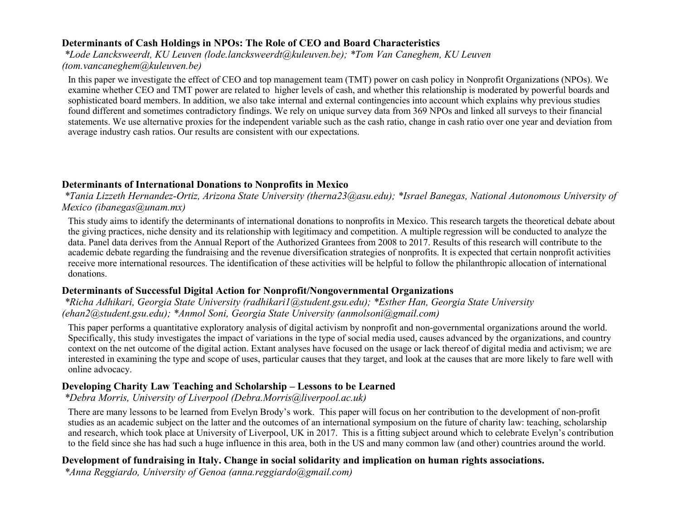## **Determinants of Cash Holdings in NPOs: The Role of CEO and Board Characteristics**

*\*Lode Lancksweerdt, KU Leuven (lode.lancksweerdt@kuleuven.be); \*Tom Van Caneghem, KU Leuven (tom.vancaneghem@kuleuven.be)*

In this paper we investigate the effect of CEO and top management team (TMT) power on cash policy in Nonprofit Organizations (NPOs). We examine whether CEO and TMT power are related to higher levels of cash, and whether this relationship is moderated by powerful boards and sophisticated board members. In addition, we also take internal and external contingencies into account which explains why previous studies found different and sometimes contradictory findings. We rely on unique survey data from 369 NPOs and linked all surveys to their financial statements. We use alternative proxies for the independent variable such as the cash ratio, change in cash ratio over one year and deviation from average industry cash ratios. Our results are consistent with our expectations.

#### **Determinants of International Donations to Nonprofits in Mexico**

*\*Tania Lizzeth Hernandez-Ortiz, Arizona State University (therna23@asu.edu); \*Israel Banegas, National Autonomous University of Mexico (ibanegas@unam.mx)*

This study aims to identify the determinants of international donations to nonprofits in Mexico. This research targets the theoretical debate about the giving practices, niche density and its relationship with legitimacy and competition. A multiple regression will be conducted to analyze the data. Panel data derives from the Annual Report of the Authorized Grantees from 2008 to 2017. Results of this research will contribute to the academic debate regarding the fundraising and the revenue diversification strategies of nonprofits. It is expected that certain nonprofit activities receive more international resources. The identification of these activities will be helpful to follow the philanthropic allocation of international donations.

#### **Determinants of Successful Digital Action for Nonprofit/Nongovernmental Organizations**

*\*Richa Adhikari, Georgia State University (radhikari1@student.gsu.edu); \*Esther Han, Georgia State University (ehan2@student.gsu.edu); \*Anmol Soni, Georgia State University (anmolsoni@gmail.com)*

This paper performs a quantitative exploratory analysis of digital activism by nonprofit and non-governmental organizations around the world. Specifically, this study investigates the impact of variations in the type of social media used, causes advanced by the organizations, and country context on the net outcome of the digital action. Extant analyses have focused on the usage or lack thereof of digital media and activism; we are interested in examining the type and scope of uses, particular causes that they target, and look at the causes that are more likely to fare well with online advocacy.

#### **Developing Charity Law Teaching and Scholarship – Lessons to be Learned**

*\*Debra Morris, University of Liverpool (Debra.Morris@liverpool.ac.uk)*

There are many lessons to be learned from Evelyn Brody's work. This paper will focus on her contribution to the development of non-profit studies as an academic subject on the latter and the outcomes of an international symposium on the future of charity law: teaching, scholarship and research, which took place at University of Liverpool, UK in 2017. This is a fitting subject around which to celebrate Evelyn's contribution to the field since she has had such a huge influence in this area, both in the US and many common law (and other) countries around the world.

#### **Development of fundraising in Italy. Change in social solidarity and implication on human rights associations.**

*\*Anna Reggiardo, University of Genoa (anna.reggiardo@gmail.com)*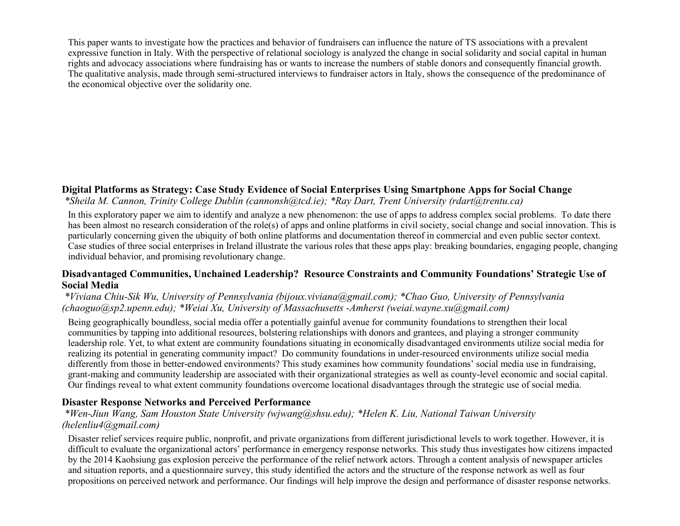This paper wants to investigate how the practices and behavior of fundraisers can influence the nature of TS associations with a prevalent expressive function in Italy. With the perspective of relational sociology is analyzed the change in social solidarity and social capital in human rights and advocacy associations where fundraising has or wants to increase the numbers of stable donors and consequently financial growth. The qualitative analysis, made through semi-structured interviews to fundraiser actors in Italy, shows the consequence of the predominance of the economical objective over the solidarity one.

## **Digital Platforms as Strategy: Case Study Evidence of Social Enterprises Using Smartphone Apps for Social Change**

*\*Sheila M. Cannon, Trinity College Dublin (cannonsh@tcd.ie); \*Ray Dart, Trent University (rdart@trentu.ca)*

In this exploratory paper we aim to identify and analyze a new phenomenon: the use of apps to address complex social problems. To date there has been almost no research consideration of the role(s) of apps and online platforms in civil society, social change and social innovation. This is particularly concerning given the ubiquity of both online platforms and documentation thereof in commercial and even public sector context. Case studies of three social enterprises in Ireland illustrate the various roles that these apps play: breaking boundaries, engaging people, changing individual behavior, and promising revolutionary change.

#### **Disadvantaged Communities, Unchained Leadership? Resource Constraints and Community Foundations' Strategic Use of Social Media**

*\*Viviana Chiu-Sik Wu, University of Pennsylvania (bijoux.viviana@gmail.com); \*Chao Guo, University of Pennsylvania (chaoguo@sp2.upenn.edu); \*Weiai Xu, University of Massachusetts -Amherst (weiai.wayne.xu@gmail.com)*

Being geographically boundless, social media offer a potentially gainful avenue for community foundations to strengthen their local communities by tapping into additional resources, bolstering relationships with donors and grantees, and playing a stronger community leadership role. Yet, to what extent are community foundations situating in economically disadvantaged environments utilize social media for realizing its potential in generating community impact? Do community foundations in under-resourced environments utilize social media differently from those in better-endowed environments? This study examines how community foundations' social media use in fundraising, grant-making and community leadership are associated with their organizational strategies as well as county-level economic and social capital. Our findings reveal to what extent community foundations overcome locational disadvantages through the strategic use of social media.

## **Disaster Response Networks and Perceived Performance**

*\*Wen-Jiun Wang, Sam Houston State University (wjwang@shsu.edu); \*Helen K. Liu, National Taiwan University (helenliu4@gmail.com)*

Disaster relief services require public, nonprofit, and private organizations from different jurisdictional levels to work together. However, it is difficult to evaluate the organizational actors' performance in emergency response networks. This study thus investigates how citizens impacted by the 2014 Kaohsiung gas explosion perceive the performance of the relief network actors. Through a content analysis of newspaper articles and situation reports, and a questionnaire survey, this study identified the actors and the structure of the response network as well as four propositions on perceived network and performance. Our findings will help improve the design and performance of disaster response networks.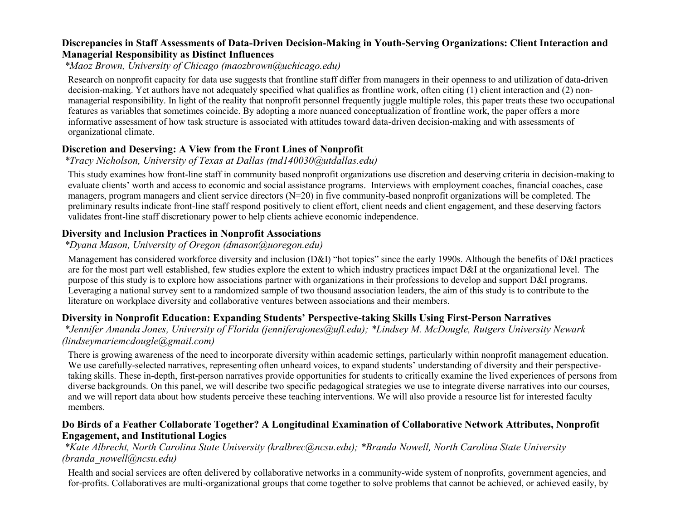#### **Discrepancies in Staff Assessments of Data-Driven Decision-Making in Youth-Serving Organizations: Client Interaction and Managerial Responsibility as Distinct Influences**

*\*Maoz Brown, University of Chicago (maozbrown@uchicago.edu)*

Research on nonprofit capacity for data use suggests that frontline staff differ from managers in their openness to and utilization of data-driven decision-making. Yet authors have not adequately specified what qualifies as frontline work, often citing (1) client interaction and (2) nonmanagerial responsibility. In light of the reality that nonprofit personnel frequently juggle multiple roles, this paper treats these two occupational features as variables that sometimes coincide. By adopting a more nuanced conceptualization of frontline work, the paper offers a more informative assessment of how task structure is associated with attitudes toward data-driven decision-making and with assessments of organizational climate.

## **Discretion and Deserving: A View from the Front Lines of Nonprofit**

## *\*Tracy Nicholson, University of Texas at Dallas (tnd140030@utdallas.edu)*

This study examines how front-line staff in community based nonprofit organizations use discretion and deserving criteria in decision-making to evaluate clients' worth and access to economic and social assistance programs. Interviews with employment coaches, financial coaches, case managers, program managers and client service directors (N=20) in five community-based nonprofit organizations will be completed. The preliminary results indicate front-line staff respond positively to client effort, client needs and client engagement, and these deserving factors validates front-line staff discretionary power to help clients achieve economic independence.

## **Diversity and Inclusion Practices in Nonprofit Associations**

## *\*Dyana Mason, University of Oregon (dmason@uoregon.edu)*

Management has considered workforce diversity and inclusion (D&I) "hot topics" since the early 1990s. Although the benefits of D&I practices are for the most part well established, few studies explore the extent to which industry practices impact D&I at the organizational level. The purpose of this study is to explore how associations partner with organizations in their professions to develop and support D&I programs. Leveraging a national survey sent to a randomized sample of two thousand association leaders, the aim of this study is to contribute to the literature on workplace diversity and collaborative ventures between associations and their members.

## **Diversity in Nonprofit Education: Expanding Students' Perspective-taking Skills Using First-Person Narratives**

*\*Jennifer Amanda Jones, University of Florida (jenniferajones@ufl.edu); \*Lindsey M. McDougle, Rutgers University Newark (lindseymariemcdougle@gmail.com)*

There is growing awareness of the need to incorporate diversity within academic settings, particularly within nonprofit management education. We use carefully-selected narratives, representing often unheard voices, to expand students' understanding of diversity and their perspectivetaking skills. These in-depth, first-person narratives provide opportunities for students to critically examine the lived experiences of persons from diverse backgrounds. On this panel, we will describe two specific pedagogical strategies we use to integrate diverse narratives into our courses, and we will report data about how students perceive these teaching interventions. We will also provide a resource list for interested faculty members.

#### **Do Birds of a Feather Collaborate Together? A Longitudinal Examination of Collaborative Network Attributes, Nonprofit Engagement, and Institutional Logics**

#### *\*Kate Albrecht, North Carolina State University (kralbrec@ncsu.edu); \*Branda Nowell, North Carolina State University (branda\_nowell@ncsu.edu)*

Health and social services are often delivered by collaborative networks in a community-wide system of nonprofits, government agencies, and for-profits. Collaboratives are multi-organizational groups that come together to solve problems that cannot be achieved, or achieved easily, by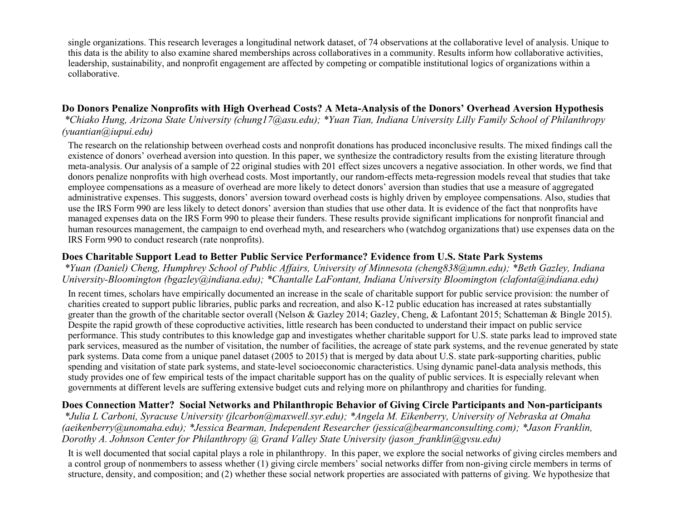single organizations. This research leverages a longitudinal network dataset, of 74 observations at the collaborative level of analysis. Unique to this data is the ability to also examine shared memberships across collaboratives in a community. Results inform how collaborative activities, leadership, sustainability, and nonprofit engagement are affected by competing or compatible institutional logics of organizations within a collaborative.

#### **Do Donors Penalize Nonprofits with High Overhead Costs? A Meta-Analysis of the Donors' Overhead Aversion Hypothesis**

*\*Chiako Hung, Arizona State University (chung17@asu.edu); \*Yuan Tian, Indiana University Lilly Family School of Philanthropy (yuantian@iupui.edu)*

The research on the relationship between overhead costs and nonprofit donations has produced inconclusive results. The mixed findings call the existence of donors' overhead aversion into question. In this paper, we synthesize the contradictory results from the existing literature through meta-analysis. Our analysis of a sample of 22 original studies with 201 effect sizes uncovers a negative association. In other words, we find that donors penalize nonprofits with high overhead costs. Most importantly, our random-effects meta-regression models reveal that studies that take employee compensations as a measure of overhead are more likely to detect donors' aversion than studies that use a measure of aggregated administrative expenses. This suggests, donors' aversion toward overhead costs is highly driven by employee compensations. Also, studies that use the IRS Form 990 are less likely to detect donors' aversion than studies that use other data. It is evidence of the fact that nonprofits have managed expenses data on the IRS Form 990 to please their funders. These results provide significant implications for nonprofit financial and human resources management, the campaign to end overhead myth, and researchers who (watchdog organizations that) use expenses data on the IRS Form 990 to conduct research (rate nonprofits).

#### **Does Charitable Support Lead to Better Public Service Performance? Evidence from U.S. State Park Systems**

*\*Yuan (Daniel) Cheng, Humphrey School of Public Affairs, University of Minnesota (cheng838@umn.edu); \*Beth Gazley, Indiana University-Bloomington (bgazley@indiana.edu); \*Chantalle LaFontant, Indiana University Bloomington (clafonta@indiana.edu)*

In recent times, scholars have empirically documented an increase in the scale of charitable support for public service provision: the number of charities created to support public libraries, public parks and recreation, and also K-12 public education has increased at rates substantially greater than the growth of the charitable sector overall (Nelson & Gazley 2014; Gazley, Cheng, & Lafontant 2015; Schatteman & Bingle 2015). Despite the rapid growth of these coproductive activities, little research has been conducted to understand their impact on public service performance. This study contributes to this knowledge gap and investigates whether charitable support for U.S. state parks lead to improved state park services, measured as the number of visitation, the number of facilities, the acreage of state park systems, and the revenue generated by state park systems. Data come from a unique panel dataset (2005 to 2015) that is merged by data about U.S. state park-supporting charities, public spending and visitation of state park systems, and state-level socioeconomic characteristics. Using dynamic panel-data analysis methods, this study provides one of few empirical tests of the impact charitable support has on the quality of public services. It is especially relevant when governments at different levels are suffering extensive budget cuts and relying more on philanthropy and charities for funding.

#### **Does Connection Matter? Social Networks and Philanthropic Behavior of Giving Circle Participants and Non-participants** *\*Julia L Carboni, Syracuse University (jlcarbon@maxwell.syr.edu); \*Angela M. Eikenberry, University of Nebraska at Omaha (aeikenberry@unomaha.edu); \*Jessica Bearman, Independent Researcher (jessica@bearmanconsulting.com); \*Jason Franklin, Dorothy A. Johnson Center for Philanthropy @ Grand Valley State University (jason\_franklin@gvsu.edu)*

It is well documented that social capital plays a role in philanthropy. In this paper, we explore the social networks of giving circles members and a control group of nonmembers to assess whether (1) giving circle members' social networks differ from non-giving circle members in terms of structure, density, and composition; and (2) whether these social network properties are associated with patterns of giving. We hypothesize that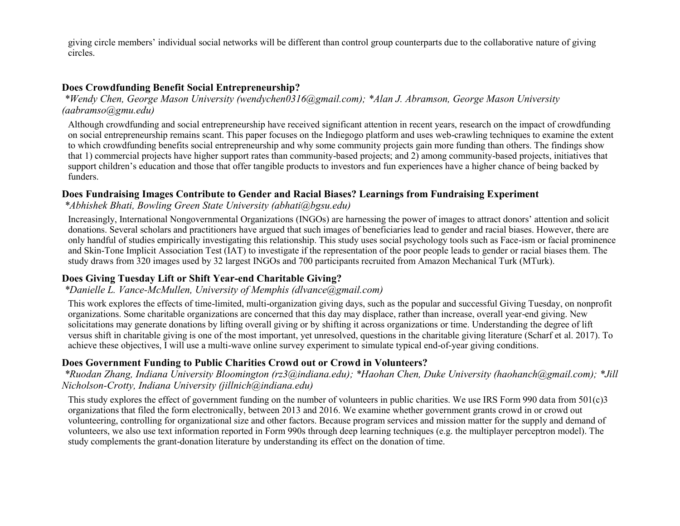giving circle members' individual social networks will be different than control group counterparts due to the collaborative nature of giving circles.

### **Does Crowdfunding Benefit Social Entrepreneurship?**

*\*Wendy Chen, George Mason University (wendychen0316@gmail.com); \*Alan J. Abramson, George Mason University (aabramso@gmu.edu)*

Although crowdfunding and social entrepreneurship have received significant attention in recent years, research on the impact of crowdfunding on social entrepreneurship remains scant. This paper focuses on the Indiegogo platform and uses web-crawling techniques to examine the extent to which crowdfunding benefits social entrepreneurship and why some community projects gain more funding than others. The findings show that 1) commercial projects have higher support rates than community-based projects; and 2) among community-based projects, initiatives that support children's education and those that offer tangible products to investors and fun experiences have a higher chance of being backed by funders.

#### **Does Fundraising Images Contribute to Gender and Racial Biases? Learnings from Fundraising Experiment**

*\*Abhishek Bhati, Bowling Green State University (abhati@bgsu.edu)*

Increasingly, International Nongovernmental Organizations (INGOs) are harnessing the power of images to attract donors' attention and solicit donations. Several scholars and practitioners have argued that such images of beneficiaries lead to gender and racial biases. However, there are only handful of studies empirically investigating this relationship. This study uses social psychology tools such as Face-ism or facial prominence and Skin-Tone Implicit Association Test (IAT) to investigate if the representation of the poor people leads to gender or racial biases them. The study draws from 320 images used by 32 largest INGOs and 700 participants recruited from Amazon Mechanical Turk (MTurk).

#### **Does Giving Tuesday Lift or Shift Year-end Charitable Giving?**

### *\*Danielle L. Vance-McMullen, University of Memphis (dlvance@gmail.com)*

This work explores the effects of time-limited, multi-organization giving days, such as the popular and successful Giving Tuesday, on nonprofit organizations. Some charitable organizations are concerned that this day may displace, rather than increase, overall year-end giving. New solicitations may generate donations by lifting overall giving or by shifting it across organizations or time. Understanding the degree of lift versus shift in charitable giving is one of the most important, yet unresolved, questions in the charitable giving literature (Scharf et al. 2017). To achieve these objectives, I will use a multi-wave online survey experiment to simulate typical end-of-year giving conditions.

#### **Does Government Funding to Public Charities Crowd out or Crowd in Volunteers?**

*\*Ruodan Zhang, Indiana University Bloomington (rz3@indiana.edu); \*Haohan Chen, Duke University (haohanch@gmail.com); \*Jill Nicholson-Crotty, Indiana University (jillnich@indiana.edu)*

This study explores the effect of government funding on the number of volunteers in public charities. We use IRS Form 990 data from 501(c)3 organizations that filed the form electronically, between 2013 and 2016. We examine whether government grants crowd in or crowd out volunteering, controlling for organizational size and other factors. Because program services and mission matter for the supply and demand of volunteers, we also use text information reported in Form 990s through deep learning techniques (e.g. the multiplayer perceptron model). The study complements the grant-donation literature by understanding its effect on the donation of time.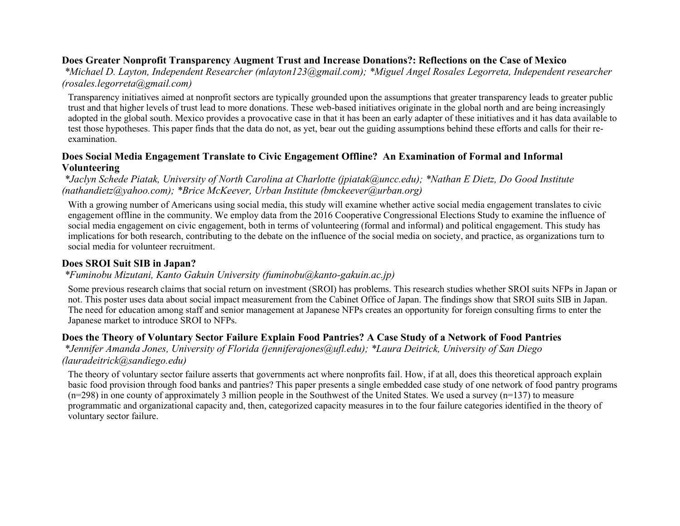### **Does Greater Nonprofit Transparency Augment Trust and Increase Donations?: Reflections on the Case of Mexico**

*\*Michael D. Layton, Independent Researcher (mlayton123@gmail.com); \*Miguel Angel Rosales Legorreta, Independent researcher (rosales.legorreta@gmail.com)*

Transparency initiatives aimed at nonprofit sectors are typically grounded upon the assumptions that greater transparency leads to greater public trust and that higher levels of trust lead to more donations. These web-based initiatives originate in the global north and are being increasingly adopted in the global south. Mexico provides a provocative case in that it has been an early adapter of these initiatives and it has data available to test those hypotheses. This paper finds that the data do not, as yet, bear out the guiding assumptions behind these efforts and calls for their reexamination.

# **Does Social Media Engagement Translate to Civic Engagement Offline? An Examination of Formal and Informal Volunteering**

*\*Jaclyn Schede Piatak, University of North Carolina at Charlotte (jpiatak@uncc.edu); \*Nathan E Dietz, Do Good Institute (nathandietz@yahoo.com); \*Brice McKeever, Urban Institute (bmckeever@urban.org)*

With a growing number of Americans using social media, this study will examine whether active social media engagement translates to civic engagement offline in the community. We employ data from the 2016 Cooperative Congressional Elections Study to examine the influence of social media engagement on civic engagement, both in terms of volunteering (formal and informal) and political engagement. This study has implications for both research, contributing to the debate on the influence of the social media on society, and practice, as organizations turn to social media for volunteer recruitment.

### **Does SROI Suit SIB in Japan?**

#### *\*Fuminobu Mizutani, Kanto Gakuin University (fuminobu@kanto-gakuin.ac.jp)*

Some previous research claims that social return on investment (SROI) has problems. This research studies whether SROI suits NFPs in Japan or not. This poster uses data about social impact measurement from the Cabinet Office of Japan. The findings show that SROI suits SIB in Japan. The need for education among staff and senior management at Japanese NFPs creates an opportunity for foreign consulting firms to enter the Japanese market to introduce SROI to NFPs.

### **Does the Theory of Voluntary Sector Failure Explain Food Pantries? A Case Study of a Network of Food Pantries**

*\*Jennifer Amanda Jones, University of Florida (jenniferajones@ufl.edu); \*Laura Deitrick, University of San Diego (lauradeitrick@sandiego.edu)*

The theory of voluntary sector failure asserts that governments act where nonprofits fail. How, if at all, does this theoretical approach explain basic food provision through food banks and pantries? This paper presents a single embedded case study of one network of food pantry programs  $(n=298)$  in one county of approximately 3 million people in the Southwest of the United States. We used a survey  $(n=137)$  to measure programmatic and organizational capacity and, then, categorized capacity measures in to the four failure categories identified in the theory of voluntary sector failure.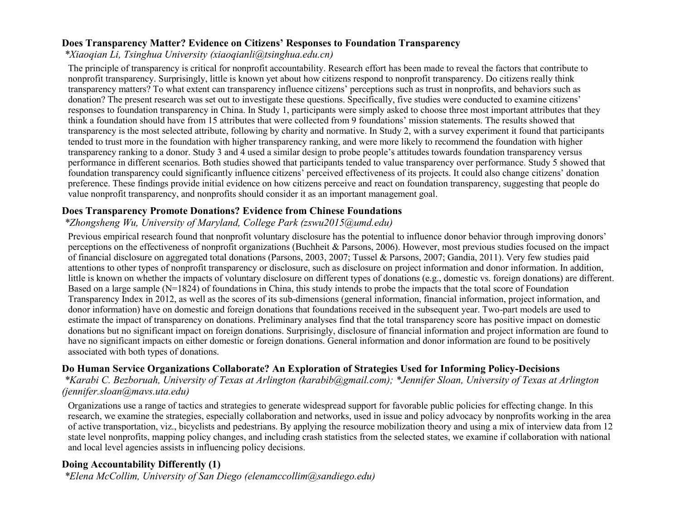### **Does Transparency Matter? Evidence on Citizens' Responses to Foundation Transparency**

*\*Xiaoqian Li, Tsinghua University (xiaoqianli@tsinghua.edu.cn)*

The principle of transparency is critical for nonprofit accountability. Research effort has been made to reveal the factors that contribute to nonprofit transparency. Surprisingly, little is known yet about how citizens respond to nonprofit transparency. Do citizens really think transparency matters? To what extent can transparency influence citizens' perceptions such as trust in nonprofits, and behaviors such as donation? The present research was set out to investigate these questions. Specifically, five studies were conducted to examine citizens' responses to foundation transparency in China. In Study 1, participants were simply asked to choose three most important attributes that they think a foundation should have from 15 attributes that were collected from 9 foundations' mission statements. The results showed that transparency is the most selected attribute, following by charity and normative. In Study 2, with a survey experiment it found that participants tended to trust more in the foundation with higher transparency ranking, and were more likely to recommend the foundation with higher transparency ranking to a donor. Study 3 and 4 used a similar design to probe people's attitudes towards foundation transparency versus performance in different scenarios. Both studies showed that participants tended to value transparency over performance. Study 5 showed that foundation transparency could significantly influence citizens' perceived effectiveness of its projects. It could also change citizens' donation preference. These findings provide initial evidence on how citizens perceive and react on foundation transparency, suggesting that people do value nonprofit transparency, and nonprofits should consider it as an important management goal.

### **Does Transparency Promote Donations? Evidence from Chinese Foundations**

### *\*Zhongsheng Wu, University of Maryland, College Park (zswu2015@umd.edu)*

Previous empirical research found that nonprofit voluntary disclosure has the potential to influence donor behavior through improving donors' perceptions on the effectiveness of nonprofit organizations (Buchheit & Parsons, 2006). However, most previous studies focused on the impact of financial disclosure on aggregated total donations (Parsons, 2003, 2007; Tussel & Parsons, 2007; Gandia, 2011). Very few studies paid attentions to other types of nonprofit transparency or disclosure, such as disclosure on project information and donor information. In addition, little is known on whether the impacts of voluntary disclosure on different types of donations (e.g., domestic vs. foreign donations) are different. Based on a large sample (N=1824) of foundations in China, this study intends to probe the impacts that the total score of Foundation Transparency Index in 2012, as well as the scores of its sub-dimensions (general information, financial information, project information, and donor information) have on domestic and foreign donations that foundations received in the subsequent year. Two-part models are used to estimate the impact of transparency on donations. Preliminary analyses find that the total transparency score has positive impact on domestic donations but no significant impact on foreign donations. Surprisingly, disclosure of financial information and project information are found to have no significant impacts on either domestic or foreign donations. General information and donor information are found to be positively associated with both types of donations.

# **Do Human Service Organizations Collaborate? An Exploration of Strategies Used for Informing Policy-Decisions**

*\*Karabi C. Bezboruah, University of Texas at Arlington (karabib@gmail.com); \*Jennifer Sloan, University of Texas at Arlington (jennifer.sloan@mavs.uta.edu)*

Organizations use a range of tactics and strategies to generate widespread support for favorable public policies for effecting change. In this research, we examine the strategies, especially collaboration and networks, used in issue and policy advocacy by nonprofits working in the area of active transportation, viz., bicyclists and pedestrians. By applying the resource mobilization theory and using a mix of interview data from 12 state level nonprofits, mapping policy changes, and including crash statistics from the selected states, we examine if collaboration with national and local level agencies assists in influencing policy decisions.

# **Doing Accountability Differently (1)**

*\*Elena McCollim, University of San Diego (elenamccollim@sandiego.edu)*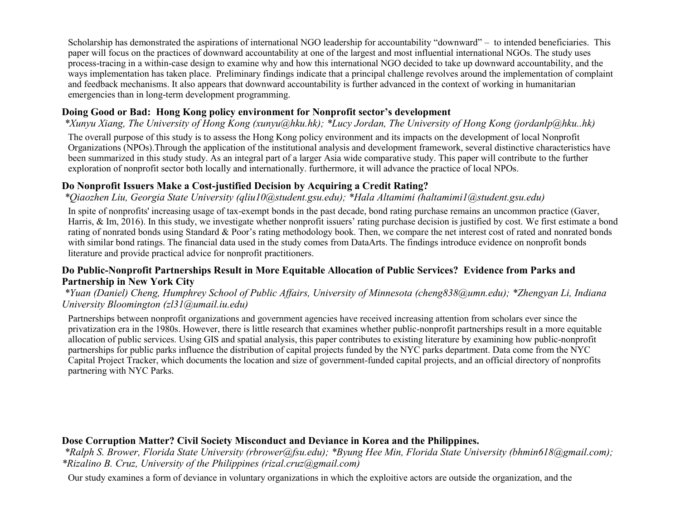Scholarship has demonstrated the aspirations of international NGO leadership for accountability "downward" – to intended beneficiaries. This paper will focus on the practices of downward accountability at one of the largest and most influential international NGOs. The study uses process-tracing in a within-case design to examine why and how this international NGO decided to take up downward accountability, and the ways implementation has taken place. Preliminary findings indicate that a principal challenge revolves around the implementation of complaint and feedback mechanisms. It also appears that downward accountability is further advanced in the context of working in humanitarian emergencies than in long-term development programming.

# **Doing Good or Bad: Hong Kong policy environment for Nonprofit sector's development**

### *\*Xunyu Xiang, The University of Hong Kong (xunyu@hku.hk); \*Lucy Jordan, The University of Hong Kong (jordanlp@hku..hk)*

The overall purpose of this study is to assess the Hong Kong policy environment and its impacts on the development of local Nonprofit Organizations (NPOs).Through the application of the institutional analysis and development framework, several distinctive characteristics have been summarized in this study study. As an integral part of a larger Asia wide comparative study. This paper will contribute to the further exploration of nonprofit sector both locally and internationally. furthermore, it will advance the practice of local NPOs.

### **Do Nonprofit Issuers Make a Cost-justified Decision by Acquiring a Credit Rating?**

### *\*Qiaozhen Liu, Georgia State University (qliu10@student.gsu.edu); \*Hala Altamimi (haltamimi1@student.gsu.edu)*

In spite of nonprofits' increasing usage of tax-exempt bonds in the past decade, bond rating purchase remains an uncommon practice (Gaver, Harris, & Im, 2016). In this study, we investigate whether nonprofit issuers' rating purchase decision is justified by cost. We first estimate a bond rating of nonrated bonds using Standard & Poor's rating methodology book. Then, we compare the net interest cost of rated and nonrated bonds with similar bond ratings. The financial data used in the study comes from DataArts. The findings introduce evidence on nonprofit bonds literature and provide practical advice for nonprofit practitioners.

#### **Do Public-Nonprofit Partnerships Result in More Equitable Allocation of Public Services? Evidence from Parks and Partnership in New York City**

### *\*Yuan (Daniel) Cheng, Humphrey School of Public Affairs, University of Minnesota (cheng838@umn.edu); \*Zhengyan Li, Indiana University Bloomington (zl31@umail.iu.edu)*

Partnerships between nonprofit organizations and government agencies have received increasing attention from scholars ever since the privatization era in the 1980s. However, there is little research that examines whether public-nonprofit partnerships result in a more equitable allocation of public services. Using GIS and spatial analysis, this paper contributes to existing literature by examining how public-nonprofit partnerships for public parks influence the distribution of capital projects funded by the NYC parks department. Data come from the NYC Capital Project Tracker, which documents the location and size of government-funded capital projects, and an official directory of nonprofits partnering with NYC Parks.

### **Dose Corruption Matter? Civil Society Misconduct and Deviance in Korea and the Philippines.**

*\*Ralph S. Brower, Florida State University (rbrower@fsu.edu); \*Byung Hee Min, Florida State University (bhmin618@gmail.com); \*Rizalino B. Cruz, University of the Philippines (rizal.cruz@gmail.com)*

Our study examines a form of deviance in voluntary organizations in which the exploitive actors are outside the organization, and the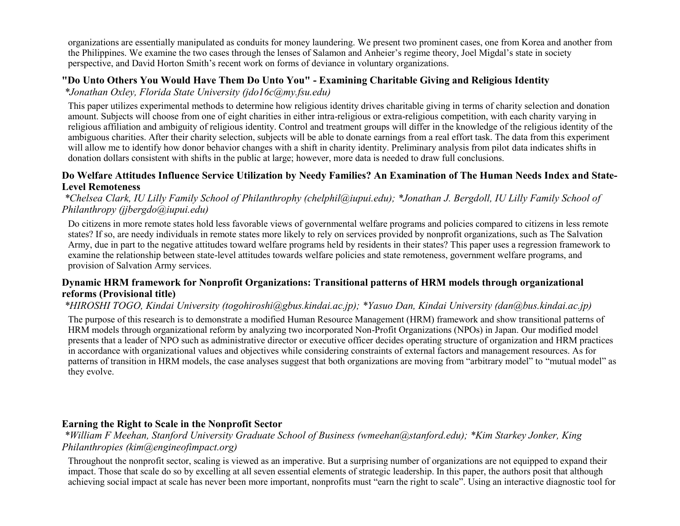organizations are essentially manipulated as conduits for money laundering. We present two prominent cases, one from Korea and another from the Philippines. We examine the two cases through the lenses of Salamon and Anheier's regime theory, Joel Migdal's state in society perspective, and David Horton Smith's recent work on forms of deviance in voluntary organizations.

# **"Do Unto Others You Would Have Them Do Unto You" - Examining Charitable Giving and Religious Identity**

*\*Jonathan Oxley, Florida State University (jdo16c@my.fsu.edu)*

This paper utilizes experimental methods to determine how religious identity drives charitable giving in terms of charity selection and donation amount. Subjects will choose from one of eight charities in either intra-religious or extra-religious competition, with each charity varying in religious affiliation and ambiguity of religious identity. Control and treatment groups will differ in the knowledge of the religious identity of the ambiguous charities. After their charity selection, subjects will be able to donate earnings from a real effort task. The data from this experiment will allow me to identify how donor behavior changes with a shift in charity identity. Preliminary analysis from pilot data indicates shifts in donation dollars consistent with shifts in the public at large; however, more data is needed to draw full conclusions.

### **Do Welfare Attitudes Influence Service Utilization by Needy Families? An Examination of The Human Needs Index and State-Level Remoteness**

*\*Chelsea Clark, IU Lilly Family School of Philanthrophy (chelphil@iupui.edu); \*Jonathan J. Bergdoll, IU Lilly Family School of Philanthropy (jjbergdo@iupui.edu)*

Do citizens in more remote states hold less favorable views of governmental welfare programs and policies compared to citizens in less remote states? If so, are needy individuals in remote states more likely to rely on services provided by nonprofit organizations, such as The Salvation Army, due in part to the negative attitudes toward welfare programs held by residents in their states? This paper uses a regression framework to examine the relationship between state-level attitudes towards welfare policies and state remoteness, government welfare programs, and provision of Salvation Army services.

### **Dynamic HRM framework for Nonprofit Organizations: Transitional patterns of HRM models through organizational reforms (Provisional title)**

### *\*HIROSHI TOGO, Kindai University (togohiroshi@gbus.kindai.ac.jp); \*Yasuo Dan, Kindai University (dan@bus.kindai.ac.jp)*

The purpose of this research is to demonstrate a modified Human Resource Management (HRM) framework and show transitional patterns of HRM models through organizational reform by analyzing two incorporated Non-Profit Organizations (NPOs) in Japan. Our modified model presents that a leader of NPO such as administrative director or executive officer decides operating structure of organization and HRM practices in accordance with organizational values and objectives while considering constraints of external factors and management resources. As for patterns of transition in HRM models, the case analyses suggest that both organizations are moving from "arbitrary model" to "mutual model" as they evolve.

# **Earning the Right to Scale in the Nonprofit Sector**

*\*William F Meehan, Stanford University Graduate School of Business (wmeehan@stanford.edu); \*Kim Starkey Jonker, King Philanthropies (kim@engineofimpact.org)*

Throughout the nonprofit sector, scaling is viewed as an imperative. But a surprising number of organizations are not equipped to expand their impact. Those that scale do so by excelling at all seven essential elements of strategic leadership. In this paper, the authors posit that although achieving social impact at scale has never been more important, nonprofits must "earn the right to scale". Using an interactive diagnostic tool for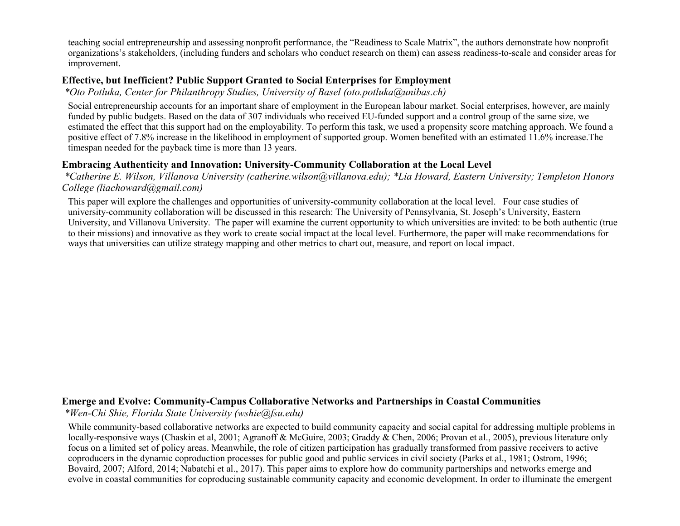teaching social entrepreneurship and assessing nonprofit performance, the "Readiness to Scale Matrix", the authors demonstrate how nonprofit organizations's stakeholders, (including funders and scholars who conduct research on them) can assess readiness-to-scale and consider areas for improvement.

### **Effective, but Inefficient? Public Support Granted to Social Enterprises for Employment**

*\*Oto Potluka, Center for Philanthropy Studies, University of Basel (oto.potluka@unibas.ch)*

Social entrepreneurship accounts for an important share of employment in the European labour market. Social enterprises, however, are mainly funded by public budgets. Based on the data of 307 individuals who received EU-funded support and a control group of the same size, we estimated the effect that this support had on the employability. To perform this task, we used a propensity score matching approach. We found a positive effect of 7.8% increase in the likelihood in employment of supported group. Women benefited with an estimated 11.6% increase.The timespan needed for the payback time is more than 13 years.

### **Embracing Authenticity and Innovation: University-Community Collaboration at the Local Level**

*\*Catherine E. Wilson, Villanova University (catherine.wilson@villanova.edu); \*Lia Howard, Eastern University; Templeton Honors College (liachoward@gmail.com)*

This paper will explore the challenges and opportunities of university-community collaboration at the local level. Four case studies of university-community collaboration will be discussed in this research: The University of Pennsylvania, St. Joseph's University, Eastern University, and Villanova University. The paper will examine the current opportunity to which universities are invited: to be both authentic (true to their missions) and innovative as they work to create social impact at the local level. Furthermore, the paper will make recommendations for ways that universities can utilize strategy mapping and other metrics to chart out, measure, and report on local impact.

### **Emerge and Evolve: Community-Campus Collaborative Networks and Partnerships in Coastal Communities**

*\*Wen-Chi Shie, Florida State University (wshie@fsu.edu)*

While community-based collaborative networks are expected to build community capacity and social capital for addressing multiple problems in locally-responsive ways (Chaskin et al, 2001; Agranoff & McGuire, 2003; Graddy & Chen, 2006; Provan et al., 2005), previous literature only focus on a limited set of policy areas. Meanwhile, the role of citizen participation has gradually transformed from passive receivers to active coproducers in the dynamic coproduction processes for public good and public services in civil society (Parks et al., 1981; Ostrom, 1996; Bovaird, 2007; Alford, 2014; Nabatchi et al., 2017). This paper aims to explore how do community partnerships and networks emerge and evolve in coastal communities for coproducing sustainable community capacity and economic development. In order to illuminate the emergent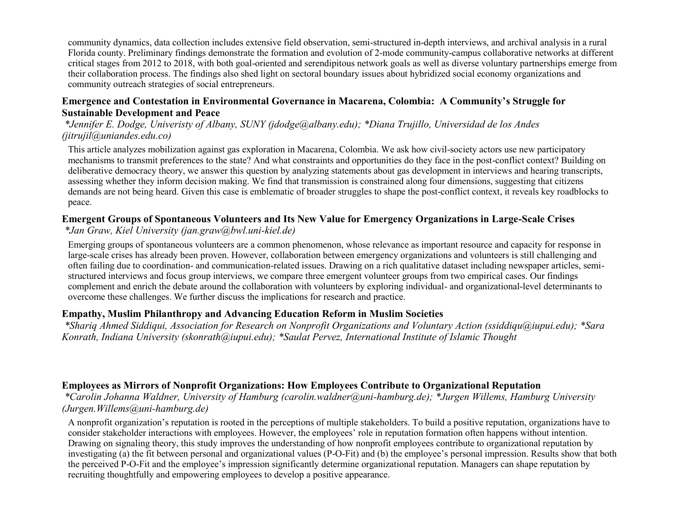community dynamics, data collection includes extensive field observation, semi-structured in-depth interviews, and archival analysis in a rural Florida county. Preliminary findings demonstrate the formation and evolution of 2-mode community-campus collaborative networks at different critical stages from 2012 to 2018, with both goal-oriented and serendipitous network goals as well as diverse voluntary partnerships emerge from their collaboration process. The findings also shed light on sectoral boundary issues about hybridized social economy organizations and community outreach strategies of social entrepreneurs.

#### **Emergence and Contestation in Environmental Governance in Macarena, Colombia: A Community's Struggle for Sustainable Development and Peace**

*\*Jennifer E. Dodge, Univeristy of Albany, SUNY (jdodge@albany.edu); \*Diana Trujillo, Universidad de los Andes (jitrujil@uniandes.edu.co)*

This article analyzes mobilization against gas exploration in Macarena, Colombia. We ask how civil-society actors use new participatory mechanisms to transmit preferences to the state? And what constraints and opportunities do they face in the post-conflict context? Building on deliberative democracy theory, we answer this question by analyzing statements about gas development in interviews and hearing transcripts, assessing whether they inform decision making. We find that transmission is constrained along four dimensions, suggesting that citizens demands are not being heard. Given this case is emblematic of broader struggles to shape the post-conflict context, it reveals key roadblocks to peace.

### **Emergent Groups of Spontaneous Volunteers and Its New Value for Emergency Organizations in Large-Scale Crises**

*\*Jan Graw, Kiel University (jan.graw@bwl.uni-kiel.de)*

Emerging groups of spontaneous volunteers are a common phenomenon, whose relevance as important resource and capacity for response in large-scale crises has already been proven. However, collaboration between emergency organizations and volunteers is still challenging and often failing due to coordination- and communication-related issues. Drawing on a rich qualitative dataset including newspaper articles, semistructured interviews and focus group interviews, we compare three emergent volunteer groups from two empirical cases. Our findings complement and enrich the debate around the collaboration with volunteers by exploring individual- and organizational-level determinants to overcome these challenges. We further discuss the implications for research and practice.

### **Empathy, Muslim Philanthropy and Advancing Education Reform in Muslim Societies**

*\*Shariq Ahmed Siddiqui, Association for Research on Nonprofit Organizations and Voluntary Action (ssiddiqu@iupui.edu); \*Sara Konrath, Indiana University (skonrath@iupui.edu); \*Saulat Pervez, International Institute of Islamic Thought*

### **Employees as Mirrors of Nonprofit Organizations: How Employees Contribute to Organizational Reputation**

*\*Carolin Johanna Waldner, University of Hamburg (carolin.waldner@uni-hamburg.de); \*Jurgen Willems, Hamburg University (Jurgen.Willems@uni-hamburg.de)*

A nonprofit organization's reputation is rooted in the perceptions of multiple stakeholders. To build a positive reputation, organizations have to consider stakeholder interactions with employees. However, the employees' role in reputation formation often happens without intention. Drawing on signaling theory, this study improves the understanding of how nonprofit employees contribute to organizational reputation by investigating (a) the fit between personal and organizational values (P-O-Fit) and (b) the employee's personal impression. Results show that both the perceived P-O-Fit and the employee's impression significantly determine organizational reputation. Managers can shape reputation by recruiting thoughtfully and empowering employees to develop a positive appearance.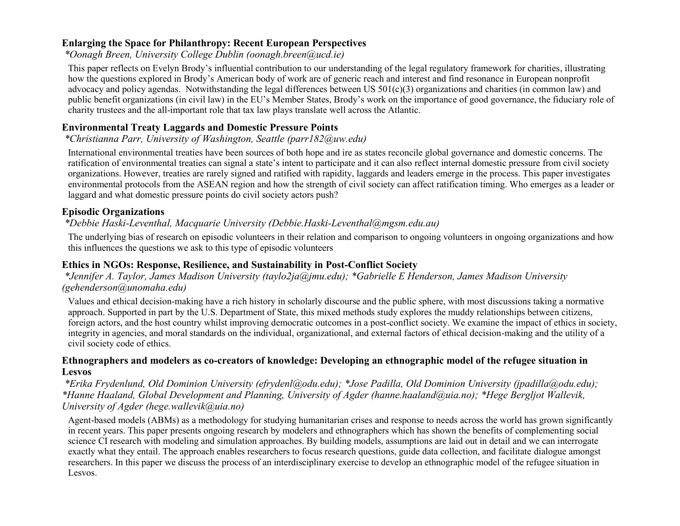### **Enlarging the Space for Philanthropy: Recent European Perspectives**

*\*Oonagh Breen, University College Dublin (oonagh.breen@ucd.ie)*

This paper reflects on Evelyn Brody's influential contribution to our understanding of the legal regulatory framework for charities, illustrating how the questions explored in Brody's American body of work are of generic reach and interest and find resonance in European nonprofit advocacy and policy agendas. Notwithstanding the legal differences between US 501(c)(3) organizations and charities (in common law) and public benefit organizations (in civil law) in the EU's Member States, Brody's work on the importance of good governance, the fiduciary role of charity trustees and the all-important role that tax law plays translate well across the Atlantic.

# **Environmental Treaty Laggards and Domestic Pressure Points**

### *\*Christianna Parr, University of Washington, Seattle (parr182@uw.edu)*

International environmental treaties have been sources of both hope and ire as states reconcile global governance and domestic concerns. The ratification of environmental treaties can signal a state's intent to participate and it can also reflect internal domestic pressure from civil society organizations. However, treaties are rarely signed and ratified with rapidity, laggards and leaders emerge in the process. This paper investigates environmental protocols from the ASEAN region and how the strength of civil society can affect ratification timing. Who emerges as a leader or laggard and what domestic pressure points do civil society actors push?

# **Episodic Organizations**

# *\*Debbie Haski-Leventhal, Macquarie University (Debbie.Haski-Leventhal@mgsm.edu.au)*

The underlying bias of research on episodic volunteers in their relation and comparison to ongoing volunteers in ongoing organizations and how this influences the questions we ask to this type of episodic volunteers

# **Ethics in NGOs: Response, Resilience, and Sustainability in Post-Conflict Society**

*\*Jennifer A. Taylor, James Madison University (taylo2ja@jmu.edu); \*Gabrielle E Henderson, James Madison University (gehenderson@unomaha.edu)*

Values and ethical decision-making have a rich history in scholarly discourse and the public sphere, with most discussions taking a normative approach. Supported in part by the U.S. Department of State, this mixed methods study explores the muddy relationships between citizens, foreign actors, and the host country whilst improving democratic outcomes in a post-conflict society. We examine the impact of ethics in society, integrity in agencies, and moral standards on the individual, organizational, and external factors of ethical decision-making and the utility of a civil society code of ethics.

### **Ethnographers and modelers as co-creators of knowledge: Developing an ethnographic model of the refugee situation in Lesvos**

*\*Erika Frydenlund, Old Dominion University (efrydenl@odu.edu); \*Jose Padilla, Old Dominion University (jpadilla@odu.edu); \*Hanne Haaland, Global Development and Planning, University of Agder (hanne.haaland@uia.no); \*Hege Bergljot Wallevik, University of Agder (hege.wallevik@uia.no)*

Agent-based models (ABMs) as a methodology for studying humanitarian crises and response to needs across the world has grown significantly in recent years. This paper presents ongoing research by modelers and ethnographers which has shown the benefits of complementing social science CI research with modeling and simulation approaches. By building models, assumptions are laid out in detail and we can interrogate exactly what they entail. The approach enables researchers to focus research questions, guide data collection, and facilitate dialogue amongst researchers. In this paper we discuss the process of an interdisciplinary exercise to develop an ethnographic model of the refugee situation in Lesvos.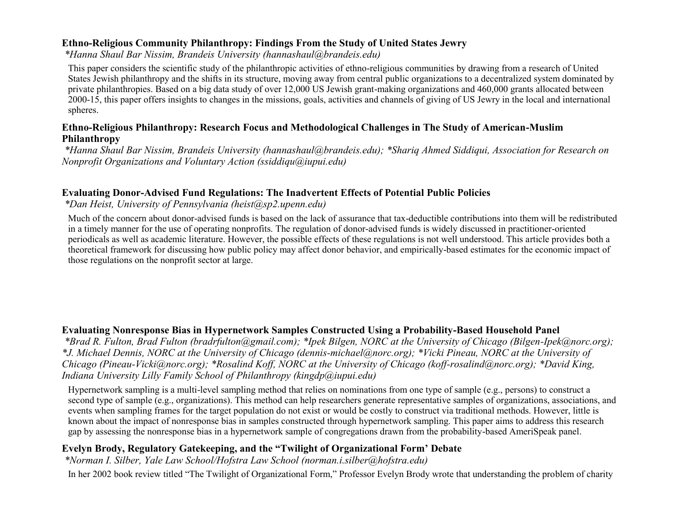### **Ethno-Religious Community Philanthropy: Findings From the Study of United States Jewry**

*\*Hanna Shaul Bar Nissim, Brandeis University (hannashaul@brandeis.edu)*

This paper considers the scientific study of the philanthropic activities of ethno-religious communities by drawing from a research of United States Jewish philanthropy and the shifts in its structure, moving away from central public organizations to a decentralized system dominated by private philanthropies. Based on a big data study of over 12,000 US Jewish grant-making organizations and 460,000 grants allocated between 2000-15, this paper offers insights to changes in the missions, goals, activities and channels of giving of US Jewry in the local and international spheres.

### **Ethno-Religious Philanthropy: Research Focus and Methodological Challenges in The Study of American-Muslim Philanthropy**

*\*Hanna Shaul Bar Nissim, Brandeis University (hannashaul@brandeis.edu); \*Shariq Ahmed Siddiqui, Association for Research on Nonprofit Organizations and Voluntary Action (ssiddiqu@iupui.edu)*

### **Evaluating Donor-Advised Fund Regulations: The Inadvertent Effects of Potential Public Policies**

### *\*Dan Heist, University of Pennsylvania (heist@sp2.upenn.edu)*

Much of the concern about donor-advised funds is based on the lack of assurance that tax-deductible contributions into them will be redistributed in a timely manner for the use of operating nonprofits. The regulation of donor-advised funds is widely discussed in practitioner-oriented periodicals as well as academic literature. However, the possible effects of these regulations is not well understood. This article provides both a theoretical framework for discussing how public policy may affect donor behavior, and empirically-based estimates for the economic impact of those regulations on the nonprofit sector at large.

# **Evaluating Nonresponse Bias in Hypernetwork Samples Constructed Using a Probability-Based Household Panel**

*\*Brad R. Fulton, Brad Fulton (bradrfulton@gmail.com); \*Ipek Bilgen, NORC at the University of Chicago (Bilgen-Ipek@norc.org); \*J. Michael Dennis, NORC at the University of Chicago (dennis-michael@norc.org); \*Vicki Pineau, NORC at the University of Chicago (Pineau-Vicki@norc.org); \*Rosalind Koff, NORC at the University of Chicago (koff-rosalind@norc.org); \*David King, Indiana University Lilly Family School of Philanthropy (kingdp@iupui.edu)*

Hypernetwork sampling is a multi-level sampling method that relies on nominations from one type of sample (e.g., persons) to construct a second type of sample (e.g., organizations). This method can help researchers generate representative samples of organizations, associations, and events when sampling frames for the target population do not exist or would be costly to construct via traditional methods. However, little is known about the impact of nonresponse bias in samples constructed through hypernetwork sampling. This paper aims to address this research gap by assessing the nonresponse bias in a hypernetwork sample of congregations drawn from the probability-based AmeriSpeak panel.

#### **Evelyn Brody, Regulatory Gatekeeping, and the "Twilight of Organizational Form' Debate**

*\*Norman I. Silber, Yale Law School/Hofstra Law School (norman.i.silber@hofstra.edu)*

In her 2002 book review titled "The Twilight of Organizational Form," Professor Evelyn Brody wrote that understanding the problem of charity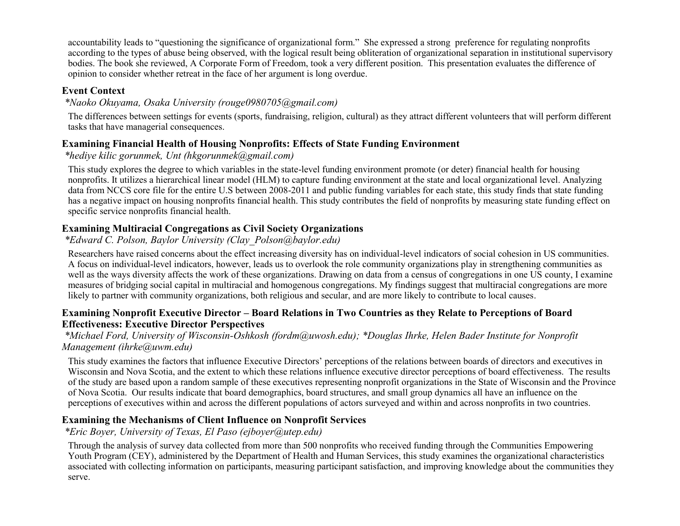accountability leads to "questioning the significance of organizational form." She expressed a strong preference for regulating nonprofits according to the types of abuse being observed, with the logical result being obliteration of organizational separation in institutional supervisory bodies. The book she reviewed, A Corporate Form of Freedom, took a very different position. This presentation evaluates the difference of opinion to consider whether retreat in the face of her argument is long overdue.

### **Event Context**

### *\*Naoko Okuyama, Osaka University (rouge0980705@gmail.com)*

The differences between settings for events (sports, fundraising, religion, cultural) as they attract different volunteers that will perform different tasks that have managerial consequences.

### **Examining Financial Health of Housing Nonprofits: Effects of State Funding Environment**

*\*hediye kilic gorunmek, Unt (hkgorunmek@gmail.com)*

This study explores the degree to which variables in the state-level funding environment promote (or deter) financial health for housing nonprofits. It utilizes a hierarchical linear model (HLM) to capture funding environment at the state and local organizational level. Analyzing data from NCCS core file for the entire U.S between 2008-2011 and public funding variables for each state, this study finds that state funding has a negative impact on housing nonprofits financial health. This study contributes the field of nonprofits by measuring state funding effect on specific service nonprofits financial health.

# **Examining Multiracial Congregations as Civil Society Organizations**

### *\*Edward C. Polson, Baylor University (Clay\_Polson@baylor.edu)*

Researchers have raised concerns about the effect increasing diversity has on individual-level indicators of social cohesion in US communities. A focus on individual-level indicators, however, leads us to overlook the role community organizations play in strengthening communities as well as the ways diversity affects the work of these organizations. Drawing on data from a census of congregations in one US county, I examine measures of bridging social capital in multiracial and homogenous congregations. My findings suggest that multiracial congregations are more likely to partner with community organizations, both religious and secular, and are more likely to contribute to local causes.

### **Examining Nonprofit Executive Director – Board Relations in Two Countries as they Relate to Perceptions of Board Effectiveness: Executive Director Perspectives**

#### *\*Michael Ford, University of Wisconsin-Oshkosh (fordm@uwosh.edu); \*Douglas Ihrke, Helen Bader Institute for Nonprofit Management (ihrke@uwm.edu)*

This study examines the factors that influence Executive Directors' perceptions of the relations between boards of directors and executives in Wisconsin and Nova Scotia, and the extent to which these relations influence executive director perceptions of board effectiveness. The results of the study are based upon a random sample of these executives representing nonprofit organizations in the State of Wisconsin and the Province of Nova Scotia. Our results indicate that board demographics, board structures, and small group dynamics all have an influence on the perceptions of executives within and across the different populations of actors surveyed and within and across nonprofits in two countries.

### **Examining the Mechanisms of Client Influence on Nonprofit Services**

*\*Eric Boyer, University of Texas, El Paso (ejboyer@utep.edu)*

Through the analysis of survey data collected from more than 500 nonprofits who received funding through the Communities Empowering Youth Program (CEY), administered by the Department of Health and Human Services, this study examines the organizational characteristics associated with collecting information on participants, measuring participant satisfaction, and improving knowledge about the communities they serve.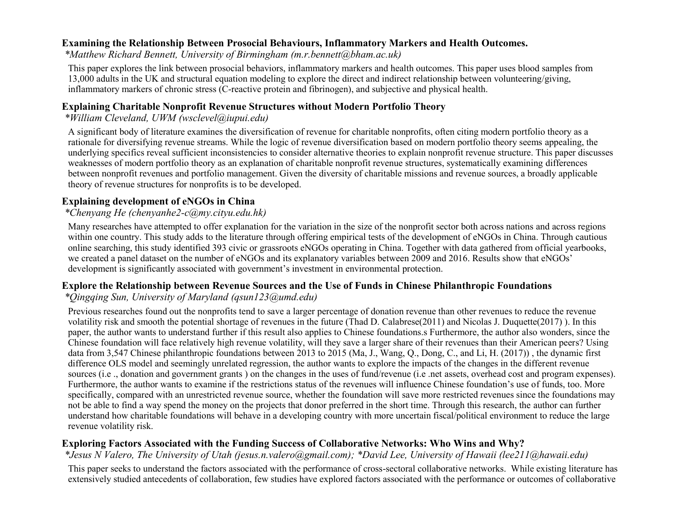### **Examining the Relationship Between Prosocial Behaviours, Inflammatory Markers and Health Outcomes.**

*\*Matthew Richard Bennett, University of Birmingham (m.r.bennett@bham.ac.uk)*

This paper explores the link between prosocial behaviors, inflammatory markers and health outcomes. This paper uses blood samples from 13,000 adults in the UK and structural equation modeling to explore the direct and indirect relationship between volunteering/giving, inflammatory markers of chronic stress (C-reactive protein and fibrinogen), and subjective and physical health.

### **Explaining Charitable Nonprofit Revenue Structures without Modern Portfolio Theory**

### *\*William Cleveland, UWM (wsclevel@iupui.edu)*

A significant body of literature examines the diversification of revenue for charitable nonprofits, often citing modern portfolio theory as a rationale for diversifying revenue streams. While the logic of revenue diversification based on modern portfolio theory seems appealing, the underlying specifics reveal sufficient inconsistencies to consider alternative theories to explain nonprofit revenue structure. This paper discusses weaknesses of modern portfolio theory as an explanation of charitable nonprofit revenue structures, systematically examining differences between nonprofit revenues and portfolio management. Given the diversity of charitable missions and revenue sources, a broadly applicable theory of revenue structures for nonprofits is to be developed.

### **Explaining development of eNGOs in China**

### *\*Chenyang He (chenyanhe2-c@my.cityu.edu.hk)*

Many researches have attempted to offer explanation for the variation in the size of the nonprofit sector both across nations and across regions within one country. This study adds to the literature through offering empirical tests of the development of eNGOs in China. Through cautious online searching, this study identified 393 civic or grassroots eNGOs operating in China. Together with data gathered from official yearbooks, we created a panel dataset on the number of eNGOs and its explanatory variables between 2009 and 2016. Results show that eNGOs' development is significantly associated with government's investment in environmental protection.

### **Explore the Relationship between Revenue Sources and the Use of Funds in Chinese Philanthropic Foundations**

### *\*Qingqing Sun, University of Maryland (qsun123@umd.edu)*

Previous researches found out the nonprofits tend to save a larger percentage of donation revenue than other revenues to reduce the revenue volatility risk and smooth the potential shortage of revenues in the future (Thad D. Calabrese(2011) and Nicolas J. Duquette(2017) ). In this paper, the author wants to understand further if this result also applies to Chinese foundations.s Furthermore, the author also wonders, since the Chinese foundation will face relatively high revenue volatility, will they save a larger share of their revenues than their American peers? Using data from 3,547 Chinese philanthropic foundations between 2013 to 2015 (Ma, J., Wang, Q., Dong, C., and Li, H. (2017)) , the dynamic first difference OLS model and seemingly unrelated regression, the author wants to explore the impacts of the changes in the different revenue sources (i.e ., donation and government grants ) on the changes in the uses of fund/revenue (i.e .net assets, overhead cost and program expenses). Furthermore, the author wants to examine if the restrictions status of the revenues will influence Chinese foundation's use of funds, too. More specifically, compared with an unrestricted revenue source, whether the foundation will save more restricted revenues since the foundations may not be able to find a way spend the money on the projects that donor preferred in the short time. Through this research, the author can further understand how charitable foundations will behave in a developing country with more uncertain fiscal/political environment to reduce the large revenue volatility risk.

### **Exploring Factors Associated with the Funding Success of Collaborative Networks: Who Wins and Why?**

### *\*Jesus N Valero, The University of Utah (jesus.n.valero@gmail.com); \*David Lee, University of Hawaii (lee211@hawaii.edu)*

This paper seeks to understand the factors associated with the performance of cross-sectoral collaborative networks. While existing literature has extensively studied antecedents of collaboration, few studies have explored factors associated with the performance or outcomes of collaborative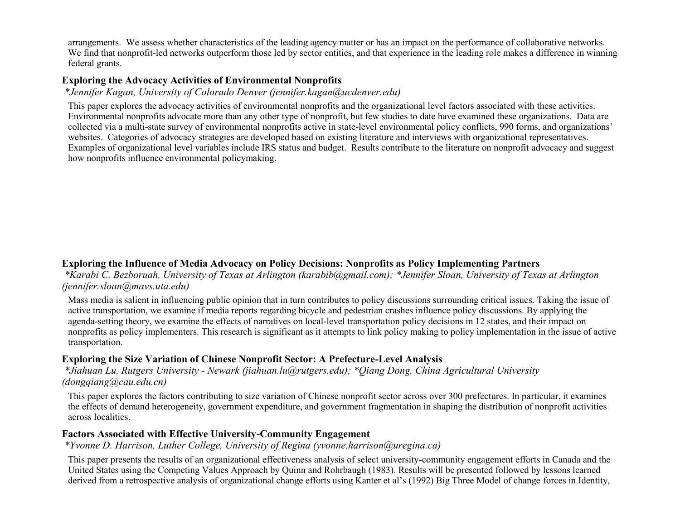arrangements. We assess whether characteristics of the leading agency matter or has an impact on the performance of collaborative networks. We find that nonprofit-led networks outperform those led by sector entities, and that experience in the leading role makes a difference in winning federal grants.

### **Exploring the Advocacy Activities of Environmental Nonprofits**

*\*Jennifer Kagan, University of Colorado Denver (jennifer.kagan@ucdenver.edu)*

This paper explores the advocacy activities of environmental nonprofits and the organizational level factors associated with these activities. Environmental nonprofits advocate more than any other type of nonprofit, but few studies to date have examined these organizations. Data are collected via a multi-state survey of environmental nonprofits active in state-level environmental policy conflicts, 990 forms, and organizations' websites. Categories of advocacy strategies are developed based on existing literature and interviews with organizational representatives. Examples of organizational level variables include IRS status and budget. Results contribute to the literature on nonprofit advocacy and suggest how nonprofits influence environmental policymaking.

### **Exploring the Influence of Media Advocacy on Policy Decisions: Nonprofits as Policy Implementing Partners**

*\*Karabi C. Bezboruah, University of Texas at Arlington (karabib@gmail.com); \*Jennifer Sloan, University of Texas at Arlington (jennifer.sloan@mavs.uta.edu)*

Mass media is salient in influencing public opinion that in turn contributes to policy discussions surrounding critical issues. Taking the issue of active transportation, we examine if media reports regarding bicycle and pedestrian crashes influence policy discussions. By applying the agenda-setting theory, we examine the effects of narratives on local-level transportation policy decisions in 12 states, and their impact on nonprofits as policy implementers. This research is significant as it attempts to link policy making to policy implementation in the issue of active transportation.

### **Exploring the Size Variation of Chinese Nonprofit Sector: A Prefecture-Level Analysis**

*\*Jiahuan Lu, Rutgers University - Newark (jiahuan.lu@rutgers.edu); \*Qiang Dong, China Agricultural University (dongqiang@cau.edu.cn)*

This paper explores the factors contributing to size variation of Chinese nonprofit sector across over 300 prefectures. In particular, it examines the effects of demand heterogeneity, government expenditure, and government fragmentation in shaping the distribution of nonprofit activities across localities.

#### **Factors Associated with Effective University-Community Engagement**

*\*Yvonne D. Harrison, Luther College, University of Regina (yvonne.harrison@uregina.ca)*

This paper presents the results of an organizational effectiveness analysis of select university-community engagement efforts in Canada and the United States using the Competing Values Approach by Quinn and Rohrbaugh (1983). Results will be presented followed by lessons learned derived from a retrospective analysis of organizational change efforts using Kanter et al's (1992) Big Three Model of change forces in Identity,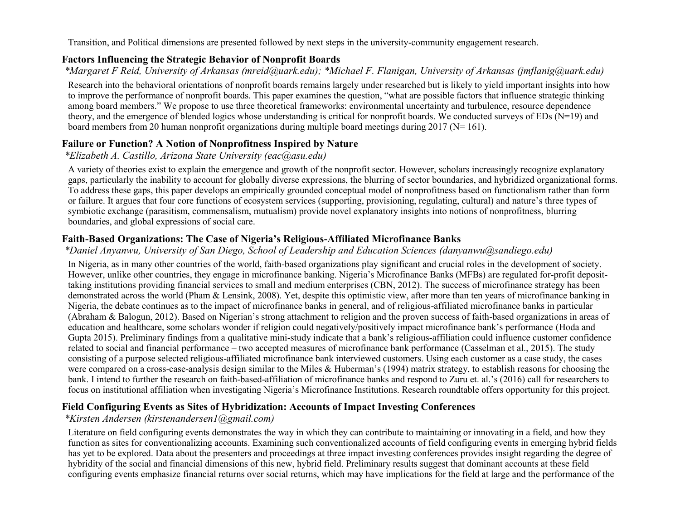Transition, and Political dimensions are presented followed by next steps in the university-community engagement research.

### **Factors Influencing the Strategic Behavior of Nonprofit Boards**

*\*Margaret F Reid, University of Arkansas (mreid@uark.edu); \*Michael F. Flanigan, University of Arkansas (jmflanig@uark.edu)*

Research into the behavioral orientations of nonprofit boards remains largely under researched but is likely to yield important insights into how to improve the performance of nonprofit boards. This paper examines the question, "what are possible factors that influence strategic thinking among board members." We propose to use three theoretical frameworks: environmental uncertainty and turbulence, resource dependence theory, and the emergence of blended logics whose understanding is critical for nonprofit boards. We conducted surveys of EDs (N=19) and board members from 20 human nonprofit organizations during multiple board meetings during 2017 ( $N= 161$ ).

# **Failure or Function? A Notion of Nonprofitness Inspired by Nature**

*\*Elizabeth A. Castillo, Arizona State University (eac@asu.edu)*

A variety of theories exist to explain the emergence and growth of the nonprofit sector. However, scholars increasingly recognize explanatory gaps, particularly the inability to account for globally diverse expressions, the blurring of sector boundaries, and hybridized organizational forms. To address these gaps, this paper develops an empirically grounded conceptual model of nonprofitness based on functionalism rather than form or failure. It argues that four core functions of ecosystem services (supporting, provisioning, regulating, cultural) and nature's three types of symbiotic exchange (parasitism, commensalism, mutualism) provide novel explanatory insights into notions of nonprofitness, blurring boundaries, and global expressions of social care.

# **Faith-Based Organizations: The Case of Nigeria's Religious-Affiliated Microfinance Banks**

### *\*Daniel Anyanwu, University of San Diego, School of Leadership and Education Sciences (danyanwu@sandiego.edu)*

In Nigeria, as in many other countries of the world, faith-based organizations play significant and crucial roles in the development of society. However, unlike other countries, they engage in microfinance banking. Nigeria's Microfinance Banks (MFBs) are regulated for-profit deposittaking institutions providing financial services to small and medium enterprises (CBN, 2012). The success of microfinance strategy has been demonstrated across the world (Pham & Lensink, 2008). Yet, despite this optimistic view, after more than ten years of microfinance banking in Nigeria, the debate continues as to the impact of microfinance banks in general, and of religious-affiliated microfinance banks in particular (Abraham & Balogun, 2012). Based on Nigerian's strong attachment to religion and the proven success of faith-based organizations in areas of education and healthcare, some scholars wonder if religion could negatively/positively impact microfinance bank's performance (Hoda and Gupta 2015). Preliminary findings from a qualitative mini-study indicate that a bank's religious-affiliation could influence customer confidence related to social and financial performance – two accepted measures of microfinance bank performance (Casselman et al., 2015). The study consisting of a purpose selected religious-affiliated microfinance bank interviewed customers. Using each customer as a case study, the cases were compared on a cross-case-analysis design similar to the Miles & Huberman's (1994) matrix strategy, to establish reasons for choosing the bank. I intend to further the research on faith-based-affiliation of microfinance banks and respond to Zuru et. al.'s (2016) call for researchers to focus on institutional affiliation when investigating Nigeria's Microfinance Institutions. Research roundtable offers opportunity for this project.

# **Field Configuring Events as Sites of Hybridization: Accounts of Impact Investing Conferences**

# *\*Kirsten Andersen (kirstenandersen1@gmail.com)*

Literature on field configuring events demonstrates the way in which they can contribute to maintaining or innovating in a field, and how they function as sites for conventionalizing accounts. Examining such conventionalized accounts of field configuring events in emerging hybrid fields has yet to be explored. Data about the presenters and proceedings at three impact investing conferences provides insight regarding the degree of hybridity of the social and financial dimensions of this new, hybrid field. Preliminary results suggest that dominant accounts at these field configuring events emphasize financial returns over social returns, which may have implications for the field at large and the performance of the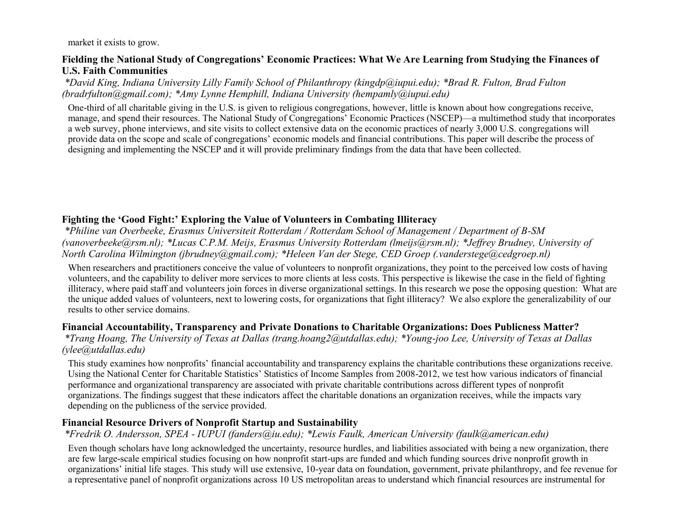market it exists to grow.

### **Fielding the National Study of Congregations' Economic Practices: What We Are Learning from Studying the Finances of U.S. Faith Communities**

*\*David King, Indiana University Lilly Family School of Philanthropy (kingdp@iupui.edu); \*Brad R. Fulton, Brad Fulton (bradrfulton@gmail.com); \*Amy Lynne Hemphill, Indiana University (hempamly@iupui.edu)*

One-third of all charitable giving in the U.S. is given to religious congregations, however, little is known about how congregations receive, manage, and spend their resources. The National Study of Congregations' Economic Practices (NSCEP)—a multimethod study that incorporates a web survey, phone interviews, and site visits to collect extensive data on the economic practices of nearly 3,000 U.S. congregations will provide data on the scope and scale of congregations' economic models and financial contributions. This paper will describe the process of designing and implementing the NSCEP and it will provide preliminary findings from the data that have been collected.

# **Fighting the 'Good Fight:' Exploring the Value of Volunteers in Combating Illiteracy**

*\*Philine van Overbeeke, Erasmus Universiteit Rotterdam / Rotterdam School of Management / Department of B-SM (vanoverbeeke@rsm.nl); \*Lucas C.P.M. Meijs, Erasmus University Rotterdam (lmeijs@rsm.nl); \*Jeffrey Brudney, University of North Carolina Wilmington (jbrudney@gmail.com); \*Heleen Van der Stege, CED Groep (.vanderstege@cedgroep.nl)*

When researchers and practitioners conceive the value of volunteers to nonprofit organizations, they point to the perceived low costs of having volunteers, and the capability to deliver more services to more clients at less costs. This perspective is likewise the case in the field of fighting illiteracy, where paid staff and volunteers join forces in diverse organizational settings. In this research we pose the opposing question: What are the unique added values of volunteers, next to lowering costs, for organizations that fight illiteracy? We also explore the generalizability of our results to other service domains.

### **Financial Accountability, Transparency and Private Donations to Charitable Organizations: Does Publicness Matter?**

*\*Trang Hoang, The University of Texas at Dallas (trang.hoang2@utdallas.edu); \*Young-joo Lee, University of Texas at Dallas (ylee@utdallas.edu)*

This study examines how nonprofits' financial accountability and transparency explains the charitable contributions these organizations receive. Using the National Center for Charitable Statistics' Statistics of Income Samples from 2008-2012, we test how various indicators of financial performance and organizational transparency are associated with private charitable contributions across different types of nonprofit organizations. The findings suggest that these indicators affect the charitable donations an organization receives, while the impacts vary depending on the publicness of the service provided.

### **Financial Resource Drivers of Nonprofit Startup and Sustainability**

*\*Fredrik O. Andersson, SPEA - IUPUI (fanders@iu.edu); \*Lewis Faulk, American University (faulk@american.edu)*

Even though scholars have long acknowledged the uncertainty, resource hurdles, and liabilities associated with being a new organization, there are few large-scale empirical studies focusing on how nonprofit start-ups are funded and which funding sources drive nonprofit growth in organizations' initial life stages. This study will use extensive, 10-year data on foundation, government, private philanthropy, and fee revenue for a representative panel of nonprofit organizations across 10 US metropolitan areas to understand which financial resources are instrumental for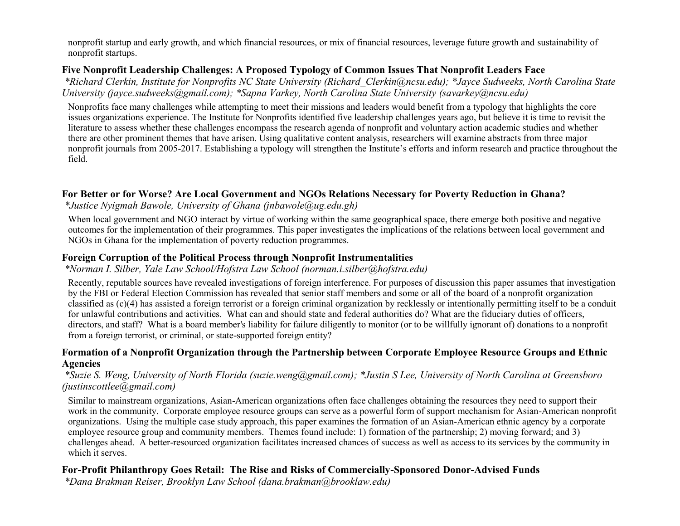nonprofit startup and early growth, and which financial resources, or mix of financial resources, leverage future growth and sustainability of nonprofit startups.

### **Five Nonprofit Leadership Challenges: A Proposed Typology of Common Issues That Nonprofit Leaders Face**

*\*Richard Clerkin, Institute for Nonprofits NC State University (Richard\_Clerkin@ncsu.edu); \*Jayce Sudweeks, North Carolina State University (jayce.sudweeks@gmail.com); \*Sapna Varkey, North Carolina State University (savarkey@ncsu.edu)*

Nonprofits face many challenges while attempting to meet their missions and leaders would benefit from a typology that highlights the core issues organizations experience. The Institute for Nonprofits identified five leadership challenges years ago, but believe it is time to revisit the literature to assess whether these challenges encompass the research agenda of nonprofit and voluntary action academic studies and whether there are other prominent themes that have arisen. Using qualitative content analysis, researchers will examine abstracts from three major nonprofit journals from 2005-2017. Establishing a typology will strengthen the Institute's efforts and inform research and practice throughout the field.

### **For Better or for Worse? Are Local Government and NGOs Relations Necessary for Poverty Reduction in Ghana?**

*\*Justice Nyigmah Bawole, University of Ghana (jnbawole@ug.edu.gh)*

When local government and NGO interact by virtue of working within the same geographical space, there emerge both positive and negative outcomes for the implementation of their programmes. This paper investigates the implications of the relations between local government and NGOs in Ghana for the implementation of poverty reduction programmes.

### **Foreign Corruption of the Political Process through Nonprofit Instrumentalities**

*\*Norman I. Silber, Yale Law School/Hofstra Law School (norman.i.silber@hofstra.edu)*

Recently, reputable sources have revealed investigations of foreign interference. For purposes of discussion this paper assumes that investigation by the FBI or Federal Election Commission has revealed that senior staff members and some or all of the board of a nonprofit organization classified as (c)(4) has assisted a foreign terrorist or a foreign criminal organization by recklessly or intentionally permitting itself to be a conduit for unlawful contributions and activities. What can and should state and federal authorities do? What are the fiduciary duties of officers, directors, and staff? What is a board member's liability for failure diligently to monitor (or to be willfully ignorant of) donations to a nonprofit from a foreign terrorist, or criminal, or state-supported foreign entity?

### **Formation of a Nonprofit Organization through the Partnership between Corporate Employee Resource Groups and Ethnic Agencies**

### *\*Suzie S. Weng, University of North Florida (suzie.weng@gmail.com); \*Justin S Lee, University of North Carolina at Greensboro (justinscottlee@gmail.com)*

Similar to mainstream organizations, Asian-American organizations often face challenges obtaining the resources they need to support their work in the community. Corporate employee resource groups can serve as a powerful form of support mechanism for Asian-American nonprofit organizations. Using the multiple case study approach, this paper examines the formation of an Asian-American ethnic agency by a corporate employee resource group and community members. Themes found include: 1) formation of the partnership; 2) moving forward; and 3) challenges ahead. A better-resourced organization facilitates increased chances of success as well as access to its services by the community in which it serves.

# **For-Profit Philanthropy Goes Retail: The Rise and Risks of Commercially-Sponsored Donor-Advised Funds**

*\*Dana Brakman Reiser, Brooklyn Law School (dana.brakman@brooklaw.edu)*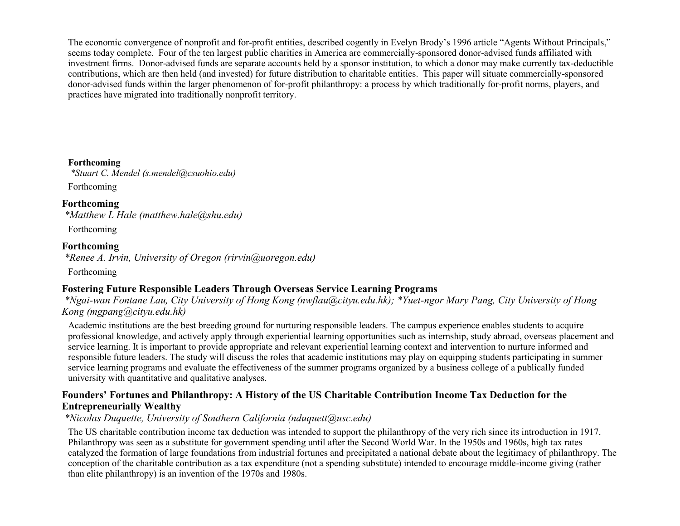The economic convergence of nonprofit and for-profit entities, described cogently in Evelyn Brody's 1996 article "Agents Without Principals," seems today complete. Four of the ten largest public charities in America are commercially-sponsored donor-advised funds affiliated with investment firms. Donor-advised funds are separate accounts held by a sponsor institution, to which a donor may make currently tax-deductible contributions, which are then held (and invested) for future distribution to charitable entities. This paper will situate commercially-sponsored donor-advised funds within the larger phenomenon of for-profit philanthropy: a process by which traditionally for-profit norms, players, and practices have migrated into traditionally nonprofit territory.

**Forthcoming** *\*Stuart C. Mendel (s.mendel@csuohio.edu)* Forthcoming

**Forthcoming** *\*Matthew L Hale (matthew.hale@shu.edu)*

Forthcoming

### **Forthcoming**

*\*Renee A. Irvin, University of Oregon (rirvin@uoregon.edu)*

Forthcoming

# **Fostering Future Responsible Leaders Through Overseas Service Learning Programs**

*\*Ngai-wan Fontane Lau, City University of Hong Kong (nwflau@cityu.edu.hk); \*Yuet-ngor Mary Pang, City University of Hong Kong (mgpang@cityu.edu.hk)*

Academic institutions are the best breeding ground for nurturing responsible leaders. The campus experience enables students to acquire professional knowledge, and actively apply through experiential learning opportunities such as internship, study abroad, overseas placement and service learning. It is important to provide appropriate and relevant experiential learning context and intervention to nurture informed and responsible future leaders. The study will discuss the roles that academic institutions may play on equipping students participating in summer service learning programs and evaluate the effectiveness of the summer programs organized by a business college of a publically funded university with quantitative and qualitative analyses.

### **Founders' Fortunes and Philanthropy: A History of the US Charitable Contribution Income Tax Deduction for the Entrepreneurially Wealthy**

*\*Nicolas Duquette, University of Southern California (nduquett@usc.edu)*

The US charitable contribution income tax deduction was intended to support the philanthropy of the very rich since its introduction in 1917. Philanthropy was seen as a substitute for government spending until after the Second World War. In the 1950s and 1960s, high tax rates catalyzed the formation of large foundations from industrial fortunes and precipitated a national debate about the legitimacy of philanthropy. The conception of the charitable contribution as a tax expenditure (not a spending substitute) intended to encourage middle-income giving (rather than elite philanthropy) is an invention of the 1970s and 1980s.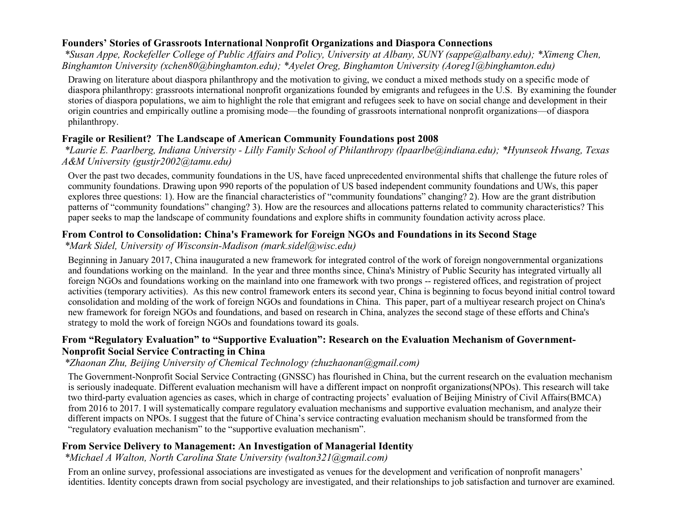### **Founders' Stories of Grassroots International Nonprofit Organizations and Diaspora Connections**

*\*Susan Appe, Rockefeller College of Public Affairs and Policy, University at Albany, SUNY (sappe@albany.edu); \*Ximeng Chen, Binghamton University (xchen80@binghamton.edu); \*Ayelet Oreg, Binghamton University (Aoreg1@binghamton.edu)*

Drawing on literature about diaspora philanthropy and the motivation to giving, we conduct a mixed methods study on a specific mode of diaspora philanthropy: grassroots international nonprofit organizations founded by emigrants and refugees in the U.S. By examining the founder stories of diaspora populations, we aim to highlight the role that emigrant and refugees seek to have on social change and development in their origin countries and empirically outline a promising mode—the founding of grassroots international nonprofit organizations—of diaspora philanthropy.

# **Fragile or Resilient? The Landscape of American Community Foundations post 2008**

*\*Laurie E. Paarlberg, Indiana University - Lilly Family School of Philanthropy (lpaarlbe@indiana.edu); \*Hyunseok Hwang, Texas A&M University (gustjr2002@tamu.edu)*

Over the past two decades, community foundations in the US, have faced unprecedented environmental shifts that challenge the future roles of community foundations. Drawing upon 990 reports of the population of US based independent community foundations and UWs, this paper explores three questions: 1). How are the financial characteristics of "community foundations" changing? 2). How are the grant distribution patterns of "community foundations" changing? 3). How are the resources and allocations patterns related to community characteristics? This paper seeks to map the landscape of community foundations and explore shifts in community foundation activity across place.

# **From Control to Consolidation: China's Framework for Foreign NGOs and Foundations in its Second Stage**

*\*Mark Sidel, University of Wisconsin-Madison (mark.sidel@wisc.edu)*

Beginning in January 2017, China inaugurated a new framework for integrated control of the work of foreign nongovernmental organizations and foundations working on the mainland. In the year and three months since, China's Ministry of Public Security has integrated virtually all foreign NGOs and foundations working on the mainland into one framework with two prongs -- registered offices, and registration of project activities (temporary activities). As this new control framework enters its second year, China is beginning to focus beyond initial control toward consolidation and molding of the work of foreign NGOs and foundations in China. This paper, part of a multiyear research project on China's new framework for foreign NGOs and foundations, and based on research in China, analyzes the second stage of these efforts and China's strategy to mold the work of foreign NGOs and foundations toward its goals.

### **From "Regulatory Evaluation" to "Supportive Evaluation": Research on the Evaluation Mechanism of Government-Nonprofit Social Service Contracting in China**

# *\*Zhaonan Zhu, Beijing University of Chemical Technology (zhuzhaonan@gmail.com)*

The Government-Nonprofit Social Service Contracting (GNSSC) has flourished in China, but the current research on the evaluation mechanism is seriously inadequate. Different evaluation mechanism will have a different impact on nonprofit organizations(NPOs). This research will take two third-party evaluation agencies as cases, which in charge of contracting projects' evaluation of Beijing Ministry of Civil Affairs(BMCA) from 2016 to 2017. I will systematically compare regulatory evaluation mechanisms and supportive evaluation mechanism, and analyze their different impacts on NPOs. I suggest that the future of China's service contracting evaluation mechanism should be transformed from the "regulatory evaluation mechanism" to the "supportive evaluation mechanism".

# **From Service Delivery to Management: An Investigation of Managerial Identity**

*\*Michael A Walton, North Carolina State University (walton321@gmail.com)*

From an online survey, professional associations are investigated as venues for the development and verification of nonprofit managers' identities. Identity concepts drawn from social psychology are investigated, and their relationships to job satisfaction and turnover are examined.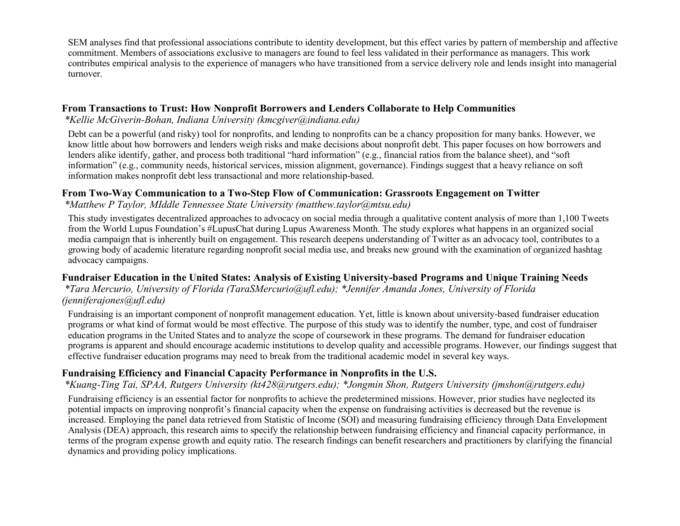SEM analyses find that professional associations contribute to identity development, but this effect varies by pattern of membership and affective commitment. Members of associations exclusive to managers are found to feel less validated in their performance as managers. This work contributes empirical analysis to the experience of managers who have transitioned from a service delivery role and lends insight into managerial turnover.

### **From Transactions to Trust: How Nonprofit Borrowers and Lenders Collaborate to Help Communities**

*\*Kellie McGiverin-Bohan, Indiana University (kmcgiver@indiana.edu)*

Debt can be a powerful (and risky) tool for nonprofits, and lending to nonprofits can be a chancy proposition for many banks. However, we know little about how borrowers and lenders weigh risks and make decisions about nonprofit debt. This paper focuses on how borrowers and lenders alike identify, gather, and process both traditional "hard information" (e.g., financial ratios from the balance sheet), and "soft information" (e.g., community needs, historical services, mission alignment, governance). Findings suggest that a heavy reliance on soft information makes nonprofit debt less transactional and more relationship-based.

### **From Two-Way Communication to a Two-Step Flow of Communication: Grassroots Engagement on Twitter**

*\*Matthew P Taylor, MIddle Tennessee State University (matthew.taylor@mtsu.edu)*

This study investigates decentralized approaches to advocacy on social media through a qualitative content analysis of more than 1,100 Tweets from the World Lupus Foundation's #LupusChat during Lupus Awareness Month. The study explores what happens in an organized social media campaign that is inherently built on engagement. This research deepens understanding of Twitter as an advocacy tool, contributes to a growing body of academic literature regarding nonprofit social media use, and breaks new ground with the examination of organized hashtag advocacy campaigns.

### **Fundraiser Education in the United States: Analysis of Existing University-based Programs and Unique Training Needs**

*\*Tara Mercurio, University of Florida (TaraSMercurio@ufl.edu); \*Jennifer Amanda Jones, University of Florida (jenniferajones@ufl.edu)*

Fundraising is an important component of nonprofit management education. Yet, little is known about university-based fundraiser education programs or what kind of format would be most effective. The purpose of this study was to identify the number, type, and cost of fundraiser education programs in the United States and to analyze the scope of coursework in these programs. The demand for fundraiser education programs is apparent and should encourage academic institutions to develop quality and accessible programs. However, our findings suggest that effective fundraiser education programs may need to break from the traditional academic model in several key ways.

### **Fundraising Efficiency and Financial Capacity Performance in Nonprofits in the U.S.**

### *\*Kuang-Ting Tai, SPAA, Rutgers University (kt428@rutgers.edu); \*Jongmin Shon, Rutgers University (jmshon@rutgers.edu)*

Fundraising efficiency is an essential factor for nonprofits to achieve the predetermined missions. However, prior studies have neglected its potential impacts on improving nonprofit's financial capacity when the expense on fundraising activities is decreased but the revenue is increased. Employing the panel data retrieved from Statistic of Income (SOI) and measuring fundraising efficiency through Data Envelopment Analysis (DEA) approach, this research aims to specify the relationship between fundraising efficiency and financial capacity performance, in terms of the program expense growth and equity ratio. The research findings can benefit researchers and practitioners by clarifying the financial dynamics and providing policy implications.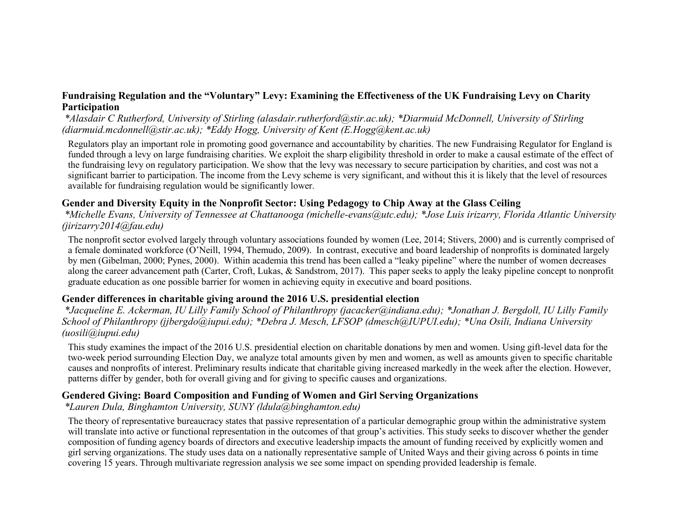### **Fundraising Regulation and the "Voluntary" Levy: Examining the Effectiveness of the UK Fundraising Levy on Charity Participation**

*\*Alasdair C Rutherford, University of Stirling (alasdair.rutherford@stir.ac.uk); \*Diarmuid McDonnell, University of Stirling (diarmuid.mcdonnell@stir.ac.uk); \*Eddy Hogg, University of Kent (E.Hogg@kent.ac.uk)*

Regulators play an important role in promoting good governance and accountability by charities. The new Fundraising Regulator for England is funded through a levy on large fundraising charities. We exploit the sharp eligibility threshold in order to make a causal estimate of the effect of the fundraising levy on regulatory participation. We show that the levy was necessary to secure participation by charities, and cost was not a significant barrier to participation. The income from the Levy scheme is very significant, and without this it is likely that the level of resources available for fundraising regulation would be significantly lower.

# **Gender and Diversity Equity in the Nonprofit Sector: Using Pedagogy to Chip Away at the Glass Ceiling**

*\*Michelle Evans, University of Tennessee at Chattanooga (michelle-evans@utc.edu); \*Jose Luis irizarry, Florida Atlantic University (jirizarry2014@fau.edu)*

The nonprofit sector evolved largely through voluntary associations founded by women (Lee, 2014; Stivers, 2000) and is currently comprised of a female dominated workforce (O'Neill, 1994, Themudo, 2009). In contrast, executive and board leadership of nonprofits is dominated largely by men (Gibelman, 2000; Pynes, 2000). Within academia this trend has been called a "leaky pipeline" where the number of women decreases along the career advancement path (Carter, Croft, Lukas, & Sandstrom, 2017). This paper seeks to apply the leaky pipeline concept to nonprofit graduate education as one possible barrier for women in achieving equity in executive and board positions.

### **Gender differences in charitable giving around the 2016 U.S. presidential election**

*\*Jacqueline E. Ackerman, IU Lilly Family School of Philanthropy (jacacker@indiana.edu); \*Jonathan J. Bergdoll, IU Lilly Family School of Philanthropy (jjbergdo@iupui.edu); \*Debra J. Mesch, LFSOP (dmesch@IUPUI.edu); \*Una Osili, Indiana University (uosili@iupui.edu)*

This study examines the impact of the 2016 U.S. presidential election on charitable donations by men and women. Using gift-level data for the two-week period surrounding Election Day, we analyze total amounts given by men and women, as well as amounts given to specific charitable causes and nonprofits of interest. Preliminary results indicate that charitable giving increased markedly in the week after the election. However, patterns differ by gender, both for overall giving and for giving to specific causes and organizations.

### **Gendered Giving: Board Composition and Funding of Women and Girl Serving Organizations**

*\*Lauren Dula, Binghamton University, SUNY (ldula@binghamton.edu)*

The theory of representative bureaucracy states that passive representation of a particular demographic group within the administrative system will translate into active or functional representation in the outcomes of that group's activities. This study seeks to discover whether the gender composition of funding agency boards of directors and executive leadership impacts the amount of funding received by explicitly women and girl serving organizations. The study uses data on a nationally representative sample of United Ways and their giving across 6 points in time covering 15 years. Through multivariate regression analysis we see some impact on spending provided leadership is female.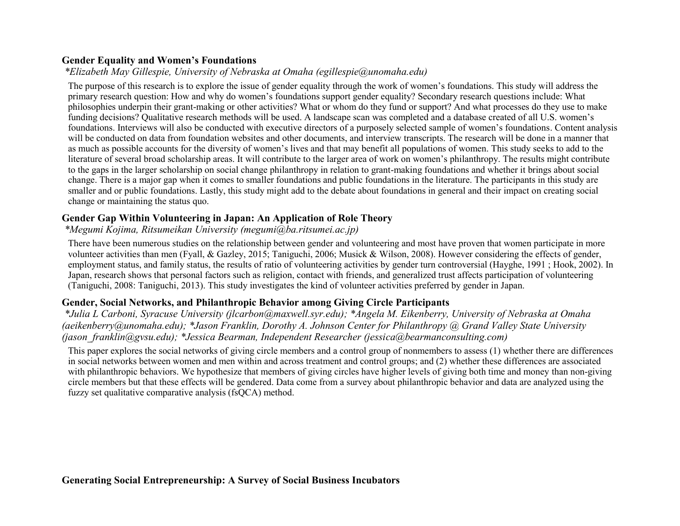### **Gender Equality and Women's Foundations**

# *\*Elizabeth May Gillespie, University of Nebraska at Omaha (egillespie@unomaha.edu)*

The purpose of this research is to explore the issue of gender equality through the work of women's foundations. This study will address the primary research question: How and why do women's foundations support gender equality? Secondary research questions include: What philosophies underpin their grant-making or other activities? What or whom do they fund or support? And what processes do they use to make funding decisions? Qualitative research methods will be used. A landscape scan was completed and a database created of all U.S. women's foundations. Interviews will also be conducted with executive directors of a purposely selected sample of women's foundations. Content analysis will be conducted on data from foundation websites and other documents, and interview transcripts. The research will be done in a manner that as much as possible accounts for the diversity of women's lives and that may benefit all populations of women. This study seeks to add to the literature of several broad scholarship areas. It will contribute to the larger area of work on women's philanthropy. The results might contribute to the gaps in the larger scholarship on social change philanthropy in relation to grant-making foundations and whether it brings about social change. There is a major gap when it comes to smaller foundations and public foundations in the literature. The participants in this study are smaller and or public foundations. Lastly, this study might add to the debate about foundations in general and their impact on creating social change or maintaining the status quo.

# **Gender Gap Within Volunteering in Japan: An Application of Role Theory**

# *\*Megumi Kojima, Ritsumeikan University (megumi@ba.ritsumei.ac.jp)*

There have been numerous studies on the relationship between gender and volunteering and most have proven that women participate in more volunteer activities than men (Fyall, & Gazley, 2015; Taniguchi, 2006; Musick & Wilson, 2008). However considering the effects of gender, employment status, and family status, the results of ratio of volunteering activities by gender turn controversial (Hayghe, 1991 ; Hook, 2002). In Japan, research shows that personal factors such as religion, contact with friends, and generalized trust affects participation of volunteering (Taniguchi, 2008: Taniguchi, 2013). This study investigates the kind of volunteer activities preferred by gender in Japan.

# **Gender, Social Networks, and Philanthropic Behavior among Giving Circle Participants**

*\*Julia L Carboni, Syracuse University (jlcarbon@maxwell.syr.edu); \*Angela M. Eikenberry, University of Nebraska at Omaha (aeikenberry@unomaha.edu); \*Jason Franklin, Dorothy A. Johnson Center for Philanthropy @ Grand Valley State University (jason\_franklin@gvsu.edu); \*Jessica Bearman, Independent Researcher (jessica@bearmanconsulting.com)*

This paper explores the social networks of giving circle members and a control group of nonmembers to assess (1) whether there are differences in social networks between women and men within and across treatment and control groups; and (2) whether these differences are associated with philanthropic behaviors. We hypothesize that members of giving circles have higher levels of giving both time and money than non-giving circle members but that these effects will be gendered. Data come from a survey about philanthropic behavior and data are analyzed using the fuzzy set qualitative comparative analysis (fsQCA) method.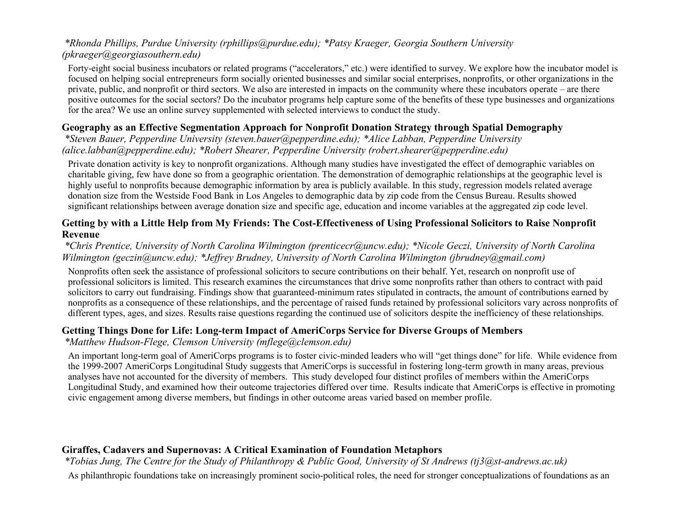### *\*Rhonda Phillips, Purdue University (rphillips@purdue.edu); \*Patsy Kraeger, Georgia Southern University (pkraeger@georgiasouthern.edu)*

Forty-eight social business incubators or related programs ("accelerators," etc.) were identified to survey. We explore how the incubator model is focused on helping social entrepreneurs form socially oriented businesses and similar social enterprises, nonprofits, or other organizations in the private, public, and nonprofit or third sectors. We also are interested in impacts on the community where these incubators operate – are there positive outcomes for the social sectors? Do the incubator programs help capture some of the benefits of these type businesses and organizations for the area? We use an online survey supplemented with selected interviews to conduct the study.

### **Geography as an Effective Segmentation Approach for Nonprofit Donation Strategy through Spatial Demography**

*\*Steven Bauer, Pepperdine University (steven.bauer@pepperdine.edu); \*Alice Labban, Pepperdine University (alice.labban@pepperdine.edu); \*Robert Shearer, Pepperdine University (robert.shearer@pepperdine.edu)*

Private donation activity is key to nonprofit organizations. Although many studies have investigated the effect of demographic variables on charitable giving, few have done so from a geographic orientation. The demonstration of demographic relationships at the geographic level is highly useful to nonprofits because demographic information by area is publicly available. In this study, regression models related average donation size from the Westside Food Bank in Los Angeles to demographic data by zip code from the Census Bureau. Results showed significant relationships between average donation size and specific age, education and income variables at the aggregated zip code level.

### **Getting by with a Little Help from My Friends: The Cost-Effectiveness of Using Professional Solicitors to Raise Nonprofit Revenue**

### *\*Chris Prentice, University of North Carolina Wilmington (prenticecr@uncw.edu); \*Nicole Geczi, University of North Carolina Wilmington (geczin@uncw.edu); \*Jeffrey Brudney, University of North Carolina Wilmington (jbrudney@gmail.com)*

Nonprofits often seek the assistance of professional solicitors to secure contributions on their behalf. Yet, research on nonprofit use of professional solicitors is limited. This research examines the circumstances that drive some nonprofits rather than others to contract with paid solicitors to carry out fundraising. Findings show that guaranteed-minimum rates stipulated in contracts, the amount of contributions earned by nonprofits as a consequence of these relationships, and the percentage of raised funds retained by professional solicitors vary across nonprofits of different types, ages, and sizes. Results raise questions regarding the continued use of solicitors despite the inefficiency of these relationships.

# **Getting Things Done for Life: Long-term Impact of AmeriCorps Service for Diverse Groups of Members**

*\*Matthew Hudson-Flege, Clemson University (mflege@clemson.edu)*

An important long-term goal of AmeriCorps programs is to foster civic-minded leaders who will "get things done" for life. While evidence from the 1999-2007 AmeriCorps Longitudinal Study suggests that AmeriCorps is successful in fostering long-term growth in many areas, previous analyses have not accounted for the diversity of members. This study developed four distinct profiles of members within the AmeriCorps Longitudinal Study, and examined how their outcome trajectories differed over time. Results indicate that AmeriCorps is effective in promoting civic engagement among diverse members, but findings in other outcome areas varied based on member profile.

# **Giraffes, Cadavers and Supernovas: A Critical Examination of Foundation Metaphors**

*\*Tobias Jung, The Centre for the Study of Philanthropy & Public Good, University of St Andrews (tj3@st-andrews.ac.uk)* As philanthropic foundations take on increasingly prominent socio-political roles, the need for stronger conceptualizations of foundations as an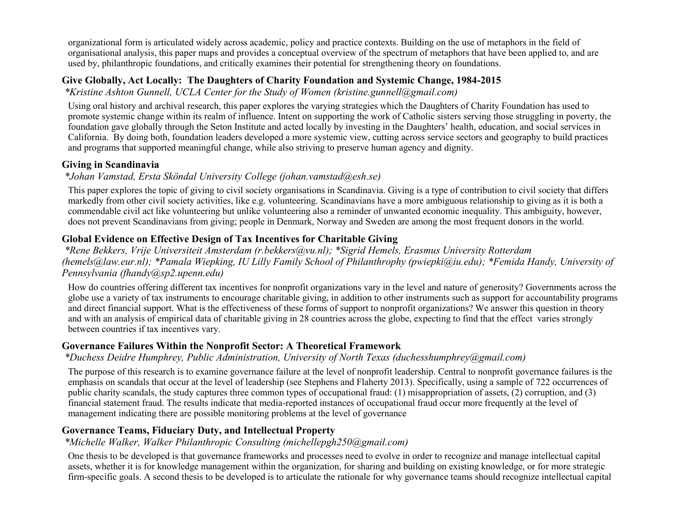organizational form is articulated widely across academic, policy and practice contexts. Building on the use of metaphors in the field of organisational analysis, this paper maps and provides a conceptual overview of the spectrum of metaphors that have been applied to, and are used by, philanthropic foundations, and critically examines their potential for strengthening theory on foundations.

### **Give Globally, Act Locally: The Daughters of Charity Foundation and Systemic Change, 1984-2015**

*\*Kristine Ashton Gunnell, UCLA Center for the Study of Women (kristine.gunnell@gmail.com)*

Using oral history and archival research, this paper explores the varying strategies which the Daughters of Charity Foundation has used to promote systemic change within its realm of influence. Intent on supporting the work of Catholic sisters serving those struggling in poverty, the foundation gave globally through the Seton Institute and acted locally by investing in the Daughters' health, education, and social services in California. By doing both, foundation leaders developed a more systemic view, cutting across service sectors and geography to build practices and programs that supported meaningful change, while also striving to preserve human agency and dignity.

### **Giving in Scandinavia**

# *\*Johan Vamstad, Ersta Sköndal University College (johan.vamstad@esh.se)*

This paper explores the topic of giving to civil society organisations in Scandinavia. Giving is a type of contribution to civil society that differs markedly from other civil society activities, like e.g. volunteering. Scandinavians have a more ambiguous relationship to giving as it is both a commendable civil act like volunteering but unlike volunteering also a reminder of unwanted economic inequality. This ambiguity, however, does not prevent Scandinavians from giving; people in Denmark, Norway and Sweden are among the most frequent donors in the world.

# **Global Evidence on Effective Design of Tax Incentives for Charitable Giving**

*\*Rene Bekkers, Vrije Universiteit Amsterdam (r.bekkers@vu.nl); \*Sigrid Hemels, Erasmus University Rotterdam (hemels@law.eur.nl); \*Pamala Wiepking, IU Lilly Family School of Philanthrophy (pwiepki@iu.edu); \*Femida Handy, University of Pennsylvania (fhandy@sp2.upenn.edu)*

How do countries offering different tax incentives for nonprofit organizations vary in the level and nature of generosity? Governments across the globe use a variety of tax instruments to encourage charitable giving, in addition to other instruments such as support for accountability programs and direct financial support. What is the effectiveness of these forms of support to nonprofit organizations? We answer this question in theory and with an analysis of empirical data of charitable giving in 28 countries across the globe, expecting to find that the effect varies strongly between countries if tax incentives vary.

# **Governance Failures Within the Nonprofit Sector: A Theoretical Framework**

# *\*Duchess Deidre Humphrey, Public Administration, University of North Texas (duchesshumphrey@gmail.com)*

The purpose of this research is to examine governance failure at the level of nonprofit leadership. Central to nonprofit governance failures is the emphasis on scandals that occur at the level of leadership (see Stephens and Flaherty 2013). Specifically, using a sample of 722 occurrences of public charity scandals, the study captures three common types of occupational fraud: (1) misappropriation of assets, (2) corruption, and (3) financial statement fraud. The results indicate that media-reported instances of occupational fraud occur more frequently at the level of management indicating there are possible monitoring problems at the level of governance

# **Governance Teams, Fiduciary Duty, and Intellectual Property**

*\*Michelle Walker, Walker Philanthropic Consulting (michellepgh250@gmail.com)*

One thesis to be developed is that governance frameworks and processes need to evolve in order to recognize and manage intellectual capital assets, whether it is for knowledge management within the organization, for sharing and building on existing knowledge, or for more strategic firm-specific goals. A second thesis to be developed is to articulate the rationale for why governance teams should recognize intellectual capital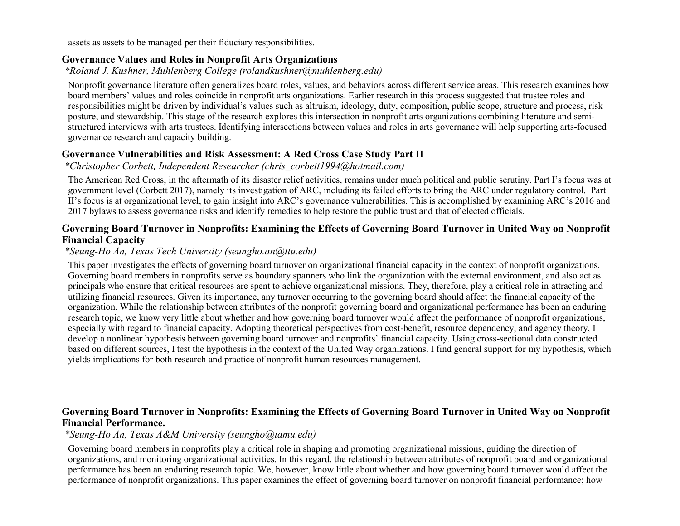assets as assets to be managed per their fiduciary responsibilities.

### **Governance Values and Roles in Nonprofit Arts Organizations**

*\*Roland J. Kushner, Muhlenberg College (rolandkushner@muhlenberg.edu)*

Nonprofit governance literature often generalizes board roles, values, and behaviors across different service areas. This research examines how board members' values and roles coincide in nonprofit arts organizations. Earlier research in this process suggested that trustee roles and responsibilities might be driven by individual's values such as altruism, ideology, duty, composition, public scope, structure and process, risk posture, and stewardship. This stage of the research explores this intersection in nonprofit arts organizations combining literature and semistructured interviews with arts trustees. Identifying intersections between values and roles in arts governance will help supporting arts-focused governance research and capacity building.

### **Governance Vulnerabilities and Risk Assessment: A Red Cross Case Study Part II**

*\*Christopher Corbett, Independent Researcher (chris\_corbett1994@hotmail.com)*

The American Red Cross, in the aftermath of its disaster relief activities, remains under much political and public scrutiny. Part I's focus was at government level (Corbett 2017), namely its investigation of ARC, including its failed efforts to bring the ARC under regulatory control. Part II's focus is at organizational level, to gain insight into ARC's governance vulnerabilities. This is accomplished by examining ARC's 2016 and 2017 bylaws to assess governance risks and identify remedies to help restore the public trust and that of elected officials.

### **Governing Board Turnover in Nonprofits: Examining the Effects of Governing Board Turnover in United Way on Nonprofit Financial Capacity**

### *\*Seung-Ho An, Texas Tech University (seungho.an@ttu.edu)*

This paper investigates the effects of governing board turnover on organizational financial capacity in the context of nonprofit organizations. Governing board members in nonprofits serve as boundary spanners who link the organization with the external environment, and also act as principals who ensure that critical resources are spent to achieve organizational missions. They, therefore, play a critical role in attracting and utilizing financial resources. Given its importance, any turnover occurring to the governing board should affect the financial capacity of the organization. While the relationship between attributes of the nonprofit governing board and organizational performance has been an enduring research topic, we know very little about whether and how governing board turnover would affect the performance of nonprofit organizations, especially with regard to financial capacity. Adopting theoretical perspectives from cost-benefit, resource dependency, and agency theory, I develop a nonlinear hypothesis between governing board turnover and nonprofits' financial capacity. Using cross-sectional data constructed based on different sources, I test the hypothesis in the context of the United Way organizations. I find general support for my hypothesis, which yields implications for both research and practice of nonprofit human resources management.

### **Governing Board Turnover in Nonprofits: Examining the Effects of Governing Board Turnover in United Way on Nonprofit Financial Performance.**

#### *\*Seung-Ho An, Texas A&M University (seungho@tamu.edu)*

Governing board members in nonprofits play a critical role in shaping and promoting organizational missions, guiding the direction of organizations, and monitoring organizational activities. In this regard, the relationship between attributes of nonprofit board and organizational performance has been an enduring research topic. We, however, know little about whether and how governing board turnover would affect the performance of nonprofit organizations. This paper examines the effect of governing board turnover on nonprofit financial performance; how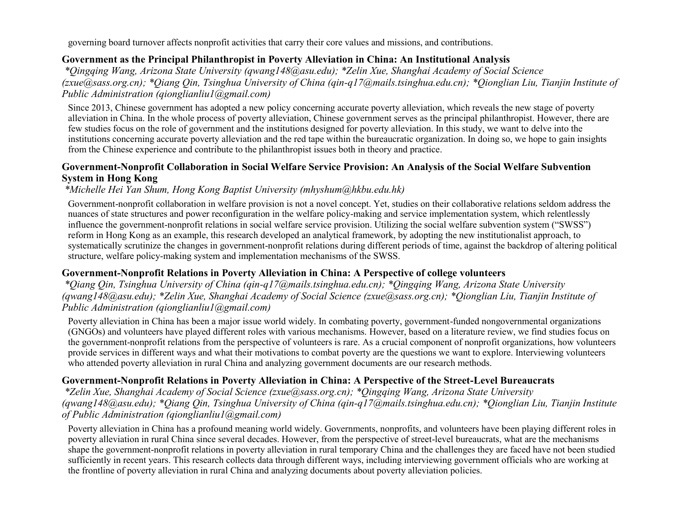governing board turnover affects nonprofit activities that carry their core values and missions, and contributions.

### **Government as the Principal Philanthropist in Poverty Alleviation in China: An Institutional Analysis**

*\*Qingqing Wang, Arizona State University (qwang148@asu.edu); \*Zelin Xue, Shanghai Academy of Social Science (zxue@sass.org.cn); \*Qiang Qin, Tsinghua University of China (qin-q17@mails.tsinghua.edu.cn); \*Qionglian Liu, Tianjin Institute of Public Administration (qionglianliu1@gmail.com)*

Since 2013, Chinese government has adopted a new policy concerning accurate poverty alleviation, which reveals the new stage of poverty alleviation in China. In the whole process of poverty alleviation, Chinese government serves as the principal philanthropist. However, there are few studies focus on the role of government and the institutions designed for poverty alleviation. In this study, we want to delve into the institutions concerning accurate poverty alleviation and the red tape within the bureaucratic organization. In doing so, we hope to gain insights from the Chinese experience and contribute to the philanthropist issues both in theory and practice.

### **Government-Nonprofit Collaboration in Social Welfare Service Provision: An Analysis of the Social Welfare Subvention System in Hong Kong**

### *\*Michelle Hei Yan Shum, Hong Kong Baptist University (mhyshum@hkbu.edu.hk)*

Government-nonprofit collaboration in welfare provision is not a novel concept. Yet, studies on their collaborative relations seldom address the nuances of state structures and power reconfiguration in the welfare policy-making and service implementation system, which relentlessly influence the government-nonprofit relations in social welfare service provision. Utilizing the social welfare subvention system ("SWSS") reform in Hong Kong as an example, this research developed an analytical framework, by adopting the new institutionalist approach, to systematically scrutinize the changes in government-nonprofit relations during different periods of time, against the backdrop of altering political structure, welfare policy-making system and implementation mechanisms of the SWSS.

#### **Government-Nonprofit Relations in Poverty Alleviation in China: A Perspective of college volunteers**

*\*Qiang Qin, Tsinghua University of China (qin-q17@mails.tsinghua.edu.cn); \*Qingqing Wang, Arizona State University (qwang148@asu.edu); \*Zelin Xue, Shanghai Academy of Social Science (zxue@sass.org.cn); \*Qionglian Liu, Tianjin Institute of Public Administration (qionglianliu1@gmail.com)*

Poverty alleviation in China has been a major issue world widely. In combating poverty, government-funded nongovernmental organizations (GNGOs) and volunteers have played different roles with various mechanisms. However, based on a literature review, we find studies focus on the government-nonprofit relations from the perspective of volunteers is rare. As a crucial component of nonprofit organizations, how volunteers provide services in different ways and what their motivations to combat poverty are the questions we want to explore. Interviewing volunteers who attended poverty alleviation in rural China and analyzing government documents are our research methods.

### **Government-Nonprofit Relations in Poverty Alleviation in China: A Perspective of the Street-Level Bureaucrats**

*\*Zelin Xue, Shanghai Academy of Social Science (zxue@sass.org.cn); \*Qingqing Wang, Arizona State University (qwang148@asu.edu); \*Qiang Qin, Tsinghua University of China (qin-q17@mails.tsinghua.edu.cn); \*Qionglian Liu, Tianjin Institute of Public Administration (qionglianliu1@gmail.com)*

Poverty alleviation in China has a profound meaning world widely. Governments, nonprofits, and volunteers have been playing different roles in poverty alleviation in rural China since several decades. However, from the perspective of street-level bureaucrats, what are the mechanisms shape the government-nonprofit relations in poverty alleviation in rural temporary China and the challenges they are faced have not been studied sufficiently in recent years. This research collects data through different ways, including interviewing government officials who are working at the frontline of poverty alleviation in rural China and analyzing documents about poverty alleviation policies.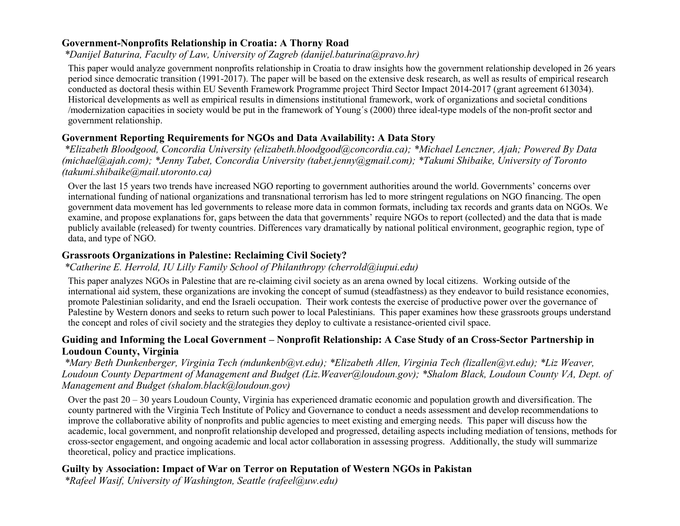### **Government-Nonprofits Relationship in Croatia: A Thorny Road**

### *\*Danijel Baturina, Faculty of Law, University of Zagreb (danijel.baturina@pravo.hr)*

This paper would analyze government nonprofits relationship in Croatia to draw insights how the government relationship developed in 26 years period since democratic transition (1991-2017). The paper will be based on the extensive desk research, as well as results of empirical research conducted as doctoral thesis within EU Seventh Framework Programme project Third Sector Impact 2014-2017 (grant agreement 613034). Historical developments as well as empirical results in dimensions institutional framework, work of organizations and societal conditions /modernization capacities in society would be put in the framework of Young´s (2000) three ideal-type models of the non-profit sector and government relationship.

### **Government Reporting Requirements for NGOs and Data Availability: A Data Story**

*\*Elizabeth Bloodgood, Concordia University (elizabeth.bloodgood@concordia.ca); \*Michael Lenczner, Ajah; Powered By Data (michael@ajah.com); \*Jenny Tabet, Concordia University (tabet.jenny@gmail.com); \*Takumi Shibaike, University of Toronto (takumi.shibaike@mail.utoronto.ca)*

Over the last 15 years two trends have increased NGO reporting to government authorities around the world. Governments' concerns over international funding of national organizations and transnational terrorism has led to more stringent regulations on NGO financing. The open government data movement has led governments to release more data in common formats, including tax records and grants data on NGOs. We examine, and propose explanations for, gaps between the data that governments' require NGOs to report (collected) and the data that is made publicly available (released) for twenty countries. Differences vary dramatically by national political environment, geographic region, type of data, and type of NGO.

### **Grassroots Organizations in Palestine: Reclaiming Civil Society?**

### *\*Catherine E. Herrold, IU Lilly Family School of Philanthropy (cherrold@iupui.edu)*

This paper analyzes NGOs in Palestine that are re-claiming civil society as an arena owned by local citizens. Working outside of the international aid system, these organizations are invoking the concept of sumud (steadfastness) as they endeavor to build resistance economies, promote Palestinian solidarity, and end the Israeli occupation. Their work contests the exercise of productive power over the governance of Palestine by Western donors and seeks to return such power to local Palestinians. This paper examines how these grassroots groups understand the concept and roles of civil society and the strategies they deploy to cultivate a resistance-oriented civil space.

### **Guiding and Informing the Local Government – Nonprofit Relationship: A Case Study of an Cross-Sector Partnership in Loudoun County, Virginia**

*\*Mary Beth Dunkenberger, Virginia Tech (mdunkenb@vt.edu); \*Elizabeth Allen, Virginia Tech (lizallen@vt.edu); \*Liz Weaver, Loudoun County Department of Management and Budget (Liz.Weaver@loudoun.gov); \*Shalom Black, Loudoun County VA, Dept. of Management and Budget (shalom.black@loudoun.gov)*

Over the past 20 – 30 years Loudoun County, Virginia has experienced dramatic economic and population growth and diversification. The county partnered with the Virginia Tech Institute of Policy and Governance to conduct a needs assessment and develop recommendations to improve the collaborative ability of nonprofits and public agencies to meet existing and emerging needs. This paper will discuss how the academic, local government, and nonprofit relationship developed and progressed, detailing aspects including mediation of tensions, methods for cross-sector engagement, and ongoing academic and local actor collaboration in assessing progress. Additionally, the study will summarize theoretical, policy and practice implications.

### **Guilty by Association: Impact of War on Terror on Reputation of Western NGOs in Pakistan**

*\*Rafeel Wasif, University of Washington, Seattle (rafeel@uw.edu)*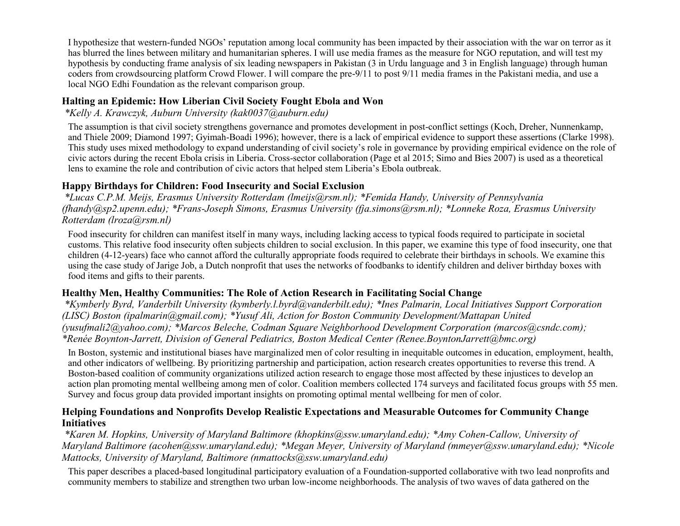I hypothesize that western-funded NGOs' reputation among local community has been impacted by their association with the war on terror as it has blurred the lines between military and humanitarian spheres. I will use media frames as the measure for NGO reputation, and will test my hypothesis by conducting frame analysis of six leading newspapers in Pakistan (3 in Urdu language and 3 in English language) through human coders from crowdsourcing platform Crowd Flower. I will compare the pre-9/11 to post 9/11 media frames in the Pakistani media, and use a local NGO Edhi Foundation as the relevant comparison group.

### **Halting an Epidemic: How Liberian Civil Society Fought Ebola and Won**

*\*Kelly A. Krawczyk, Auburn University (kak0037@auburn.edu)*

The assumption is that civil society strengthens governance and promotes development in post-conflict settings (Koch, Dreher, Nunnenkamp, and Thiele 2009; Diamond 1997; Gyimah-Boadi 1996); however, there is a lack of empirical evidence to support these assertions (Clarke 1998). This study uses mixed methodology to expand understanding of civil society's role in governance by providing empirical evidence on the role of civic actors during the recent Ebola crisis in Liberia. Cross-sector collaboration (Page et al 2015; Simo and Bies 2007) is used as a theoretical lens to examine the role and contribution of civic actors that helped stem Liberia's Ebola outbreak.

### **Happy Birthdays for Children: Food Insecurity and Social Exclusion**

*\*Lucas C.P.M. Meijs, Erasmus University Rotterdam (lmeijs@rsm.nl); \*Femida Handy, University of Pennsylvania (fhandy@sp2.upenn.edu); \*Frans-Joseph Simons, Erasmus University (fja.simons@rsm.nl); \*Lonneke Roza, Erasmus University Rotterdam (lroza@rsm.nl)*

Food insecurity for children can manifest itself in many ways, including lacking access to typical foods required to participate in societal customs. This relative food insecurity often subjects children to social exclusion. In this paper, we examine this type of food insecurity, one that children (4-12-years) face who cannot afford the culturally appropriate foods required to celebrate their birthdays in schools. We examine this using the case study of Jarige Job, a Dutch nonprofit that uses the networks of foodbanks to identify children and deliver birthday boxes with food items and gifts to their parents.

# **Healthy Men, Healthy Communities: The Role of Action Research in Facilitating Social Change**

*\*Kymberly Byrd, Vanderbilt University (kymberly.l.byrd@vanderbilt.edu); \*Ines Palmarin, Local Initiatives Support Corporation (LISC) Boston (ipalmarin@gmail.com); \*Yusuf Ali, Action for Boston Community Development/Mattapan United (yusufmali2@yahoo.com); \*Marcos Beleche, Codman Square Neighborhood Development Corporation (marcos@csndc.com); \*Renée Boynton-Jarrett, Division of General Pediatrics, Boston Medical Center (Renee.BoyntonJarrett@bmc.org)*

In Boston, systemic and institutional biases have marginalized men of color resulting in inequitable outcomes in education, employment, health, and other indicators of wellbeing. By prioritizing partnership and participation, action research creates opportunities to reverse this trend. A Boston-based coalition of community organizations utilized action research to engage those most affected by these injustices to develop an action plan promoting mental wellbeing among men of color. Coalition members collected 174 surveys and facilitated focus groups with 55 men. Survey and focus group data provided important insights on promoting optimal mental wellbeing for men of color.

### **Helping Foundations and Nonprofits Develop Realistic Expectations and Measurable Outcomes for Community Change Initiatives**

*\*Karen M. Hopkins, University of Maryland Baltimore (khopkins@ssw.umaryland.edu); \*Amy Cohen-Callow, University of Maryland Baltimore (acohen@ssw.umaryland.edu); \*Megan Meyer, University of Maryland (mmeyer@ssw.umaryland.edu); \*Nicole Mattocks, University of Maryland, Baltimore (nmattocks@ssw.umaryland.edu)*

This paper describes a placed-based longitudinal participatory evaluation of a Foundation-supported collaborative with two lead nonprofits and community members to stabilize and strengthen two urban low-income neighborhoods. The analysis of two waves of data gathered on the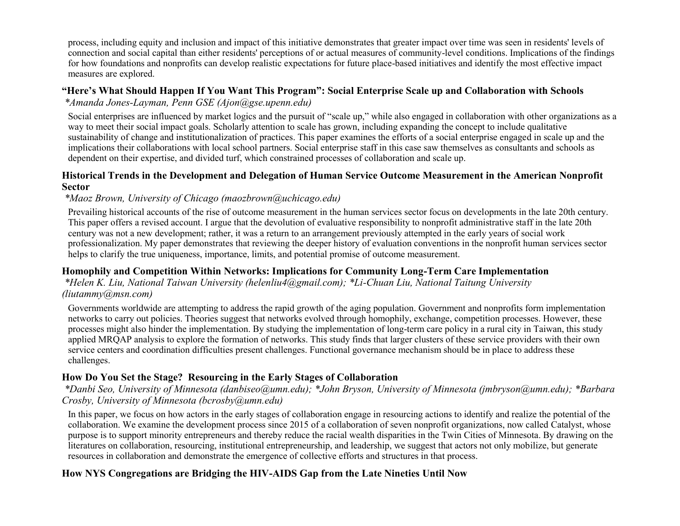process, including equity and inclusion and impact of this initiative demonstrates that greater impact over time was seen in residents' levels of connection and social capital than either residents' perceptions of or actual measures of community-level conditions. Implications of the findings for how foundations and nonprofits can develop realistic expectations for future place-based initiatives and identify the most effective impact measures are explored.

### **"Here's What Should Happen If You Want This Program": Social Enterprise Scale up and Collaboration with Schools**

*\*Amanda Jones-Layman, Penn GSE (Ajon@gse.upenn.edu)*

Social enterprises are influenced by market logics and the pursuit of "scale up," while also engaged in collaboration with other organizations as a way to meet their social impact goals. Scholarly attention to scale has grown, including expanding the concept to include qualitative sustainability of change and institutionalization of practices. This paper examines the efforts of a social enterprise engaged in scale up and the implications their collaborations with local school partners. Social enterprise staff in this case saw themselves as consultants and schools as dependent on their expertise, and divided turf, which constrained processes of collaboration and scale up.

### **Historical Trends in the Development and Delegation of Human Service Outcome Measurement in the American Nonprofit Sector**

# *\*Maoz Brown, University of Chicago (maozbrown@uchicago.edu)*

Prevailing historical accounts of the rise of outcome measurement in the human services sector focus on developments in the late 20th century. This paper offers a revised account. I argue that the devolution of evaluative responsibility to nonprofit administrative staff in the late 20th century was not a new development; rather, it was a return to an arrangement previously attempted in the early years of social work professionalization. My paper demonstrates that reviewing the deeper history of evaluation conventions in the nonprofit human services sector helps to clarify the true uniqueness, importance, limits, and potential promise of outcome measurement.

# **Homophily and Competition Within Networks: Implications for Community Long-Term Care Implementation**

### *\*Helen K. Liu, National Taiwan University (helenliu4@gmail.com); \*Li-Chuan Liu, National Taitung University (liutammy@msn.com)*

Governments worldwide are attempting to address the rapid growth of the aging population. Government and nonprofits form implementation networks to carry out policies. Theories suggest that networks evolved through homophily, exchange, competition processes. However, these processes might also hinder the implementation. By studying the implementation of long-term care policy in a rural city in Taiwan, this study applied MRQAP analysis to explore the formation of networks. This study finds that larger clusters of these service providers with their own service centers and coordination difficulties present challenges. Functional governance mechanism should be in place to address these challenges.

# **How Do You Set the Stage? Resourcing in the Early Stages of Collaboration**

*\*Danbi Seo, University of Minnesota (danbiseo@umn.edu); \*John Bryson, University of Minnesota (jmbryson@umn.edu); \*Barbara Crosby, University of Minnesota (bcrosby@umn.edu)*

In this paper, we focus on how actors in the early stages of collaboration engage in resourcing actions to identify and realize the potential of the collaboration. We examine the development process since 2015 of a collaboration of seven nonprofit organizations, now called Catalyst, whose purpose is to support minority entrepreneurs and thereby reduce the racial wealth disparities in the Twin Cities of Minnesota. By drawing on the literatures on collaboration, resourcing, institutional entrepreneurship, and leadership, we suggest that actors not only mobilize, but generate resources in collaboration and demonstrate the emergence of collective efforts and structures in that process.

# **How NYS Congregations are Bridging the HIV-AIDS Gap from the Late Nineties Until Now**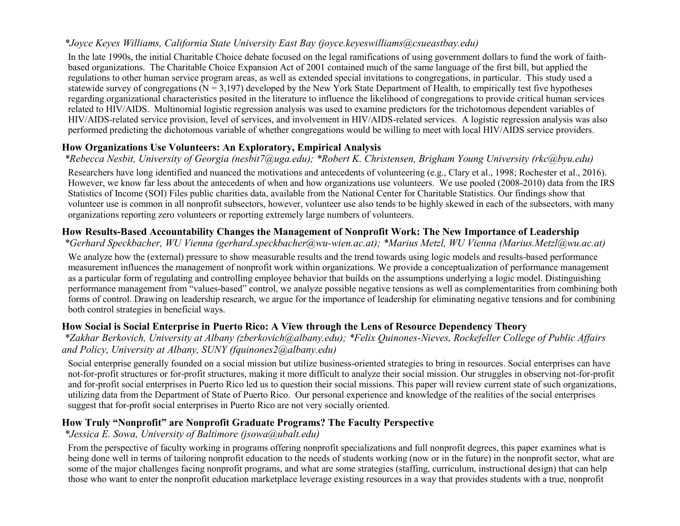# *\*Joyce Keyes Williams, California State University East Bay (joyce.keyeswilliams@csueastbay.edu)*

In the late 1990s, the initial Charitable Choice debate focused on the legal ramifications of using government dollars to fund the work of faithbased organizations. The Charitable Choice Expansion Act of 2001 contained much of the same language of the first bill, but applied the regulations to other human service program areas, as well as extended special invitations to congregations, in particular. This study used a statewide survey of congregations ( $N = 3,197$ ) developed by the New York State Department of Health, to empirically test five hypotheses regarding organizational characteristics posited in the literature to influence the likelihood of congregations to provide critical human services related to HIV/AIDS. Multinomial logistic regression analysis was used to examine predictors for the trichotomous dependent variables of HIV/AIDS-related service provision, level of services, and involvement in HIV/AIDS-related services. A logistic regression analysis was also performed predicting the dichotomous variable of whether congregations would be willing to meet with local HIV/AIDS service providers.

# **How Organizations Use Volunteers: An Exploratory, Empirical Analysis**

# *\*Rebecca Nesbit, University of Georgia (nesbit7@uga.edu); \*Robert K. Christensen, Brigham Young University (rkc@byu.edu)*

Researchers have long identified and nuanced the motivations and antecedents of volunteering (e.g., Clary et al., 1998; Rochester et al., 2016). However, we know far less about the antecedents of when and how organizations use volunteers. We use pooled (2008-2010) data from the IRS Statistics of Income (SOI) Files public charities data, available from the National Center for Charitable Statistics. Our findings show that volunteer use is common in all nonprofit subsectors, however, volunteer use also tends to be highly skewed in each of the subsectors, with many organizations reporting zero volunteers or reporting extremely large numbers of volunteers.

# **How Results-Based Accountability Changes the Management of Nonprofit Work: The New Importance of Leadership**

*\*Gerhard Speckbacher, WU Vienna (gerhard.speckbacher@wu-wien.ac.at); \*Marius Metzl, WU Vienna (Marius.Metzl@wu.ac.at)*

We analyze how the (external) pressure to show measurable results and the trend towards using logic models and results-based performance measurement influences the management of nonprofit work within organizations. We provide a conceptualization of performance management as a particular form of regulating and controlling employee behavior that builds on the assumptions underlying a logic model. Distinguishing performance management from "values-based" control, we analyze possible negative tensions as well as complementarities from combining both forms of control. Drawing on leadership research, we argue for the importance of leadership for eliminating negative tensions and for combining both control strategies in beneficial ways.

# **How Social is Social Enterprise in Puerto Rico: A View through the Lens of Resource Dependency Theory**

*\*Zakhar Berkovich, University at Albany (zberkovich@albany.edu); \*Felix Quinones-Nieves, Rockefeller College of Public Affairs and Policy, University at Albany, SUNY (fquinones2@albany.edu)*

Social enterprise generally founded on a social mission but utilize business-oriented strategies to bring in resources. Social enterprises can have not-for-profit structures or for-profit structures, making it more difficult to analyze their social mission. Our struggles in observing not-for-profit and for-profit social enterprises in Puerto Rico led us to question their social missions. This paper will review current state of such organizations, utilizing data from the Department of State of Puerto Rico. Our personal experience and knowledge of the realities of the social enterprises suggest that for-profit social enterprises in Puerto Rico are not very socially oriented.

# **How Truly "Nonprofit" are Nonprofit Graduate Programs? The Faculty Perspective**

# *\*Jessica E. Sowa, University of Baltimore (jsowa@ubalt.edu)*

From the perspective of faculty working in programs offering nonprofit specializations and full nonprofit degrees, this paper examines what is being done well in terms of tailoring nonprofit education to the needs of students working (now or in the future) in the nonprofit sector, what are some of the major challenges facing nonprofit programs, and what are some strategies (staffing, curriculum, instructional design) that can help those who want to enter the nonprofit education marketplace leverage existing resources in a way that provides students with a true, nonprofit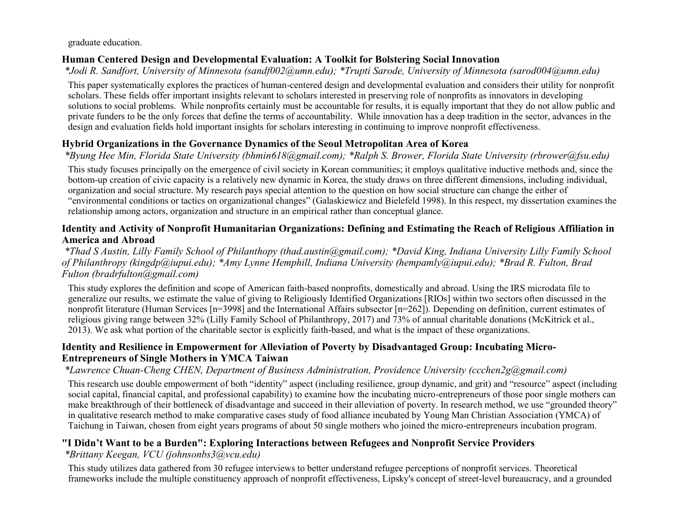graduate education.

# **Human Centered Design and Developmental Evaluation: A Toolkit for Bolstering Social Innovation**

*\*Jodi R. Sandfort, University of Minnesota (sandf002@umn.edu); \*Trupti Sarode, University of Minnesota (sarod004@umn.edu)*

This paper systematically explores the practices of human-centered design and developmental evaluation and considers their utility for nonprofit scholars. These fields offer important insights relevant to scholars interested in preserving role of nonprofits as innovators in developing solutions to social problems. While nonprofits certainly must be accountable for results, it is equally important that they do not allow public and private funders to be the only forces that define the terms of accountability. While innovation has a deep tradition in the sector, advances in the design and evaluation fields hold important insights for scholars interesting in continuing to improve nonprofit effectiveness.

# **Hybrid Organizations in the Governance Dynamics of the Seoul Metropolitan Area of Korea**

*\*Byung Hee Min, Florida State University (bhmin618@gmail.com); \*Ralph S. Brower, Florida State University (rbrower@fsu.edu)*

This study focuses principally on the emergence of civil society in Korean communities; it employs qualitative inductive methods and, since the bottom-up creation of civic capacity is a relatively new dynamic in Korea, the study draws on three different dimensions, including individual, organization and social structure. My research pays special attention to the question on how social structure can change the either of "environmental conditions or tactics on organizational changes" (Galaskiewicz and Bielefeld 1998). In this respect, my dissertation examines the relationship among actors, organization and structure in an empirical rather than conceptual glance.

### **Identity and Activity of Nonprofit Humanitarian Organizations: Defining and Estimating the Reach of Religious Affiliation in America and Abroad**

*\*Thad S Austin, Lilly Family School of Philanthopy (thad.austin@gmail.com); \*David King, Indiana University Lilly Family School of Philanthropy (kingdp@iupui.edu); \*Amy Lynne Hemphill, Indiana University (hempamly@iupui.edu); \*Brad R. Fulton, Brad Fulton (bradrfulton@gmail.com)*

This study explores the definition and scope of American faith-based nonprofits, domestically and abroad. Using the IRS microdata file to generalize our results, we estimate the value of giving to Religiously Identified Organizations [RIOs] within two sectors often discussed in the nonprofit literature (Human Services [n=3998] and the International Affairs subsector [n=262]). Depending on definition, current estimates of religious giving range between 32% (Lilly Family School of Philanthropy, 2017) and 73% of annual charitable donations (McKitrick et al., 2013). We ask what portion of the charitable sector is explicitly faith-based, and what is the impact of these organizations.

### **Identity and Resilience in Empowerment for Alleviation of Poverty by Disadvantaged Group: Incubating Micro-Entrepreneurs of Single Mothers in YMCA Taiwan**

*\*Lawrence Chuan-Cheng CHEN, Department of Business Administration, Providence University (ccchen2g@gmail.com)*

This research use double empowerment of both "identity" aspect (including resilience, group dynamic, and grit) and "resource" aspect (including social capital, financial capital, and professional capability) to examine how the incubating micro-entrepreneurs of those poor single mothers can make breakthrough of their bottleneck of disadvantage and succeed in their alleviation of poverty. In research method, we use "grounded theory" in qualitative research method to make comparative cases study of food alliance incubated by Young Man Christian Association (YMCA) of Taichung in Taiwan, chosen from eight years programs of about 50 single mothers who joined the micro-entrepreneurs incubation program.

# **"I Didn't Want to be a Burden": Exploring Interactions between Refugees and Nonprofit Service Providers**

*\*Brittany Keegan, VCU (johnsonbs3@vcu.edu)*

This study utilizes data gathered from 30 refugee interviews to better understand refugee perceptions of nonprofit services. Theoretical frameworks include the multiple constituency approach of nonprofit effectiveness, Lipsky's concept of street-level bureaucracy, and a grounded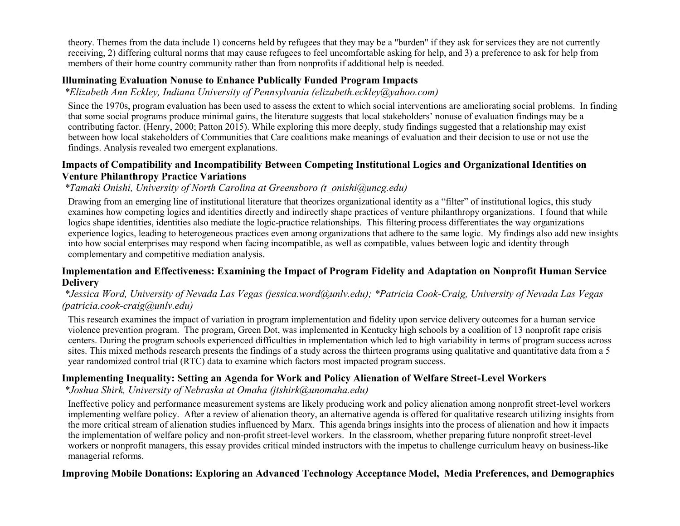theory. Themes from the data include 1) concerns held by refugees that they may be a "burden" if they ask for services they are not currently receiving, 2) differing cultural norms that may cause refugees to feel uncomfortable asking for help, and 3) a preference to ask for help from members of their home country community rather than from nonprofits if additional help is needed.

### **Illuminating Evaluation Nonuse to Enhance Publically Funded Program Impacts**

*\*Elizabeth Ann Eckley, Indiana University of Pennsylvania (elizabeth.eckley@yahoo.com)*

Since the 1970s, program evaluation has been used to assess the extent to which social interventions are ameliorating social problems. In finding that some social programs produce minimal gains, the literature suggests that local stakeholders' nonuse of evaluation findings may be a contributing factor. (Henry, 2000; Patton 2015). While exploring this more deeply, study findings suggested that a relationship may exist between how local stakeholders of Communities that Care coalitions make meanings of evaluation and their decision to use or not use the findings. Analysis revealed two emergent explanations.

### **Impacts of Compatibility and Incompatibility Between Competing Institutional Logics and Organizational Identities on Venture Philanthropy Practice Variations**

# *\*Tamaki Onishi, University of North Carolina at Greensboro (t\_onishi@uncg.edu)*

Drawing from an emerging line of institutional literature that theorizes organizational identity as a "filter" of institutional logics, this study examines how competing logics and identities directly and indirectly shape practices of venture philanthropy organizations. I found that while logics shape identities, identities also mediate the logic-practice relationships. This filtering process differentiates the way organizations experience logics, leading to heterogeneous practices even among organizations that adhere to the same logic. My findings also add new insights into how social enterprises may respond when facing incompatible, as well as compatible, values between logic and identity through complementary and competitive mediation analysis.

### **Implementation and Effectiveness: Examining the Impact of Program Fidelity and Adaptation on Nonprofit Human Service Delivery**

### *\*Jessica Word, University of Nevada Las Vegas (jessica.word@unlv.edu); \*Patricia Cook-Craig, University of Nevada Las Vegas (patricia.cook-craig@unlv.edu)*

This research examines the impact of variation in program implementation and fidelity upon service delivery outcomes for a human service violence prevention program. The program, Green Dot, was implemented in Kentucky high schools by a coalition of 13 nonprofit rape crisis centers. During the program schools experienced difficulties in implementation which led to high variability in terms of program success across sites. This mixed methods research presents the findings of a study across the thirteen programs using qualitative and quantitative data from a 5 year randomized control trial (RTC) data to examine which factors most impacted program success.

# **Implementing Inequality: Setting an Agenda for Work and Policy Alienation of Welfare Street-Level Workers**

*\*Joshua Shirk, University of Nebraska at Omaha (jtshirk@unomaha.edu)*

Ineffective policy and performance measurement systems are likely producing work and policy alienation among nonprofit street-level workers implementing welfare policy. After a review of alienation theory, an alternative agenda is offered for qualitative research utilizing insights from the more critical stream of alienation studies influenced by Marx. This agenda brings insights into the process of alienation and how it impacts the implementation of welfare policy and non-profit street-level workers. In the classroom, whether preparing future nonprofit street-level workers or nonprofit managers, this essay provides critical minded instructors with the impetus to challenge curriculum heavy on business-like managerial reforms.

# **Improving Mobile Donations: Exploring an Advanced Technology Acceptance Model, Media Preferences, and Demographics**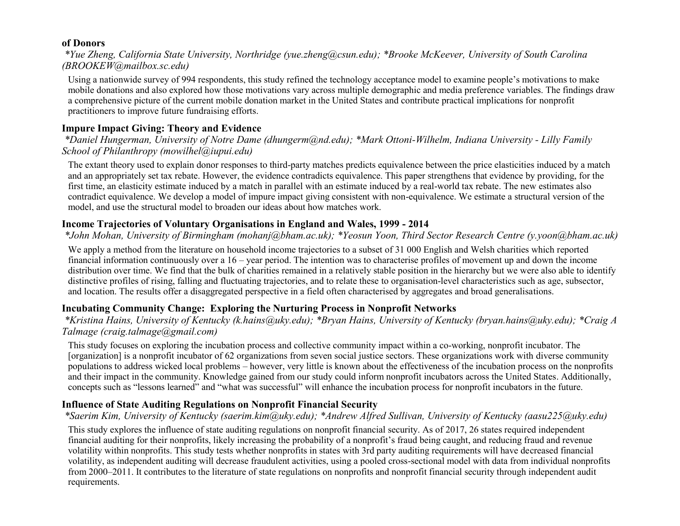### **of Donors**

*\*Yue Zheng, California State University, Northridge (yue.zheng@csun.edu); \*Brooke McKeever, University of South Carolina (BROOKEW@mailbox.sc.edu)*

Using a nationwide survey of 994 respondents, this study refined the technology acceptance model to examine people's motivations to make mobile donations and also explored how those motivations vary across multiple demographic and media preference variables. The findings draw a comprehensive picture of the current mobile donation market in the United States and contribute practical implications for nonprofit practitioners to improve future fundraising efforts.

# **Impure Impact Giving: Theory and Evidence**

*\*Daniel Hungerman, University of Notre Dame (dhungerm@nd.edu); \*Mark Ottoni-Wilhelm, Indiana University - Lilly Family School of Philanthropy (mowilhel@iupui.edu)*

The extant theory used to explain donor responses to third-party matches predicts equivalence between the price elasticities induced by a match and an appropriately set tax rebate. However, the evidence contradicts equivalence. This paper strengthens that evidence by providing, for the first time, an elasticity estimate induced by a match in parallel with an estimate induced by a real-world tax rebate. The new estimates also contradict equivalence. We develop a model of impure impact giving consistent with non-equivalence. We estimate a structural version of the model, and use the structural model to broaden our ideas about how matches work.

# **Income Trajectories of Voluntary Organisations in England and Wales, 1999 - 2014**

*\*John Mohan, University of Birmingham (mohanj@bham.ac.uk); \*Yeosun Yoon, Third Sector Research Centre (y.yoon@bham.ac.uk)*

We apply a method from the literature on household income trajectories to a subset of 31 000 English and Welsh charities which reported financial information continuously over a 16 – year period. The intention was to characterise profiles of movement up and down the income distribution over time. We find that the bulk of charities remained in a relatively stable position in the hierarchy but we were also able to identify distinctive profiles of rising, falling and fluctuating trajectories, and to relate these to organisation-level characteristics such as age, subsector, and location. The results offer a disaggregated perspective in a field often characterised by aggregates and broad generalisations.

# **Incubating Community Change: Exploring the Nurturing Process in Nonprofit Networks**

*\*Kristina Hains, University of Kentucky (k.hains@uky.edu); \*Bryan Hains, University of Kentucky (bryan.hains@uky.edu); \*Craig A Talmage (craig.talmage@gmail.com)*

This study focuses on exploring the incubation process and collective community impact within a co-working, nonprofit incubator. The [organization] is a nonprofit incubator of 62 organizations from seven social justice sectors. These organizations work with diverse community populations to address wicked local problems – however, very little is known about the effectiveness of the incubation process on the nonprofits and their impact in the community. Knowledge gained from our study could inform nonprofit incubators across the United States. Additionally, concepts such as "lessons learned" and "what was successful" will enhance the incubation process for nonprofit incubators in the future.

# **Influence of State Auditing Regulations on Nonprofit Financial Security**

*\*Saerim Kim, University of Kentucky (saerim.kim@uky.edu); \*Andrew Alfred Sullivan, University of Kentucky (aasu225@uky.edu)*

This study explores the influence of state auditing regulations on nonprofit financial security. As of 2017, 26 states required independent financial auditing for their nonprofits, likely increasing the probability of a nonprofit's fraud being caught, and reducing fraud and revenue volatility within nonprofits. This study tests whether nonprofits in states with 3rd party auditing requirements will have decreased financial volatility, as independent auditing will decrease fraudulent activities, using a pooled cross-sectional model with data from individual nonprofits from 2000–2011. It contributes to the literature of state regulations on nonprofits and nonprofit financial security through independent audit requirements.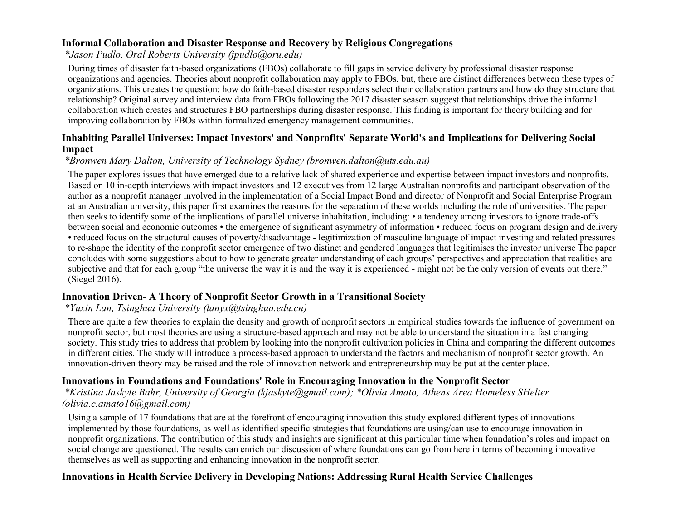### **Informal Collaboration and Disaster Response and Recovery by Religious Congregations**

*\*Jason Pudlo, Oral Roberts University (jpudlo@oru.edu)*

During times of disaster faith-based organizations (FBOs) collaborate to fill gaps in service delivery by professional disaster response organizations and agencies. Theories about nonprofit collaboration may apply to FBOs, but, there are distinct differences between these types of organizations. This creates the question: how do faith-based disaster responders select their collaboration partners and how do they structure that relationship? Original survey and interview data from FBOs following the 2017 disaster season suggest that relationships drive the informal collaboration which creates and structures FBO partnerships during disaster response. This finding is important for theory building and for improving collaboration by FBOs within formalized emergency management communities.

### **Inhabiting Parallel Universes: Impact Investors' and Nonprofits' Separate World's and Implications for Delivering Social Impact**

### *\*Bronwen Mary Dalton, University of Technology Sydney (bronwen.dalton@uts.edu.au)*

The paper explores issues that have emerged due to a relative lack of shared experience and expertise between impact investors and nonprofits. Based on 10 in-depth interviews with impact investors and 12 executives from 12 large Australian nonprofits and participant observation of the author as a nonprofit manager involved in the implementation of a Social Impact Bond and director of Nonprofit and Social Enterprise Program at an Australian university, this paper first examines the reasons for the separation of these worlds including the role of universities. The paper then seeks to identify some of the implications of parallel universe inhabitation, including: • a tendency among investors to ignore trade-offs between social and economic outcomes • the emergence of significant asymmetry of information • reduced focus on program design and delivery • reduced focus on the structural causes of poverty/disadvantage - legitimization of masculine language of impact investing and related pressures to re-shape the identity of the nonprofit sector emergence of two distinct and gendered languages that legitimises the investor universe The paper concludes with some suggestions about to how to generate greater understanding of each groups' perspectives and appreciation that realities are subjective and that for each group "the universe the way it is and the way it is experienced - might not be the only version of events out there." (Siegel 2016).

### **Innovation Driven- A Theory of Nonprofit Sector Growth in a Transitional Society**

### *\*Yuxin Lan, Tsinghua University (lanyx@tsinghua.edu.cn)*

There are quite a few theories to explain the density and growth of nonprofit sectors in empirical studies towards the influence of government on nonprofit sector, but most theories are using a structure-based approach and may not be able to understand the situation in a fast changing society. This study tries to address that problem by looking into the nonprofit cultivation policies in China and comparing the different outcomes in different cities. The study will introduce a process-based approach to understand the factors and mechanism of nonprofit sector growth. An innovation-driven theory may be raised and the role of innovation network and entrepreneurship may be put at the center place.

### **Innovations in Foundations and Foundations' Role in Encouraging Innovation in the Nonprofit Sector**

### *\*Kristina Jaskyte Bahr, University of Georgia (kjaskyte@gmail.com); \*Olivia Amato, Athens Area Homeless SHelter (olivia.c.amato16@gmail.com)*

Using a sample of 17 foundations that are at the forefront of encouraging innovation this study explored different types of innovations implemented by those foundations, as well as identified specific strategies that foundations are using/can use to encourage innovation in nonprofit organizations. The contribution of this study and insights are significant at this particular time when foundation's roles and impact on social change are questioned. The results can enrich our discussion of where foundations can go from here in terms of becoming innovative themselves as well as supporting and enhancing innovation in the nonprofit sector.

# **Innovations in Health Service Delivery in Developing Nations: Addressing Rural Health Service Challenges**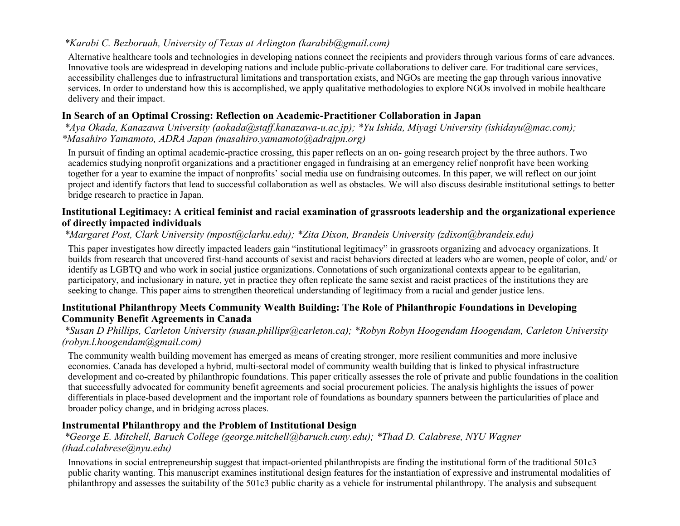# *\*Karabi C. Bezboruah, University of Texas at Arlington (karabib@gmail.com)*

Alternative healthcare tools and technologies in developing nations connect the recipients and providers through various forms of care advances. Innovative tools are widespread in developing nations and include public-private collaborations to deliver care. For traditional care services, accessibility challenges due to infrastructural limitations and transportation exists, and NGOs are meeting the gap through various innovative services. In order to understand how this is accomplished, we apply qualitative methodologies to explore NGOs involved in mobile healthcare delivery and their impact.

# **In Search of an Optimal Crossing: Reflection on Academic-Practitioner Collaboration in Japan**

*\*Aya Okada, Kanazawa University (aokada@staff.kanazawa-u.ac.jp); \*Yu Ishida, Miyagi University (ishidayu@mac.com); \*Masahiro Yamamoto, ADRA Japan (masahiro.yamamoto@adrajpn.org)*

In pursuit of finding an optimal academic-practice crossing, this paper reflects on an on- going research project by the three authors. Two academics studying nonprofit organizations and a practitioner engaged in fundraising at an emergency relief nonprofit have been working together for a year to examine the impact of nonprofits' social media use on fundraising outcomes. In this paper, we will reflect on our joint project and identify factors that lead to successful collaboration as well as obstacles. We will also discuss desirable institutional settings to better bridge research to practice in Japan.

### **Institutional Legitimacy: A critical feminist and racial examination of grassroots leadership and the organizational experience of directly impacted individuals**

### *\*Margaret Post, Clark University (mpost@clarku.edu); \*Zita Dixon, Brandeis University (zdixon@brandeis.edu)*

This paper investigates how directly impacted leaders gain "institutional legitimacy" in grassroots organizing and advocacy organizations. It builds from research that uncovered first-hand accounts of sexist and racist behaviors directed at leaders who are women, people of color, and/ or identify as LGBTQ and who work in social justice organizations. Connotations of such organizational contexts appear to be egalitarian, participatory, and inclusionary in nature, yet in practice they often replicate the same sexist and racist practices of the institutions they are seeking to change. This paper aims to strengthen theoretical understanding of legitimacy from a racial and gender justice lens.

### **Institutional Philanthropy Meets Community Wealth Building: The Role of Philanthropic Foundations in Developing Community Benefit Agreements in Canada**

### *\*Susan D Phillips, Carleton University (susan.phillips@carleton.ca); \*Robyn Robyn Hoogendam Hoogendam, Carleton University (robyn.l.hoogendam@gmail.com)*

The community wealth building movement has emerged as means of creating stronger, more resilient communities and more inclusive economies. Canada has developed a hybrid, multi-sectoral model of community wealth building that is linked to physical infrastructure development and co-created by philanthropic foundations. This paper critically assesses the role of private and public foundations in the coalition that successfully advocated for community benefit agreements and social procurement policies. The analysis highlights the issues of power differentials in place-based development and the important role of foundations as boundary spanners between the particularities of place and broader policy change, and in bridging across places.

# **Instrumental Philanthropy and the Problem of Institutional Design**

### *\*George E. Mitchell, Baruch College (george.mitchell@baruch.cuny.edu); \*Thad D. Calabrese, NYU Wagner (thad.calabrese@nyu.edu)*

Innovations in social entrepreneurship suggest that impact-oriented philanthropists are finding the institutional form of the traditional 501c3 public charity wanting. This manuscript examines institutional design features for the instantiation of expressive and instrumental modalities of philanthropy and assesses the suitability of the 501c3 public charity as a vehicle for instrumental philanthropy. The analysis and subsequent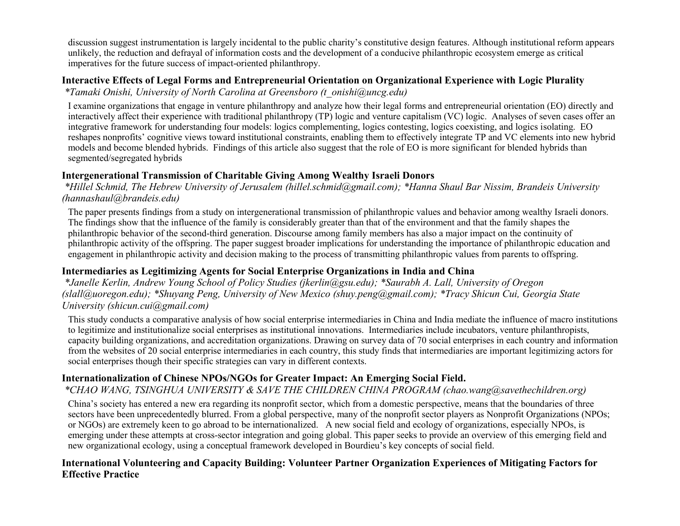discussion suggest instrumentation is largely incidental to the public charity's constitutive design features. Although institutional reform appears unlikely, the reduction and defrayal of information costs and the development of a conducive philanthropic ecosystem emerge as critical imperatives for the future success of impact-oriented philanthropy.

# **Interactive Effects of Legal Forms and Entrepreneurial Orientation on Organizational Experience with Logic Plurality**

*\*Tamaki Onishi, University of North Carolina at Greensboro (t\_onishi@uncg.edu)*

I examine organizations that engage in venture philanthropy and analyze how their legal forms and entrepreneurial orientation (EO) directly and interactively affect their experience with traditional philanthropy (TP) logic and venture capitalism (VC) logic. Analyses of seven cases offer an integrative framework for understanding four models: logics complementing, logics contesting, logics coexisting, and logics isolating. EO reshapes nonprofits' cognitive views toward institutional constraints, enabling them to effectively integrate TP and VC elements into new hybrid models and become blended hybrids. Findings of this article also suggest that the role of EO is more significant for blended hybrids than segmented/segregated hybrids

# **Intergenerational Transmission of Charitable Giving Among Wealthy Israeli Donors**

*\*Hillel Schmid, The Hebrew University of Jerusalem (hillel.schmid@gmail.com); \*Hanna Shaul Bar Nissim, Brandeis University (hannashaul@brandeis.edu)*

The paper presents findings from a study on intergenerational transmission of philanthropic values and behavior among wealthy Israeli donors. The findings show that the influence of the family is considerably greater than that of the environment and that the family shapes the philanthropic behavior of the second-third generation. Discourse among family members has also a major impact on the continuity of philanthropic activity of the offspring. The paper suggest broader implications for understanding the importance of philanthropic education and engagement in philanthropic activity and decision making to the process of transmitting philanthropic values from parents to offspring.

# **Intermediaries as Legitimizing Agents for Social Enterprise Organizations in India and China**

*\*Janelle Kerlin, Andrew Young School of Policy Studies (jkerlin@gsu.edu); \*Saurabh A. Lall, University of Oregon (slall@uoregon.edu); \*Shuyang Peng, University of New Mexico (shuy.peng@gmail.com); \*Tracy Shicun Cui, Georgia State University (shicun.cui@gmail.com)*

This study conducts a comparative analysis of how social enterprise intermediaries in China and India mediate the influence of macro institutions to legitimize and institutionalize social enterprises as institutional innovations. Intermediaries include incubators, venture philanthropists, capacity building organizations, and accreditation organizations. Drawing on survey data of 70 social enterprises in each country and information from the websites of 20 social enterprise intermediaries in each country, this study finds that intermediaries are important legitimizing actors for social enterprises though their specific strategies can vary in different contexts.

# **Internationalization of Chinese NPOs/NGOs for Greater Impact: An Emerging Social Field.**

# *\*CHAO WANG, TSINGHUA UNIVERSITY & SAVE THE CHILDREN CHINA PROGRAM (chao.wang@savethechildren.org)*

China's society has entered a new era regarding its nonprofit sector, which from a domestic perspective, means that the boundaries of three sectors have been unprecedentedly blurred. From a global perspective, many of the nonprofit sector players as Nonprofit Organizations (NPOs; or NGOs) are extremely keen to go abroad to be internationalized. A new social field and ecology of organizations, especially NPOs, is emerging under these attempts at cross-sector integration and going global. This paper seeks to provide an overview of this emerging field and new organizational ecology, using a conceptual framework developed in Bourdieu's key concepts of social field.

# **International Volunteering and Capacity Building: Volunteer Partner Organization Experiences of Mitigating Factors for Effective Practice**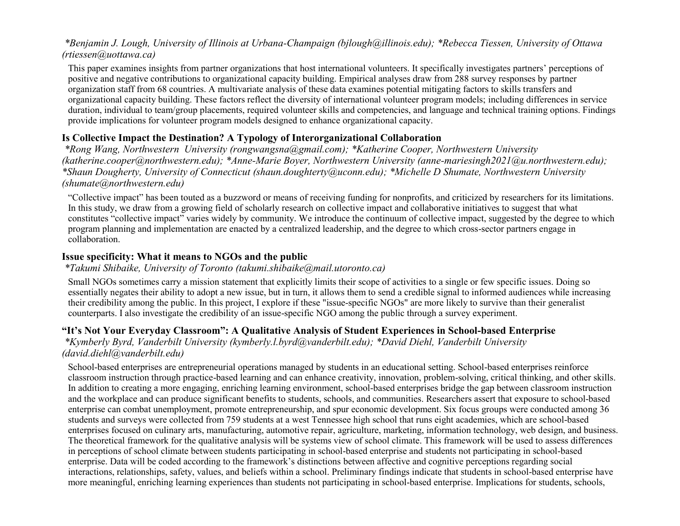### *\*Benjamin J. Lough, University of Illinois at Urbana-Champaign (bjlough@illinois.edu); \*Rebecca Tiessen, University of Ottawa (rtiessen@uottawa.ca)*

This paper examines insights from partner organizations that host international volunteers. It specifically investigates partners' perceptions of positive and negative contributions to organizational capacity building. Empirical analyses draw from 288 survey responses by partner organization staff from 68 countries. A multivariate analysis of these data examines potential mitigating factors to skills transfers and organizational capacity building. These factors reflect the diversity of international volunteer program models; including differences in service duration, individual to team/group placements, required volunteer skills and competencies, and language and technical training options. Findings provide implications for volunteer program models designed to enhance organizational capacity.

### **Is Collective Impact the Destination? A Typology of Interorganizational Collaboration**

*\*Rong Wang, Northwestern University (rongwangsna@gmail.com); \*Katherine Cooper, Northwestern University (katherine.cooper@northwestern.edu); \*Anne-Marie Boyer, Northwestern University (anne-mariesingh2021@u.northwestern.edu); \*Shaun Dougherty, University of Connecticut (shaun.doughterty@uconn.edu); \*Michelle D Shumate, Northwestern University (shumate@northwestern.edu)*

"Collective impact" has been touted as a buzzword or means of receiving funding for nonprofits, and criticized by researchers for its limitations. In this study, we draw from a growing field of scholarly research on collective impact and collaborative initiatives to suggest that what constitutes "collective impact" varies widely by community. We introduce the continuum of collective impact, suggested by the degree to which program planning and implementation are enacted by a centralized leadership, and the degree to which cross-sector partners engage in collaboration.

### **Issue specificity: What it means to NGOs and the public**

#### *\*Takumi Shibaike, University of Toronto (takumi.shibaike@mail.utoronto.ca)*

Small NGOs sometimes carry a mission statement that explicitly limits their scope of activities to a single or few specific issues. Doing so essentially negates their ability to adopt a new issue, but in turn, it allows them to send a credible signal to informed audiences while increasing their credibility among the public. In this project, I explore if these "issue-specific NGOs" are more likely to survive than their generalist counterparts. I also investigate the credibility of an issue-specific NGO among the public through a survey experiment.

# **"It's Not Your Everyday Classroom": A Qualitative Analysis of Student Experiences in School-based Enterprise**

*\*Kymberly Byrd, Vanderbilt University (kymberly.l.byrd@vanderbilt.edu); \*David Diehl, Vanderbilt University (david.diehl@vanderbilt.edu)*

School-based enterprises are entrepreneurial operations managed by students in an educational setting. School-based enterprises reinforce classroom instruction through practice-based learning and can enhance creativity, innovation, problem-solving, critical thinking, and other skills. In addition to creating a more engaging, enriching learning environment, school-based enterprises bridge the gap between classroom instruction and the workplace and can produce significant benefits to students, schools, and communities. Researchers assert that exposure to school-based enterprise can combat unemployment, promote entrepreneurship, and spur economic development. Six focus groups were conducted among 36 students and surveys were collected from 759 students at a west Tennessee high school that runs eight academies, which are school-based enterprises focused on culinary arts, manufacturing, automotive repair, agriculture, marketing, information technology, web design, and business. The theoretical framework for the qualitative analysis will be systems view of school climate. This framework will be used to assess differences in perceptions of school climate between students participating in school-based enterprise and students not participating in school-based enterprise. Data will be coded according to the framework's distinctions between affective and cognitive perceptions regarding social interactions, relationships, safety, values, and beliefs within a school. Preliminary findings indicate that students in school-based enterprise have more meaningful, enriching learning experiences than students not participating in school-based enterprise. Implications for students, schools,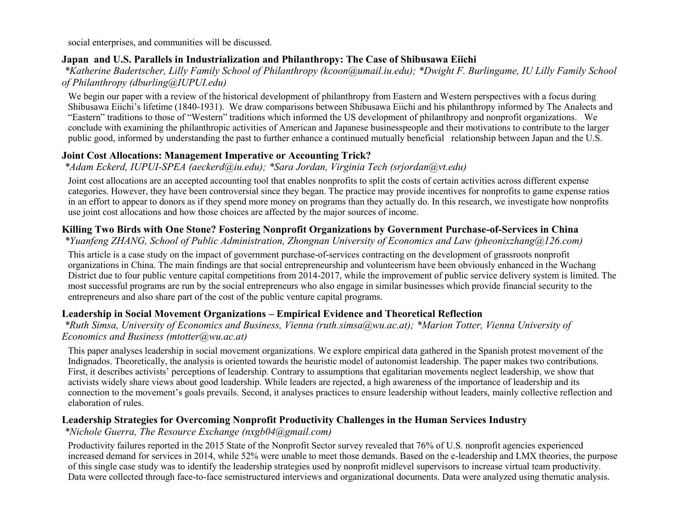social enterprises, and communities will be discussed.

### **Japan and U.S. Parallels in Industrialization and Philanthropy: The Case of Shibusawa Eiichi**

*\*Katherine Badertscher, Lilly Family School of Philanthropy (kcoon@umail.iu.edu); \*Dwight F. Burlingame, IU Lilly Family School of Philanthropy (dburling@IUPUI.edu)*

We begin our paper with a review of the historical development of philanthropy from Eastern and Western perspectives with a focus during Shibusawa Eiichi's lifetime (1840-1931). We draw comparisons between Shibusawa Eiichi and his philanthropy informed by The Analects and "Eastern" traditions to those of "Western" traditions which informed the US development of philanthropy and nonprofit organizations. We conclude with examining the philanthropic activities of American and Japanese businesspeople and their motivations to contribute to the larger public good, informed by understanding the past to further enhance a continued mutually beneficial relationship between Japan and the U.S.

### **Joint Cost Allocations: Management Imperative or Accounting Trick?**

*\*Adam Eckerd, IUPUI-SPEA (aeckerd@iu.edu); \*Sara Jordan, Virginia Tech (srjordan@vt.edu)*

Joint cost allocations are an accepted accounting tool that enables nonprofits to split the costs of certain activities across different expense categories. However, they have been controversial since they began. The practice may provide incentives for nonprofits to game expense ratios in an effort to appear to donors as if they spend more money on programs than they actually do. In this research, we investigate how nonprofits use joint cost allocations and how those choices are affected by the major sources of income.

### **Killing Two Birds with One Stone? Fostering Nonprofit Organizations by Government Purchase-of-Services in China**

*\*Yuanfeng ZHANG, School of Public Administration, Zhongnan University of Economics and Law (pheonixzhang@126.com)*

This article is a case study on the impact of government purchase-of-services contracting on the development of grassroots nonprofit organizations in China. The main findings are that social entrepreneurship and volunteerism have been obviously enhanced in the Wuchang District due to four public venture capital competitions from 2014-2017, while the improvement of public service delivery system is limited. The most successful programs are run by the social entrepreneurs who also engage in similar businesses which provide financial security to the entrepreneurs and also share part of the cost of the public venture capital programs.

### **Leadership in Social Movement Organizations – Empirical Evidence and Theoretical Reflection**

*\*Ruth Simsa, University of Economics and Business, Vienna (ruth.simsa@wu.ac.at); \*Marion Totter, Vienna University of Economics and Business (mtotter@wu.ac.at)*

This paper analyses leadership in social movement organizations. We explore empirical data gathered in the Spanish protest movement of the Indignados. Theoretically, the analysis is oriented towards the heuristic model of autonomist leadership. The paper makes two contributions. First, it describes activists' perceptions of leadership. Contrary to assumptions that egalitarian movements neglect leadership, we show that activists widely share views about good leadership. While leaders are rejected, a high awareness of the importance of leadership and its connection to the movement's goals prevails. Second, it analyses practices to ensure leadership without leaders, mainly collective reflection and elaboration of rules.

# **Leadership Strategies for Overcoming Nonprofit Productivity Challenges in the Human Services Industry**

*\*Nichole Guerra, The Resource Exchange (nxgb04@gmail.com)*

Productivity failures reported in the 2015 State of the Nonprofit Sector survey revealed that 76% of U.S. nonprofit agencies experienced increased demand for services in 2014, while 52% were unable to meet those demands. Based on the e-leadership and LMX theories, the purpose of this single case study was to identify the leadership strategies used by nonprofit midlevel supervisors to increase virtual team productivity. Data were collected through face-to-face semistructured interviews and organizational documents. Data were analyzed using thematic analysis.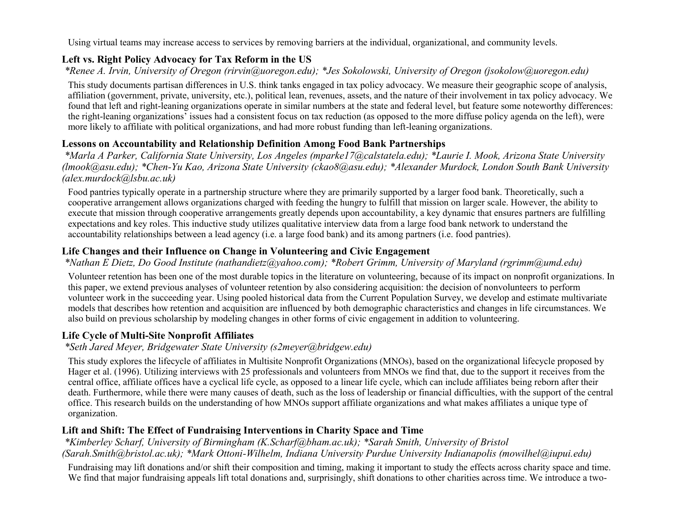Using virtual teams may increase access to services by removing barriers at the individual, organizational, and community levels.

### **Left vs. Right Policy Advocacy for Tax Reform in the US**

*\*Renee A. Irvin, University of Oregon (rirvin@uoregon.edu); \*Jes Sokolowski, University of Oregon (jsokolow@uoregon.edu)*

This study documents partisan differences in U.S. think tanks engaged in tax policy advocacy. We measure their geographic scope of analysis, affiliation (government, private, university, etc.), political lean, revenues, assets, and the nature of their involvement in tax policy advocacy. We found that left and right-leaning organizations operate in similar numbers at the state and federal level, but feature some noteworthy differences: the right-leaning organizations' issues had a consistent focus on tax reduction (as opposed to the more diffuse policy agenda on the left), were more likely to affiliate with political organizations, and had more robust funding than left-leaning organizations.

# **Lessons on Accountability and Relationship Definition Among Food Bank Partnerships**

*\*Marla A Parker, California State University, Los Angeles (mparke17@calstatela.edu); \*Laurie I. Mook, Arizona State University (lmook@asu.edu); \*Chen-Yu Kao, Arizona State University (ckao8@asu.edu); \*Alexander Murdock, London South Bank University (alex.murdock@lsbu.ac.uk)*

Food pantries typically operate in a partnership structure where they are primarily supported by a larger food bank. Theoretically, such a cooperative arrangement allows organizations charged with feeding the hungry to fulfill that mission on larger scale. However, the ability to execute that mission through cooperative arrangements greatly depends upon accountability, a key dynamic that ensures partners are fulfilling expectations and key roles. This inductive study utilizes qualitative interview data from a large food bank network to understand the accountability relationships between a lead agency (i.e. a large food bank) and its among partners (i.e. food pantries).

# **Life Changes and their Influence on Change in Volunteering and Civic Engagement**

### *\*Nathan E Dietz, Do Good Institute (nathandietz@yahoo.com); \*Robert Grimm, University of Maryland (rgrimm@umd.edu)*

Volunteer retention has been one of the most durable topics in the literature on volunteering, because of its impact on nonprofit organizations. In this paper, we extend previous analyses of volunteer retention by also considering acquisition: the decision of nonvolunteers to perform volunteer work in the succeeding year. Using pooled historical data from the Current Population Survey, we develop and estimate multivariate models that describes how retention and acquisition are influenced by both demographic characteristics and changes in life circumstances. We also build on previous scholarship by modeling changes in other forms of civic engagement in addition to volunteering.

# **Life Cycle of Multi-Site Nonprofit Affiliates**

### *\*Seth Jared Meyer, Bridgewater State University (s2meyer@bridgew.edu)*

This study explores the lifecycle of affiliates in Multisite Nonprofit Organizations (MNOs), based on the organizational lifecycle proposed by Hager et al. (1996). Utilizing interviews with 25 professionals and volunteers from MNOs we find that, due to the support it receives from the central office, affiliate offices have a cyclical life cycle, as opposed to a linear life cycle, which can include affiliates being reborn after their death. Furthermore, while there were many causes of death, such as the loss of leadership or financial difficulties, with the support of the central office. This research builds on the understanding of how MNOs support affiliate organizations and what makes affiliates a unique type of organization.

# **Lift and Shift: The Effect of Fundraising Interventions in Charity Space and Time**

*\*Kimberley Scharf, University of Birmingham (K.Scharf@bham.ac.uk); \*Sarah Smith, University of Bristol (Sarah.Smith@bristol.ac.uk); \*Mark Ottoni-Wilhelm, Indiana University Purdue University Indianapolis (mowilhel@iupui.edu)*

Fundraising may lift donations and/or shift their composition and timing, making it important to study the effects across charity space and time. We find that major fundraising appeals lift total donations and, surprisingly, shift donations to other charities across time. We introduce a two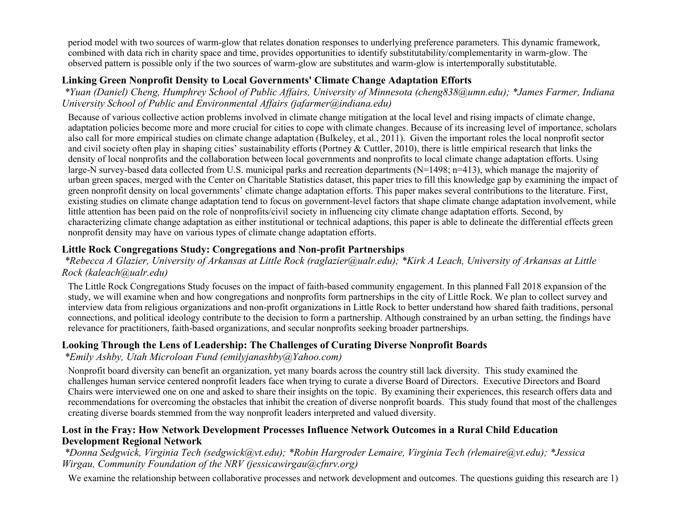period model with two sources of warm-glow that relates donation responses to underlying preference parameters. This dynamic framework, combined with data rich in charity space and time, provides opportunities to identify substitutability/complementarity in warm-glow. The observed pattern is possible only if the two sources of warm-glow are substitutes and warm-glow is intertemporally substitutable.

### **Linking Green Nonprofit Density to Local Governments' Climate Change Adaptation Efforts**

*\*Yuan (Daniel) Cheng, Humphrey School of Public Affairs, University of Minnesota (cheng838@umn.edu); \*James Farmer, Indiana University School of Public and Environmental Affairs (jafarmer@indiana.edu)*

Because of various collective action problems involved in climate change mitigation at the local level and rising impacts of climate change, adaptation policies become more and more crucial for cities to cope with climate changes. Because of its increasing level of importance, scholars also call for more empirical studies on climate change adaptation (Bulkeley, et al., 2011). Given the important roles the local nonprofit sector and civil society often play in shaping cities' sustainability efforts (Portney & Cuttler, 2010), there is little empirical research that links the density of local nonprofits and the collaboration between local governments and nonprofits to local climate change adaptation efforts. Using large-N survey-based data collected from U.S. municipal parks and recreation departments (N=1498; n=413), which manage the majority of urban green spaces, merged with the Center on Charitable Statistics dataset, this paper tries to fill this knowledge gap by examining the impact of green nonprofit density on local governments' climate change adaptation efforts. This paper makes several contributions to the literature. First, existing studies on climate change adaptation tend to focus on government-level factors that shape climate change adaptation involvement, while little attention has been paid on the role of nonprofits/civil society in influencing city climate change adaptation efforts. Second, by characterizing climate change adaptation as either institutional or technical adaptions, this paper is able to delineate the differential effects green nonprofit density may have on various types of climate change adaptation efforts.

### **Little Rock Congregations Study: Congregations and Non-profit Partnerships**

*\*Rebecca A Glazier, University of Arkansas at Little Rock (raglazier@ualr.edu); \*Kirk A Leach, University of Arkansas at Little Rock (kaleach@ualr.edu)*

The Little Rock Congregations Study focuses on the impact of faith-based community engagement. In this planned Fall 2018 expansion of the study, we will examine when and how congregations and nonprofits form partnerships in the city of Little Rock. We plan to collect survey and interview data from religious organizations and non-profit organizations in Little Rock to better understand how shared faith traditions, personal connections, and political ideology contribute to the decision to form a partnership. Although constrained by an urban setting, the findings have relevance for practitioners, faith-based organizations, and secular nonprofits seeking broader partnerships.

### **Looking Through the Lens of Leadership: The Challenges of Curating Diverse Nonprofit Boards**

*\*Emily Ashby, Utah Microloan Fund (emilyjanashby@Yahoo.com)*

Nonprofit board diversity can benefit an organization, yet many boards across the country still lack diversity. This study examined the challenges human service centered nonprofit leaders face when trying to curate a diverse Board of Directors. Executive Directors and Board Chairs were interviewed one on one and asked to share their insights on the topic. By examining their experiences, this research offers data and recommendations for overcoming the obstacles that inhibit the creation of diverse nonprofit boards. This study found that most of the challenges creating diverse boards stemmed from the way nonprofit leaders interpreted and valued diversity.

### **Lost in the Fray: How Network Development Processes Influence Network Outcomes in a Rural Child Education Development Regional Network**

*\*Donna Sedgwick, Virginia Tech (sedgwick@vt.edu); \*Robin Hargroder Lemaire, Virginia Tech (rlemaire@vt.edu); \*Jessica Wirgau, Community Foundation of the NRV (jessicawirgau@cfnrv.org)*

We examine the relationship between collaborative processes and network development and outcomes. The questions guiding this research are 1)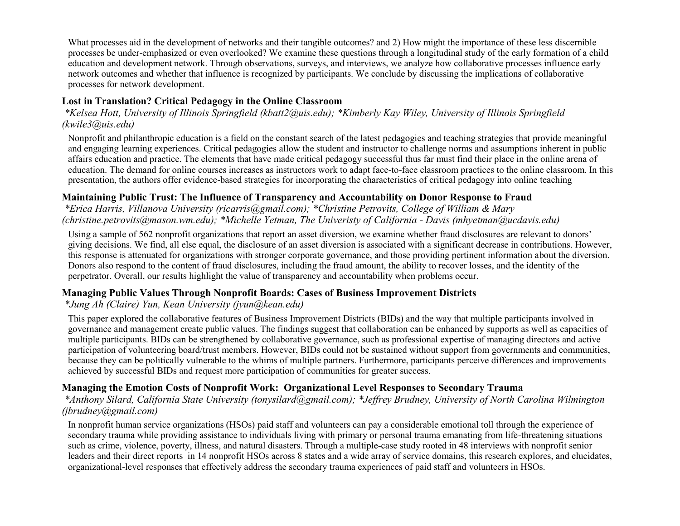What processes aid in the development of networks and their tangible outcomes? and 2) How might the importance of these less discernible processes be under-emphasized or even overlooked? We examine these questions through a longitudinal study of the early formation of a child education and development network. Through observations, surveys, and interviews, we analyze how collaborative processes influence early network outcomes and whether that influence is recognized by participants. We conclude by discussing the implications of collaborative processes for network development.

### **Lost in Translation? Critical Pedagogy in the Online Classroom**

*\*Kelsea Hott, University of Illinois Springfield (kbatt2@uis.edu); \*Kimberly Kay Wiley, University of Illinois Springfield (kwile3@uis.edu)*

Nonprofit and philanthropic education is a field on the constant search of the latest pedagogies and teaching strategies that provide meaningful and engaging learning experiences. Critical pedagogies allow the student and instructor to challenge norms and assumptions inherent in public affairs education and practice. The elements that have made critical pedagogy successful thus far must find their place in the online arena of education. The demand for online courses increases as instructors work to adapt face-to-face classroom practices to the online classroom. In this presentation, the authors offer evidence-based strategies for incorporating the characteristics of critical pedagogy into online teaching

### **Maintaining Public Trust: The Influence of Transparency and Accountability on Donor Response to Fraud**

*\*Erica Harris, Villanova University (ricarris@gmail.com); \*Christine Petrovits, College of William & Mary (christine.petrovits@mason.wm.edu); \*Michelle Yetman, The Univeristy of California - Davis (mhyetman@ucdavis.edu)*

Using a sample of 562 nonprofit organizations that report an asset diversion, we examine whether fraud disclosures are relevant to donors' giving decisions. We find, all else equal, the disclosure of an asset diversion is associated with a significant decrease in contributions. However, this response is attenuated for organizations with stronger corporate governance, and those providing pertinent information about the diversion. Donors also respond to the content of fraud disclosures, including the fraud amount, the ability to recover losses, and the identity of the perpetrator. Overall, our results highlight the value of transparency and accountability when problems occur.

### **Managing Public Values Through Nonprofit Boards: Cases of Business Improvement Districts**

### *\*Jung Ah (Claire) Yun, Kean University (jyun@kean.edu)*

This paper explored the collaborative features of Business Improvement Districts (BIDs) and the way that multiple participants involved in governance and management create public values. The findings suggest that collaboration can be enhanced by supports as well as capacities of multiple participants. BIDs can be strengthened by collaborative governance, such as professional expertise of managing directors and active participation of volunteering board/trust members. However, BIDs could not be sustained without support from governments and communities, because they can be politically vulnerable to the whims of multiple partners. Furthermore, participants perceive differences and improvements achieved by successful BIDs and request more participation of communities for greater success.

### **Managing the Emotion Costs of Nonprofit Work: Organizational Level Responses to Secondary Trauma**

*\*Anthony Silard, California State University (tonysilard@gmail.com); \*Jeffrey Brudney, University of North Carolina Wilmington (jbrudney@gmail.com)*

In nonprofit human service organizations (HSOs) paid staff and volunteers can pay a considerable emotional toll through the experience of secondary trauma while providing assistance to individuals living with primary or personal trauma emanating from life-threatening situations such as crime, violence, poverty, illness, and natural disasters. Through a multiple-case study rooted in 48 interviews with nonprofit senior leaders and their direct reports in 14 nonprofit HSOs across 8 states and a wide array of service domains, this research explores, and elucidates, organizational-level responses that effectively address the secondary trauma experiences of paid staff and volunteers in HSOs.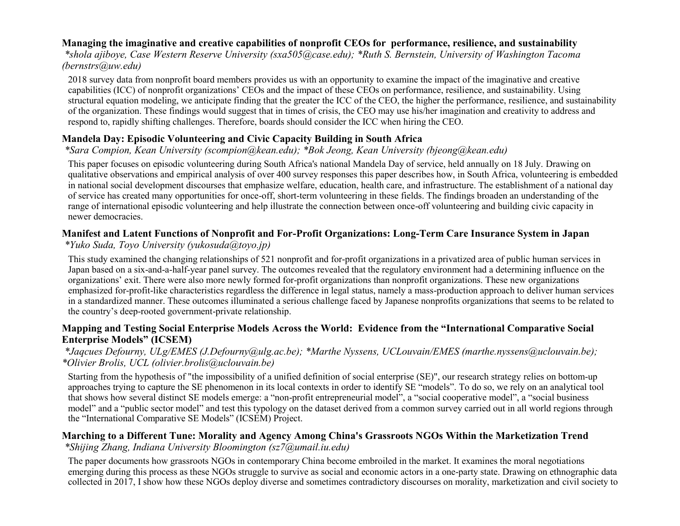### **Managing the imaginative and creative capabilities of nonprofit CEOs for performance, resilience, and sustainability**

*\*shola ajiboye, Case Western Reserve University (sxa505@case.edu); \*Ruth S. Bernstein, University of Washington Tacoma (bernstrs@uw.edu)*

2018 survey data from nonprofit board members provides us with an opportunity to examine the impact of the imaginative and creative capabilities (ICC) of nonprofit organizations' CEOs and the impact of these CEOs on performance, resilience, and sustainability. Using structural equation modeling, we anticipate finding that the greater the ICC of the CEO, the higher the performance, resilience, and sustainability of the organization. These findings would suggest that in times of crisis, the CEO may use his/her imagination and creativity to address and respond to, rapidly shifting challenges. Therefore, boards should consider the ICC when hiring the CEO.

### **Mandela Day: Episodic Volunteering and Civic Capacity Building in South Africa**

### *\*Sara Compion, Kean University (scompion@kean.edu); \*Bok Jeong, Kean University (bjeong@kean.edu)*

This paper focuses on episodic volunteering during South Africa's national Mandela Day of service, held annually on 18 July. Drawing on qualitative observations and empirical analysis of over 400 survey responses this paper describes how, in South Africa, volunteering is embedded in national social development discourses that emphasize welfare, education, health care, and infrastructure. The establishment of a national day of service has created many opportunities for once-off, short-term volunteering in these fields. The findings broaden an understanding of the range of international episodic volunteering and help illustrate the connection between once-off volunteering and building civic capacity in newer democracies.

# **Manifest and Latent Functions of Nonprofit and For-Profit Organizations: Long-Term Care Insurance System in Japan**

### *\*Yuko Suda, Toyo University (yukosuda@toyo.jp)*

This study examined the changing relationships of 521 nonprofit and for-profit organizations in a privatized area of public human services in Japan based on a six-and-a-half-year panel survey. The outcomes revealed that the regulatory environment had a determining influence on the organizations' exit. There were also more newly formed for-profit organizations than nonprofit organizations. These new organizations emphasized for-profit-like characteristics regardless the difference in legal status, namely a mass-production approach to deliver human services in a standardized manner. These outcomes illuminated a serious challenge faced by Japanese nonprofits organizations that seems to be related to the country's deep-rooted government-private relationship.

### **Mapping and Testing Social Enterprise Models Across the World: Evidence from the "International Comparative Social Enterprise Models" (ICSEM)**

#### *\*Jaqcues Defourny, ULg/EMES (J.Defourny@ulg.ac.be); \*Marthe Nyssens, UCLouvain/EMES (marthe.nyssens@uclouvain.be); \*Olivier Brolis, UCL (olivier.brolis@uclouvain.be)*

Starting from the hypothesis of "the impossibility of a unified definition of social enterprise (SE)", our research strategy relies on bottom-up approaches trying to capture the SE phenomenon in its local contexts in order to identify SE "models". To do so, we rely on an analytical tool that shows how several distinct SE models emerge: a "non-profit entrepreneurial model", a "social cooperative model", a "social business model" and a "public sector model" and test this typology on the dataset derived from a common survey carried out in all world regions through the "International Comparative SE Models" (ICSEM) Project.

#### **Marching to a Different Tune: Morality and Agency Among China's Grassroots NGOs Within the Marketization Trend** *\*Shijing Zhang, Indiana University Bloomington (sz7@umail.iu.edu)*

The paper documents how grassroots NGOs in contemporary China become embroiled in the market. It examines the moral negotiations emerging during this process as these NGOs struggle to survive as social and economic actors in a one-party state. Drawing on ethnographic data collected in 2017, I show how these NGOs deploy diverse and sometimes contradictory discourses on morality, marketization and civil society to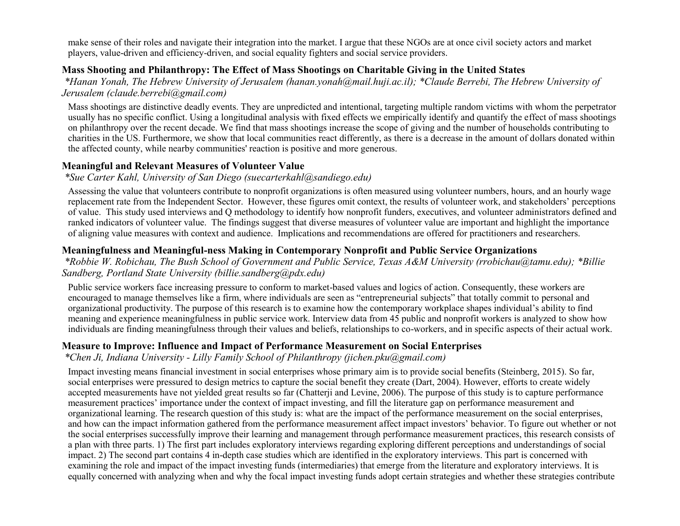make sense of their roles and navigate their integration into the market. I argue that these NGOs are at once civil society actors and market players, value-driven and efficiency-driven, and social equality fighters and social service providers.

#### **Mass Shooting and Philanthropy: The Effect of Mass Shootings on Charitable Giving in the United States**

*\*Hanan Yonah, The Hebrew University of Jerusalem (hanan.yonah@mail.huji.ac.il); \*Claude Berrebi, The Hebrew University of Jerusalem (claude.berrebi@gmail.com)*

Mass shootings are distinctive deadly events. They are unpredicted and intentional, targeting multiple random victims with whom the perpetrator usually has no specific conflict. Using a longitudinal analysis with fixed effects we empirically identify and quantify the effect of mass shootings on philanthropy over the recent decade. We find that mass shootings increase the scope of giving and the number of households contributing to charities in the US. Furthermore, we show that local communities react differently, as there is a decrease in the amount of dollars donated within the affected county, while nearby communities' reaction is positive and more generous.

#### **Meaningful and Relevant Measures of Volunteer Value**

#### *\*Sue Carter Kahl, University of San Diego (suecarterkahl@sandiego.edu)*

Assessing the value that volunteers contribute to nonprofit organizations is often measured using volunteer numbers, hours, and an hourly wage replacement rate from the Independent Sector. However, these figures omit context, the results of volunteer work, and stakeholders' perceptions of value. This study used interviews and Q methodology to identify how nonprofit funders, executives, and volunteer administrators defined and ranked indicators of volunteer value. The findings suggest that diverse measures of volunteer value are important and highlight the importance of aligning value measures with context and audience. Implications and recommendations are offered for practitioners and researchers.

#### **Meaningfulness and Meaningful-ness Making in Contemporary Nonprofit and Public Service Organizations**

*\*Robbie W. Robichau, The Bush School of Government and Public Service, Texas A&M University (rrobichau@tamu.edu); \*Billie Sandberg, Portland State University (billie.sandberg@pdx.edu)*

Public service workers face increasing pressure to conform to market-based values and logics of action. Consequently, these workers are encouraged to manage themselves like a firm, where individuals are seen as "entrepreneurial subjects" that totally commit to personal and organizational productivity. The purpose of this research is to examine how the contemporary workplace shapes individual's ability to find meaning and experience meaningfulness in public service work. Interview data from 45 public and nonprofit workers is analyzed to show how individuals are finding meaningfulness through their values and beliefs, relationships to co-workers, and in specific aspects of their actual work.

#### **Measure to Improve: Influence and Impact of Performance Measurement on Social Enterprises**

#### *\*Chen Ji, Indiana University - Lilly Family School of Philanthropy (jichen.pku@gmail.com)*

Impact investing means financial investment in social enterprises whose primary aim is to provide social benefits (Steinberg, 2015). So far, social enterprises were pressured to design metrics to capture the social benefit they create (Dart, 2004). However, efforts to create widely accepted measurements have not yielded great results so far (Chatterji and Levine, 2006). The purpose of this study is to capture performance measurement practices' importance under the context of impact investing, and fill the literature gap on performance measurement and organizational learning. The research question of this study is: what are the impact of the performance measurement on the social enterprises, and how can the impact information gathered from the performance measurement affect impact investors' behavior. To figure out whether or not the social enterprises successfully improve their learning and management through performance measurement practices, this research consists of a plan with three parts. 1) The first part includes exploratory interviews regarding exploring different perceptions and understandings of social impact. 2) The second part contains 4 in-depth case studies which are identified in the exploratory interviews. This part is concerned with examining the role and impact of the impact investing funds (intermediaries) that emerge from the literature and exploratory interviews. It is equally concerned with analyzing when and why the focal impact investing funds adopt certain strategies and whether these strategies contribute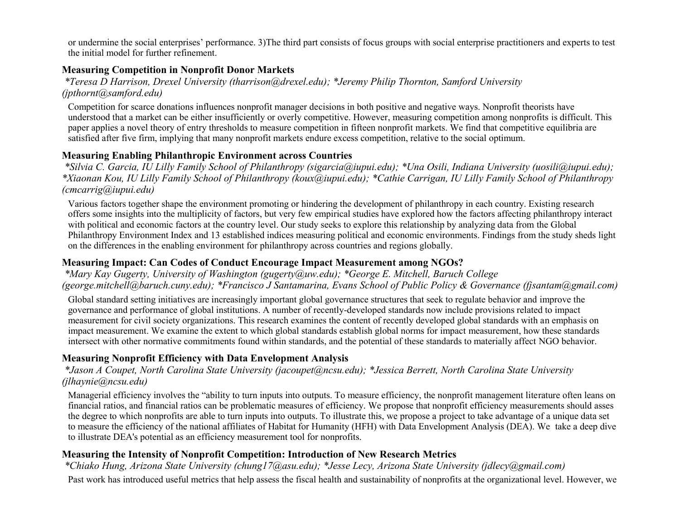or undermine the social enterprises' performance. 3)The third part consists of focus groups with social enterprise practitioners and experts to test the initial model for further refinement.

#### **Measuring Competition in Nonprofit Donor Markets**

*\*Teresa D Harrison, Drexel University (tharrison@drexel.edu); \*Jeremy Philip Thornton, Samford University (jpthornt@samford.edu)*

Competition for scarce donations influences nonprofit manager decisions in both positive and negative ways. Nonprofit theorists have understood that a market can be either insufficiently or overly competitive. However, measuring competition among nonprofits is difficult. This paper applies a novel theory of entry thresholds to measure competition in fifteen nonprofit markets. We find that competitive equilibria are satisfied after five firm, implying that many nonprofit markets endure excess competition, relative to the social optimum.

### **Measuring Enabling Philanthropic Environment across Countries**

*\*Silvia C. Garcia, IU Lilly Family School of Philanthropy (sigarcia@iupui.edu); \*Una Osili, Indiana University (uosili@iupui.edu); \*Xiaonan Kou, IU Lilly Family School of Philanthropy (koux@iupui.edu); \*Cathie Carrigan, IU Lilly Family School of Philanthropy (cmcarrig@iupui.edu)*

Various factors together shape the environment promoting or hindering the development of philanthropy in each country. Existing research offers some insights into the multiplicity of factors, but very few empirical studies have explored how the factors affecting philanthropy interact with political and economic factors at the country level. Our study seeks to explore this relationship by analyzing data from the Global Philanthropy Environment Index and 13 established indices measuring political and economic environments. Findings from the study sheds light on the differences in the enabling environment for philanthropy across countries and regions globally.

### **Measuring Impact: Can Codes of Conduct Encourage Impact Measurement among NGOs?**

*\*Mary Kay Gugerty, University of Washington (gugerty@uw.edu); \*George E. Mitchell, Baruch College (george.mitchell@baruch.cuny.edu); \*Francisco J Santamarina, Evans School of Public Policy & Governance (fjsantam@gmail.com)*

Global standard setting initiatives are increasingly important global governance structures that seek to regulate behavior and improve the governance and performance of global institutions. A number of recently-developed standards now include provisions related to impact measurement for civil society organizations. This research examines the content of recently developed global standards with an emphasis on impact measurement. We examine the extent to which global standards establish global norms for impact measurement, how these standards intersect with other normative commitments found within standards, and the potential of these standards to materially affect NGO behavior.

### **Measuring Nonprofit Efficiency with Data Envelopment Analysis**

### *\*Jason A Coupet, North Carolina State University (jacoupet@ncsu.edu); \*Jessica Berrett, North Carolina State University (jlhaynie@ncsu.edu)*

Managerial efficiency involves the "ability to turn inputs into outputs. To measure efficiency, the nonprofit management literature often leans on financial ratios, and financial ratios can be problematic measures of efficiency. We propose that nonprofit efficiency measurements should asses the degree to which nonprofits are able to turn inputs into outputs. To illustrate this, we propose a project to take advantage of a unique data set to measure the efficiency of the national affiliates of Habitat for Humanity (HFH) with Data Envelopment Analysis (DEA). We take a deep dive to illustrate DEA's potential as an efficiency measurement tool for nonprofits.

### **Measuring the Intensity of Nonprofit Competition: Introduction of New Research Metrics**

*\*Chiako Hung, Arizona State University (chung17@asu.edu); \*Jesse Lecy, Arizona State University (jdlecy@gmail.com)*

Past work has introduced useful metrics that help assess the fiscal health and sustainability of nonprofits at the organizational level. However, we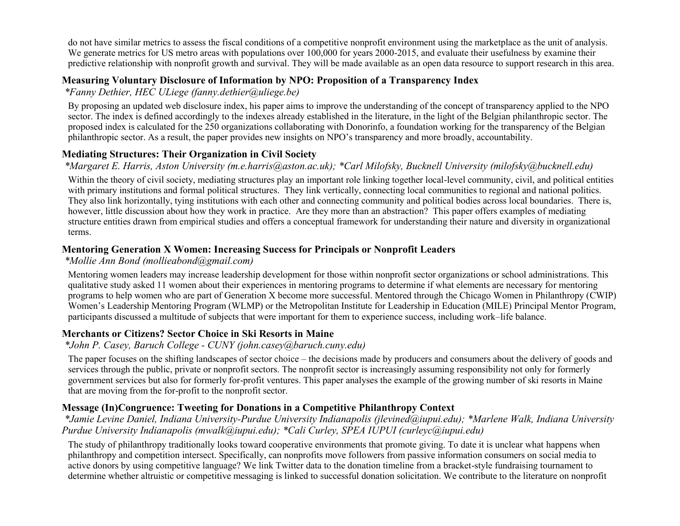do not have similar metrics to assess the fiscal conditions of a competitive nonprofit environment using the marketplace as the unit of analysis. We generate metrics for US metro areas with populations over 100,000 for years 2000-2015, and evaluate their usefulness by examine their predictive relationship with nonprofit growth and survival. They will be made available as an open data resource to support research in this area.

### **Measuring Voluntary Disclosure of Information by NPO: Proposition of a Transparency Index**

*\*Fanny Dethier, HEC ULiege (fanny.dethier@uliege.be)*

By proposing an updated web disclosure index, his paper aims to improve the understanding of the concept of transparency applied to the NPO sector. The index is defined accordingly to the indexes already established in the literature, in the light of the Belgian philanthropic sector. The proposed index is calculated for the 250 organizations collaborating with Donorinfo, a foundation working for the transparency of the Belgian philanthropic sector. As a result, the paper provides new insights on NPO's transparency and more broadly, accountability.

### **Mediating Structures: Their Organization in Civil Society**

*\*Margaret E. Harris, Aston University (m.e.harris@aston.ac.uk); \*Carl Milofsky, Bucknell University (milofsky@bucknell.edu)*

Within the theory of civil society, mediating structures play an important role linking together local-level community, civil, and political entities with primary institutions and formal political structures. They link vertically, connecting local communities to regional and national politics. They also link horizontally, tying institutions with each other and connecting community and political bodies across local boundaries. There is, however, little discussion about how they work in practice. Are they more than an abstraction? This paper offers examples of mediating structure entities drawn from empirical studies and offers a conceptual framework for understanding their nature and diversity in organizational terms.

# **Mentoring Generation X Women: Increasing Success for Principals or Nonprofit Leaders**

### *\*Mollie Ann Bond (mollieabond@gmail.com)*

Mentoring women leaders may increase leadership development for those within nonprofit sector organizations or school administrations. This qualitative study asked 11 women about their experiences in mentoring programs to determine if what elements are necessary for mentoring programs to help women who are part of Generation X become more successful. Mentored through the Chicago Women in Philanthropy (CWIP) Women's Leadership Mentoring Program (WLMP) or the Metropolitan Institute for Leadership in Education (MILE) Principal Mentor Program, participants discussed a multitude of subjects that were important for them to experience success, including work–life balance.

# **Merchants or Citizens? Sector Choice in Ski Resorts in Maine**

*\*John P. Casey, Baruch College - CUNY (john.casey@baruch.cuny.edu)*

The paper focuses on the shifting landscapes of sector choice – the decisions made by producers and consumers about the delivery of goods and services through the public, private or nonprofit sectors. The nonprofit sector is increasingly assuming responsibility not only for formerly government services but also for formerly for-profit ventures. This paper analyses the example of the growing number of ski resorts in Maine that are moving from the for-profit to the nonprofit sector.

# **Message (In)Congruence: Tweeting for Donations in a Competitive Philanthropy Context**

*\*Jamie Levine Daniel, Indiana University-Purdue University Indianapolis (jlevined@iupui.edu); \*Marlene Walk, Indiana University Purdue University Indianapolis (mwalk@iupui.edu); \*Cali Curley, SPEA IUPUI (curleyc@iupui.edu)*

The study of philanthropy traditionally looks toward cooperative environments that promote giving. To date it is unclear what happens when philanthropy and competition intersect. Specifically, can nonprofits move followers from passive information consumers on social media to active donors by using competitive language? We link Twitter data to the donation timeline from a bracket-style fundraising tournament to determine whether altruistic or competitive messaging is linked to successful donation solicitation. We contribute to the literature on nonprofit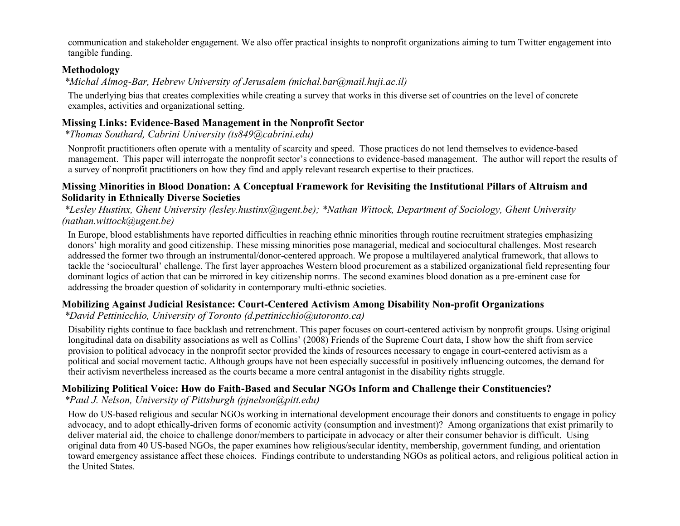communication and stakeholder engagement. We also offer practical insights to nonprofit organizations aiming to turn Twitter engagement into tangible funding.

#### **Methodology**

*\*Michal Almog-Bar, Hebrew University of Jerusalem (michal.bar@mail.huji.ac.il)*

The underlying bias that creates complexities while creating a survey that works in this diverse set of countries on the level of concrete examples, activities and organizational setting.

### **Missing Links: Evidence-Based Management in the Nonprofit Sector**

*\*Thomas Southard, Cabrini University (ts849@cabrini.edu)*

Nonprofit practitioners often operate with a mentality of scarcity and speed. Those practices do not lend themselves to evidence-based management. This paper will interrogate the nonprofit sector's connections to evidence-based management. The author will report the results of a survey of nonprofit practitioners on how they find and apply relevant research expertise to their practices.

#### **Missing Minorities in Blood Donation: A Conceptual Framework for Revisiting the Institutional Pillars of Altruism and Solidarity in Ethnically Diverse Societies**

*\*Lesley Hustinx, Ghent University (lesley.hustinx@ugent.be); \*Nathan Wittock, Department of Sociology, Ghent University (nathan.wittock@ugent.be)*

In Europe, blood establishments have reported difficulties in reaching ethnic minorities through routine recruitment strategies emphasizing donors' high morality and good citizenship. These missing minorities pose managerial, medical and sociocultural challenges. Most research addressed the former two through an instrumental/donor-centered approach. We propose a multilayered analytical framework, that allows to tackle the 'sociocultural' challenge. The first layer approaches Western blood procurement as a stabilized organizational field representing four dominant logics of action that can be mirrored in key citizenship norms. The second examines blood donation as a pre-eminent case for addressing the broader question of solidarity in contemporary multi-ethnic societies.

### **Mobilizing Against Judicial Resistance: Court-Centered Activism Among Disability Non-profit Organizations**

*\*David Pettinicchio, University of Toronto (d.pettinicchio@utoronto.ca)*

Disability rights continue to face backlash and retrenchment. This paper focuses on court-centered activism by nonprofit groups. Using original longitudinal data on disability associations as well as Collins' (2008) Friends of the Supreme Court data, I show how the shift from service provision to political advocacy in the nonprofit sector provided the kinds of resources necessary to engage in court-centered activism as a political and social movement tactic. Although groups have not been especially successful in positively influencing outcomes, the demand for their activism nevertheless increased as the courts became a more central antagonist in the disability rights struggle.

# **Mobilizing Political Voice: How do Faith-Based and Secular NGOs Inform and Challenge their Constituencies?**

*\*Paul J. Nelson, University of Pittsburgh (pjnelson@pitt.edu)*

How do US-based religious and secular NGOs working in international development encourage their donors and constituents to engage in policy advocacy, and to adopt ethically-driven forms of economic activity (consumption and investment)? Among organizations that exist primarily to deliver material aid, the choice to challenge donor/members to participate in advocacy or alter their consumer behavior is difficult. Using original data from 40 US-based NGOs, the paper examines how religious/secular identity, membership, government funding, and orientation toward emergency assistance affect these choices. Findings contribute to understanding NGOs as political actors, and religious political action in the United States.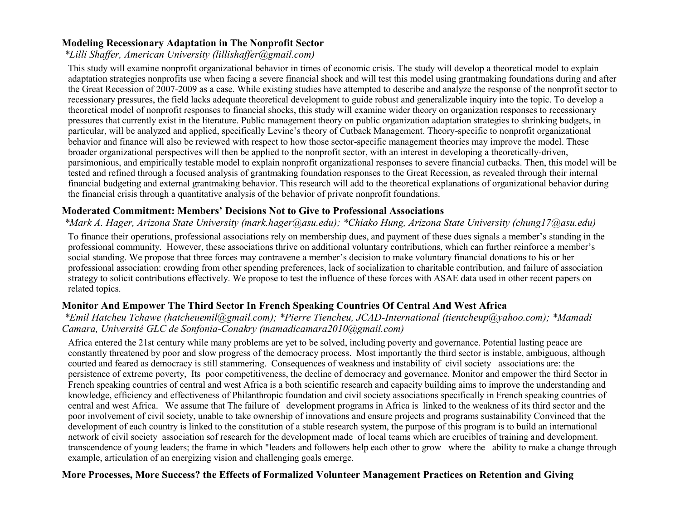### **Modeling Recessionary Adaptation in The Nonprofit Sector**

### *\*Lilli Shaffer, American University (lillishaffer@gmail.com)*

This study will examine nonprofit organizational behavior in times of economic crisis. The study will develop a theoretical model to explain adaptation strategies nonprofits use when facing a severe financial shock and will test this model using grantmaking foundations during and after the Great Recession of 2007-2009 as a case. While existing studies have attempted to describe and analyze the response of the nonprofit sector to recessionary pressures, the field lacks adequate theoretical development to guide robust and generalizable inquiry into the topic. To develop a theoretical model of nonprofit responses to financial shocks, this study will examine wider theory on organization responses to recessionary pressures that currently exist in the literature. Public management theory on public organization adaptation strategies to shrinking budgets, in particular, will be analyzed and applied, specifically Levine's theory of Cutback Management. Theory-specific to nonprofit organizational behavior and finance will also be reviewed with respect to how those sector-specific management theories may improve the model. These broader organizational perspectives will then be applied to the nonprofit sector, with an interest in developing a theoretically-driven, parsimonious, and empirically testable model to explain nonprofit organizational responses to severe financial cutbacks. Then, this model will be tested and refined through a focused analysis of grantmaking foundation responses to the Great Recession, as revealed through their internal financial budgeting and external grantmaking behavior. This research will add to the theoretical explanations of organizational behavior during the financial crisis through a quantitative analysis of the behavior of private nonprofit foundations.

#### **Moderated Commitment: Members' Decisions Not to Give to Professional Associations**

#### *\*Mark A. Hager, Arizona State University (mark.hager@asu.edu); \*Chiako Hung, Arizona State University (chung17@asu.edu)*

To finance their operations, professional associations rely on membership dues, and payment of these dues signals a member's standing in the professional community. However, these associations thrive on additional voluntary contributions, which can further reinforce a member's social standing. We propose that three forces may contravene a member's decision to make voluntary financial donations to his or her professional association: crowding from other spending preferences, lack of socialization to charitable contribution, and failure of association strategy to solicit contributions effectively. We propose to test the influence of these forces with ASAE data used in other recent papers on related topics.

### **Monitor And Empower The Third Sector In French Speaking Countries Of Central And West Africa**

#### *\*Emil Hatcheu Tchawe (hatcheuemil@gmail.com); \*Pierre Tiencheu, JCAD-International (tientcheup@yahoo.com); \*Mamadi Camara, Université GLC de Sonfonia-Conakry (mamadicamara2010@gmail.com)*

Africa entered the 21st century while many problems are yet to be solved, including poverty and governance. Potential lasting peace are constantly threatened by poor and slow progress of the democracy process. Most importantly the third sector is instable, ambiguous, although courted and feared as democracy is still stammering. Consequences of weakness and instability of civil society associations are: the persistence of extreme poverty, Its poor competitiveness, the decline of democracy and governance. Monitor and empower the third Sector in French speaking countries of central and west Africa is a both scientific research and capacity building aims to improve the understanding and knowledge, efficiency and effectiveness of Philanthropic foundation and civil society associations specifically in French speaking countries of central and west Africa. We assume that The failure of development programs in Africa is linked to the weakness of its third sector and the poor involvement of civil society, unable to take ownership of innovations and ensure projects and programs sustainability Convinced that the development of each country is linked to the constitution of a stable research system, the purpose of this program is to build an international network of civil society association sof research for the development made of local teams which are crucibles of training and development. transcendence of young leaders; the frame in which "leaders and followers help each other to grow where the ability to make a change through example, articulation of an energizing vision and challenging goals emerge.

#### **More Processes, More Success? the Effects of Formalized Volunteer Management Practices on Retention and Giving**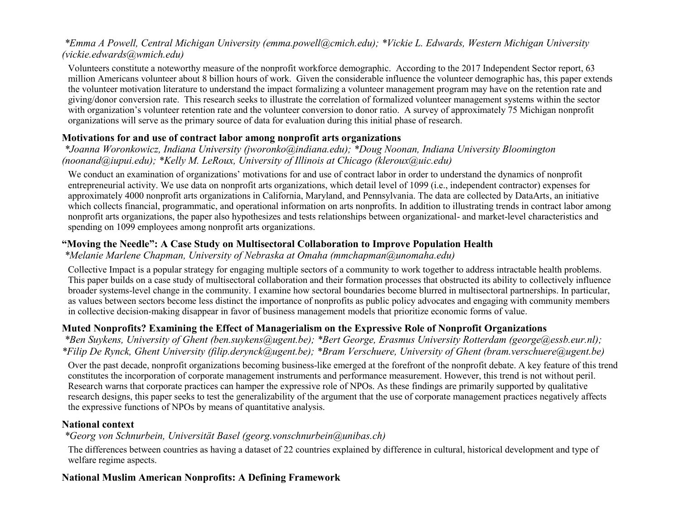### *\*Emma A Powell, Central Michigan University (emma.powell@cmich.edu); \*Vickie L. Edwards, Western Michigan University (vickie.edwards@wmich.edu)*

Volunteers constitute a noteworthy measure of the nonprofit workforce demographic. According to the 2017 Independent Sector report, 63 million Americans volunteer about 8 billion hours of work. Given the considerable influence the volunteer demographic has, this paper extends the volunteer motivation literature to understand the impact formalizing a volunteer management program may have on the retention rate and giving/donor conversion rate. This research seeks to illustrate the correlation of formalized volunteer management systems within the sector with organization's volunteer retention rate and the volunteer conversion to donor ratio. A survey of approximately 75 Michigan nonprofit organizations will serve as the primary source of data for evaluation during this initial phase of research.

### **Motivations for and use of contract labor among nonprofit arts organizations**

*\*Joanna Woronkowicz, Indiana University (jworonko@indiana.edu); \*Doug Noonan, Indiana University Bloomington (noonand@iupui.edu); \*Kelly M. LeRoux, University of Illinois at Chicago (kleroux@uic.edu)*

We conduct an examination of organizations' motivations for and use of contract labor in order to understand the dynamics of nonprofit entrepreneurial activity. We use data on nonprofit arts organizations, which detail level of 1099 (i.e., independent contractor) expenses for approximately 4000 nonprofit arts organizations in California, Maryland, and Pennsylvania. The data are collected by DataArts, an initiative which collects financial, programmatic, and operational information on arts nonprofits. In addition to illustrating trends in contract labor among nonprofit arts organizations, the paper also hypothesizes and tests relationships between organizational- and market-level characteristics and spending on 1099 employees among nonprofit arts organizations.

### **"Moving the Needle": A Case Study on Multisectoral Collaboration to Improve Population Health**

*\*Melanie Marlene Chapman, University of Nebraska at Omaha (mmchapman@unomaha.edu)*

Collective Impact is a popular strategy for engaging multiple sectors of a community to work together to address intractable health problems. This paper builds on a case study of multisectoral collaboration and their formation processes that obstructed its ability to collectively influence broader systems-level change in the community. I examine how sectoral boundaries become blurred in multisectoral partnerships. In particular, as values between sectors become less distinct the importance of nonprofits as public policy advocates and engaging with community members in collective decision-making disappear in favor of business management models that prioritize economic forms of value.

### **Muted Nonprofits? Examining the Effect of Managerialism on the Expressive Role of Nonprofit Organizations**

*\*Ben Suykens, University of Ghent (ben.suykens@ugent.be); \*Bert George, Erasmus University Rotterdam (george@essb.eur.nl); \*Filip De Rynck, Ghent University (filip.derynck@ugent.be); \*Bram Verschuere, University of Ghent (bram.verschuere@ugent.be)*

Over the past decade, nonprofit organizations becoming business-like emerged at the forefront of the nonprofit debate. A key feature of this trend constitutes the incorporation of corporate management instruments and performance measurement. However, this trend is not without peril. Research warns that corporate practices can hamper the expressive role of NPOs. As these findings are primarily supported by qualitative research designs, this paper seeks to test the generalizability of the argument that the use of corporate management practices negatively affects the expressive functions of NPOs by means of quantitative analysis.

### **National context**

*\*Georg von Schnurbein, Universität Basel (georg.vonschnurbein@unibas.ch)*

The differences between countries as having a dataset of 22 countries explained by difference in cultural, historical development and type of welfare regime aspects.

### **National Muslim American Nonprofits: A Defining Framework**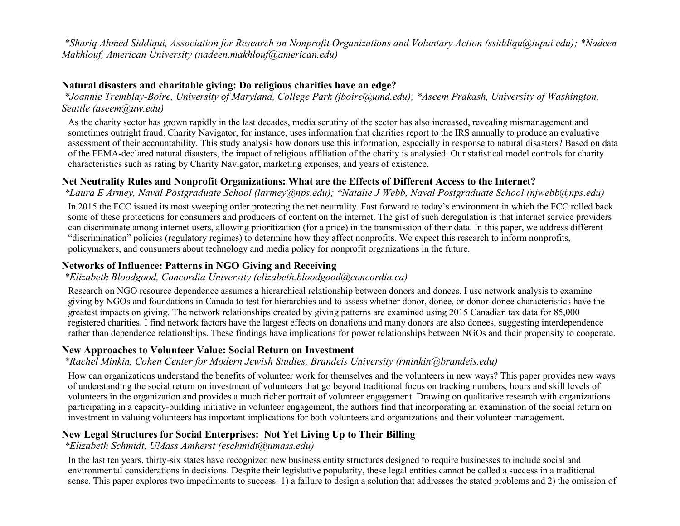*\*Shariq Ahmed Siddiqui, Association for Research on Nonprofit Organizations and Voluntary Action (ssiddiqu@iupui.edu); \*Nadeen Makhlouf, American University (nadeen.makhlouf@american.edu)*

#### **Natural disasters and charitable giving: Do religious charities have an edge?**

*\*Joannie Tremblay-Boire, University of Maryland, College Park (jboire@umd.edu); \*Aseem Prakash, University of Washington, Seattle (aseem@uw.edu)*

As the charity sector has grown rapidly in the last decades, media scrutiny of the sector has also increased, revealing mismanagement and sometimes outright fraud. Charity Navigator, for instance, uses information that charities report to the IRS annually to produce an evaluative assessment of their accountability. This study analysis how donors use this information, especially in response to natural disasters? Based on data of the FEMA-declared natural disasters, the impact of religious affiliation of the charity is analysied. Our statistical model controls for charity characteristics such as rating by Charity Navigator, marketing expenses, and years of existence.

### **Net Neutrality Rules and Nonprofit Organizations: What are the Effects of Different Access to the Internet?**

*\*Laura E Armey, Naval Postgraduate School (larmey@nps.edu); \*Natalie J Webb, Naval Postgraduate School (njwebb@nps.edu)*

In 2015 the FCC issued its most sweeping order protecting the net neutrality. Fast forward to today's environment in which the FCC rolled back some of these protections for consumers and producers of content on the internet. The gist of such deregulation is that internet service providers can discriminate among internet users, allowing prioritization (for a price) in the transmission of their data. In this paper, we address different "discrimination" policies (regulatory regimes) to determine how they affect nonprofits. We expect this research to inform nonprofits, policymakers, and consumers about technology and media policy for nonprofit organizations in the future.

### **Networks of Influence: Patterns in NGO Giving and Receiving**

*\*Elizabeth Bloodgood, Concordia University (elizabeth.bloodgood@concordia.ca)*

Research on NGO resource dependence assumes a hierarchical relationship between donors and donees. I use network analysis to examine giving by NGOs and foundations in Canada to test for hierarchies and to assess whether donor, donee, or donor-donee characteristics have the greatest impacts on giving. The network relationships created by giving patterns are examined using 2015 Canadian tax data for 85,000 registered charities. I find network factors have the largest effects on donations and many donors are also donees, suggesting interdependence rather than dependence relationships. These findings have implications for power relationships between NGOs and their propensity to cooperate.

#### **New Approaches to Volunteer Value: Social Return on Investment**

*\*Rachel Minkin, Cohen Center for Modern Jewish Studies, Brandeis University (rminkin@brandeis.edu)*

How can organizations understand the benefits of volunteer work for themselves and the volunteers in new ways? This paper provides new ways of understanding the social return on investment of volunteers that go beyond traditional focus on tracking numbers, hours and skill levels of volunteers in the organization and provides a much richer portrait of volunteer engagement. Drawing on qualitative research with organizations participating in a capacity-building initiative in volunteer engagement, the authors find that incorporating an examination of the social return on investment in valuing volunteers has important implications for both volunteers and organizations and their volunteer management.

### **New Legal Structures for Social Enterprises: Not Yet Living Up to Their Billing**

#### *\*Elizabeth Schmidt, UMass Amherst (eschmidt@umass.edu)*

In the last ten years, thirty-six states have recognized new business entity structures designed to require businesses to include social and environmental considerations in decisions. Despite their legislative popularity, these legal entities cannot be called a success in a traditional sense. This paper explores two impediments to success: 1) a failure to design a solution that addresses the stated problems and 2) the omission of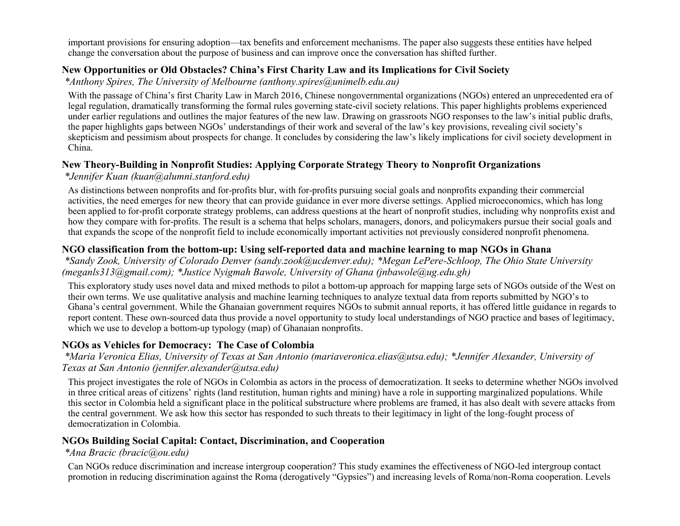important provisions for ensuring adoption—tax benefits and enforcement mechanisms. The paper also suggests these entities have helped change the conversation about the purpose of business and can improve once the conversation has shifted further.

### **New Opportunities or Old Obstacles? China's First Charity Law and its Implications for Civil Society**

*\*Anthony Spires, The University of Melbourne (anthony.spires@unimelb.edu.au)*

With the passage of China's first Charity Law in March 2016, Chinese nongovernmental organizations (NGOs) entered an unprecedented era of legal regulation, dramatically transforming the formal rules governing state-civil society relations. This paper highlights problems experienced under earlier regulations and outlines the major features of the new law. Drawing on grassroots NGO responses to the law's initial public drafts, the paper highlights gaps between NGOs' understandings of their work and several of the law's key provisions, revealing civil society's skepticism and pessimism about prospects for change. It concludes by considering the law's likely implications for civil society development in China.

### **New Theory-Building in Nonprofit Studies: Applying Corporate Strategy Theory to Nonprofit Organizations**

*\*Jennifer Kuan (kuan@alumni.stanford.edu)*

As distinctions between nonprofits and for-profits blur, with for-profits pursuing social goals and nonprofits expanding their commercial activities, the need emerges for new theory that can provide guidance in ever more diverse settings. Applied microeconomics, which has long been applied to for-profit corporate strategy problems, can address questions at the heart of nonprofit studies, including why nonprofits exist and how they compare with for-profits. The result is a schema that helps scholars, managers, donors, and policymakers pursue their social goals and that expands the scope of the nonprofit field to include economically important activities not previously considered nonprofit phenomena.

### **NGO classification from the bottom-up: Using self-reported data and machine learning to map NGOs in Ghana**

*\*Sandy Zook, University of Colorado Denver (sandy.zook@ucdenver.edu); \*Megan LePere-Schloop, The Ohio State University (meganls313@gmail.com); \*Justice Nyigmah Bawole, University of Ghana (jnbawole@ug.edu.gh)*

This exploratory study uses novel data and mixed methods to pilot a bottom-up approach for mapping large sets of NGOs outside of the West on their own terms. We use qualitative analysis and machine learning techniques to analyze textual data from reports submitted by NGO's to Ghana's central government. While the Ghanaian government requires NGOs to submit annual reports, it has offered little guidance in regards to report content. These own-sourced data thus provide a novel opportunity to study local understandings of NGO practice and bases of legitimacy, which we use to develop a bottom-up typology (map) of Ghanaian nonprofits.

### **NGOs as Vehicles for Democracy: The Case of Colombia**

*\*Maria Veronica Elias, University of Texas at San Antonio (mariaveronica.elias@utsa.edu); \*Jennifer Alexander, University of Texas at San Antonio (jennifer.alexander@utsa.edu)*

This project investigates the role of NGOs in Colombia as actors in the process of democratization. It seeks to determine whether NGOs involved in three critical areas of citizens' rights (land restitution, human rights and mining) have a role in supporting marginalized populations. While this sector in Colombia held a significant place in the political substructure where problems are framed, it has also dealt with severe attacks from the central government. We ask how this sector has responded to such threats to their legitimacy in light of the long-fought process of democratization in Colombia.

### **NGOs Building Social Capital: Contact, Discrimination, and Cooperation**

*\*Ana Bracic (bracic@ou.edu)*

Can NGOs reduce discrimination and increase intergroup cooperation? This study examines the effectiveness of NGO-led intergroup contact promotion in reducing discrimination against the Roma (derogatively "Gypsies") and increasing levels of Roma/non-Roma cooperation. Levels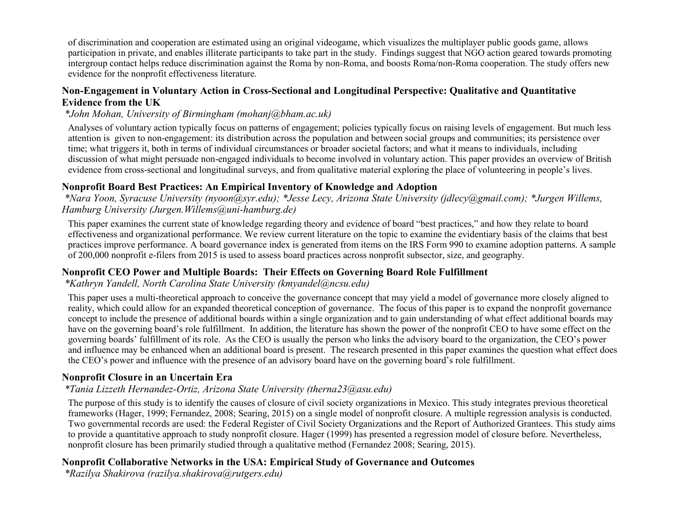of discrimination and cooperation are estimated using an original videogame, which visualizes the multiplayer public goods game, allows participation in private, and enables illiterate participants to take part in the study. Findings suggest that NGO action geared towards promoting intergroup contact helps reduce discrimination against the Roma by non-Roma, and boosts Roma/non-Roma cooperation. The study offers new evidence for the nonprofit effectiveness literature.

### **Non-Engagement in Voluntary Action in Cross-Sectional and Longitudinal Perspective: Qualitative and Quantitative Evidence from the UK**

#### *\*John Mohan, University of Birmingham (mohanj@bham.ac.uk)*

Analyses of voluntary action typically focus on patterns of engagement; policies typically focus on raising levels of engagement. But much less attention is given to non-engagement: its distribution across the population and between social groups and communities; its persistence over time; what triggers it, both in terms of individual circumstances or broader societal factors; and what it means to individuals, including discussion of what might persuade non-engaged individuals to become involved in voluntary action. This paper provides an overview of British evidence from cross-sectional and longitudinal surveys, and from qualitative material exploring the place of volunteering in people's lives.

### **Nonprofit Board Best Practices: An Empirical Inventory of Knowledge and Adoption**

*\*Nara Yoon, Syracuse University (nyoon@syr.edu); \*Jesse Lecy, Arizona State University (jdlecy@gmail.com); \*Jurgen Willems, Hamburg University (Jurgen.Willems@uni-hamburg.de)*

This paper examines the current state of knowledge regarding theory and evidence of board "best practices," and how they relate to board effectiveness and organizational performance. We review current literature on the topic to examine the evidentiary basis of the claims that best practices improve performance. A board governance index is generated from items on the IRS Form 990 to examine adoption patterns. A sample of 200,000 nonprofit e-filers from 2015 is used to assess board practices across nonprofit subsector, size, and geography.

### **Nonprofit CEO Power and Multiple Boards: Their Effects on Governing Board Role Fulfillment**

*\*Kathryn Yandell, North Carolina State University (kmyandel@ncsu.edu)*

This paper uses a multi-theoretical approach to conceive the governance concept that may yield a model of governance more closely aligned to reality, which could allow for an expanded theoretical conception of governance. The focus of this paper is to expand the nonprofit governance concept to include the presence of additional boards within a single organization and to gain understanding of what effect additional boards may have on the governing board's role fulfillment. In addition, the literature has shown the power of the nonprofit CEO to have some effect on the governing boards' fulfillment of its role. As the CEO is usually the person who links the advisory board to the organization, the CEO's power and influence may be enhanced when an additional board is present. The research presented in this paper examines the question what effect does the CEO's power and influence with the presence of an advisory board have on the governing board's role fulfillment.

### **Nonprofit Closure in an Uncertain Era**

### *\*Tania Lizzeth Hernandez-Ortiz, Arizona State University (therna23@asu.edu)*

The purpose of this study is to identify the causes of closure of civil society organizations in Mexico. This study integrates previous theoretical frameworks (Hager, 1999; Fernandez, 2008; Searing, 2015) on a single model of nonprofit closure. A multiple regression analysis is conducted. Two governmental records are used: the Federal Register of Civil Society Organizations and the Report of Authorized Grantees. This study aims to provide a quantitative approach to study nonprofit closure. Hager (1999) has presented a regression model of closure before. Nevertheless, nonprofit closure has been primarily studied through a qualitative method (Fernandez 2008; Searing, 2015).

### **Nonprofit Collaborative Networks in the USA: Empirical Study of Governance and Outcomes**

*\*Razilya Shakirova (razilya.shakirova@rutgers.edu)*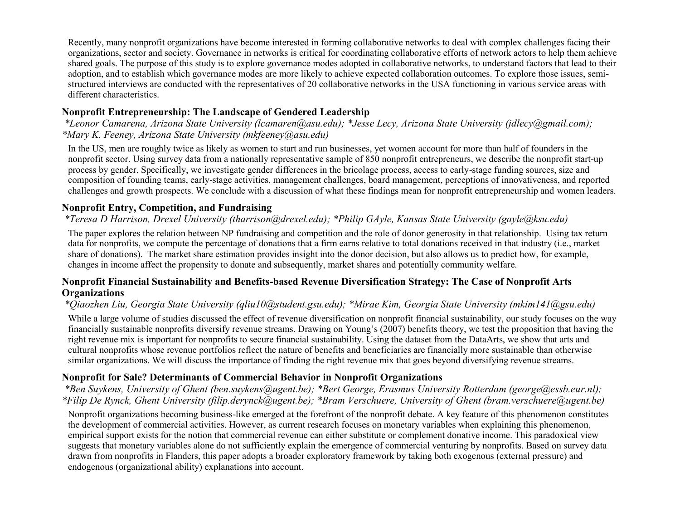Recently, many nonprofit organizations have become interested in forming collaborative networks to deal with complex challenges facing their organizations, sector and society. Governance in networks is critical for coordinating collaborative efforts of network actors to help them achieve shared goals. The purpose of this study is to explore governance modes adopted in collaborative networks, to understand factors that lead to their adoption, and to establish which governance modes are more likely to achieve expected collaboration outcomes. To explore those issues, semistructured interviews are conducted with the representatives of 20 collaborative networks in the USA functioning in various service areas with different characteristics.

# **Nonprofit Entrepreneurship: The Landscape of Gendered Leadership**

*\*Leonor Camarena, Arizona State University (lcamaren@asu.edu); \*Jesse Lecy, Arizona State University (jdlecy@gmail.com); \*Mary K. Feeney, Arizona State University (mkfeeney@asu.edu)*

In the US, men are roughly twice as likely as women to start and run businesses, yet women account for more than half of founders in the nonprofit sector. Using survey data from a nationally representative sample of 850 nonprofit entrepreneurs, we describe the nonprofit start-up process by gender. Specifically, we investigate gender differences in the bricolage process, access to early-stage funding sources, size and composition of founding teams, early-stage activities, management challenges, board management, perceptions of innovativeness, and reported challenges and growth prospects. We conclude with a discussion of what these findings mean for nonprofit entrepreneurship and women leaders.

### **Nonprofit Entry, Competition, and Fundraising**

# *\*Teresa D Harrison, Drexel University (tharrison@drexel.edu); \*Philip GAyle, Kansas State University (gayle@ksu.edu)*

The paper explores the relation between NP fundraising and competition and the role of donor generosity in that relationship. Using tax return data for nonprofits, we compute the percentage of donations that a firm earns relative to total donations received in that industry (i.e., market share of donations). The market share estimation provides insight into the donor decision, but also allows us to predict how, for example, changes in income affect the propensity to donate and subsequently, market shares and potentially community welfare.

#### **Nonprofit Financial Sustainability and Benefits-based Revenue Diversification Strategy: The Case of Nonprofit Arts Organizations**

### *\*Qiaozhen Liu, Georgia State University (qliu10@student.gsu.edu); \*Mirae Kim, Georgia State University (mkim141@gsu.edu)*

While a large volume of studies discussed the effect of revenue diversification on nonprofit financial sustainability, our study focuses on the way financially sustainable nonprofits diversify revenue streams. Drawing on Young's (2007) benefits theory, we test the proposition that having the right revenue mix is important for nonprofits to secure financial sustainability. Using the dataset from the DataArts, we show that arts and cultural nonprofits whose revenue portfolios reflect the nature of benefits and beneficiaries are financially more sustainable than otherwise similar organizations. We will discuss the importance of finding the right revenue mix that goes beyond diversifying revenue streams.

### **Nonprofit for Sale? Determinants of Commercial Behavior in Nonprofit Organizations**

*\*Ben Suykens, University of Ghent (ben.suykens@ugent.be); \*Bert George, Erasmus University Rotterdam (george@essb.eur.nl); \*Filip De Rynck, Ghent University (filip.derynck@ugent.be); \*Bram Verschuere, University of Ghent (bram.verschuere@ugent.be)*

Nonprofit organizations becoming business-like emerged at the forefront of the nonprofit debate. A key feature of this phenomenon constitutes the development of commercial activities. However, as current research focuses on monetary variables when explaining this phenomenon, empirical support exists for the notion that commercial revenue can either substitute or complement donative income. This paradoxical view suggests that monetary variables alone do not sufficiently explain the emergence of commercial venturing by nonprofits. Based on survey data drawn from nonprofits in Flanders, this paper adopts a broader exploratory framework by taking both exogenous (external pressure) and endogenous (organizational ability) explanations into account.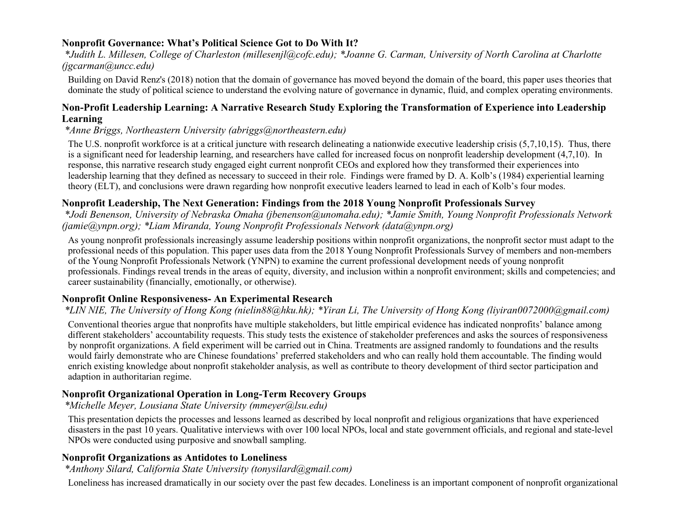### **Nonprofit Governance: What's Political Science Got to Do With It?**

*\*Judith L. Millesen, College of Charleston (millesenjl@cofc.edu); \*Joanne G. Carman, University of North Carolina at Charlotte (jgcarman@uncc.edu)*

Building on David Renz's (2018) notion that the domain of governance has moved beyond the domain of the board, this paper uses theories that dominate the study of political science to understand the evolving nature of governance in dynamic, fluid, and complex operating environments.

### **Non-Profit Leadership Learning: A Narrative Research Study Exploring the Transformation of Experience into Leadership Learning**

*\*Anne Briggs, Northeastern University (abriggs@northeastern.edu)*

The U.S. nonprofit workforce is at a critical juncture with research delineating a nationwide executive leadership crisis (5,7,10,15). Thus, there is a significant need for leadership learning, and researchers have called for increased focus on nonprofit leadership development (4,7,10). In response, this narrative research study engaged eight current nonprofit CEOs and explored how they transformed their experiences into leadership learning that they defined as necessary to succeed in their role. Findings were framed by D. A. Kolb's (1984) experiential learning theory (ELT), and conclusions were drawn regarding how nonprofit executive leaders learned to lead in each of Kolb's four modes.

### **Nonprofit Leadership, The Next Generation: Findings from the 2018 Young Nonprofit Professionals Survey**

*\*Jodi Benenson, University of Nebraska Omaha (jbenenson@unomaha.edu); \*Jamie Smith, Young Nonprofit Professionals Network (jamie@ynpn.org); \*Liam Miranda, Young Nonprofit Professionals Network (data@ynpn.org)*

As young nonprofit professionals increasingly assume leadership positions within nonprofit organizations, the nonprofit sector must adapt to the professional needs of this population. This paper uses data from the 2018 Young Nonprofit Professionals Survey of members and non-members of the Young Nonprofit Professionals Network (YNPN) to examine the current professional development needs of young nonprofit professionals. Findings reveal trends in the areas of equity, diversity, and inclusion within a nonprofit environment; skills and competencies; and career sustainability (financially, emotionally, or otherwise).

### **Nonprofit Online Responsiveness- An Experimental Research**

### *\*LIN NIE, The University of Hong Kong (nielin88@hku.hk); \*Yiran Li, The University of Hong Kong (liyiran0072000@gmail.com)*

Conventional theories argue that nonprofits have multiple stakeholders, but little empirical evidence has indicated nonprofits' balance among different stakeholders' accountability requests. This study tests the existence of stakeholder preferences and asks the sources of responsiveness by nonprofit organizations. A field experiment will be carried out in China. Treatments are assigned randomly to foundations and the results would fairly demonstrate who are Chinese foundations' preferred stakeholders and who can really hold them accountable. The finding would enrich existing knowledge about nonprofit stakeholder analysis, as well as contribute to theory development of third sector participation and adaption in authoritarian regime.

### **Nonprofit Organizational Operation in Long-Term Recovery Groups**

*\*Michelle Meyer, Lousiana State University (mmeyer@lsu.edu)*

This presentation depicts the processes and lessons learned as described by local nonprofit and religious organizations that have experienced disasters in the past 10 years. Qualitative interviews with over 100 local NPOs, local and state government officials, and regional and state-level NPOs were conducted using purposive and snowball sampling.

### **Nonprofit Organizations as Antidotes to Loneliness**

*\*Anthony Silard, California State University (tonysilard@gmail.com)*

Loneliness has increased dramatically in our society over the past few decades. Loneliness is an important component of nonprofit organizational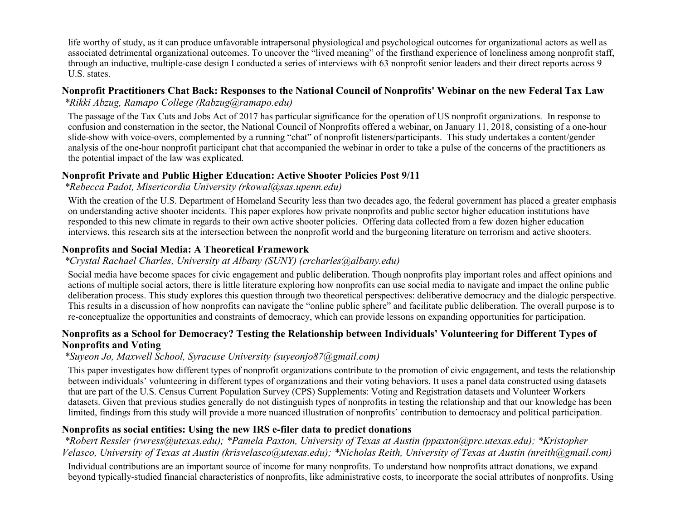life worthy of study, as it can produce unfavorable intrapersonal physiological and psychological outcomes for organizational actors as well as associated detrimental organizational outcomes. To uncover the "lived meaning" of the firsthand experience of loneliness among nonprofit staff, through an inductive, multiple-case design I conducted a series of interviews with 63 nonprofit senior leaders and their direct reports across 9 U.S. states.

# **Nonprofit Practitioners Chat Back: Responses to the National Council of Nonprofits' Webinar on the new Federal Tax Law**

*\*Rikki Abzug, Ramapo College (Rabzug@ramapo.edu)*

The passage of the Tax Cuts and Jobs Act of 2017 has particular significance for the operation of US nonprofit organizations. In response to confusion and consternation in the sector, the National Council of Nonprofits offered a webinar, on January 11, 2018, consisting of a one-hour slide-show with voice-overs, complemented by a running "chat" of nonprofit listeners/participants. This study undertakes a content/gender analysis of the one-hour nonprofit participant chat that accompanied the webinar in order to take a pulse of the concerns of the practitioners as the potential impact of the law was explicated.

### **Nonprofit Private and Public Higher Education: Active Shooter Policies Post 9/11**

*\*Rebecca Padot, Misericordia University (rkowal@sas.upenn.edu)*

With the creation of the U.S. Department of Homeland Security less than two decades ago, the federal government has placed a greater emphasis on understanding active shooter incidents. This paper explores how private nonprofits and public sector higher education institutions have responded to this new climate in regards to their own active shooter policies. Offering data collected from a few dozen higher education interviews, this research sits at the intersection between the nonprofit world and the burgeoning literature on terrorism and active shooters.

# **Nonprofits and Social Media: A Theoretical Framework**

### *\*Crystal Rachael Charles, University at Albany (SUNY) (crcharles@albany.edu)*

Social media have become spaces for civic engagement and public deliberation. Though nonprofits play important roles and affect opinions and actions of multiple social actors, there is little literature exploring how nonprofits can use social media to navigate and impact the online public deliberation process. This study explores this question through two theoretical perspectives: deliberative democracy and the dialogic perspective. This results in a discussion of how nonprofits can navigate the "online public sphere" and facilitate public deliberation. The overall purpose is to re-conceptualize the opportunities and constraints of democracy, which can provide lessons on expanding opportunities for participation.

### **Nonprofits as a School for Democracy? Testing the Relationship between Individuals' Volunteering for Different Types of Nonprofits and Voting**

# *\*Suyeon Jo, Maxwell School, Syracuse University (suyeonjo87@gmail.com)*

This paper investigates how different types of nonprofit organizations contribute to the promotion of civic engagement, and tests the relationship between individuals' volunteering in different types of organizations and their voting behaviors. It uses a panel data constructed using datasets that are part of the U.S. Census Current Population Survey (CPS) Supplements: Voting and Registration datasets and Volunteer Workers datasets. Given that previous studies generally do not distinguish types of nonprofits in testing the relationship and that our knowledge has been limited, findings from this study will provide a more nuanced illustration of nonprofits' contribution to democracy and political participation.

### **Nonprofits as social entities: Using the new IRS e-filer data to predict donations**

*\*Robert Ressler (rwress@utexas.edu); \*Pamela Paxton, University of Texas at Austin (ppaxton@prc.utexas.edu); \*Kristopher Velasco, University of Texas at Austin (krisvelasco@utexas.edu); \*Nicholas Reith, University of Texas at Austin (nreith@gmail.com)*

Individual contributions are an important source of income for many nonprofits. To understand how nonprofits attract donations, we expand beyond typically-studied financial characteristics of nonprofits, like administrative costs, to incorporate the social attributes of nonprofits. Using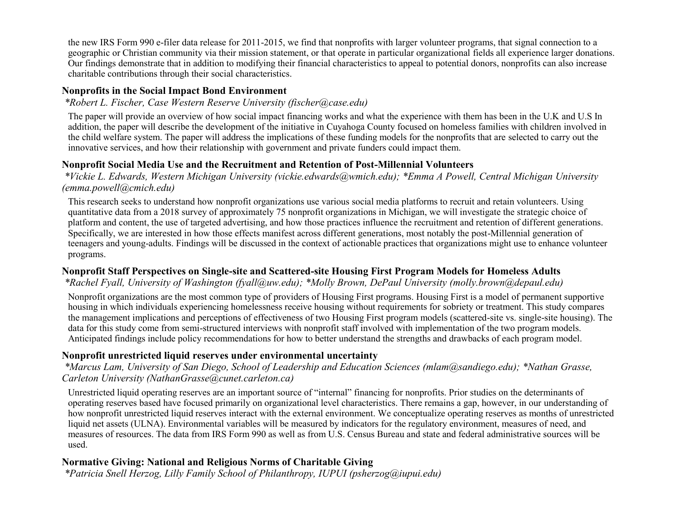the new IRS Form 990 e-filer data release for 2011-2015, we find that nonprofits with larger volunteer programs, that signal connection to a geographic or Christian community via their mission statement, or that operate in particular organizational fields all experience larger donations. Our findings demonstrate that in addition to modifying their financial characteristics to appeal to potential donors, nonprofits can also increase charitable contributions through their social characteristics.

### **Nonprofits in the Social Impact Bond Environment**

#### *\*Robert L. Fischer, Case Western Reserve University (fischer@case.edu)*

The paper will provide an overview of how social impact financing works and what the experience with them has been in the U.K and U.S In addition, the paper will describe the development of the initiative in Cuyahoga County focused on homeless families with children involved in the child welfare system. The paper will address the implications of these funding models for the nonprofits that are selected to carry out the innovative services, and how their relationship with government and private funders could impact them.

#### **Nonprofit Social Media Use and the Recruitment and Retention of Post-Millennial Volunteers**

*\*Vickie L. Edwards, Western Michigan University (vickie.edwards@wmich.edu); \*Emma A Powell, Central Michigan University (emma.powell@cmich.edu)*

This research seeks to understand how nonprofit organizations use various social media platforms to recruit and retain volunteers. Using quantitative data from a 2018 survey of approximately 75 nonprofit organizations in Michigan, we will investigate the strategic choice of platform and content, the use of targeted advertising, and how those practices influence the recruitment and retention of different generations. Specifically, we are interested in how those effects manifest across different generations, most notably the post-Millennial generation of teenagers and young-adults. Findings will be discussed in the context of actionable practices that organizations might use to enhance volunteer programs.

### **Nonprofit Staff Perspectives on Single-site and Scattered-site Housing First Program Models for Homeless Adults**

#### *\*Rachel Fyall, University of Washington (fyall@uw.edu); \*Molly Brown, DePaul University (molly.brown@depaul.edu)*

Nonprofit organizations are the most common type of providers of Housing First programs. Housing First is a model of permanent supportive housing in which individuals experiencing homelessness receive housing without requirements for sobriety or treatment. This study compares the management implications and perceptions of effectiveness of two Housing First program models (scattered-site vs. single-site housing). The data for this study come from semi-structured interviews with nonprofit staff involved with implementation of the two program models. Anticipated findings include policy recommendations for how to better understand the strengths and drawbacks of each program model.

### **Nonprofit unrestricted liquid reserves under environmental uncertainty**

#### *\*Marcus Lam, University of San Diego, School of Leadership and Education Sciences (mlam@sandiego.edu); \*Nathan Grasse, Carleton University (NathanGrasse@cunet.carleton.ca)*

Unrestricted liquid operating reserves are an important source of "internal" financing for nonprofits. Prior studies on the determinants of operating reserves based have focused primarily on organizational level characteristics. There remains a gap, however, in our understanding of how nonprofit unrestricted liquid reserves interact with the external environment. We conceptualize operating reserves as months of unrestricted liquid net assets (ULNA). Environmental variables will be measured by indicators for the regulatory environment, measures of need, and measures of resources. The data from IRS Form 990 as well as from U.S. Census Bureau and state and federal administrative sources will be used.

### **Normative Giving: National and Religious Norms of Charitable Giving**

*\*Patricia Snell Herzog, Lilly Family School of Philanthropy, IUPUI (psherzog@iupui.edu)*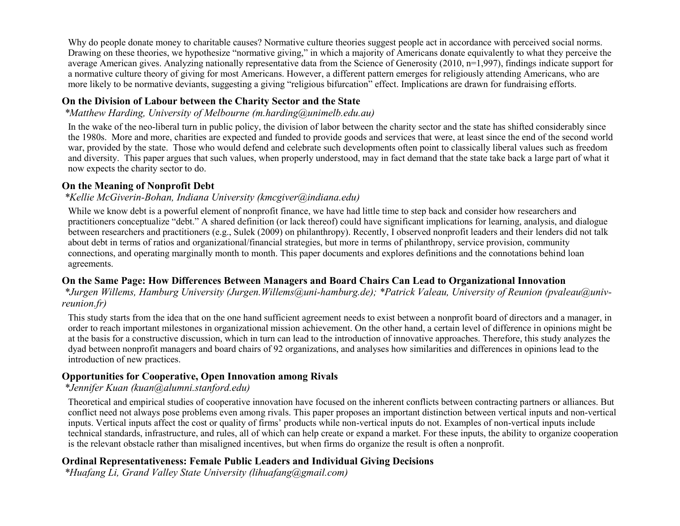Why do people donate money to charitable causes? Normative culture theories suggest people act in accordance with perceived social norms. Drawing on these theories, we hypothesize "normative giving," in which a majority of Americans donate equivalently to what they perceive the average American gives. Analyzing nationally representative data from the Science of Generosity (2010, n=1,997), findings indicate support for a normative culture theory of giving for most Americans. However, a different pattern emerges for religiously attending Americans, who are more likely to be normative deviants, suggesting a giving "religious bifurcation" effect. Implications are drawn for fundraising efforts.

### **On the Division of Labour between the Charity Sector and the State**

*\*Matthew Harding, University of Melbourne (m.harding@unimelb.edu.au)*

In the wake of the neo-liberal turn in public policy, the division of labor between the charity sector and the state has shifted considerably since the 1980s. More and more, charities are expected and funded to provide goods and services that were, at least since the end of the second world war, provided by the state. Those who would defend and celebrate such developments often point to classically liberal values such as freedom and diversity. This paper argues that such values, when properly understood, may in fact demand that the state take back a large part of what it now expects the charity sector to do.

#### **On the Meaning of Nonprofit Debt**

#### *\*Kellie McGiverin-Bohan, Indiana University (kmcgiver@indiana.edu)*

While we know debt is a powerful element of nonprofit finance, we have had little time to step back and consider how researchers and practitioners conceptualize "debt." A shared definition (or lack thereof) could have significant implications for learning, analysis, and dialogue between researchers and practitioners (e.g., Sulek (2009) on philanthropy). Recently, I observed nonprofit leaders and their lenders did not talk about debt in terms of ratios and organizational/financial strategies, but more in terms of philanthropy, service provision, community connections, and operating marginally month to month. This paper documents and explores definitions and the connotations behind loan agreements.

### **On the Same Page: How Differences Between Managers and Board Chairs Can Lead to Organizational Innovation**

*\*Jurgen Willems, Hamburg University (Jurgen.Willems@uni-hamburg.de); \*Patrick Valeau, University of Reunion (pvaleau@univreunion.fr)*

This study starts from the idea that on the one hand sufficient agreement needs to exist between a nonprofit board of directors and a manager, in order to reach important milestones in organizational mission achievement. On the other hand, a certain level of difference in opinions might be at the basis for a constructive discussion, which in turn can lead to the introduction of innovative approaches. Therefore, this study analyzes the dyad between nonprofit managers and board chairs of 92 organizations, and analyses how similarities and differences in opinions lead to the introduction of new practices.

### **Opportunities for Cooperative, Open Innovation among Rivals**

### *\*Jennifer Kuan (kuan@alumni.stanford.edu)*

Theoretical and empirical studies of cooperative innovation have focused on the inherent conflicts between contracting partners or alliances. But conflict need not always pose problems even among rivals. This paper proposes an important distinction between vertical inputs and non-vertical inputs. Vertical inputs affect the cost or quality of firms' products while non-vertical inputs do not. Examples of non-vertical inputs include technical standards, infrastructure, and rules, all of which can help create or expand a market. For these inputs, the ability to organize cooperation is the relevant obstacle rather than misaligned incentives, but when firms do organize the result is often a nonprofit.

### **Ordinal Representativeness: Female Public Leaders and Individual Giving Decisions**

*\*Huafang Li, Grand Valley State University (lihuafang@gmail.com)*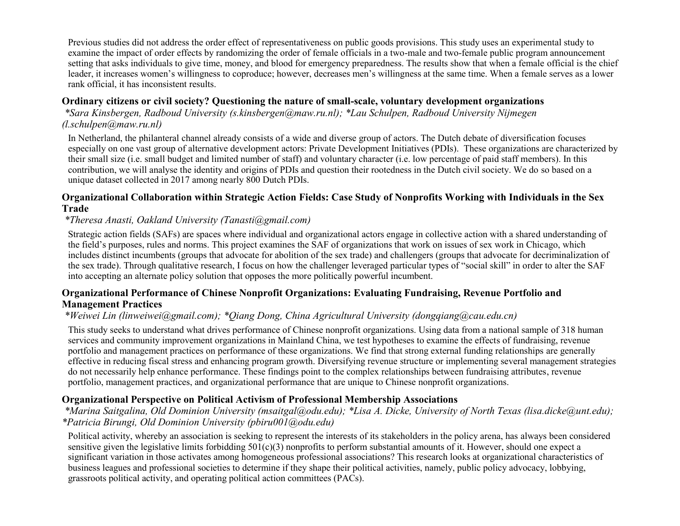Previous studies did not address the order effect of representativeness on public goods provisions. This study uses an experimental study to examine the impact of order effects by randomizing the order of female officials in a two-male and two-female public program announcement setting that asks individuals to give time, money, and blood for emergency preparedness. The results show that when a female official is the chief leader, it increases women's willingness to coproduce; however, decreases men's willingness at the same time. When a female serves as a lower rank official, it has inconsistent results.

### **Ordinary citizens or civil society? Questioning the nature of small-scale, voluntary development organizations**

*\*Sara Kinsbergen, Radboud University (s.kinsbergen@maw.ru.nl); \*Lau Schulpen, Radboud University Nijmegen (l.schulpen@maw.ru.nl)*

In Netherland, the philanteral channel already consists of a wide and diverse group of actors. The Dutch debate of diversification focuses especially on one vast group of alternative development actors: Private Development Initiatives (PDIs). These organizations are characterized by their small size (i.e. small budget and limited number of staff) and voluntary character (i.e. low percentage of paid staff members). In this contribution, we will analyse the identity and origins of PDIs and question their rootedness in the Dutch civil society. We do so based on a unique dataset collected in 2017 among nearly 800 Dutch PDIs.

#### **Organizational Collaboration within Strategic Action Fields: Case Study of Nonprofits Working with Individuals in the Sex Trade**

#### *\*Theresa Anasti, Oakland University (Tanasti@gmail.com)*

Strategic action fields (SAFs) are spaces where individual and organizational actors engage in collective action with a shared understanding of the field's purposes, rules and norms. This project examines the SAF of organizations that work on issues of sex work in Chicago, which includes distinct incumbents (groups that advocate for abolition of the sex trade) and challengers (groups that advocate for decriminalization of the sex trade). Through qualitative research, I focus on how the challenger leveraged particular types of "social skill" in order to alter the SAF into accepting an alternate policy solution that opposes the more politically powerful incumbent.

#### **Organizational Performance of Chinese Nonprofit Organizations: Evaluating Fundraising, Revenue Portfolio and Management Practices**

#### *\*Weiwei Lin (linweiwei@gmail.com); \*Qiang Dong, China Agricultural University (dongqiang@cau.edu.cn)*

This study seeks to understand what drives performance of Chinese nonprofit organizations. Using data from a national sample of 318 human services and community improvement organizations in Mainland China, we test hypotheses to examine the effects of fundraising, revenue portfolio and management practices on performance of these organizations. We find that strong external funding relationships are generally effective in reducing fiscal stress and enhancing program growth. Diversifying revenue structure or implementing several management strategies do not necessarily help enhance performance. These findings point to the complex relationships between fundraising attributes, revenue portfolio, management practices, and organizational performance that are unique to Chinese nonprofit organizations.

### **Organizational Perspective on Political Activism of Professional Membership Associations**

*\*Marina Saitgalina, Old Dominion University (msaitgal@odu.edu); \*Lisa A. Dicke, University of North Texas (lisa.dicke@unt.edu); \*Patricia Birungi, Old Dominion University (pbiru001@odu.edu)*

Political activity, whereby an association is seeking to represent the interests of its stakeholders in the policy arena, has always been considered sensitive given the legislative limits forbidding  $501(c)(3)$  nonprofits to perform substantial amounts of it. However, should one expect a significant variation in those activates among homogeneous professional associations? This research looks at organizational characteristics of business leagues and professional societies to determine if they shape their political activities, namely, public policy advocacy, lobbying, grassroots political activity, and operating political action committees (PACs).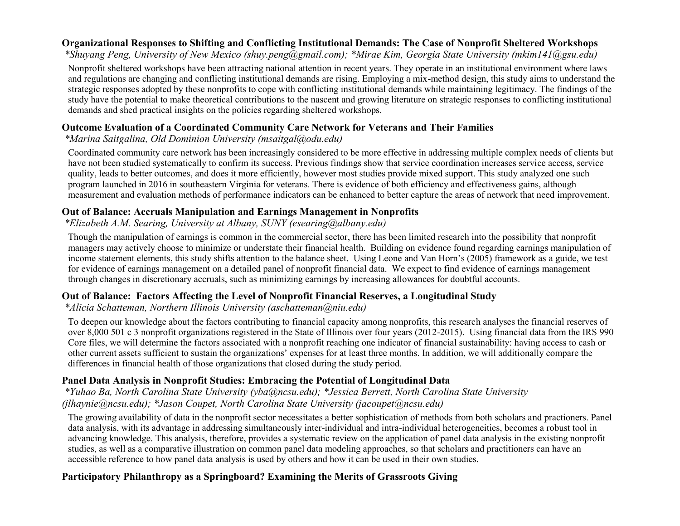### **Organizational Responses to Shifting and Conflicting Institutional Demands: The Case of Nonprofit Sheltered Workshops**

*\*Shuyang Peng, University of New Mexico (shuy.peng@gmail.com); \*Mirae Kim, Georgia State University (mkim141@gsu.edu)*

Nonprofit sheltered workshops have been attracting national attention in recent years. They operate in an institutional environment where laws and regulations are changing and conflicting institutional demands are rising. Employing a mix-method design, this study aims to understand the strategic responses adopted by these nonprofits to cope with conflicting institutional demands while maintaining legitimacy. The findings of the study have the potential to make theoretical contributions to the nascent and growing literature on strategic responses to conflicting institutional demands and shed practical insights on the policies regarding sheltered workshops.

### **Outcome Evaluation of a Coordinated Community Care Network for Veterans and Their Families**

### *\*Marina Saitgalina, Old Dominion University (msaitgal@odu.edu)*

Coordinated community care network has been increasingly considered to be more effective in addressing multiple complex needs of clients but have not been studied systematically to confirm its success. Previous findings show that service coordination increases service access, service quality, leads to better outcomes, and does it more efficiently, however most studies provide mixed support. This study analyzed one such program launched in 2016 in southeastern Virginia for veterans. There is evidence of both efficiency and effectiveness gains, although measurement and evaluation methods of performance indicators can be enhanced to better capture the areas of network that need improvement.

### **Out of Balance: Accruals Manipulation and Earnings Management in Nonprofits**

### *\*Elizabeth A.M. Searing, University at Albany, SUNY (esearing@albany.edu)*

Though the manipulation of earnings is common in the commercial sector, there has been limited research into the possibility that nonprofit managers may actively choose to minimize or understate their financial health. Building on evidence found regarding earnings manipulation of income statement elements, this study shifts attention to the balance sheet. Using Leone and Van Horn's (2005) framework as a guide, we test for evidence of earnings management on a detailed panel of nonprofit financial data. We expect to find evidence of earnings management through changes in discretionary accruals, such as minimizing earnings by increasing allowances for doubtful accounts.

### **Out of Balance: Factors Affecting the Level of Nonprofit Financial Reserves, a Longitudinal Study**

*\*Alicia Schatteman, Northern Illinois University (aschatteman@niu.edu)*

To deepen our knowledge about the factors contributing to financial capacity among nonprofits, this research analyses the financial reserves of over 8,000 501 c 3 nonprofit organizations registered in the State of Illinois over four years (2012-2015). Using financial data from the IRS 990 Core files, we will determine the factors associated with a nonprofit reaching one indicator of financial sustainability: having access to cash or other current assets sufficient to sustain the organizations' expenses for at least three months. In addition, we will additionally compare the differences in financial health of those organizations that closed during the study period.

### **Panel Data Analysis in Nonprofit Studies: Embracing the Potential of Longitudinal Data**

*\*Yuhao Ba, North Carolina State University (yba@ncsu.edu); \*Jessica Berrett, North Carolina State University (jlhaynie@ncsu.edu); \*Jason Coupet, North Carolina State University (jacoupet@ncsu.edu)*

The growing availability of data in the nonprofit sector necessitates a better sophistication of methods from both scholars and practioners. Panel data analysis, with its advantage in addressing simultaneously inter-individual and intra-individual heterogeneities, becomes a robust tool in advancing knowledge. This analysis, therefore, provides a systematic review on the application of panel data analysis in the existing nonprofit studies, as well as a comparative illustration on common panel data modeling approaches, so that scholars and practitioners can have an accessible reference to how panel data analysis is used by others and how it can be used in their own studies.

### **Participatory Philanthropy as a Springboard? Examining the Merits of Grassroots Giving**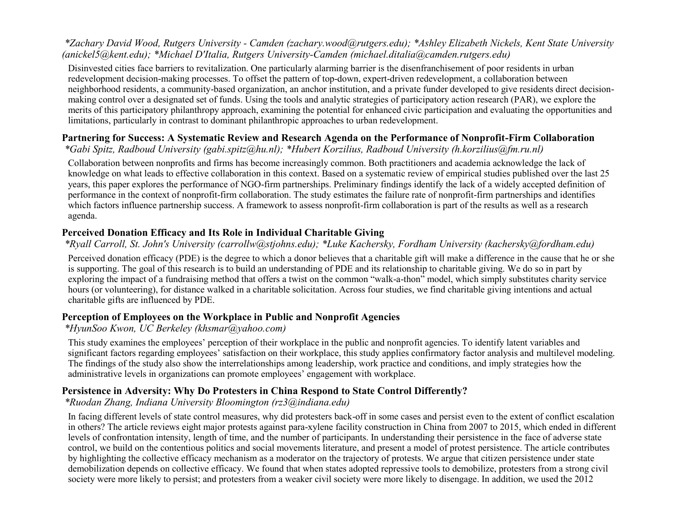#### *\*Zachary David Wood, Rutgers University - Camden (zachary.wood@rutgers.edu); \*Ashley Elizabeth Nickels, Kent State University (anickel5@kent.edu); \*Michael D'Italia, Rutgers University-Camden (michael.ditalia@camden.rutgers.edu)*

Disinvested cities face barriers to revitalization. One particularly alarming barrier is the disenfranchisement of poor residents in urban redevelopment decision-making processes. To offset the pattern of top-down, expert-driven redevelopment, a collaboration between neighborhood residents, a community-based organization, an anchor institution, and a private funder developed to give residents direct decisionmaking control over a designated set of funds. Using the tools and analytic strategies of participatory action research (PAR), we explore the merits of this participatory philanthropy approach, examining the potential for enhanced civic participation and evaluating the opportunities and limitations, particularly in contrast to dominant philanthropic approaches to urban redevelopment.

### **Partnering for Success: A Systematic Review and Research Agenda on the Performance of Nonprofit-Firm Collaboration**

*\*Gabi Spitz, Radboud University (gabi.spitz@hu.nl); \*Hubert Korzilius, Radboud University (h.korzilius@fm.ru.nl)*

Collaboration between nonprofits and firms has become increasingly common. Both practitioners and academia acknowledge the lack of knowledge on what leads to effective collaboration in this context. Based on a systematic review of empirical studies published over the last 25 years, this paper explores the performance of NGO-firm partnerships. Preliminary findings identify the lack of a widely accepted definition of performance in the context of nonprofit-firm collaboration. The study estimates the failure rate of nonprofit-firm partnerships and identifies which factors influence partnership success. A framework to assess nonprofit-firm collaboration is part of the results as well as a research agenda.

### **Perceived Donation Efficacy and Its Role in Individual Charitable Giving**

### *\*Ryall Carroll, St. John's University (carrollw@stjohns.edu); \*Luke Kachersky, Fordham University (kachersky@fordham.edu)*

Perceived donation efficacy (PDE) is the degree to which a donor believes that a charitable gift will make a difference in the cause that he or she is supporting. The goal of this research is to build an understanding of PDE and its relationship to charitable giving. We do so in part by exploring the impact of a fundraising method that offers a twist on the common "walk-a-thon" model, which simply substitutes charity service hours (or volunteering), for distance walked in a charitable solicitation. Across four studies, we find charitable giving intentions and actual charitable gifts are influenced by PDE.

### **Perception of Employees on the Workplace in Public and Nonprofit Agencies**

### *\*HyunSoo Kwon, UC Berkeley (khsmar@yahoo.com)*

This study examines the employees' perception of their workplace in the public and nonprofit agencies. To identify latent variables and significant factors regarding employees' satisfaction on their workplace, this study applies confirmatory factor analysis and multilevel modeling. The findings of the study also show the interrelationships among leadership, work practice and conditions, and imply strategies how the administrative levels in organizations can promote employees' engagement with workplace.

### **Persistence in Adversity: Why Do Protesters in China Respond to State Control Differently?**

#### *\*Ruodan Zhang, Indiana University Bloomington (rz3@indiana.edu)*

In facing different levels of state control measures, why did protesters back-off in some cases and persist even to the extent of conflict escalation in others? The article reviews eight major protests against para-xylene facility construction in China from 2007 to 2015, which ended in different levels of confrontation intensity, length of time, and the number of participants. In understanding their persistence in the face of adverse state control, we build on the contentious politics and social movements literature, and present a model of protest persistence. The article contributes by highlighting the collective efficacy mechanism as a moderator on the trajectory of protests. We argue that citizen persistence under state demobilization depends on collective efficacy. We found that when states adopted repressive tools to demobilize, protesters from a strong civil society were more likely to persist; and protesters from a weaker civil society were more likely to disengage. In addition, we used the 2012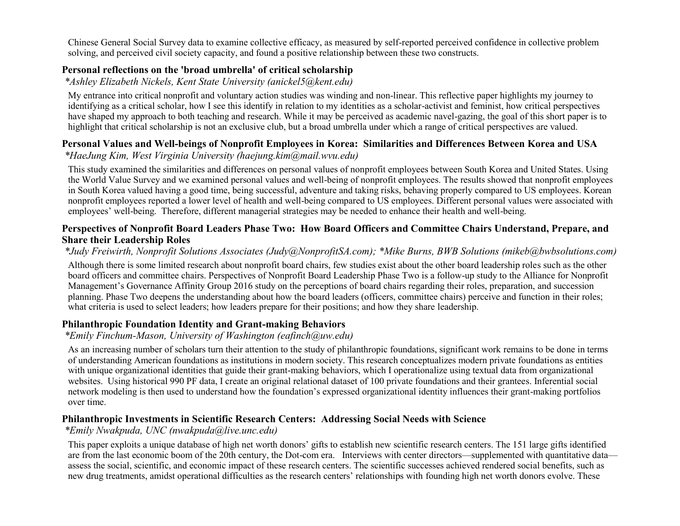Chinese General Social Survey data to examine collective efficacy, as measured by self-reported perceived confidence in collective problem solving, and perceived civil society capacity, and found a positive relationship between these two constructs.

### **Personal reflections on the 'broad umbrella' of critical scholarship**

*\*Ashley Elizabeth Nickels, Kent State University (anickel5@kent.edu)*

My entrance into critical nonprofit and voluntary action studies was winding and non-linear. This reflective paper highlights my journey to identifying as a critical scholar, how I see this identify in relation to my identities as a scholar-activist and feminist, how critical perspectives have shaped my approach to both teaching and research. While it may be perceived as academic navel-gazing, the goal of this short paper is to highlight that critical scholarship is not an exclusive club, but a broad umbrella under which a range of critical perspectives are valued.

# **Personal Values and Well-beings of Nonprofit Employees in Korea: Similarities and Differences Between Korea and USA**

*\*HaeJung Kim, West Virginia University (haejung.kim@mail.wvu.edu)*

This study examined the similarities and differences on personal values of nonprofit employees between South Korea and United States. Using the World Value Survey and we examined personal values and well-being of nonprofit employees. The results showed that nonprofit employees in South Korea valued having a good time, being successful, adventure and taking risks, behaving properly compared to US employees. Korean nonprofit employees reported a lower level of health and well-being compared to US employees. Different personal values were associated with employees' well-being. Therefore, different managerial strategies may be needed to enhance their health and well-being.

### **Perspectives of Nonprofit Board Leaders Phase Two: How Board Officers and Committee Chairs Understand, Prepare, and Share their Leadership Roles**

*\*Judy Freiwirth, Nonprofit Solutions Associates (Judy@NonprofitSA.com); \*Mike Burns, BWB Solutions (mikeb@bwbsolutions.com)*

Although there is some limited research about nonprofit board chairs, few studies exist about the other board leadership roles such as the other board officers and committee chairs. Perspectives of Nonprofit Board Leadership Phase Two is a follow-up study to the Alliance for Nonprofit Management's Governance Affinity Group 2016 study on the perceptions of board chairs regarding their roles, preparation, and succession planning. Phase Two deepens the understanding about how the board leaders (officers, committee chairs) perceive and function in their roles; what criteria is used to select leaders; how leaders prepare for their positions; and how they share leadership.

### **Philanthropic Foundation Identity and Grant-making Behaviors**

*\*Emily Finchum-Mason, University of Washington (eafinch@uw.edu)*

As an increasing number of scholars turn their attention to the study of philanthropic foundations, significant work remains to be done in terms of understanding American foundations as institutions in modern society. This research conceptualizes modern private foundations as entities with unique organizational identities that guide their grant-making behaviors, which I operationalize using textual data from organizational websites. Using historical 990 PF data, I create an original relational dataset of 100 private foundations and their grantees. Inferential social network modeling is then used to understand how the foundation's expressed organizational identity influences their grant-making portfolios over time.

### **Philanthropic Investments in Scientific Research Centers: Addressing Social Needs with Science**

*\*Emily Nwakpuda, UNC (nwakpuda@live.unc.edu)*

This paper exploits a unique database of high net worth donors' gifts to establish new scientific research centers. The 151 large gifts identified are from the last economic boom of the 20th century, the Dot-com era. Interviews with center directors—supplemented with quantitative data assess the social, scientific, and economic impact of these research centers. The scientific successes achieved rendered social benefits, such as new drug treatments, amidst operational difficulties as the research centers' relationships with founding high net worth donors evolve. These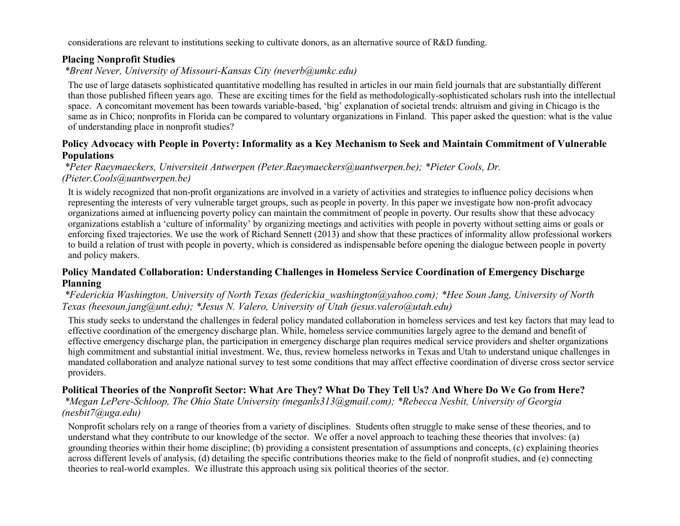considerations are relevant to institutions seeking to cultivate donors, as an alternative source of R&D funding.

#### **Placing Nonprofit Studies**

*\*Brent Never, University of Missouri-Kansas City (neverb@umkc.edu)*

The use of large datasets sophisticated quantitative modelling has resulted in articles in our main field journals that are substantially different than those published fifteen years ago. These are exciting times for the field as methodologically-sophisticated scholars rush into the intellectual space. A concomitant movement has been towards variable-based, 'big' explanation of societal trends: altruism and giving in Chicago is the same as in Chico; nonprofits in Florida can be compared to voluntary organizations in Finland. This paper asked the question: what is the value of understanding place in nonprofit studies?

### **Policy Advocacy with People in Poverty: Informality as a Key Mechanism to Seek and Maintain Commitment of Vulnerable Populations**

*\*Peter Raeymaeckers, Universiteit Antwerpen (Peter.Raeymaeckers@uantwerpen.be); \*Pieter Cools, Dr. (Pieter.Cools@uantwerpen.be)*

It is widely recognized that non-profit organizations are involved in a variety of activities and strategies to influence policy decisions when representing the interests of very vulnerable target groups, such as people in poverty. In this paper we investigate how non-profit advocacy organizations aimed at influencing poverty policy can maintain the commitment of people in poverty. Our results show that these advocacy organizations establish a 'culture of informality' by organizing meetings and activities with people in poverty without setting aims or goals or enforcing fixed trajectories. We use the work of Richard Sennett (2013) and show that these practices of informality allow professional workers to build a relation of trust with people in poverty, which is considered as indispensable before opening the dialogue between people in poverty and policy makers.

### **Policy Mandated Collaboration: Understanding Challenges in Homeless Service Coordination of Emergency Discharge Planning**

#### *\*Federickia Washington, University of North Texas (federickia\_washington@yahoo.com); \*Hee Soun Jang, University of North Texas (heesoun.jang@unt.edu); \*Jesus N. Valero, University of Utah (jesus.valero@utah.edu)*

This study seeks to understand the challenges in federal policy mandated collaboration in homeless services and test key factors that may lead to effective coordination of the emergency discharge plan. While, homeless service communities largely agree to the demand and benefit of effective emergency discharge plan, the participation in emergency discharge plan requires medical service providers and shelter organizations high commitment and substantial initial investment. We, thus, review homeless networks in Texas and Utah to understand unique challenges in mandated collaboration and analyze national survey to test some conditions that may affect effective coordination of diverse cross sector service providers.

### **Political Theories of the Nonprofit Sector: What Are They? What Do They Tell Us? And Where Do We Go from Here?**

*\*Megan LePere-Schloop, The Ohio State University (meganls313@gmail.com); \*Rebecca Nesbit, University of Georgia (nesbit7@uga.edu)*

Nonprofit scholars rely on a range of theories from a variety of disciplines. Students often struggle to make sense of these theories, and to understand what they contribute to our knowledge of the sector. We offer a novel approach to teaching these theories that involves: (a) grounding theories within their home discipline; (b) providing a consistent presentation of assumptions and concepts, (c) explaining theories across different levels of analysis, (d) detailing the specific contributions theories make to the field of nonprofit studies, and (e) connecting theories to real-world examples. We illustrate this approach using six political theories of the sector.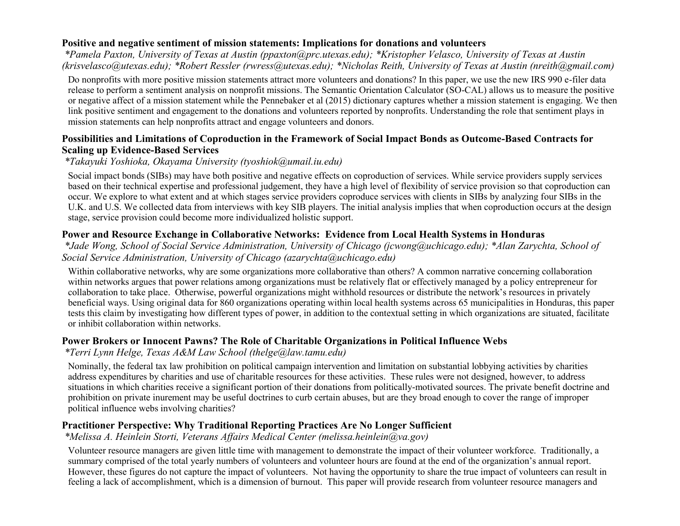#### **Positive and negative sentiment of mission statements: Implications for donations and volunteers**

*\*Pamela Paxton, University of Texas at Austin (ppaxton@prc.utexas.edu); \*Kristopher Velasco, University of Texas at Austin (krisvelasco@utexas.edu); \*Robert Ressler (rwress@utexas.edu); \*Nicholas Reith, University of Texas at Austin (nreith@gmail.com)*

Do nonprofits with more positive mission statements attract more volunteers and donations? In this paper, we use the new IRS 990 e-filer data release to perform a sentiment analysis on nonprofit missions. The Semantic Orientation Calculator (SO-CAL) allows us to measure the positive or negative affect of a mission statement while the Pennebaker et al (2015) dictionary captures whether a mission statement is engaging. We then link positive sentiment and engagement to the donations and volunteers reported by nonprofits. Understanding the role that sentiment plays in mission statements can help nonprofits attract and engage volunteers and donors.

#### **Possibilities and Limitations of Coproduction in the Framework of Social Impact Bonds as Outcome-Based Contracts for Scaling up Evidence-Based Services**

### *\*Takayuki Yoshioka, Okayama University (tyoshiok@umail.iu.edu)*

Social impact bonds (SIBs) may have both positive and negative effects on coproduction of services. While service providers supply services based on their technical expertise and professional judgement, they have a high level of flexibility of service provision so that coproduction can occur. We explore to what extent and at which stages service providers coproduce services with clients in SIBs by analyzing four SIBs in the U.K. and U.S. We collected data from interviews with key SIB players. The initial analysis implies that when coproduction occurs at the design stage, service provision could become more individualized holistic support.

### **Power and Resource Exchange in Collaborative Networks: Evidence from Local Health Systems in Honduras**

*\*Jade Wong, School of Social Service Administration, University of Chicago (jcwong@uchicago.edu); \*Alan Zarychta, School of Social Service Administration, University of Chicago (azarychta@uchicago.edu)*

Within collaborative networks, why are some organizations more collaborative than others? A common narrative concerning collaboration within networks argues that power relations among organizations must be relatively flat or effectively managed by a policy entrepreneur for collaboration to take place. Otherwise, powerful organizations might withhold resources or distribute the network's resources in privately beneficial ways. Using original data for 860 organizations operating within local health systems across 65 municipalities in Honduras, this paper tests this claim by investigating how different types of power, in addition to the contextual setting in which organizations are situated, facilitate or inhibit collaboration within networks.

### **Power Brokers or Innocent Pawns? The Role of Charitable Organizations in Political Influence Webs**

*\*Terri Lynn Helge, Texas A&M Law School (thelge@law.tamu.edu)*

Nominally, the federal tax law prohibition on political campaign intervention and limitation on substantial lobbying activities by charities address expenditures by charities and use of charitable resources for these activities. These rules were not designed, however, to address situations in which charities receive a significant portion of their donations from politically-motivated sources. The private benefit doctrine and prohibition on private inurement may be useful doctrines to curb certain abuses, but are they broad enough to cover the range of improper political influence webs involving charities?

### **Practitioner Perspective: Why Traditional Reporting Practices Are No Longer Sufficient**

*\*Melissa A. Heinlein Storti, Veterans Affairs Medical Center (melissa.heinlein@va.gov)*

Volunteer resource managers are given little time with management to demonstrate the impact of their volunteer workforce. Traditionally, a summary comprised of the total yearly numbers of volunteers and volunteer hours are found at the end of the organization's annual report. However, these figures do not capture the impact of volunteers. Not having the opportunity to share the true impact of volunteers can result in feeling a lack of accomplishment, which is a dimension of burnout. This paper will provide research from volunteer resource managers and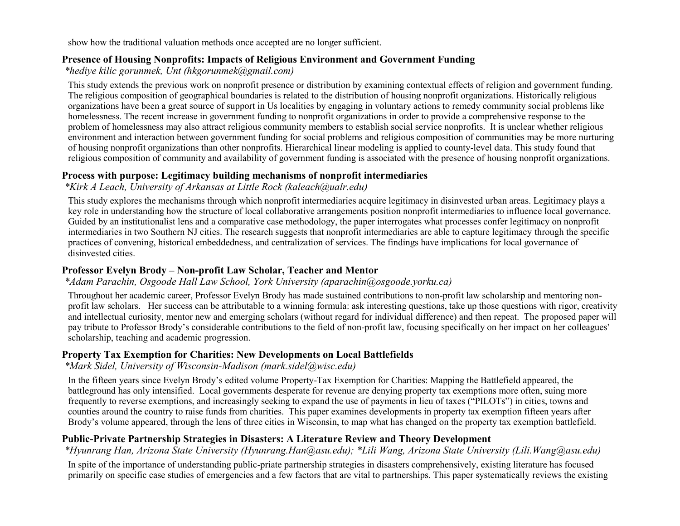show how the traditional valuation methods once accepted are no longer sufficient.

#### **Presence of Housing Nonprofits: Impacts of Religious Environment and Government Funding**

*\*hediye kilic gorunmek, Unt (hkgorunmek@gmail.com)*

This study extends the previous work on nonprofit presence or distribution by examining contextual effects of religion and government funding. The religious composition of geographical boundaries is related to the distribution of housing nonprofit organizations. Historically religious organizations have been a great source of support in Us localities by engaging in voluntary actions to remedy community social problems like homelessness. The recent increase in government funding to nonprofit organizations in order to provide a comprehensive response to the problem of homelessness may also attract religious community members to establish social service nonprofits. It is unclear whether religious environment and interaction between government funding for social problems and religious composition of communities may be more nurturing of housing nonprofit organizations than other nonprofits. Hierarchical linear modeling is applied to county-level data. This study found that religious composition of community and availability of government funding is associated with the presence of housing nonprofit organizations.

#### **Process with purpose: Legitimacy building mechanisms of nonprofit intermediaries**

*\*Kirk A Leach, University of Arkansas at Little Rock (kaleach@ualr.edu)*

This study explores the mechanisms through which nonprofit intermediaries acquire legitimacy in disinvested urban areas. Legitimacy plays a key role in understanding how the structure of local collaborative arrangements position nonprofit intermediaries to influence local governance. Guided by an institutionalist lens and a comparative case methodology, the paper interrogates what processes confer legitimacy on nonprofit intermediaries in two Southern NJ cities. The research suggests that nonprofit intermediaries are able to capture legitimacy through the specific practices of convening, historical embeddedness, and centralization of services. The findings have implications for local governance of disinvested cities.

### **Professor Evelyn Brody – Non-profit Law Scholar, Teacher and Mentor**

*\*Adam Parachin, Osgoode Hall Law School, York University (aparachin@osgoode.yorku.ca)*

Throughout her academic career, Professor Evelyn Brody has made sustained contributions to non-profit law scholarship and mentoring nonprofit law scholars. Her success can be attributable to a winning formula: ask interesting questions, take up those questions with rigor, creativity and intellectual curiosity, mentor new and emerging scholars (without regard for individual difference) and then repeat. The proposed paper will pay tribute to Professor Brody's considerable contributions to the field of non-profit law, focusing specifically on her impact on her colleagues' scholarship, teaching and academic progression.

### **Property Tax Exemption for Charities: New Developments on Local Battlefields**

*\*Mark Sidel, University of Wisconsin-Madison (mark.sidel@wisc.edu)*

In the fifteen years since Evelyn Brody's edited volume Property-Tax Exemption for Charities: Mapping the Battlefield appeared, the battleground has only intensified. Local governments desperate for revenue are denying property tax exemptions more often, suing more frequently to reverse exemptions, and increasingly seeking to expand the use of payments in lieu of taxes ("PILOTs") in cities, towns and counties around the country to raise funds from charities. This paper examines developments in property tax exemption fifteen years after Brody's volume appeared, through the lens of three cities in Wisconsin, to map what has changed on the property tax exemption battlefield.

# **Public-Private Partnership Strategies in Disasters: A Literature Review and Theory Development**

*\*Hyunrang Han, Arizona State University (Hyunrang.Han@asu.edu); \*Lili Wang, Arizona State University (Lili.Wang@asu.edu)*

In spite of the importance of understanding public-priate partnership strategies in disasters comprehensively, existing literature has focused primarily on specific case studies of emergencies and a few factors that are vital to partnerships. This paper systematically reviews the existing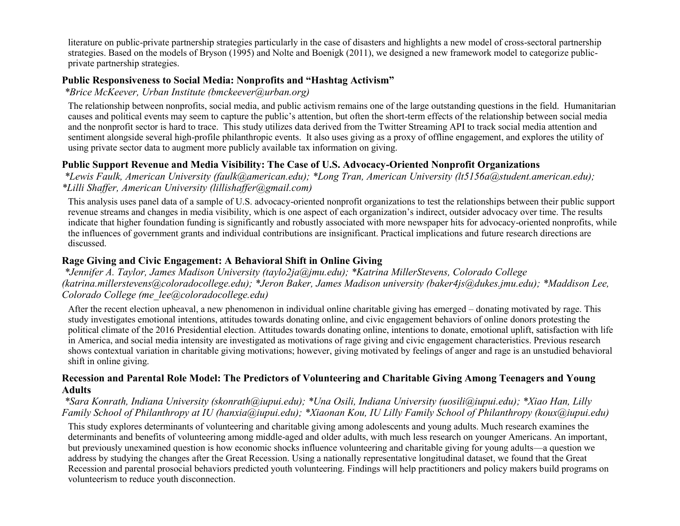literature on public-private partnership strategies particularly in the case of disasters and highlights a new model of cross-sectoral partnership strategies. Based on the models of Bryson (1995) and Nolte and Boenigk (2011), we designed a new framework model to categorize publicprivate partnership strategies.

### **Public Responsiveness to Social Media: Nonprofits and "Hashtag Activism"**

*\*Brice McKeever, Urban Institute (bmckeever@urban.org)*

The relationship between nonprofits, social media, and public activism remains one of the large outstanding questions in the field. Humanitarian causes and political events may seem to capture the public's attention, but often the short-term effects of the relationship between social media and the nonprofit sector is hard to trace. This study utilizes data derived from the Twitter Streaming API to track social media attention and sentiment alongside several high-profile philanthropic events. It also uses giving as a proxy of offline engagement, and explores the utility of using private sector data to augment more publicly available tax information on giving.

### **Public Support Revenue and Media Visibility: The Case of U.S. Advocacy-Oriented Nonprofit Organizations**

*\*Lewis Faulk, American University (faulk@american.edu); \*Long Tran, American University (lt5156a@student.american.edu); \*Lilli Shaffer, American University (lillishaffer@gmail.com)*

This analysis uses panel data of a sample of U.S. advocacy-oriented nonprofit organizations to test the relationships between their public support revenue streams and changes in media visibility, which is one aspect of each organization's indirect, outsider advocacy over time. The results indicate that higher foundation funding is significantly and robustly associated with more newspaper hits for advocacy-oriented nonprofits, while the influences of government grants and individual contributions are insignificant. Practical implications and future research directions are discussed.

### **Rage Giving and Civic Engagement: A Behavioral Shift in Online Giving**

*\*Jennifer A. Taylor, James Madison University (taylo2ja@jmu.edu); \*Katrina MillerStevens, Colorado College (katrina.millerstevens@coloradocollege.edu); \*Jeron Baker, James Madison university (baker4js@dukes.jmu.edu); \*Maddison Lee, Colorado College (me\_lee@coloradocollege.edu)*

After the recent election upheaval, a new phenomenon in individual online charitable giving has emerged – donating motivated by rage. This study investigates emotional intentions, attitudes towards donating online, and civic engagement behaviors of online donors protesting the political climate of the 2016 Presidential election. Attitudes towards donating online, intentions to donate, emotional uplift, satisfaction with life in America, and social media intensity are investigated as motivations of rage giving and civic engagement characteristics. Previous research shows contextual variation in charitable giving motivations; however, giving motivated by feelings of anger and rage is an unstudied behavioral shift in online giving.

#### **Recession and Parental Role Model: The Predictors of Volunteering and Charitable Giving Among Teenagers and Young Adults**

*\*Sara Konrath, Indiana University (skonrath@iupui.edu); \*Una Osili, Indiana University (uosili@iupui.edu); \*Xiao Han, Lilly Family School of Philanthropy at IU (hanxia@iupui.edu); \*Xiaonan Kou, IU Lilly Family School of Philanthropy (koux@iupui.edu)*

This study explores determinants of volunteering and charitable giving among adolescents and young adults. Much research examines the determinants and benefits of volunteering among middle-aged and older adults, with much less research on younger Americans. An important, but previously unexamined question is how economic shocks influence volunteering and charitable giving for young adults—a question we address by studying the changes after the Great Recession. Using a nationally representative longitudinal dataset, we found that the Great Recession and parental prosocial behaviors predicted youth volunteering. Findings will help practitioners and policy makers build programs on volunteerism to reduce youth disconnection.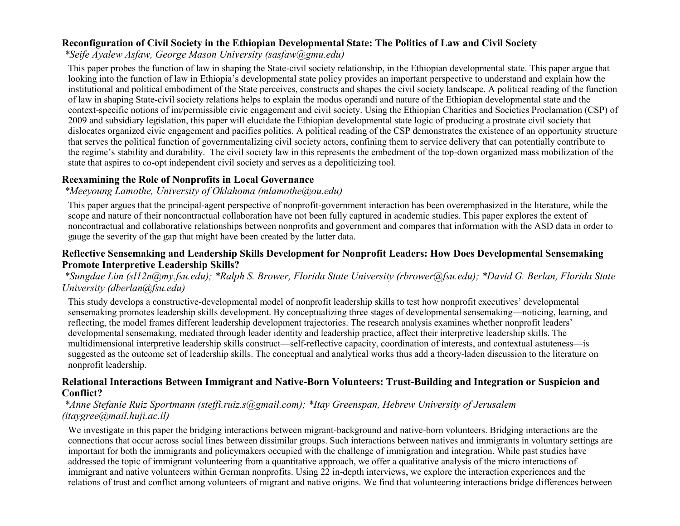### **Reconfiguration of Civil Society in the Ethiopian Developmental State: The Politics of Law and Civil Society**

*\*Seife Ayalew Asfaw, George Mason University (sasfaw@gmu.edu)*

This paper probes the function of law in shaping the State-civil society relationship, in the Ethiopian developmental state. This paper argue that looking into the function of law in Ethiopia's developmental state policy provides an important perspective to understand and explain how the institutional and political embodiment of the State perceives, constructs and shapes the civil society landscape. A political reading of the function of law in shaping State-civil society relations helps to explain the modus operandi and nature of the Ethiopian developmental state and the context-specific notions of im/permissible civic engagement and civil society. Using the Ethiopian Charities and Societies Proclamation (CSP) of 2009 and subsidiary legislation, this paper will elucidate the Ethiopian developmental state logic of producing a prostrate civil society that dislocates organized civic engagement and pacifies politics. A political reading of the CSP demonstrates the existence of an opportunity structure that serves the political function of governmentalizing civil society actors, confining them to service delivery that can potentially contribute to the regime's stability and durability. The civil society law in this represents the embedment of the top-down organized mass mobilization of the state that aspires to co-opt independent civil society and serves as a depoliticizing tool.

#### **Reexamining the Role of Nonprofits in Local Governance**

#### *\*Meeyoung Lamothe, University of Oklahoma (mlamothe@ou.edu)*

This paper argues that the principal-agent perspective of nonprofit-government interaction has been overemphasized in the literature, while the scope and nature of their noncontractual collaboration have not been fully captured in academic studies. This paper explores the extent of noncontractual and collaborative relationships between nonprofits and government and compares that information with the ASD data in order to gauge the severity of the gap that might have been created by the latter data.

#### **Reflective Sensemaking and Leadership Skills Development for Nonprofit Leaders: How Does Developmental Sensemaking Promote Interpretive Leadership Skills?**

*\*Sungdae Lim (sl12n@my.fsu.edu); \*Ralph S. Brower, Florida State University (rbrower@fsu.edu); \*David G. Berlan, Florida State University (dberlan@fsu.edu)*

This study develops a constructive-developmental model of nonprofit leadership skills to test how nonprofit executives' developmental sensemaking promotes leadership skills development. By conceptualizing three stages of developmental sensemaking—noticing, learning, and reflecting, the model frames different leadership development trajectories. The research analysis examines whether nonprofit leaders' developmental sensemaking, mediated through leader identity and leadership practice, affect their interpretive leadership skills. The multidimensional interpretive leadership skills construct—self-reflective capacity, coordination of interests, and contextual astuteness—is suggested as the outcome set of leadership skills. The conceptual and analytical works thus add a theory-laden discussion to the literature on nonprofit leadership.

#### **Relational Interactions Between Immigrant and Native-Born Volunteers: Trust-Building and Integration or Suspicion and Conflict?**

#### *\*Anne Stefanie Ruiz Sportmann (steffi.ruiz.s@gmail.com); \*Itay Greenspan, Hebrew University of Jerusalem (itaygree@mail.huji.ac.il)*

We investigate in this paper the bridging interactions between migrant-background and native-born volunteers. Bridging interactions are the connections that occur across social lines between dissimilar groups. Such interactions between natives and immigrants in voluntary settings are important for both the immigrants and policymakers occupied with the challenge of immigration and integration. While past studies have addressed the topic of immigrant volunteering from a quantitative approach, we offer a qualitative analysis of the micro interactions of immigrant and native volunteers within German nonprofits. Using 22 in-depth interviews, we explore the interaction experiences and the relations of trust and conflict among volunteers of migrant and native origins. We find that volunteering interactions bridge differences between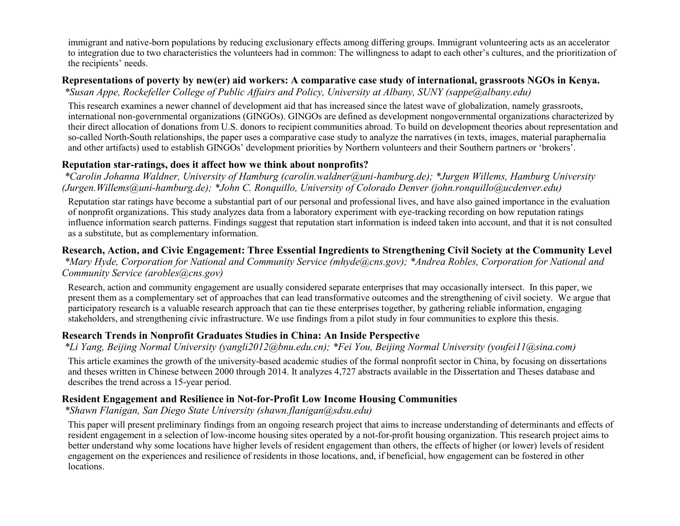immigrant and native-born populations by reducing exclusionary effects among differing groups. Immigrant volunteering acts as an accelerator to integration due to two characteristics the volunteers had in common: The willingness to adapt to each other's cultures, and the prioritization of the recipients' needs.

# **Representations of poverty by new(er) aid workers: A comparative case study of international, grassroots NGOs in Kenya.**

*\*Susan Appe, Rockefeller College of Public Affairs and Policy, University at Albany, SUNY (sappe@albany.edu)*

This research examines a newer channel of development aid that has increased since the latest wave of globalization, namely grassroots, international non-governmental organizations (GINGOs). GINGOs are defined as development nongovernmental organizations characterized by their direct allocation of donations from U.S. donors to recipient communities abroad. To build on development theories about representation and so-called North-South relationships, the paper uses a comparative case study to analyze the narratives (in texts, images, material paraphernalia and other artifacts) used to establish GINGOs' development priorities by Northern volunteers and their Southern partners or 'brokers'.

### **Reputation star-ratings, does it affect how we think about nonprofits?**

*\*Carolin Johanna Waldner, University of Hamburg (carolin.waldner@uni-hamburg.de); \*Jurgen Willems, Hamburg University (Jurgen.Willems@uni-hamburg.de); \*John C. Ronquillo, University of Colorado Denver (john.ronquillo@ucdenver.edu)*

Reputation star ratings have become a substantial part of our personal and professional lives, and have also gained importance in the evaluation of nonprofit organizations. This study analyzes data from a laboratory experiment with eye-tracking recording on how reputation ratings influence information search patterns. Findings suggest that reputation start information is indeed taken into account, and that it is not consulted as a substitute, but as complementary information.

**Research, Action, and Civic Engagement: Three Essential Ingredients to Strengthening Civil Society at the Community Level** *\*Mary Hyde, Corporation for National and Community Service (mhyde@cns.gov); \*Andrea Robles, Corporation for National and Community Service (arobles@cns.gov)*

Research, action and community engagement are usually considered separate enterprises that may occasionally intersect. In this paper, we present them as a complementary set of approaches that can lead transformative outcomes and the strengthening of civil society. We argue that participatory research is a valuable research approach that can tie these enterprises together, by gathering reliable information, engaging stakeholders, and strengthening civic infrastructure. We use findings from a pilot study in four communities to explore this thesis.

### **Research Trends in Nonprofit Graduates Studies in China: An Inside Perspective**

*\*Li Yang, Beijing Normal University (yangli2012@bnu.edu.cn); \*Fei You, Beijing Normal University (youfei11@sina.com)*

This article examines the growth of the university-based academic studies of the formal nonprofit sector in China, by focusing on dissertations and theses written in Chinese between 2000 through 2014. It analyzes 4,727 abstracts available in the Dissertation and Theses database and describes the trend across a 15-year period.

### **Resident Engagement and Resilience in Not-for-Profit Low Income Housing Communities**

*\*Shawn Flanigan, San Diego State University (shawn.flanigan@sdsu.edu)*

This paper will present preliminary findings from an ongoing research project that aims to increase understanding of determinants and effects of resident engagement in a selection of low-income housing sites operated by a not-for-profit housing organization. This research project aims to better understand why some locations have higher levels of resident engagement than others, the effects of higher (or lower) levels of resident engagement on the experiences and resilience of residents in those locations, and, if beneficial, how engagement can be fostered in other locations.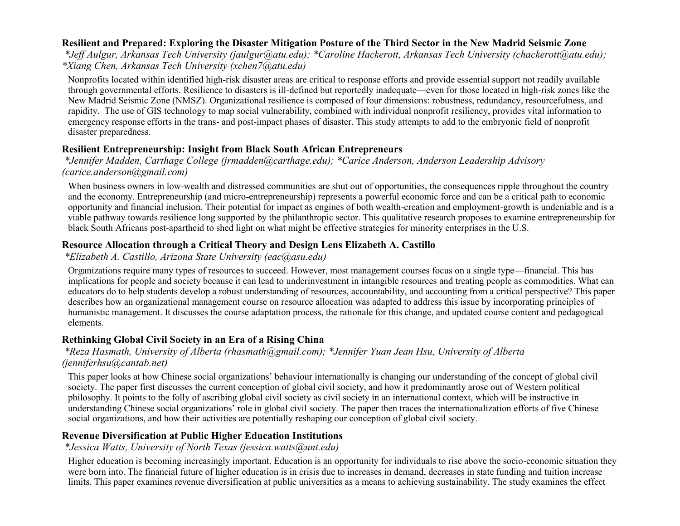### **Resilient and Prepared: Exploring the Disaster Mitigation Posture of the Third Sector in the New Madrid Seismic Zone**

*\*Jeff Aulgur, Arkansas Tech University (jaulgur@atu.edu); \*Caroline Hackerott, Arkansas Tech University (chackerott@atu.edu); \*Xiang Chen, Arkansas Tech University (xchen7@atu.edu)*

Nonprofits located within identified high-risk disaster areas are critical to response efforts and provide essential support not readily available through governmental efforts. Resilience to disasters is ill-defined but reportedly inadequate—even for those located in high-risk zones like the New Madrid Seismic Zone (NMSZ). Organizational resilience is composed of four dimensions: robustness, redundancy, resourcefulness, and rapidity. The use of GIS technology to map social vulnerability, combined with individual nonprofit resiliency, provides vital information to emergency response efforts in the trans- and post-impact phases of disaster. This study attempts to add to the embryonic field of nonprofit disaster preparedness.

#### **Resilient Entrepreneurship: Insight from Black South African Entrepreneurs**

#### *\*Jennifer Madden, Carthage College (jrmadden@carthage.edu); \*Carice Anderson, Anderson Leadership Advisory (carice.anderson@gmail.com)*

When business owners in low-wealth and distressed communities are shut out of opportunities, the consequences ripple throughout the country and the economy. Entrepreneurship (and micro-entrepreneurship) represents a powerful economic force and can be a critical path to economic opportunity and financial inclusion. Their potential for impact as engines of both wealth-creation and employment-growth is undeniable and is a viable pathway towards resilience long supported by the philanthropic sector. This qualitative research proposes to examine entrepreneurship for black South Africans post-apartheid to shed light on what might be effective strategies for minority enterprises in the U.S.

### **Resource Allocation through a Critical Theory and Design Lens Elizabeth A. Castillo**

*\*Elizabeth A. Castillo, Arizona State University (eac@asu.edu)*

Organizations require many types of resources to succeed. However, most management courses focus on a single type—financial. This has implications for people and society because it can lead to underinvestment in intangible resources and treating people as commodities. What can educators do to help students develop a robust understanding of resources, accountability, and accounting from a critical perspective? This paper describes how an organizational management course on resource allocation was adapted to address this issue by incorporating principles of humanistic management. It discusses the course adaptation process, the rationale for this change, and updated course content and pedagogical elements.

### **Rethinking Global Civil Society in an Era of a Rising China**

#### *\*Reza Hasmath, University of Alberta (rhasmath@gmail.com); \*Jennifer Yuan Jean Hsu, University of Alberta (jenniferhsu@cantab.net)*

This paper looks at how Chinese social organizations' behaviour internationally is changing our understanding of the concept of global civil society. The paper first discusses the current conception of global civil society, and how it predominantly arose out of Western political philosophy. It points to the folly of ascribing global civil society as civil society in an international context, which will be instructive in understanding Chinese social organizations' role in global civil society. The paper then traces the internationalization efforts of five Chinese social organizations, and how their activities are potentially reshaping our conception of global civil society.

### **Revenue Diversification at Public Higher Education Institutions**

*\*Jessica Watts, University of North Texas (jessica.watts@unt.edu)*

Higher education is becoming increasingly important. Education is an opportunity for individuals to rise above the socio-economic situation they were born into. The financial future of higher education is in crisis due to increases in demand, decreases in state funding and tuition increase limits. This paper examines revenue diversification at public universities as a means to achieving sustainability. The study examines the effect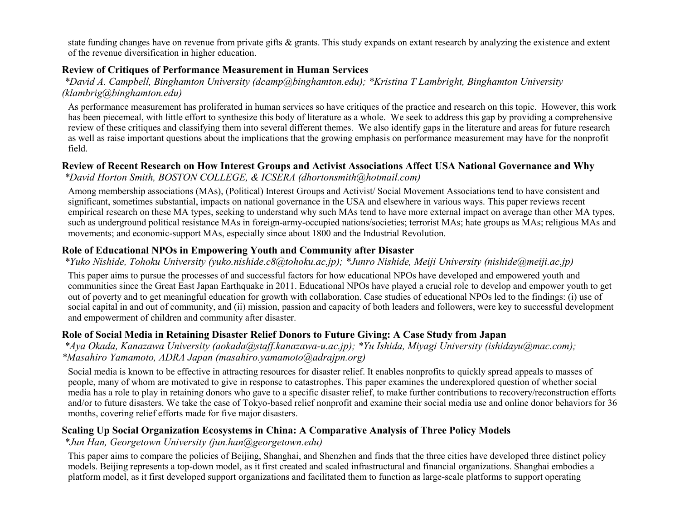state funding changes have on revenue from private gifts & grants. This study expands on extant research by analyzing the existence and extent of the revenue diversification in higher education.

### **Review of Critiques of Performance Measurement in Human Services**

*\*David A. Campbell, Binghamton University (dcamp@binghamton.edu); \*Kristina T Lambright, Binghamton University (klambrig@binghamton.edu)*

As performance measurement has proliferated in human services so have critiques of the practice and research on this topic. However, this work has been piecemeal, with little effort to synthesize this body of literature as a whole. We seek to address this gap by providing a comprehensive review of these critiques and classifying them into several different themes. We also identify gaps in the literature and areas for future research as well as raise important questions about the implications that the growing emphasis on performance measurement may have for the nonprofit field.

# **Review of Recent Research on How Interest Groups and Activist Associations Affect USA National Governance and Why**

*\*David Horton Smith, BOSTON COLLEGE, & ICSERA (dhortonsmith@hotmail.com)*

Among membership associations (MAs), (Political) Interest Groups and Activist/ Social Movement Associations tend to have consistent and significant, sometimes substantial, impacts on national governance in the USA and elsewhere in various ways. This paper reviews recent empirical research on these MA types, seeking to understand why such MAs tend to have more external impact on average than other MA types, such as underground political resistance MAs in foreign-army-occupied nations/societies; terrorist MAs; hate groups as MAs; religious MAs and movements; and economic-support MAs, especially since about 1800 and the Industrial Revolution.

# **Role of Educational NPOs in Empowering Youth and Community after Disaster**

*\*Yuko Nishide, Tohoku University (yuko.nishide.c8@tohoku.ac.jp); \*Junro Nishide, Meiji University (nishide@meiji.ac.jp)*

This paper aims to pursue the processes of and successful factors for how educational NPOs have developed and empowered youth and communities since the Great East Japan Earthquake in 2011. Educational NPOs have played a crucial role to develop and empower youth to get out of poverty and to get meaningful education for growth with collaboration. Case studies of educational NPOs led to the findings: (i) use of social capital in and out of community, and (ii) mission, passion and capacity of both leaders and followers, were key to successful development and empowerment of children and community after disaster.

# **Role of Social Media in Retaining Disaster Relief Donors to Future Giving: A Case Study from Japan**

*\*Aya Okada, Kanazawa University (aokada@staff.kanazawa-u.ac.jp); \*Yu Ishida, Miyagi University (ishidayu@mac.com); \*Masahiro Yamamoto, ADRA Japan (masahiro.yamamoto@adrajpn.org)*

Social media is known to be effective in attracting resources for disaster relief. It enables nonprofits to quickly spread appeals to masses of people, many of whom are motivated to give in response to catastrophes. This paper examines the underexplored question of whether social media has a role to play in retaining donors who gave to a specific disaster relief, to make further contributions to recovery/reconstruction efforts and/or to future disasters. We take the case of Tokyo-based relief nonprofit and examine their social media use and online donor behaviors for 36 months, covering relief efforts made for five major disasters.

# **Scaling Up Social Organization Ecosystems in China: A Comparative Analysis of Three Policy Models**

*\*Jun Han, Georgetown University (jun.han@georgetown.edu)*

This paper aims to compare the policies of Beijing, Shanghai, and Shenzhen and finds that the three cities have developed three distinct policy models. Beijing represents a top-down model, as it first created and scaled infrastructural and financial organizations. Shanghai embodies a platform model, as it first developed support organizations and facilitated them to function as large-scale platforms to support operating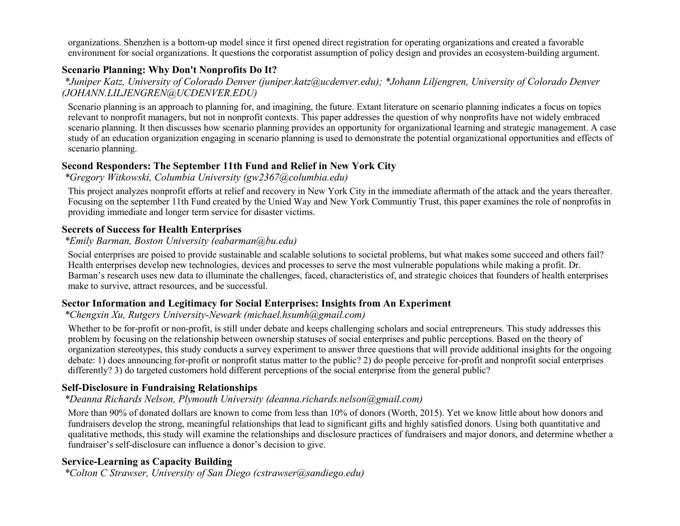organizations. Shenzhen is a bottom-up model since it first opened direct registration for operating organizations and created a favorable environment for social organizations. It questions the corporatist assumption of policy design and provides an ecosystem-building argument.

#### **Scenario Planning: Why Don't Nonprofits Do It?**

*\*Juniper Katz, University of Colorado Denver (juniper.katz@ucdenver.edu); \*Johann Liljengren, University of Colorado Denver (JOHANN.LILJENGREN@UCDENVER.EDU)*

Scenario planning is an approach to planning for, and imagining, the future. Extant literature on scenario planning indicates a focus on topics relevant to nonprofit managers, but not in nonprofit contexts. This paper addresses the question of why nonprofits have not widely embraced scenario planning. It then discusses how scenario planning provides an opportunity for organizational learning and strategic management. A case study of an education organization engaging in scenario planning is used to demonstrate the potential organizational opportunities and effects of scenario planning.

#### **Second Responders: The September 11th Fund and Relief in New York City**

*\*Gregory Witkowski, Columbia University (gw2367@columbia.edu)*

This project analyzes nonprofit efforts at relief and recovery in New York City in the immediate aftermath of the attack and the years thereafter. Focusing on the september 11th Fund created by the Unied Way and New York Communtiy Trust, this paper examines the role of nonprofits in providing immediate and longer term service for disaster victims.

#### **Secrets of Success for Health Enterprises**

#### *\*Emily Barman, Boston University (eabarman@bu.edu)*

Social enterprises are poised to provide sustainable and scalable solutions to societal problems, but what makes some succeed and others fail? Health enterprises develop new technologies, devices and processes to serve the most vulnerable populations while making a profit. Dr. Barman's research uses new data to illuminate the challenges, faced, characteristics of, and strategic choices that founders of health enterprises make to survive, attract resources, and be successful.

#### **Sector Information and Legitimacy for Social Enterprises: Insights from An Experiment**

#### *\*Chengxin Xu, Rutgers University-Newark (michael.hsumh@gmail.com)*

Whether to be for-profit or non-profit, is still under debate and keeps challenging scholars and social entrepreneurs. This study addresses this problem by focusing on the relationship between ownership statuses of social enterprises and public perceptions. Based on the theory of organization stereotypes, this study conducts a survey experiment to answer three questions that will provide additional insights for the ongoing debate: 1) does announcing for-profit or nonprofit status matter to the public? 2) do people perceive for-profit and nonprofit social enterprises differently? 3) do targeted customers hold different perceptions of the social enterprise from the general public?

### **Self-Disclosure in Fundraising Relationships**

### *\*Deanna Richards Nelson, Plymouth University (deanna.richards.nelson@gmail.com)*

More than 90% of donated dollars are known to come from less than 10% of donors (Worth, 2015). Yet we know little about how donors and fundraisers develop the strong, meaningful relationships that lead to significant gifts and highly satisfied donors. Using both quantitative and qualitative methods, this study will examine the relationships and disclosure practices of fundraisers and major donors, and determine whether a fundraiser's self-disclosure can influence a donor's decision to give.

### **Service-Learning as Capacity Building**

*\*Colton C Strawser, University of San Diego (cstrawser@sandiego.edu)*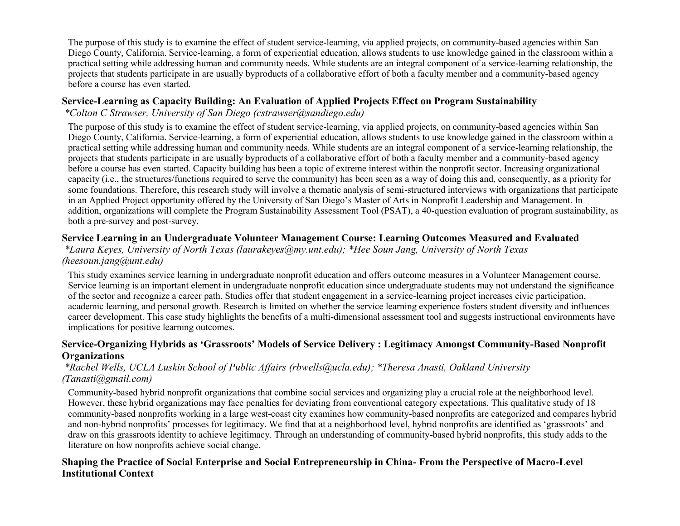The purpose of this study is to examine the effect of student service-learning, via applied projects, on community-based agencies within San Diego County, California. Service-learning, a form of experiential education, allows students to use knowledge gained in the classroom within a practical setting while addressing human and community needs. While students are an integral component of a service-learning relationship, the projects that students participate in are usually byproducts of a collaborative effort of both a faculty member and a community-based agency before a course has even started.

### **Service-Learning as Capacity Building: An Evaluation of Applied Projects Effect on Program Sustainability**

*\*Colton C Strawser, University of San Diego (cstrawser@sandiego.edu)*

The purpose of this study is to examine the effect of student service-learning, via applied projects, on community-based agencies within San Diego County, California. Service-learning, a form of experiential education, allows students to use knowledge gained in the classroom within a practical setting while addressing human and community needs. While students are an integral component of a service-learning relationship, the projects that students participate in are usually byproducts of a collaborative effort of both a faculty member and a community-based agency before a course has even started. Capacity building has been a topic of extreme interest within the nonprofit sector. Increasing organizational capacity (i.e., the structures/functions required to serve the community) has been seen as a way of doing this and, consequently, as a priority for some foundations. Therefore, this research study will involve a thematic analysis of semi-structured interviews with organizations that participate in an Applied Project opportunity offered by the University of San Diego's Master of Arts in Nonprofit Leadership and Management. In addition, organizations will complete the Program Sustainability Assessment Tool (PSAT), a 40-question evaluation of program sustainability, as both a pre-survey and post-survey.

# **Service Learning in an Undergraduate Volunteer Management Course: Learning Outcomes Measured and Evaluated**

*\*Laura Keyes, University of North Texas (laurakeyes@my.unt.edu); \*Hee Soun Jang, University of North Texas (heesoun.jang@unt.edu)*

This study examines service learning in undergraduate nonprofit education and offers outcome measures in a Volunteer Management course. Service learning is an important element in undergraduate nonprofit education since undergraduate students may not understand the significance of the sector and recognize a career path. Studies offer that student engagement in a service-learning project increases civic participation, academic learning, and personal growth. Research is limited on whether the service learning experience fosters student diversity and influences career development. This case study highlights the benefits of a multi-dimensional assessment tool and suggests instructional environments have implications for positive learning outcomes.

### **Service-Organizing Hybrids as 'Grassroots' Models of Service Delivery : Legitimacy Amongst Community-Based Nonprofit Organizations**

### *\*Rachel Wells, UCLA Luskin School of Public Affairs (rbwells@ucla.edu); \*Theresa Anasti, Oakland University (Tanasti@gmail.com)*

Community-based hybrid nonprofit organizations that combine social services and organizing play a crucial role at the neighborhood level. However, these hybrid organizations may face penalties for deviating from conventional category expectations. This qualitative study of 18 community-based nonprofits working in a large west-coast city examines how community-based nonprofits are categorized and compares hybrid and non-hybrid nonprofits' processes for legitimacy. We find that at a neighborhood level, hybrid nonprofits are identified as 'grassroots' and draw on this grassroots identity to achieve legitimacy. Through an understanding of community-based hybrid nonprofits, this study adds to the literature on how nonprofits achieve social change.

### **Shaping the Practice of Social Enterprise and Social Entrepreneurship in China- From the Perspective of Macro-Level Institutional Context**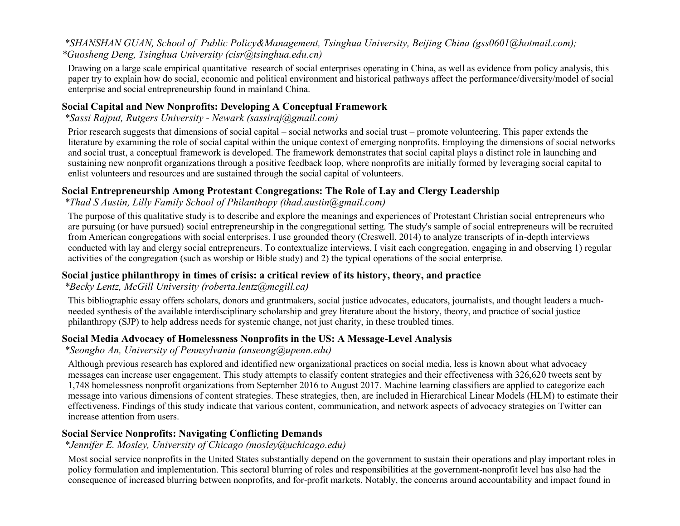### *\*SHANSHAN GUAN, School of Public Policy&Management, Tsinghua University, Beijing China (gss0601@hotmail.com); \*Guosheng Deng, Tsinghua University (cisr@tsinghua.edu.cn)*

Drawing on a large scale empirical quantitative research of social enterprises operating in China, as well as evidence from policy analysis, this paper try to explain how do social, economic and political environment and historical pathways affect the performance/diversity/model of social enterprise and social entrepreneurship found in mainland China.

#### **Social Capital and New Nonprofits: Developing A Conceptual Framework**

*\*Sassi Rajput, Rutgers University - Newark (sassiraj@gmail.com)*

Prior research suggests that dimensions of social capital – social networks and social trust – promote volunteering. This paper extends the literature by examining the role of social capital within the unique context of emerging nonprofits. Employing the dimensions of social networks and social trust, a conceptual framework is developed. The framework demonstrates that social capital plays a distinct role in launching and sustaining new nonprofit organizations through a positive feedback loop, where nonprofits are initially formed by leveraging social capital to enlist volunteers and resources and are sustained through the social capital of volunteers.

#### **Social Entrepreneurship Among Protestant Congregations: The Role of Lay and Clergy Leadership**

*\*Thad S Austin, Lilly Family School of Philanthopy (thad.austin@gmail.com)*

The purpose of this qualitative study is to describe and explore the meanings and experiences of Protestant Christian social entrepreneurs who are pursuing (or have pursued) social entrepreneurship in the congregational setting. The study's sample of social entrepreneurs will be recruited from American congregations with social enterprises. I use grounded theory (Creswell, 2014) to analyze transcripts of in-depth interviews conducted with lay and clergy social entrepreneurs. To contextualize interviews, I visit each congregation, engaging in and observing 1) regular activities of the congregation (such as worship or Bible study) and 2) the typical operations of the social enterprise.

### **Social justice philanthropy in times of crisis: a critical review of its history, theory, and practice**

*\*Becky Lentz, McGill University (roberta.lentz@mcgill.ca)*

This bibliographic essay offers scholars, donors and grantmakers, social justice advocates, educators, journalists, and thought leaders a muchneeded synthesis of the available interdisciplinary scholarship and grey literature about the history, theory, and practice of social justice philanthropy (SJP) to help address needs for systemic change, not just charity, in these troubled times.

### **Social Media Advocacy of Homelessness Nonprofits in the US: A Message-Level Analysis**

#### *\*Seongho An, University of Pennsylvania (anseong@upenn.edu)*

Although previous research has explored and identified new organizational practices on social media, less is known about what advocacy messages can increase user engagement. This study attempts to classify content strategies and their effectiveness with 326,620 tweets sent by 1,748 homelessness nonprofit organizations from September 2016 to August 2017. Machine learning classifiers are applied to categorize each message into various dimensions of content strategies. These strategies, then, are included in Hierarchical Linear Models (HLM) to estimate their effectiveness. Findings of this study indicate that various content, communication, and network aspects of advocacy strategies on Twitter can increase attention from users.

### **Social Service Nonprofits: Navigating Conflicting Demands**

*\*Jennifer E. Mosley, University of Chicago (mosley@uchicago.edu)*

Most social service nonprofits in the United States substantially depend on the government to sustain their operations and play important roles in policy formulation and implementation. This sectoral blurring of roles and responsibilities at the government-nonprofit level has also had the consequence of increased blurring between nonprofits, and for-profit markets. Notably, the concerns around accountability and impact found in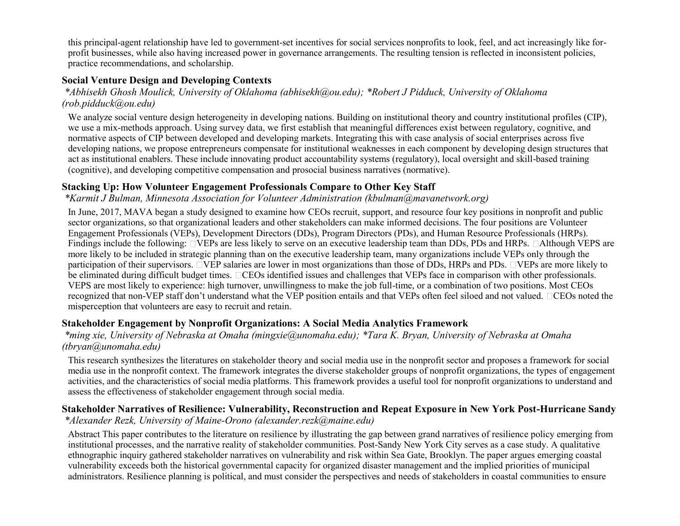this principal-agent relationship have led to government-set incentives for social services nonprofits to look, feel, and act increasingly like forprofit businesses, while also having increased power in governance arrangements. The resulting tension is reflected in inconsistent policies, practice recommendations, and scholarship.

### **Social Venture Design and Developing Contexts**

*\*Abhisekh Ghosh Moulick, University of Oklahoma (abhisekh@ou.edu); \*Robert J Pidduck, University of Oklahoma (rob.pidduck@ou.edu)*

We analyze social venture design heterogeneity in developing nations. Building on institutional theory and country institutional profiles (CIP), we use a mix-methods approach. Using survey data, we first establish that meaningful differences exist between regulatory, cognitive, and normative aspects of CIP between developed and developing markets. Integrating this with case analysis of social enterprises across five developing nations, we propose entrepreneurs compensate for institutional weaknesses in each component by developing design structures that act as institutional enablers. These include innovating product accountability systems (regulatory), local oversight and skill-based training (cognitive), and developing competitive compensation and prosocial business narratives (normative).

#### **Stacking Up: How Volunteer Engagement Professionals Compare to Other Key Staff**

*\*Karmit J Bulman, Minnesota Association for Volunteer Administration (kbulman@mavanetwork.org)*

In June, 2017, MAVA began a study designed to examine how CEOs recruit, support, and resource four key positions in nonprofit and public sector organizations, so that organizational leaders and other stakeholders can make informed decisions. The four positions are Volunteer Engagement Professionals (VEPs), Development Directors (DDs), Program Directors (PDs), and Human Resource Professionals (HRPs). Findings include the following:  $\square$  VEPs are less likely to serve on an executive leadership team than DDs, PDs and HRPs.  $\square$ Although VEPS are more likely to be included in strategic planning than on the executive leadership team, many organizations include VEPs only through the participation of their supervisors.  $\Box$ VEP salaries are lower in most organizations than those of DDs, HRPs and PDs.  $\Box$ VEPs are more likely to be eliminated during difficult budget times. CCEOs identified issues and challenges that VEPs face in comparison with other professionals. VEPS are most likely to experience: high turnover, unwillingness to make the job full-time, or a combination of two positions. Most CEOs recognized that non-VEP staff don't understand what the VEP position entails and that VEPs often feel siloed and not valued. CCEOs noted the misperception that volunteers are easy to recruit and retain.

#### **Stakeholder Engagement by Nonprofit Organizations: A Social Media Analytics Framework**

*\*ming xie, University of Nebraska at Omaha (mingxie@unomaha.edu); \*Tara K. Bryan, University of Nebraska at Omaha (tbryan@unomaha.edu)*

This research synthesizes the literatures on stakeholder theory and social media use in the nonprofit sector and proposes a framework for social media use in the nonprofit context. The framework integrates the diverse stakeholder groups of nonprofit organizations, the types of engagement activities, and the characteristics of social media platforms. This framework provides a useful tool for nonprofit organizations to understand and assess the effectiveness of stakeholder engagement through social media.

# **Stakeholder Narratives of Resilience: Vulnerability, Reconstruction and Repeat Exposure in New York Post-Hurricane Sandy**

*\*Alexander Rezk, University of Maine-Orono (alexander.rezk@maine.edu)*

Abstract This paper contributes to the literature on resilience by illustrating the gap between grand narratives of resilience policy emerging from institutional processes, and the narrative reality of stakeholder communities. Post-Sandy New York City serves as a case study. A qualitative ethnographic inquiry gathered stakeholder narratives on vulnerability and risk within Sea Gate, Brooklyn. The paper argues emerging coastal vulnerability exceeds both the historical governmental capacity for organized disaster management and the implied priorities of municipal administrators. Resilience planning is political, and must consider the perspectives and needs of stakeholders in coastal communities to ensure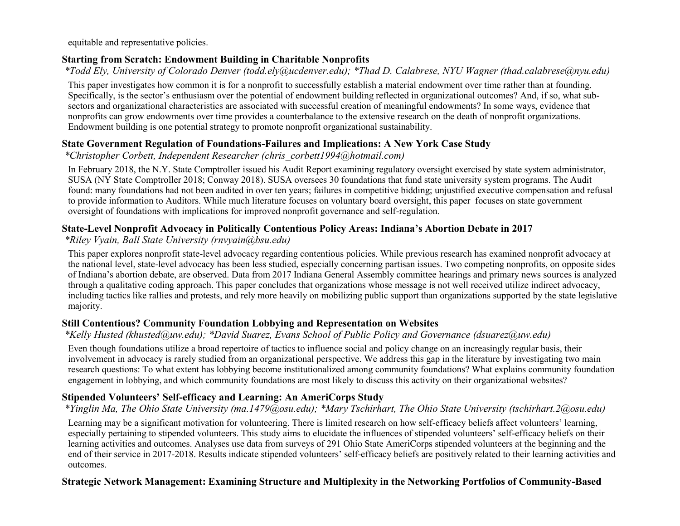equitable and representative policies.

### **Starting from Scratch: Endowment Building in Charitable Nonprofits**

*\*Todd Ely, University of Colorado Denver (todd.ely@ucdenver.edu); \*Thad D. Calabrese, NYU Wagner (thad.calabrese@nyu.edu)*

This paper investigates how common it is for a nonprofit to successfully establish a material endowment over time rather than at founding. Specifically, is the sector's enthusiasm over the potential of endowment building reflected in organizational outcomes? And, if so, what subsectors and organizational characteristics are associated with successful creation of meaningful endowments? In some ways, evidence that nonprofits can grow endowments over time provides a counterbalance to the extensive research on the death of nonprofit organizations. Endowment building is one potential strategy to promote nonprofit organizational sustainability.

### **State Government Regulation of Foundations-Failures and Implications: A New York Case Study**

*\*Christopher Corbett, Independent Researcher (chris\_corbett1994@hotmail.com)*

In February 2018, the N.Y. State Comptroller issued his Audit Report examining regulatory oversight exercised by state system administrator, SUSA (NY State Comptroller 2018; Conway 2018). SUSA oversees 30 foundations that fund state university system programs. The Audit found: many foundations had not been audited in over ten years; failures in competitive bidding; unjustified executive compensation and refusal to provide information to Auditors. While much literature focuses on voluntary board oversight, this paper focuses on state government oversight of foundations with implications for improved nonprofit governance and self-regulation.

### **State-Level Nonprofit Advocacy in Politically Contentious Policy Areas: Indiana's Abortion Debate in 2017**

*\*Riley Vyain, Ball State University (rnvyain@bsu.edu)*

This paper explores nonprofit state-level advocacy regarding contentious policies. While previous research has examined nonprofit advocacy at the national level, state-level advocacy has been less studied, especially concerning partisan issues. Two competing nonprofits, on opposite sides of Indiana's abortion debate, are observed. Data from 2017 Indiana General Assembly committee hearings and primary news sources is analyzed through a qualitative coding approach. This paper concludes that organizations whose message is not well received utilize indirect advocacy, including tactics like rallies and protests, and rely more heavily on mobilizing public support than organizations supported by the state legislative majority.

### **Still Contentious? Community Foundation Lobbying and Representation on Websites**

### *\*Kelly Husted (khusted@uw.edu); \*David Suarez, Evans School of Public Policy and Governance (dsuarez@uw.edu)*

Even though foundations utilize a broad repertoire of tactics to influence social and policy change on an increasingly regular basis, their involvement in advocacy is rarely studied from an organizational perspective. We address this gap in the literature by investigating two main research questions: To what extent has lobbying become institutionalized among community foundations? What explains community foundation engagement in lobbying, and which community foundations are most likely to discuss this activity on their organizational websites?

# **Stipended Volunteers' Self-efficacy and Learning: An AmeriCorps Study**

### *\*Yinglin Ma, The Ohio State University (ma.1479@osu.edu); \*Mary Tschirhart, The Ohio State University (tschirhart.2@osu.edu)*

Learning may be a significant motivation for volunteering. There is limited research on how self-efficacy beliefs affect volunteers' learning, especially pertaining to stipended volunteers. This study aims to elucidate the influences of stipended volunteers' self-efficacy beliefs on their learning activities and outcomes. Analyses use data from surveys of 291 Ohio State AmeriCorps stipended volunteers at the beginning and the end of their service in 2017-2018. Results indicate stipended volunteers' self-efficacy beliefs are positively related to their learning activities and outcomes.

### **Strategic Network Management: Examining Structure and Multiplexity in the Networking Portfolios of Community-Based**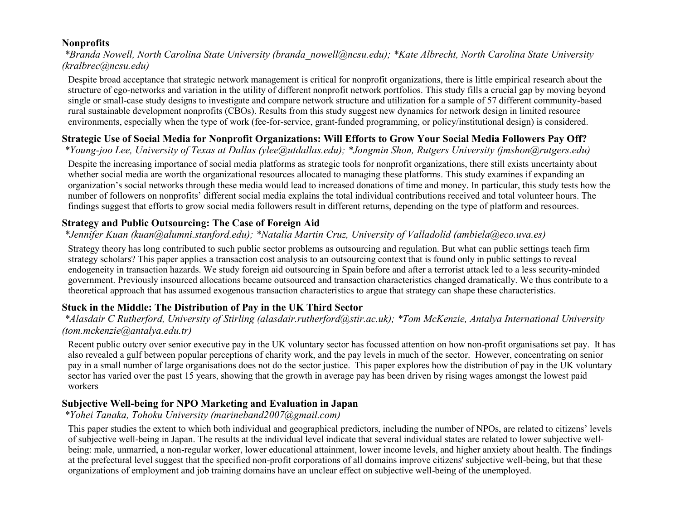### **Nonprofits**

*\*Branda Nowell, North Carolina State University (branda\_nowell@ncsu.edu); \*Kate Albrecht, North Carolina State University (kralbrec@ncsu.edu)*

Despite broad acceptance that strategic network management is critical for nonprofit organizations, there is little empirical research about the structure of ego-networks and variation in the utility of different nonprofit network portfolios. This study fills a crucial gap by moving beyond single or small-case study designs to investigate and compare network structure and utilization for a sample of 57 different community-based rural sustainable development nonprofits (CBOs). Results from this study suggest new dynamics for network design in limited resource environments, especially when the type of work (fee-for-service, grant-funded programming, or policy/institutional design) is considered.

# **Strategic Use of Social Media for Nonprofit Organizations: Will Efforts to Grow Your Social Media Followers Pay Off?**

*\*Young-joo Lee, University of Texas at Dallas (ylee@utdallas.edu); \*Jongmin Shon, Rutgers University (jmshon@rutgers.edu)*

Despite the increasing importance of social media platforms as strategic tools for nonprofit organizations, there still exists uncertainty about whether social media are worth the organizational resources allocated to managing these platforms. This study examines if expanding an organization's social networks through these media would lead to increased donations of time and money. In particular, this study tests how the number of followers on nonprofits' different social media explains the total individual contributions received and total volunteer hours. The findings suggest that efforts to grow social media followers result in different returns, depending on the type of platform and resources.

# **Strategy and Public Outsourcing: The Case of Foreign Aid**

### *\*Jennifer Kuan (kuan@alumni.stanford.edu); \*Natalia Martin Cruz, University of Valladolid (ambiela@eco.uva.es)*

Strategy theory has long contributed to such public sector problems as outsourcing and regulation. But what can public settings teach firm strategy scholars? This paper applies a transaction cost analysis to an outsourcing context that is found only in public settings to reveal endogeneity in transaction hazards. We study foreign aid outsourcing in Spain before and after a terrorist attack led to a less security-minded government. Previously insourced allocations became outsourced and transaction characteristics changed dramatically. We thus contribute to a theoretical approach that has assumed exogenous transaction characteristics to argue that strategy can shape these characteristics.

# **Stuck in the Middle: The Distribution of Pay in the UK Third Sector**

*\*Alasdair C Rutherford, University of Stirling (alasdair.rutherford@stir.ac.uk); \*Tom McKenzie, Antalya International University (tom.mckenzie@antalya.edu.tr)*

Recent public outcry over senior executive pay in the UK voluntary sector has focussed attention on how non-profit organisations set pay. It has also revealed a gulf between popular perceptions of charity work, and the pay levels in much of the sector. However, concentrating on senior pay in a small number of large organisations does not do the sector justice. This paper explores how the distribution of pay in the UK voluntary sector has varied over the past 15 years, showing that the growth in average pay has been driven by rising wages amongst the lowest paid workers

# **Subjective Well-being for NPO Marketing and Evaluation in Japan**

*\*Yohei Tanaka, Tohoku University (marineband2007@gmail.com)*

This paper studies the extent to which both individual and geographical predictors, including the number of NPOs, are related to citizens' levels of subjective well-being in Japan. The results at the individual level indicate that several individual states are related to lower subjective wellbeing: male, unmarried, a non-regular worker, lower educational attainment, lower income levels, and higher anxiety about health. The findings at the prefectural level suggest that the specified non-profit corporations of all domains improve citizens' subjective well-being, but that these organizations of employment and job training domains have an unclear effect on subjective well-being of the unemployed.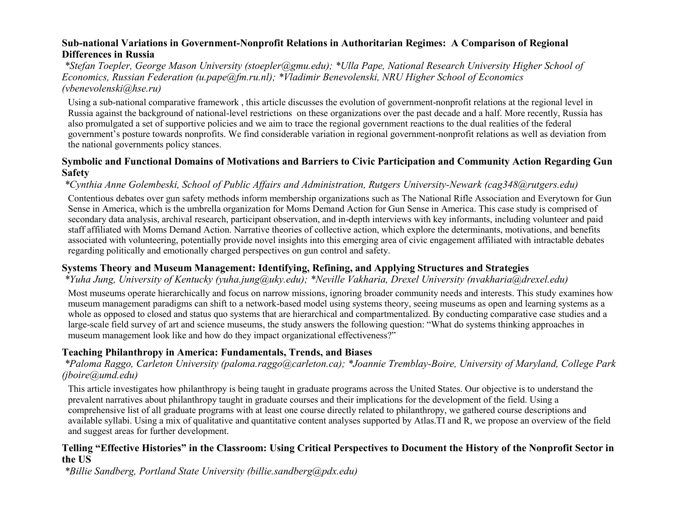#### **Sub-national Variations in Government-Nonprofit Relations in Authoritarian Regimes: A Comparison of Regional Differences in Russia**

*\*Stefan Toepler, George Mason University (stoepler@gmu.edu); \*Ulla Pape, National Research University Higher School of Economics, Russian Federation (u.pape@fm.ru.nl); \*Vladimir Benevolenski, NRU Higher School of Economics (vbenevolenski@hse.ru)*

Using a sub-national comparative framework , this article discusses the evolution of government-nonprofit relations at the regional level in Russia against the background of national-level restrictions on these organizations over the past decade and a half. More recently, Russia has also promulgated a set of supportive policies and we aim to trace the regional government reactions to the dual realities of the federal government's posture towards nonprofits. We find considerable variation in regional government-nonprofit relations as well as deviation from the national governments policy stances.

#### **Symbolic and Functional Domains of Motivations and Barriers to Civic Participation and Community Action Regarding Gun Safety**

#### *\*Cynthia Anne Golembeski, School of Public Affairs and Administration, Rutgers University-Newark (cag348@rutgers.edu)*

Contentious debates over gun safety methods inform membership organizations such as The National Rifle Association and Everytown for Gun Sense in America, which is the umbrella organization for Moms Demand Action for Gun Sense in America. This case study is comprised of secondary data analysis, archival research, participant observation, and in-depth interviews with key informants, including volunteer and paid staff affiliated with Moms Demand Action. Narrative theories of collective action, which explore the determinants, motivations, and benefits associated with volunteering, potentially provide novel insights into this emerging area of civic engagement affiliated with intractable debates regarding politically and emotionally charged perspectives on gun control and safety.

### **Systems Theory and Museum Management: Identifying, Refining, and Applying Structures and Strategies**

#### *\*Yuha Jung, University of Kentucky (yuha.jung@uky.edu); \*Neville Vakharia, Drexel University (nvakharia@drexel.edu)*

Most museums operate hierarchically and focus on narrow missions, ignoring broader community needs and interests. This study examines how museum management paradigms can shift to a network-based model using systems theory, seeing museums as open and learning systems as a whole as opposed to closed and status quo systems that are hierarchical and compartmentalized. By conducting comparative case studies and a large-scale field survey of art and science museums, the study answers the following question: "What do systems thinking approaches in museum management look like and how do they impact organizational effectiveness?"

#### **Teaching Philanthropy in America: Fundamentals, Trends, and Biases**

#### *\*Paloma Raggo, Carleton University (paloma.raggo@carleton.ca); \*Joannie Tremblay-Boire, University of Maryland, College Park (jboire@umd.edu)*

This article investigates how philanthropy is being taught in graduate programs across the United States. Our objective is to understand the prevalent narratives about philanthropy taught in graduate courses and their implications for the development of the field. Using a comprehensive list of all graduate programs with at least one course directly related to philanthropy, we gathered course descriptions and available syllabi. Using a mix of qualitative and quantitative content analyses supported by Atlas.TI and R, we propose an overview of the field and suggest areas for further development.

#### **Telling "Effective Histories" in the Classroom: Using Critical Perspectives to Document the History of the Nonprofit Sector in the US**

*\*Billie Sandberg, Portland State University (billie.sandberg@pdx.edu)*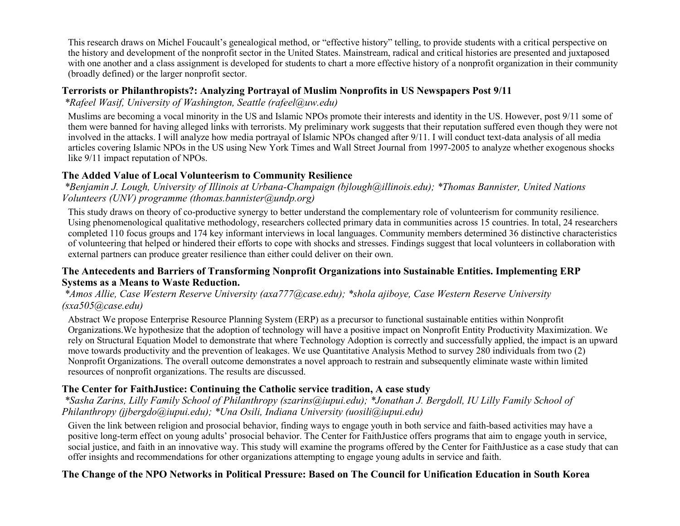This research draws on Michel Foucault's genealogical method, or "effective history" telling, to provide students with a critical perspective on the history and development of the nonprofit sector in the United States. Mainstream, radical and critical histories are presented and juxtaposed with one another and a class assignment is developed for students to chart a more effective history of a nonprofit organization in their community (broadly defined) or the larger nonprofit sector.

#### **Terrorists or Philanthropists?: Analyzing Portrayal of Muslim Nonprofits in US Newspapers Post 9/11**

*\*Rafeel Wasif, University of Washington, Seattle (rafeel@uw.edu)*

Muslims are becoming a vocal minority in the US and Islamic NPOs promote their interests and identity in the US. However, post 9/11 some of them were banned for having alleged links with terrorists. My preliminary work suggests that their reputation suffered even though they were not involved in the attacks. I will analyze how media portrayal of Islamic NPOs changed after 9/11. I will conduct text-data analysis of all media articles covering Islamic NPOs in the US using New York Times and Wall Street Journal from 1997-2005 to analyze whether exogenous shocks like 9/11 impact reputation of NPOs.

### **The Added Value of Local Volunteerism to Community Resilience**

*\*Benjamin J. Lough, University of Illinois at Urbana-Champaign (bjlough@illinois.edu); \*Thomas Bannister, United Nations Volunteers (UNV) programme (thomas.bannister@undp.org)*

This study draws on theory of co-productive synergy to better understand the complementary role of volunteerism for community resilience. Using phenomenological qualitative methodology, researchers collected primary data in communities across 15 countries. In total, 24 researchers completed 110 focus groups and 174 key informant interviews in local languages. Community members determined 36 distinctive characteristics of volunteering that helped or hindered their efforts to cope with shocks and stresses. Findings suggest that local volunteers in collaboration with external partners can produce greater resilience than either could deliver on their own.

#### **The Antecedents and Barriers of Transforming Nonprofit Organizations into Sustainable Entities. Implementing ERP Systems as a Means to Waste Reduction.**

#### *\*Amos Allie, Case Western Reserve University (axa777@case.edu); \*shola ajiboye, Case Western Reserve University (sxa505@case.edu)*

Abstract We propose Enterprise Resource Planning System (ERP) as a precursor to functional sustainable entities within Nonprofit Organizations.We hypothesize that the adoption of technology will have a positive impact on Nonprofit Entity Productivity Maximization. We rely on Structural Equation Model to demonstrate that where Technology Adoption is correctly and successfully applied, the impact is an upward move towards productivity and the prevention of leakages. We use Quantitative Analysis Method to survey 280 individuals from two (2) Nonprofit Organizations. The overall outcome demonstrates a novel approach to restrain and subsequently eliminate waste within limited resources of nonprofit organizations. The results are discussed.

### **The Center for FaithJustice: Continuing the Catholic service tradition, A case study**

*\*Sasha Zarins, Lilly Family School of Philanthropy (szarins@iupui.edu); \*Jonathan J. Bergdoll, IU Lilly Family School of Philanthropy (jjbergdo@iupui.edu); \*Una Osili, Indiana University (uosili@iupui.edu)*

Given the link between religion and prosocial behavior, finding ways to engage youth in both service and faith-based activities may have a positive long-term effect on young adults' prosocial behavior. The Center for FaithJustice offers programs that aim to engage youth in service, social justice, and faith in an innovative way. This study will examine the programs offered by the Center for FaithJustice as a case study that can offer insights and recommendations for other organizations attempting to engage young adults in service and faith.

### **The Change of the NPO Networks in Political Pressure: Based on The Council for Unification Education in South Korea**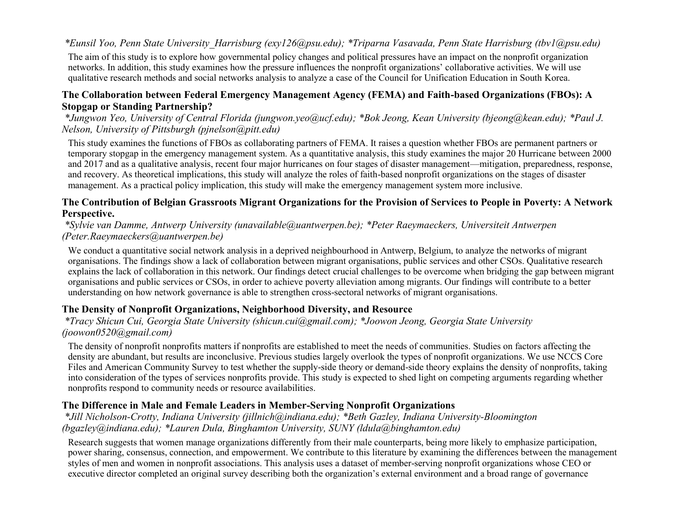### *\*Eunsil Yoo, Penn State University\_Harrisburg (exy126@psu.edu); \*Triparna Vasavada, Penn State Harrisburg (tbv1@psu.edu)*

The aim of this study is to explore how governmental policy changes and political pressures have an impact on the nonprofit organization networks. In addition, this study examines how the pressure influences the nonprofit organizations' collaborative activities. We will use qualitative research methods and social networks analysis to analyze a case of the Council for Unification Education in South Korea.

#### **The Collaboration between Federal Emergency Management Agency (FEMA) and Faith-based Organizations (FBOs): A Stopgap or Standing Partnership?**

*\*Jungwon Yeo, University of Central Florida (jungwon.yeo@ucf.edu); \*Bok Jeong, Kean University (bjeong@kean.edu); \*Paul J. Nelson, University of Pittsburgh (pjnelson@pitt.edu)*

This study examines the functions of FBOs as collaborating partners of FEMA. It raises a question whether FBOs are permanent partners or temporary stopgap in the emergency management system. As a quantitative analysis, this study examines the major 20 Hurricane between 2000 and 2017 and as a qualitative analysis, recent four major hurricanes on four stages of disaster management—mitigation, preparedness, response, and recovery. As theoretical implications, this study will analyze the roles of faith-based nonprofit organizations on the stages of disaster management. As a practical policy implication, this study will make the emergency management system more inclusive.

#### **The Contribution of Belgian Grassroots Migrant Organizations for the Provision of Services to People in Poverty: A Network Perspective.**

*\*Sylvie van Damme, Antwerp University (unavailable@uantwerpen.be); \*Peter Raeymaeckers, Universiteit Antwerpen (Peter.Raeymaeckers@uantwerpen.be)*

We conduct a quantitative social network analysis in a deprived neighbourhood in Antwerp, Belgium, to analyze the networks of migrant organisations. The findings show a lack of collaboration between migrant organisations, public services and other CSOs. Qualitative research explains the lack of collaboration in this network. Our findings detect crucial challenges to be overcome when bridging the gap between migrant organisations and public services or CSOs, in order to achieve poverty alleviation among migrants. Our findings will contribute to a better understanding on how network governance is able to strengthen cross-sectoral networks of migrant organisations.

### **The Density of Nonprofit Organizations, Neighborhood Diversity, and Resource**

*\*Tracy Shicun Cui, Georgia State University (shicun.cui@gmail.com); \*Joowon Jeong, Georgia State University (joowon0520@gmail.com)*

The density of nonprofit nonprofits matters if nonprofits are established to meet the needs of communities. Studies on factors affecting the density are abundant, but results are inconclusive. Previous studies largely overlook the types of nonprofit organizations. We use NCCS Core Files and American Community Survey to test whether the supply-side theory or demand-side theory explains the density of nonprofits, taking into consideration of the types of services nonprofits provide. This study is expected to shed light on competing arguments regarding whether nonprofits respond to community needs or resource availabilities.

#### **The Difference in Male and Female Leaders in Member-Serving Nonprofit Organizations**

*\*Jill Nicholson-Crotty, Indiana University (jillnich@indiana.edu); \*Beth Gazley, Indiana University-Bloomington (bgazley@indiana.edu); \*Lauren Dula, Binghamton University, SUNY (ldula@binghamton.edu)*

Research suggests that women manage organizations differently from their male counterparts, being more likely to emphasize participation, power sharing, consensus, connection, and empowerment. We contribute to this literature by examining the differences between the management styles of men and women in nonprofit associations. This analysis uses a dataset of member-serving nonprofit organizations whose CEO or executive director completed an original survey describing both the organization's external environment and a broad range of governance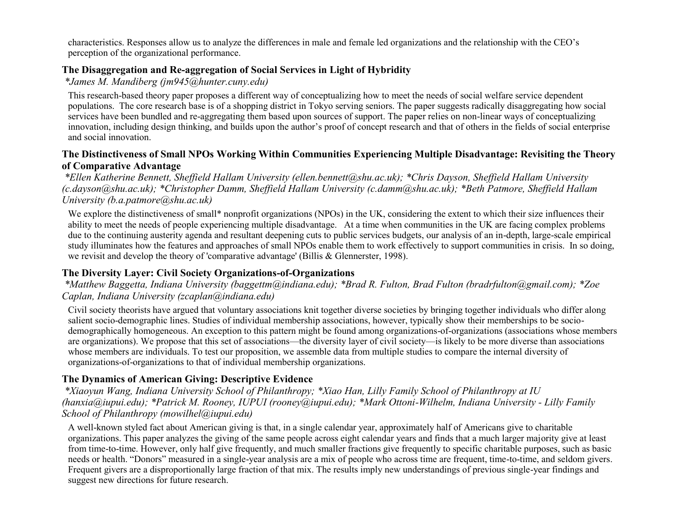characteristics. Responses allow us to analyze the differences in male and female led organizations and the relationship with the CEO's perception of the organizational performance.

#### **The Disaggregation and Re-aggregation of Social Services in Light of Hybridity**

*\*James M. Mandiberg (jm945@hunter.cuny.edu)*

This research-based theory paper proposes a different way of conceptualizing how to meet the needs of social welfare service dependent populations. The core research base is of a shopping district in Tokyo serving seniors. The paper suggests radically disaggregating how social services have been bundled and re-aggregating them based upon sources of support. The paper relies on non-linear ways of conceptualizing innovation, including design thinking, and builds upon the author's proof of concept research and that of others in the fields of social enterprise and social innovation.

#### **The Distinctiveness of Small NPOs Working Within Communities Experiencing Multiple Disadvantage: Revisiting the Theory of Comparative Advantage**

*\*Ellen Katherine Bennett, Sheffield Hallam University (ellen.bennett@shu.ac.uk); \*Chris Dayson, Sheffield Hallam University (c.dayson@shu.ac.uk); \*Christopher Damm, Sheffield Hallam University (c.damm@shu.ac.uk); \*Beth Patmore, Sheffield Hallam University (b.a.patmore@shu.ac.uk)*

We explore the distinctiveness of small\* nonprofit organizations (NPOs) in the UK, considering the extent to which their size influences their ability to meet the needs of people experiencing multiple disadvantage. At a time when communities in the UK are facing complex problems due to the continuing austerity agenda and resultant deepening cuts to public services budgets, our analysis of an in-depth, large-scale empirical study illuminates how the features and approaches of small NPOs enable them to work effectively to support communities in crisis. In so doing, we revisit and develop the theory of 'comparative advantage' (Billis & Glennerster, 1998).

#### **The Diversity Layer: Civil Society Organizations-of-Organizations**

#### *\*Matthew Baggetta, Indiana University (baggettm@indiana.edu); \*Brad R. Fulton, Brad Fulton (bradrfulton@gmail.com); \*Zoe Caplan, Indiana University (zcaplan@indiana.edu)*

Civil society theorists have argued that voluntary associations knit together diverse societies by bringing together individuals who differ along salient socio-demographic lines. Studies of individual membership associations, however, typically show their memberships to be sociodemographically homogeneous. An exception to this pattern might be found among organizations-of-organizations (associations whose members are organizations). We propose that this set of associations—the diversity layer of civil society—is likely to be more diverse than associations whose members are individuals. To test our proposition, we assemble data from multiple studies to compare the internal diversity of organizations-of-organizations to that of individual membership organizations.

### **The Dynamics of American Giving: Descriptive Evidence**

*\*Xiaoyun Wang, Indiana University School of Philanthropy; \*Xiao Han, Lilly Family School of Philanthropy at IU (hanxia@iupui.edu); \*Patrick M. Rooney, IUPUI (rooney@iupui.edu); \*Mark Ottoni-Wilhelm, Indiana University - Lilly Family School of Philanthropy (mowilhel@iupui.edu)*

A well-known styled fact about American giving is that, in a single calendar year, approximately half of Americans give to charitable organizations. This paper analyzes the giving of the same people across eight calendar years and finds that a much larger majority give at least from time-to-time. However, only half give frequently, and much smaller fractions give frequently to specific charitable purposes, such as basic needs or health. "Donors" measured in a single-year analysis are a mix of people who across time are frequent, time-to-time, and seldom givers. Frequent givers are a disproportionally large fraction of that mix. The results imply new understandings of previous single-year findings and suggest new directions for future research.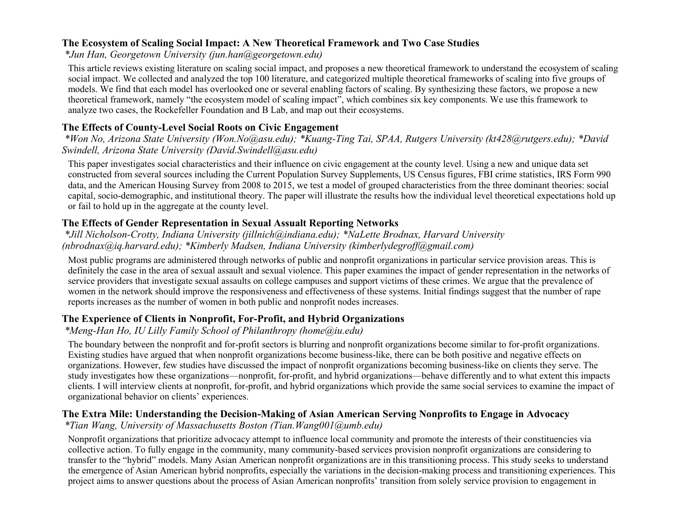#### **The Ecosystem of Scaling Social Impact: A New Theoretical Framework and Two Case Studies**

*\*Jun Han, Georgetown University (jun.han@georgetown.edu)*

This article reviews existing literature on scaling social impact, and proposes a new theoretical framework to understand the ecosystem of scaling social impact. We collected and analyzed the top 100 literature, and categorized multiple theoretical frameworks of scaling into five groups of models. We find that each model has overlooked one or several enabling factors of scaling. By synthesizing these factors, we propose a new theoretical framework, namely "the ecosystem model of scaling impact", which combines six key components. We use this framework to analyze two cases, the Rockefeller Foundation and B Lab, and map out their ecosystems.

#### **The Effects of County-Level Social Roots on Civic Engagement**

*\*Won No, Arizona State University (Won.No@asu.edu); \*Kuang-Ting Tai, SPAA, Rutgers University (kt428@rutgers.edu); \*David Swindell, Arizona State University (David.Swindell@asu.edu)*

This paper investigates social characteristics and their influence on civic engagement at the county level. Using a new and unique data set constructed from several sources including the Current Population Survey Supplements, US Census figures, FBI crime statistics, IRS Form 990 data, and the American Housing Survey from 2008 to 2015, we test a model of grouped characteristics from the three dominant theories: social capital, socio-demographic, and institutional theory. The paper will illustrate the results how the individual level theoretical expectations hold up or fail to hold up in the aggregate at the county level.

#### **The Effects of Gender Representation in Sexual Assualt Reporting Networks**

*\*Jill Nicholson-Crotty, Indiana University (jillnich@indiana.edu); \*NaLette Brodnax, Harvard University (nbrodnax@iq.harvard.edu); \*Kimberly Madsen, Indiana University (kimberlydegroff@gmail.com)*

Most public programs are administered through networks of public and nonprofit organizations in particular service provision areas. This is definitely the case in the area of sexual assault and sexual violence. This paper examines the impact of gender representation in the networks of service providers that investigate sexual assaults on college campuses and support victims of these crimes. We argue that the prevalence of women in the network should improve the responsiveness and effectiveness of these systems. Initial findings suggest that the number of rape reports increases as the number of women in both public and nonprofit nodes increases.

#### **The Experience of Clients in Nonprofit, For-Profit, and Hybrid Organizations**

*\*Meng-Han Ho, IU Lilly Family School of Philanthropy (home@iu.edu)*

The boundary between the nonprofit and for-profit sectors is blurring and nonprofit organizations become similar to for-profit organizations. Existing studies have argued that when nonprofit organizations become business-like, there can be both positive and negative effects on organizations. However, few studies have discussed the impact of nonprofit organizations becoming business-like on clients they serve. The study investigates how these organizations—nonprofit, for-profit, and hybrid organizations—behave differently and to what extent this impacts clients. I will interview clients at nonprofit, for-profit, and hybrid organizations which provide the same social services to examine the impact of organizational behavior on clients' experiences.

### **The Extra Mile: Understanding the Decision-Making of Asian American Serving Nonprofits to Engage in Advocacy**

*\*Tian Wang, University of Massachusetts Boston (Tian.Wang001@umb.edu)*

Nonprofit organizations that prioritize advocacy attempt to influence local community and promote the interests of their constituencies via collective action. To fully engage in the community, many community-based services provision nonprofit organizations are considering to transfer to the "hybrid" models. Many Asian American nonprofit organizations are in this transitioning process. This study seeks to understand the emergence of Asian American hybrid nonprofits, especially the variations in the decision-making process and transitioning experiences. This project aims to answer questions about the process of Asian American nonprofits' transition from solely service provision to engagement in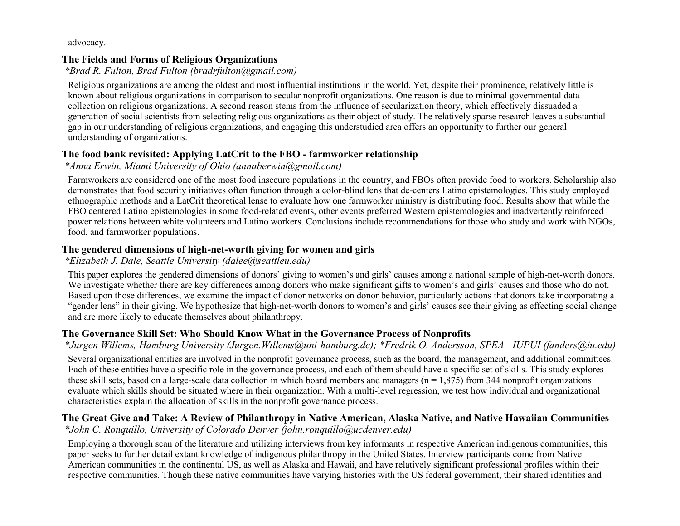advocacy.

### **The Fields and Forms of Religious Organizations**

*\*Brad R. Fulton, Brad Fulton (bradrfulton@gmail.com)*

Religious organizations are among the oldest and most influential institutions in the world. Yet, despite their prominence, relatively little is known about religious organizations in comparison to secular nonprofit organizations. One reason is due to minimal governmental data collection on religious organizations. A second reason stems from the influence of secularization theory, which effectively dissuaded a generation of social scientists from selecting religious organizations as their object of study. The relatively sparse research leaves a substantial gap in our understanding of religious organizations, and engaging this understudied area offers an opportunity to further our general understanding of organizations.

### **The food bank revisited: Applying LatCrit to the FBO - farmworker relationship**

*\*Anna Erwin, Miami University of Ohio (annaberwin@gmail.com)*

Farmworkers are considered one of the most food insecure populations in the country, and FBOs often provide food to workers. Scholarship also demonstrates that food security initiatives often function through a color-blind lens that de-centers Latino epistemologies. This study employed ethnographic methods and a LatCrit theoretical lense to evaluate how one farmworker ministry is distributing food. Results show that while the FBO centered Latino epistemologies in some food-related events, other events preferred Western epistemologies and inadvertently reinforced power relations between white volunteers and Latino workers. Conclusions include recommendations for those who study and work with NGOs, food, and farmworker populations.

# **The gendered dimensions of high-net-worth giving for women and girls**

# *\*Elizabeth J. Dale, Seattle University (dalee@seattleu.edu)*

This paper explores the gendered dimensions of donors' giving to women's and girls' causes among a national sample of high-net-worth donors. We investigate whether there are key differences among donors who make significant gifts to women's and girls' causes and those who do not. Based upon those differences, we examine the impact of donor networks on donor behavior, particularly actions that donors take incorporating a "gender lens" in their giving. We hypothesize that high-net-worth donors to women's and girls' causes see their giving as effecting social change and are more likely to educate themselves about philanthropy.

# **The Governance Skill Set: Who Should Know What in the Governance Process of Nonprofits**

*\*Jurgen Willems, Hamburg University (Jurgen.Willems@uni-hamburg.de); \*Fredrik O. Andersson, SPEA - IUPUI (fanders@iu.edu)*

Several organizational entities are involved in the nonprofit governance process, such as the board, the management, and additional committees. Each of these entities have a specific role in the governance process, and each of them should have a specific set of skills. This study explores these skill sets, based on a large-scale data collection in which board members and managers ( $n = 1,875$ ) from 344 nonprofit organizations evaluate which skills should be situated where in their organization. With a multi-level regression, we test how individual and organizational characteristics explain the allocation of skills in the nonprofit governance process.

# **The Great Give and Take: A Review of Philanthropy in Native American, Alaska Native, and Native Hawaiian Communities**

*\*John C. Ronquillo, University of Colorado Denver (john.ronquillo@ucdenver.edu)*

Employing a thorough scan of the literature and utilizing interviews from key informants in respective American indigenous communities, this paper seeks to further detail extant knowledge of indigenous philanthropy in the United States. Interview participants come from Native American communities in the continental US, as well as Alaska and Hawaii, and have relatively significant professional profiles within their respective communities. Though these native communities have varying histories with the US federal government, their shared identities and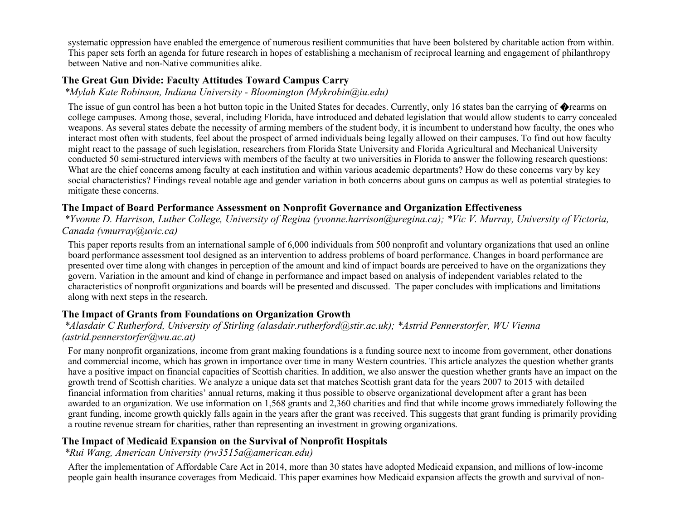systematic oppression have enabled the emergence of numerous resilient communities that have been bolstered by charitable action from within. This paper sets forth an agenda for future research in hopes of establishing a mechanism of reciprocal learning and engagement of philanthropy between Native and non-Native communities alike.

#### **The Great Gun Divide: Faculty Attitudes Toward Campus Carry**

*\*Mylah Kate Robinson, Indiana University - Bloomington (Mykrobin@iu.edu)*

The issue of gun control has been a hot button topic in the United States for decades. Currently, only 16 states ban the carrying of  $\Diamond$  rearms on college campuses. Among those, several, including Florida, have introduced and debated legislation that would allow students to carry concealed weapons. As several states debate the necessity of arming members of the student body, it is incumbent to understand how faculty, the ones who interact most often with students, feel about the prospect of armed individuals being legally allowed on their campuses. To find out how faculty might react to the passage of such legislation, researchers from Florida State University and Florida Agricultural and Mechanical University conducted 50 semi-structured interviews with members of the faculty at two universities in Florida to answer the following research questions: What are the chief concerns among faculty at each institution and within various academic departments? How do these concerns vary by key social characteristics? Findings reveal notable age and gender variation in both concerns about guns on campus as well as potential strategies to mitigate these concerns.

#### **The Impact of Board Performance Assessment on Nonprofit Governance and Organization Effectiveness**

*\*Yvonne D. Harrison, Luther College, University of Regina (yvonne.harrison@uregina.ca); \*Vic V. Murray, University of Victoria, Canada (vmurray@uvic.ca)*

This paper reports results from an international sample of 6,000 individuals from 500 nonprofit and voluntary organizations that used an online board performance assessment tool designed as an intervention to address problems of board performance. Changes in board performance are presented over time along with changes in perception of the amount and kind of impact boards are perceived to have on the organizations they govern. Variation in the amount and kind of change in performance and impact based on analysis of independent variables related to the characteristics of nonprofit organizations and boards will be presented and discussed. The paper concludes with implications and limitations along with next steps in the research.

### **The Impact of Grants from Foundations on Organization Growth**

#### *\*Alasdair C Rutherford, University of Stirling (alasdair.rutherford@stir.ac.uk); \*Astrid Pennerstorfer, WU Vienna (astrid.pennerstorfer@wu.ac.at)*

For many nonprofit organizations, income from grant making foundations is a funding source next to income from government, other donations and commercial income, which has grown in importance over time in many Western countries. This article analyzes the question whether grants have a positive impact on financial capacities of Scottish charities. In addition, we also answer the question whether grants have an impact on the growth trend of Scottish charities. We analyze a unique data set that matches Scottish grant data for the years 2007 to 2015 with detailed financial information from charities' annual returns, making it thus possible to observe organizational development after a grant has been awarded to an organization. We use information on 1,568 grants and 2,360 charities and find that while income grows immediately following the grant funding, income growth quickly falls again in the years after the grant was received. This suggests that grant funding is primarily providing a routine revenue stream for charities, rather than representing an investment in growing organizations.

#### **The Impact of Medicaid Expansion on the Survival of Nonprofit Hospitals**

#### *\*Rui Wang, American University (rw3515a@american.edu)*

After the implementation of Affordable Care Act in 2014, more than 30 states have adopted Medicaid expansion, and millions of low-income people gain health insurance coverages from Medicaid. This paper examines how Medicaid expansion affects the growth and survival of non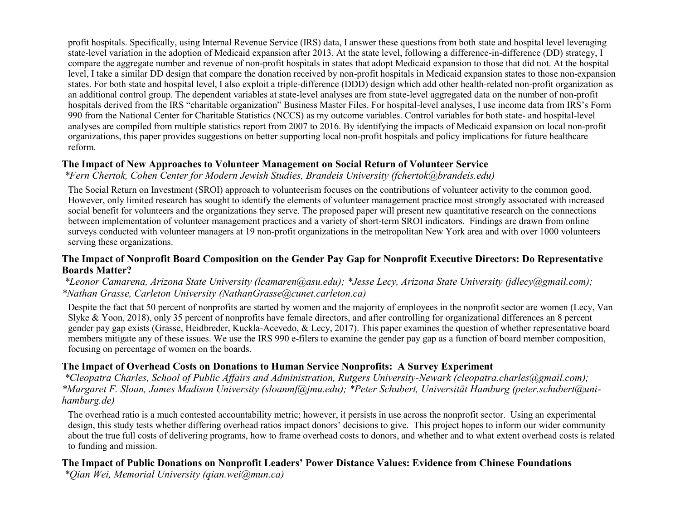profit hospitals. Specifically, using Internal Revenue Service (IRS) data, I answer these questions from both state and hospital level leveraging state-level variation in the adoption of Medicaid expansion after 2013. At the state level, following a difference-in-difference (DD) strategy, I compare the aggregate number and revenue of non-profit hospitals in states that adopt Medicaid expansion to those that did not. At the hospital level, I take a similar DD design that compare the donation received by non-profit hospitals in Medicaid expansion states to those non-expansion states. For both state and hospital level, I also exploit a triple-difference (DDD) design which add other health-related non-profit organization as an additional control group. The dependent variables at state-level analyses are from state-level aggregated data on the number of non-profit hospitals derived from the IRS "charitable organization" Business Master Files. For hospital-level analyses, I use income data from IRS's Form 990 from the National Center for Charitable Statistics (NCCS) as my outcome variables. Control variables for both state- and hospital-level analyses are compiled from multiple statistics report from 2007 to 2016. By identifying the impacts of Medicaid expansion on local non-profit organizations, this paper provides suggestions on better supporting local non-profit hospitals and policy implications for future healthcare reform.

#### **The Impact of New Approaches to Volunteer Management on Social Return of Volunteer Service**

*\*Fern Chertok, Cohen Center for Modern Jewish Studies, Brandeis University (fchertok@brandeis.edu)*

The Social Return on Investment (SROI) approach to volunteerism focuses on the contributions of volunteer activity to the common good. However, only limited research has sought to identify the elements of volunteer management practice most strongly associated with increased social benefit for volunteers and the organizations they serve. The proposed paper will present new quantitative research on the connections between implementation of volunteer management practices and a variety of short-term SROI indicators. Findings are drawn from online surveys conducted with volunteer managers at 19 non-profit organizations in the metropolitan New York area and with over 1000 volunteers serving these organizations.

#### **The Impact of Nonprofit Board Composition on the Gender Pay Gap for Nonprofit Executive Directors: Do Representative Boards Matter?**

*\*Leonor Camarena, Arizona State University (lcamaren@asu.edu); \*Jesse Lecy, Arizona State University (jdlecy@gmail.com); \*Nathan Grasse, Carleton University (NathanGrasse@cunet.carleton.ca)*

Despite the fact that 50 percent of nonprofits are started by women and the majority of employees in the nonprofit sector are women (Lecy, Van Slyke & Yoon, 2018), only 35 percent of nonprofits have female directors, and after controlling for organizational differences an 8 percent gender pay gap exists (Grasse, Heidbreder, Kuckla-Acevedo, & Lecy, 2017). This paper examines the question of whether representative board members mitigate any of these issues. We use the IRS 990 e-filers to examine the gender pay gap as a function of board member composition, focusing on percentage of women on the boards.

#### **The Impact of Overhead Costs on Donations to Human Service Nonprofits: A Survey Experiment**

*\*Cleopatra Charles, School of Public Affairs and Administration, Rutgers University-Newark (cleopatra.charles@gmail.com); \*Margaret F. Sloan, James Madison University (sloanmf@jmu.edu); \*Peter Schubert, Universität Hamburg (peter.schubert@unihamburg.de)*

The overhead ratio is a much contested accountability metric; however, it persists in use across the nonprofit sector. Using an experimental design, this study tests whether differing overhead ratios impact donors' decisions to give. This project hopes to inform our wider community about the true full costs of delivering programs, how to frame overhead costs to donors, and whether and to what extent overhead costs is related to funding and mission.

### **The Impact of Public Donations on Nonprofit Leaders' Power Distance Values: Evidence from Chinese Foundations**

*\*Qian Wei, Memorial University (qian.wei@mun.ca)*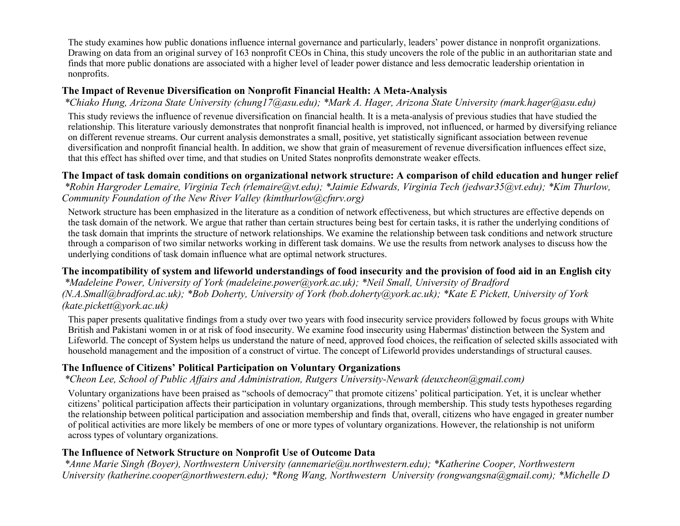The study examines how public donations influence internal governance and particularly, leaders' power distance in nonprofit organizations. Drawing on data from an original survey of 163 nonprofit CEOs in China, this study uncovers the role of the public in an authoritarian state and finds that more public donations are associated with a higher level of leader power distance and less democratic leadership orientation in nonprofits.

### **The Impact of Revenue Diversification on Nonprofit Financial Health: A Meta-Analysis**

*\*Chiako Hung, Arizona State University (chung17@asu.edu); \*Mark A. Hager, Arizona State University (mark.hager@asu.edu)*

This study reviews the influence of revenue diversification on financial health. It is a meta-analysis of previous studies that have studied the relationship. This literature variously demonstrates that nonprofit financial health is improved, not influenced, or harmed by diversifying reliance on different revenue streams. Our current analysis demonstrates a small, positive, yet statistically significant association between revenue diversification and nonprofit financial health. In addition, we show that grain of measurement of revenue diversification influences effect size, that this effect has shifted over time, and that studies on United States nonprofits demonstrate weaker effects.

#### **The Impact of task domain conditions on organizational network structure: A comparison of child education and hunger relief** *\*Robin Hargroder Lemaire, Virginia Tech (rlemaire@vt.edu); \*Jaimie Edwards, Virginia Tech (jedwar35@vt.edu); \*Kim Thurlow,*

*Community Foundation of the New River Valley (kimthurlow@cfnrv.org)*

Network structure has been emphasized in the literature as a condition of network effectiveness, but which structures are effective depends on the task domain of the network. We argue that rather than certain structures being best for certain tasks, it is rather the underlying conditions of the task domain that imprints the structure of network relationships. We examine the relationship between task conditions and network structure through a comparison of two similar networks working in different task domains. We use the results from network analyses to discuss how the underlying conditions of task domain influence what are optimal network structures.

#### **The incompatibility of system and lifeworld understandings of food insecurity and the provision of food aid in an English city**

*\*Madeleine Power, University of York (madeleine.power@york.ac.uk); \*Neil Small, University of Bradford (N.A.Small@bradford.ac.uk); \*Bob Doherty, University of York (bob.doherty@york.ac.uk); \*Kate E Pickett, University of York (kate.pickett@york.ac.uk)*

This paper presents qualitative findings from a study over two years with food insecurity service providers followed by focus groups with White British and Pakistani women in or at risk of food insecurity. We examine food insecurity using Habermas' distinction between the System and Lifeworld. The concept of System helps us understand the nature of need, approved food choices, the reification of selected skills associated with household management and the imposition of a construct of virtue. The concept of Lifeworld provides understandings of structural causes.

#### **The Influence of Citizens' Political Participation on Voluntary Organizations**

*\*Cheon Lee, School of Public Affairs and Administration, Rutgers University-Newark (deuxcheon@gmail.com)*

Voluntary organizations have been praised as "schools of democracy" that promote citizens' political participation. Yet, it is unclear whether citizens' political participation affects their participation in voluntary organizations, through membership. This study tests hypotheses regarding the relationship between political participation and association membership and finds that, overall, citizens who have engaged in greater number of political activities are more likely be members of one or more types of voluntary organizations. However, the relationship is not uniform across types of voluntary organizations.

### **The Influence of Network Structure on Nonprofit Use of Outcome Data**

*\*Anne Marie Singh (Boyer), Northwestern University (annemarie@u.northwestern.edu); \*Katherine Cooper, Northwestern University (katherine.cooper@northwestern.edu); \*Rong Wang, Northwestern University (rongwangsna@gmail.com); \*Michelle D*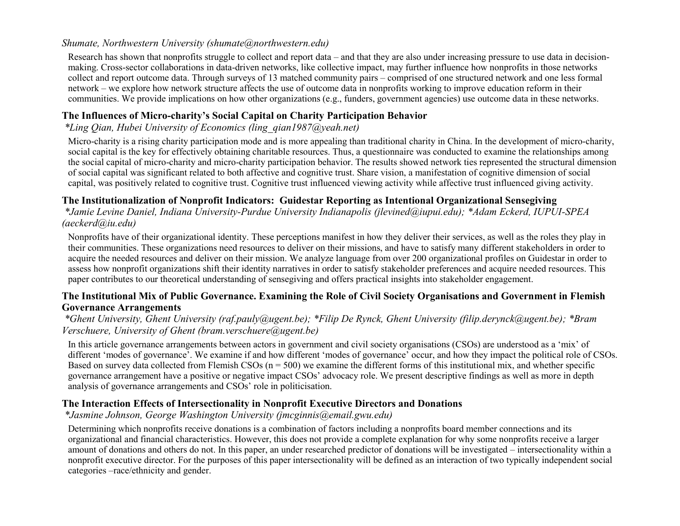#### *Shumate, Northwestern University (shumate@northwestern.edu)*

Research has shown that nonprofits struggle to collect and report data – and that they are also under increasing pressure to use data in decisionmaking. Cross-sector collaborations in data-driven networks, like collective impact, may further influence how nonprofits in those networks collect and report outcome data. Through surveys of 13 matched community pairs – comprised of one structured network and one less formal network – we explore how network structure affects the use of outcome data in nonprofits working to improve education reform in their communities. We provide implications on how other organizations (e.g., funders, government agencies) use outcome data in these networks.

### **The Influences of Micro-charity's Social Capital on Charity Participation Behavior**

### *\*Ling Qian, Hubei University of Economics (ling\_qian1987@yeah.net)*

Micro-charity is a rising charity participation mode and is more appealing than traditional charity in China. In the development of micro-charity, social capital is the key for effectively obtaining charitable resources. Thus, a questionnaire was conducted to examine the relationships among the social capital of micro-charity and micro-charity participation behavior. The results showed network ties represented the structural dimension of social capital was significant related to both affective and cognitive trust. Share vision, a manifestation of cognitive dimension of social capital, was positively related to cognitive trust. Cognitive trust influenced viewing activity while affective trust influenced giving activity.

### **The Institutionalization of Nonprofit Indicators: Guidestar Reporting as Intentional Organizational Sensegiving**

*\*Jamie Levine Daniel, Indiana University-Purdue University Indianapolis (jlevined@iupui.edu); \*Adam Eckerd, IUPUI-SPEA (aeckerd@iu.edu)*

Nonprofits have of their organizational identity. These perceptions manifest in how they deliver their services, as well as the roles they play in their communities. These organizations need resources to deliver on their missions, and have to satisfy many different stakeholders in order to acquire the needed resources and deliver on their mission. We analyze language from over 200 organizational profiles on Guidestar in order to assess how nonprofit organizations shift their identity narratives in order to satisfy stakeholder preferences and acquire needed resources. This paper contributes to our theoretical understanding of sensegiving and offers practical insights into stakeholder engagement.

#### **The Institutional Mix of Public Governance. Examining the Role of Civil Society Organisations and Government in Flemish Governance Arrangements**

#### *\*Ghent University, Ghent University (raf.pauly@ugent.be); \*Filip De Rynck, Ghent University (filip.derynck@ugent.be); \*Bram Verschuere, University of Ghent (bram.verschuere@ugent.be)*

In this article governance arrangements between actors in government and civil society organisations (CSOs) are understood as a 'mix' of different 'modes of governance'. We examine if and how different 'modes of governance' occur, and how they impact the political role of CSOs. Based on survey data collected from Flemish CSOs  $(n = 500)$  we examine the different forms of this institutional mix, and whether specific governance arrangement have a positive or negative impact CSOs' advocacy role. We present descriptive findings as well as more in depth analysis of governance arrangements and CSOs' role in politicisation.

### **The Interaction Effects of Intersectionality in Nonprofit Executive Directors and Donations**

*\*Jasmine Johnson, George Washington University (jmcginnis@email.gwu.edu)*

Determining which nonprofits receive donations is a combination of factors including a nonprofits board member connections and its organizational and financial characteristics. However, this does not provide a complete explanation for why some nonprofits receive a larger amount of donations and others do not. In this paper, an under researched predictor of donations will be investigated – intersectionality within a nonprofit executive director. For the purposes of this paper intersectionality will be defined as an interaction of two typically independent social categories –race/ethnicity and gender.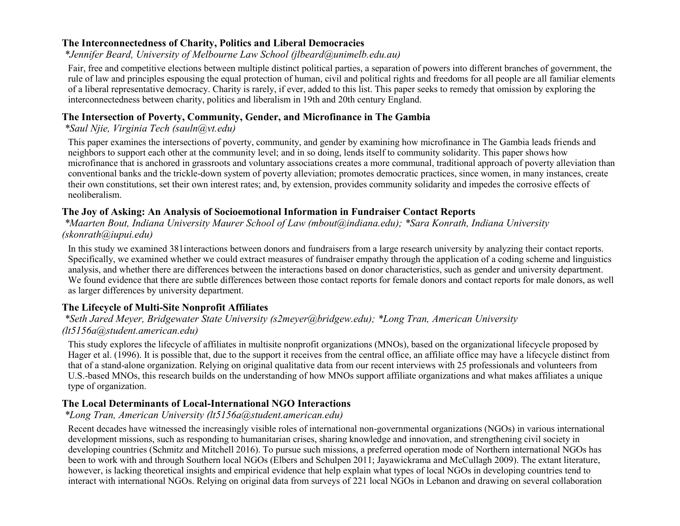#### **The Interconnectedness of Charity, Politics and Liberal Democracies**

*\*Jennifer Beard, University of Melbourne Law School (jlbeard@unimelb.edu.au)*

Fair, free and competitive elections between multiple distinct political parties, a separation of powers into different branches of government, the rule of law and principles espousing the equal protection of human, civil and political rights and freedoms for all people are all familiar elements of a liberal representative democracy. Charity is rarely, if ever, added to this list. This paper seeks to remedy that omission by exploring the interconnectedness between charity, politics and liberalism in 19th and 20th century England.

#### **The Intersection of Poverty, Community, Gender, and Microfinance in The Gambia**

*\*Saul Njie, Virginia Tech (sauln@vt.edu)*

This paper examines the intersections of poverty, community, and gender by examining how microfinance in The Gambia leads friends and neighbors to support each other at the community level; and in so doing, lends itself to community solidarity. This paper shows how microfinance that is anchored in grassroots and voluntary associations creates a more communal, traditional approach of poverty alleviation than conventional banks and the trickle-down system of poverty alleviation; promotes democratic practices, since women, in many instances, create their own constitutions, set their own interest rates; and, by extension, provides community solidarity and impedes the corrosive effects of neoliberalism.

#### **The Joy of Asking: An Analysis of Socioemotional Information in Fundraiser Contact Reports**

*\*Maarten Bout, Indiana University Maurer School of Law (mbout@indiana.edu); \*Sara Konrath, Indiana University (skonrath@iupui.edu)*

In this study we examined 381interactions between donors and fundraisers from a large research university by analyzing their contact reports. Specifically, we examined whether we could extract measures of fundraiser empathy through the application of a coding scheme and linguistics analysis, and whether there are differences between the interactions based on donor characteristics, such as gender and university department. We found evidence that there are subtle differences between those contact reports for female donors and contact reports for male donors, as well as larger differences by university department.

#### **The Lifecycle of Multi-Site Nonprofit Affiliates**

*\*Seth Jared Meyer, Bridgewater State University (s2meyer@bridgew.edu); \*Long Tran, American University (lt5156a@student.american.edu)*

This study explores the lifecycle of affiliates in multisite nonprofit organizations (MNOs), based on the organizational lifecycle proposed by Hager et al. (1996). It is possible that, due to the support it receives from the central office, an affiliate office may have a lifecycle distinct from that of a stand-alone organization. Relying on original qualitative data from our recent interviews with 25 professionals and volunteers from U.S.-based MNOs, this research builds on the understanding of how MNOs support affiliate organizations and what makes affiliates a unique type of organization.

#### **The Local Determinants of Local-International NGO Interactions**

*\*Long Tran, American University (lt5156a@student.american.edu)*

Recent decades have witnessed the increasingly visible roles of international non-governmental organizations (NGOs) in various international development missions, such as responding to humanitarian crises, sharing knowledge and innovation, and strengthening civil society in developing countries (Schmitz and Mitchell 2016). To pursue such missions, a preferred operation mode of Northern international NGOs has been to work with and through Southern local NGOs (Elbers and Schulpen 2011; Jayawickrama and McCullagh 2009). The extant literature, however, is lacking theoretical insights and empirical evidence that help explain what types of local NGOs in developing countries tend to interact with international NGOs. Relying on original data from surveys of 221 local NGOs in Lebanon and drawing on several collaboration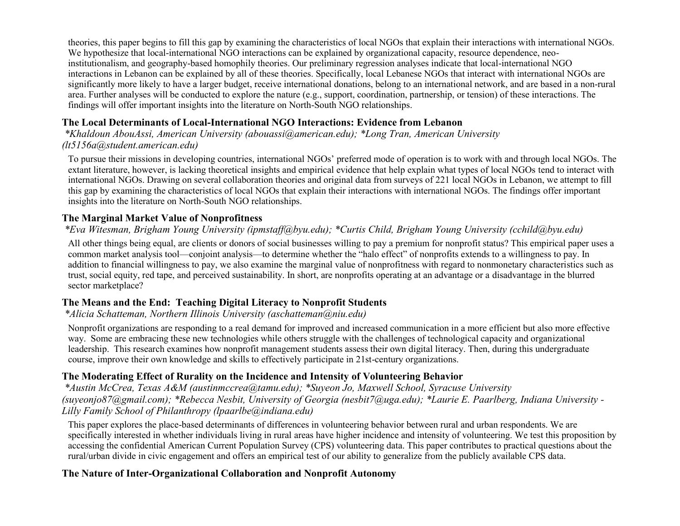theories, this paper begins to fill this gap by examining the characteristics of local NGOs that explain their interactions with international NGOs. We hypothesize that local-international NGO interactions can be explained by organizational capacity, resource dependence, neoinstitutionalism, and geography-based homophily theories. Our preliminary regression analyses indicate that local-international NGO interactions in Lebanon can be explained by all of these theories. Specifically, local Lebanese NGOs that interact with international NGOs are significantly more likely to have a larger budget, receive international donations, belong to an international network, and are based in a non-rural area. Further analyses will be conducted to explore the nature (e.g., support, coordination, partnership, or tension) of these interactions. The findings will offer important insights into the literature on North-South NGO relationships.

# **The Local Determinants of Local-International NGO Interactions: Evidence from Lebanon**

*\*Khaldoun AbouAssi, American University (abouassi@american.edu); \*Long Tran, American University (lt5156a@student.american.edu)*

To pursue their missions in developing countries, international NGOs' preferred mode of operation is to work with and through local NGOs. The extant literature, however, is lacking theoretical insights and empirical evidence that help explain what types of local NGOs tend to interact with international NGOs. Drawing on several collaboration theories and original data from surveys of 221 local NGOs in Lebanon, we attempt to fill this gap by examining the characteristics of local NGOs that explain their interactions with international NGOs. The findings offer important insights into the literature on North-South NGO relationships.

# **The Marginal Market Value of Nonprofitness**

# *\*Eva Witesman, Brigham Young University (ipmstaff@byu.edu); \*Curtis Child, Brigham Young University (cchild@byu.edu)*

All other things being equal, are clients or donors of social businesses willing to pay a premium for nonprofit status? This empirical paper uses a common market analysis tool—conjoint analysis—to determine whether the "halo effect" of nonprofits extends to a willingness to pay. In addition to financial willingness to pay, we also examine the marginal value of nonprofitness with regard to nonmonetary characteristics such as trust, social equity, red tape, and perceived sustainability. In short, are nonprofits operating at an advantage or a disadvantage in the blurred sector marketplace?

### **The Means and the End: Teaching Digital Literacy to Nonprofit Students**

### *\*Alicia Schatteman, Northern Illinois University (aschatteman@niu.edu)*

Nonprofit organizations are responding to a real demand for improved and increased communication in a more efficient but also more effective way. Some are embracing these new technologies while others struggle with the challenges of technological capacity and organizational leadership. This research examines how nonprofit management students assess their own digital literacy. Then, during this undergraduate course, improve their own knowledge and skills to effectively participate in 21st-century organizations.

# **The Moderating Effect of Rurality on the Incidence and Intensity of Volunteering Behavior**

*\*Austin McCrea, Texas A&M (austinmccrea@tamu.edu); \*Suyeon Jo, Maxwell School, Syracuse University (suyeonjo87@gmail.com); \*Rebecca Nesbit, University of Georgia (nesbit7@uga.edu); \*Laurie E. Paarlberg, Indiana University - Lilly Family School of Philanthropy (lpaarlbe@indiana.edu)*

This paper explores the place-based determinants of differences in volunteering behavior between rural and urban respondents. We are specifically interested in whether individuals living in rural areas have higher incidence and intensity of volunteering. We test this proposition by accessing the confidential American Current Population Survey (CPS) volunteering data. This paper contributes to practical questions about the rural/urban divide in civic engagement and offers an empirical test of our ability to generalize from the publicly available CPS data.

### **The Nature of Inter-Organizational Collaboration and Nonprofit Autonomy**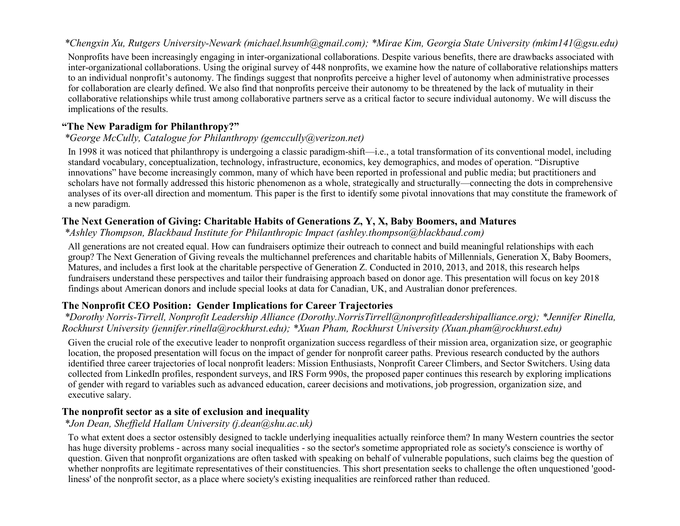#### *\*Chengxin Xu, Rutgers University-Newark (michael.hsumh@gmail.com); \*Mirae Kim, Georgia State University (mkim141@gsu.edu)*

Nonprofits have been increasingly engaging in inter-organizational collaborations. Despite various benefits, there are drawbacks associated with inter-organizational collaborations. Using the original survey of 448 nonprofits, we examine how the nature of collaborative relationships matters to an individual nonprofit's autonomy. The findings suggest that nonprofits perceive a higher level of autonomy when administrative processes for collaboration are clearly defined. We also find that nonprofits perceive their autonomy to be threatened by the lack of mutuality in their collaborative relationships while trust among collaborative partners serve as a critical factor to secure individual autonomy. We will discuss the implications of the results.

#### **"The New Paradigm for Philanthropy?"**

#### *\*George McCully, Catalogue for Philanthropy (gemccully@verizon.net)*

In 1998 it was noticed that philanthropy is undergoing a classic paradigm-shift—i.e., a total transformation of its conventional model, including standard vocabulary, conceptualization, technology, infrastructure, economics, key demographics, and modes of operation. "Disruptive innovations" have become increasingly common, many of which have been reported in professional and public media; but practitioners and scholars have not formally addressed this historic phenomenon as a whole, strategically and structurally—connecting the dots in comprehensive analyses of its over-all direction and momentum. This paper is the first to identify some pivotal innovations that may constitute the framework of a new paradigm.

#### **The Next Generation of Giving: Charitable Habits of Generations Z, Y, X, Baby Boomers, and Matures**

*\*Ashley Thompson, Blackbaud Institute for Philanthropic Impact (ashley.thompson@blackbaud.com)*

All generations are not created equal. How can fundraisers optimize their outreach to connect and build meaningful relationships with each group? The Next Generation of Giving reveals the multichannel preferences and charitable habits of Millennials, Generation X, Baby Boomers, Matures, and includes a first look at the charitable perspective of Generation Z. Conducted in 2010, 2013, and 2018, this research helps fundraisers understand these perspectives and tailor their fundraising approach based on donor age. This presentation will focus on key 2018 findings about American donors and include special looks at data for Canadian, UK, and Australian donor preferences.

#### **The Nonprofit CEO Position: Gender Implications for Career Trajectories**

*\*Dorothy Norris-Tirrell, Nonprofit Leadership Alliance (Dorothy.NorrisTirrell@nonprofitleadershipalliance.org); \*Jennifer Rinella, Rockhurst University (jennifer.rinella@rockhurst.edu); \*Xuan Pham, Rockhurst University (Xuan.pham@rockhurst.edu)*

Given the crucial role of the executive leader to nonprofit organization success regardless of their mission area, organization size, or geographic location, the proposed presentation will focus on the impact of gender for nonprofit career paths. Previous research conducted by the authors identified three career trajectories of local nonprofit leaders: Mission Enthusiasts, Nonprofit Career Climbers, and Sector Switchers. Using data collected from LinkedIn profiles, respondent surveys, and IRS Form 990s, the proposed paper continues this research by exploring implications of gender with regard to variables such as advanced education, career decisions and motivations, job progression, organization size, and executive salary.

#### **The nonprofit sector as a site of exclusion and inequality**

#### *\*Jon Dean, Sheffield Hallam University (j.dean@shu.ac.uk)*

To what extent does a sector ostensibly designed to tackle underlying inequalities actually reinforce them? In many Western countries the sector has huge diversity problems - across many social inequalities - so the sector's sometime appropriated role as society's conscience is worthy of question. Given that nonprofit organizations are often tasked with speaking on behalf of vulnerable populations, such claims beg the question of whether nonprofits are legitimate representatives of their constituencies. This short presentation seeks to challenge the often unquestioned 'goodliness' of the nonprofit sector, as a place where society's existing inequalities are reinforced rather than reduced.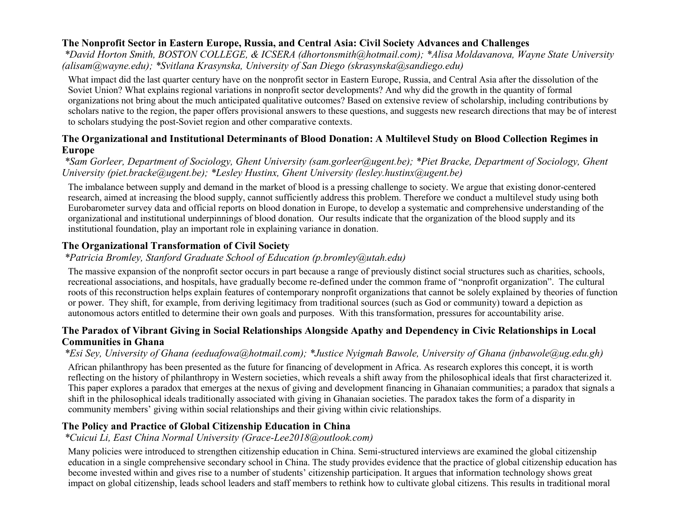### **The Nonprofit Sector in Eastern Europe, Russia, and Central Asia: Civil Society Advances and Challenges**

*\*David Horton Smith, BOSTON COLLEGE, & ICSERA (dhortonsmith@hotmail.com); \*Alisa Moldavanova, Wayne State University (alisam@wayne.edu); \*Svitlana Krasynska, University of San Diego (skrasynska@sandiego.edu)*

What impact did the last quarter century have on the nonprofit sector in Eastern Europe, Russia, and Central Asia after the dissolution of the Soviet Union? What explains regional variations in nonprofit sector developments? And why did the growth in the quantity of formal organizations not bring about the much anticipated qualitative outcomes? Based on extensive review of scholarship, including contributions by scholars native to the region, the paper offers provisional answers to these questions, and suggests new research directions that may be of interest to scholars studying the post-Soviet region and other comparative contexts.

#### **The Organizational and Institutional Determinants of Blood Donation: A Multilevel Study on Blood Collection Regimes in Europe**

### *\*Sam Gorleer, Department of Sociology, Ghent University (sam.gorleer@ugent.be); \*Piet Bracke, Department of Sociology, Ghent University (piet.bracke@ugent.be); \*Lesley Hustinx, Ghent University (lesley.hustinx@ugent.be)*

The imbalance between supply and demand in the market of blood is a pressing challenge to society. We argue that existing donor-centered research, aimed at increasing the blood supply, cannot sufficiently address this problem. Therefore we conduct a multilevel study using both Eurobarometer survey data and official reports on blood donation in Europe, to develop a systematic and comprehensive understanding of the organizational and institutional underpinnings of blood donation. Our results indicate that the organization of the blood supply and its institutional foundation, play an important role in explaining variance in donation.

### **The Organizational Transformation of Civil Society**

### *\*Patricia Bromley, Stanford Graduate School of Education (p.bromley@utah.edu)*

The massive expansion of the nonprofit sector occurs in part because a range of previously distinct social structures such as charities, schools, recreational associations, and hospitals, have gradually become re-defined under the common frame of "nonprofit organization". The cultural roots of this reconstruction helps explain features of contemporary nonprofit organizations that cannot be solely explained by theories of function or power. They shift, for example, from deriving legitimacy from traditional sources (such as God or community) toward a depiction as autonomous actors entitled to determine their own goals and purposes. With this transformation, pressures for accountability arise.

#### **The Paradox of Vibrant Giving in Social Relationships Alongside Apathy and Dependency in Civic Relationships in Local Communities in Ghana**

#### *\*Esi Sey, University of Ghana (eeduafowa@hotmail.com); \*Justice Nyigmah Bawole, University of Ghana (jnbawole@ug.edu.gh)*

African philanthropy has been presented as the future for financing of development in Africa. As research explores this concept, it is worth reflecting on the history of philanthropy in Western societies, which reveals a shift away from the philosophical ideals that first characterized it. This paper explores a paradox that emerges at the nexus of giving and development financing in Ghanaian communities; a paradox that signals a shift in the philosophical ideals traditionally associated with giving in Ghanaian societies. The paradox takes the form of a disparity in community members' giving within social relationships and their giving within civic relationships.

#### **The Policy and Practice of Global Citizenship Education in China**

#### *\*Cuicui Li, East China Normal University (Grace-Lee2018@outlook.com)*

Many policies were introduced to strengthen citizenship education in China. Semi-structured interviews are examined the global citizenship education in a single comprehensive secondary school in China. The study provides evidence that the practice of global citizenship education has become invested within and gives rise to a number of students' citizenship participation. It argues that information technology shows great impact on global citizenship, leads school leaders and staff members to rethink how to cultivate global citizens. This results in traditional moral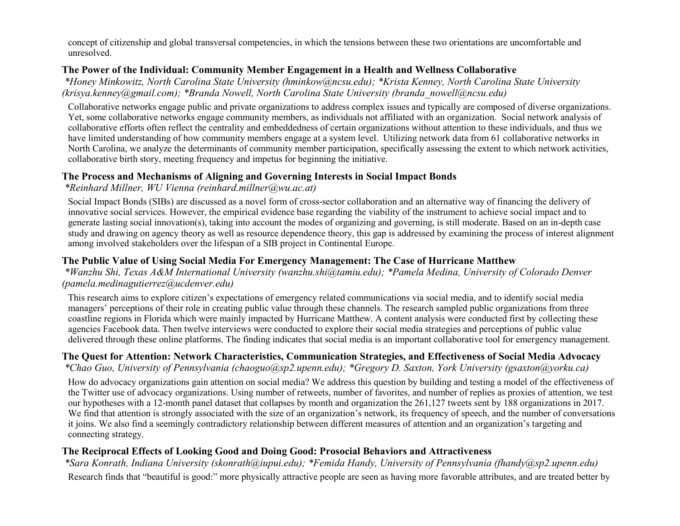concept of citizenship and global transversal competencies, in which the tensions between these two orientations are uncomfortable and unresolved.

#### **The Power of the Individual: Community Member Engagement in a Health and Wellness Collaborative**

*\*Honey Minkowitz, North Carolina State University (hminkow@ncsu.edu); \*Krista Kenney, North Carolina State University (krisya.kenney@gmail.com); \*Branda Nowell, North Carolina State University (branda\_nowell@ncsu.edu)*

Collaborative networks engage public and private organizations to address complex issues and typically are composed of diverse organizations. Yet, some collaborative networks engage community members, as individuals not affiliated with an organization. Social network analysis of collaborative efforts often reflect the centrality and embeddedness of certain organizations without attention to these individuals, and thus we have limited understanding of how community members engage at a system level. Utilizing network data from 61 collaborative networks in North Carolina, we analyze the determinants of community member participation, specifically assessing the extent to which network activities, collaborative birth story, meeting frequency and impetus for beginning the initiative.

#### **The Process and Mechanisms of Aligning and Governing Interests in Social Impact Bonds**

*\*Reinhard Millner, WU Vienna (reinhard.millner@wu.ac.at)*

Social Impact Bonds (SIBs) are discussed as a novel form of cross-sector collaboration and an alternative way of financing the delivery of innovative social services. However, the empirical evidence base regarding the viability of the instrument to achieve social impact and to generate lasting social innovation(s), taking into account the modes of organizing and governing, is still moderate. Based on an in-depth case study and drawing on agency theory as well as resource dependence theory, this gap is addressed by examining the process of interest alignment among involved stakeholders over the lifespan of a SIB project in Continental Europe.

### **The Public Value of Using Social Media For Emergency Management: The Case of Hurricane Matthew**

*\*Wanzhu Shi, Texas A&M International University (wanzhu.shi@tamiu.edu); \*Pamela Medina, University of Colorado Denver (pamela.medinagutierrez@ucdenver.edu)*

This research aims to explore citizen's expectations of emergency related communications via social media, and to identify social media managers' perceptions of their role in creating public value through these channels. The research sampled public organizations from three coastline regions in Florida which were mainly impacted by Hurricane Matthew. A content analysis were conducted first by collecting these agencies Facebook data. Then twelve interviews were conducted to explore their social media strategies and perceptions of public value delivered through these online platforms. The finding indicates that social media is an important collaborative tool for emergency management.

#### **The Quest for Attention: Network Characteristics, Communication Strategies, and Effectiveness of Social Media Advocacy** *\*Chao Guo, University of Pennsylvania (chaoguo@sp2.upenn.edu); \*Gregory D. Saxton, York University (gsaxton@yorku.ca)*

How do advocacy organizations gain attention on social media? We address this question by building and testing a model of the effectiveness of the Twitter use of advocacy organizations. Using number of retweets, number of favorites, and number of replies as proxies of attention, we test our hypotheses with a 12-month panel dataset that collapses by month and organization the 261,127 tweets sent by 188 organizations in 2017. We find that attention is strongly associated with the size of an organization's network, its frequency of speech, and the number of conversations it joins. We also find a seemingly contradictory relationship between different measures of attention and an organization's targeting and connecting strategy.

### **The Reciprocal Effects of Looking Good and Doing Good: Prosocial Behaviors and Attractiveness**

*\*Sara Konrath, Indiana University (skonrath@iupui.edu); \*Femida Handy, University of Pennsylvania (fhandy@sp2.upenn.edu)* Research finds that "beautiful is good:" more physically attractive people are seen as having more favorable attributes, and are treated better by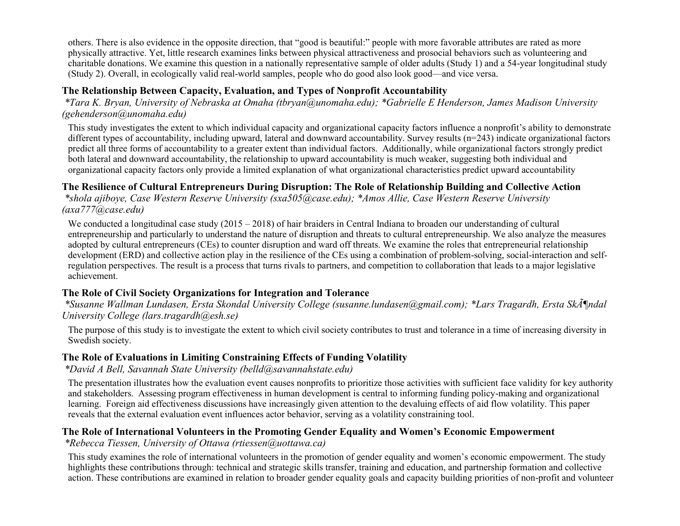others. There is also evidence in the opposite direction, that "good is beautiful:" people with more favorable attributes are rated as more physically attractive. Yet, little research examines links between physical attractiveness and prosocial behaviors such as volunteering and charitable donations. We examine this question in a nationally representative sample of older adults (Study 1) and a 54-year longitudinal study (Study 2). Overall, in ecologically valid real-world samples, people who do good also look good—and vice versa.

### **The Relationship Between Capacity, Evaluation, and Types of Nonprofit Accountability**

*\*Tara K. Bryan, University of Nebraska at Omaha (tbryan@unomaha.edu); \*Gabrielle E Henderson, James Madison University (gehenderson@unomaha.edu)*

This study investigates the extent to which individual capacity and organizational capacity factors influence a nonprofit's ability to demonstrate different types of accountability, including upward, lateral and downward accountability. Survey results (n=243) indicate organizational factors predict all three forms of accountability to a greater extent than individual factors. Additionally, while organizational factors strongly predict both lateral and downward accountability, the relationship to upward accountability is much weaker, suggesting both individual and organizational capacity factors only provide a limited explanation of what organizational characteristics predict upward accountability

#### **The Resilience of Cultural Entrepreneurs During Disruption: The Role of Relationship Building and Collective Action**

*\*shola ajiboye, Case Western Reserve University (sxa505@case.edu); \*Amos Allie, Case Western Reserve University (axa777@case.edu)*

We conducted a longitudinal case study (2015 – 2018) of hair braiders in Central Indiana to broaden our understanding of cultural entrepreneurship and particularly to understand the nature of disruption and threats to cultural entrepreneurship. We also analyze the measures adopted by cultural entrepreneurs (CEs) to counter disruption and ward off threats. We examine the roles that entrepreneurial relationship development (ERD) and collective action play in the resilience of the CEs using a combination of problem-solving, social-interaction and selfregulation perspectives. The result is a process that turns rivals to partners, and competition to collaboration that leads to a major legislative achievement.

#### **The Role of Civil Society Organizations for Integration and Tolerance**

*\*Susanne Wallman Lundasen, Ersta Skondal University College (susanne.lundasen@gmail.com); \*Lars Tragardh, Ersta Sköndal University College (lars.tragardh@esh.se)*

The purpose of this study is to investigate the extent to which civil society contributes to trust and tolerance in a time of increasing diversity in Swedish society.

#### **The Role of Evaluations in Limiting Constraining Effects of Funding Volatility**

*\*David A Bell, Savannah State University (belld@savannahstate.edu)*

The presentation illustrates how the evaluation event causes nonprofits to prioritize those activities with sufficient face validity for key authority and stakeholders. Assessing program effectiveness in human development is central to informing funding policy-making and organizational learning. Foreign aid effectiveness discussions have increasingly given attention to the devaluing effects of aid flow volatility. This paper reveals that the external evaluation event influences actor behavior, serving as a volatility constraining tool.

#### **The Role of International Volunteers in the Promoting Gender Equality and Women's Economic Empowerment**

*\*Rebecca Tiessen, University of Ottawa (rtiessen@uottawa.ca)*

This study examines the role of international volunteers in the promotion of gender equality and women's economic empowerment. The study highlights these contributions through: technical and strategic skills transfer, training and education, and partnership formation and collective action. These contributions are examined in relation to broader gender equality goals and capacity building priorities of non-profit and volunteer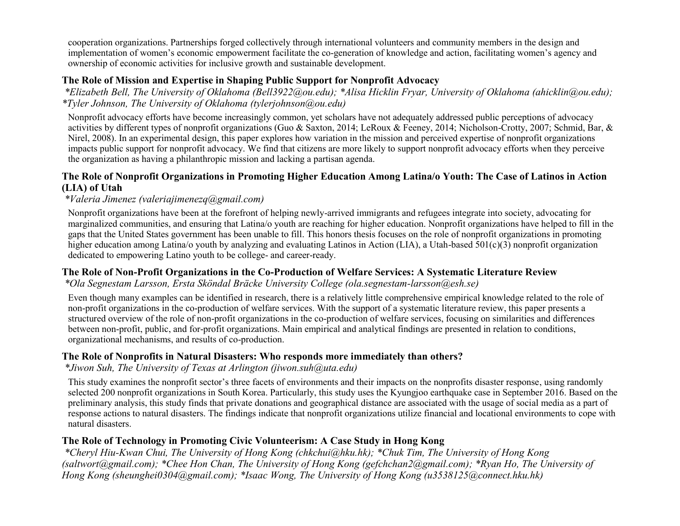cooperation organizations. Partnerships forged collectively through international volunteers and community members in the design and implementation of women's economic empowerment facilitate the co-generation of knowledge and action, facilitating women's agency and ownership of economic activities for inclusive growth and sustainable development.

#### **The Role of Mission and Expertise in Shaping Public Support for Nonprofit Advocacy**

*\*Elizabeth Bell, The University of Oklahoma (Bell3922@ou.edu); \*Alisa Hicklin Fryar, University of Oklahoma (ahicklin@ou.edu); \*Tyler Johnson, The University of Oklahoma (tylerjohnson@ou.edu)*

Nonprofit advocacy efforts have become increasingly common, yet scholars have not adequately addressed public perceptions of advocacy activities by different types of nonprofit organizations (Guo & Saxton, 2014; LeRoux & Feeney, 2014; Nicholson-Crotty, 2007; Schmid, Bar, & Nirel, 2008). In an experimental design, this paper explores how variation in the mission and perceived expertise of nonprofit organizations impacts public support for nonprofit advocacy. We find that citizens are more likely to support nonprofit advocacy efforts when they perceive the organization as having a philanthropic mission and lacking a partisan agenda.

### **The Role of Nonprofit Organizations in Promoting Higher Education Among Latina/o Youth: The Case of Latinos in Action (LIA) of Utah**

*\*Valeria Jimenez (valeriajimenezq@gmail.com)*

Nonprofit organizations have been at the forefront of helping newly-arrived immigrants and refugees integrate into society, advocating for marginalized communities, and ensuring that Latina/o youth are reaching for higher education. Nonprofit organizations have helped to fill in the gaps that the United States government has been unable to fill. This honors thesis focuses on the role of nonprofit organizations in promoting higher education among Latina/o youth by analyzing and evaluating Latinos in Action (LIA), a Utah-based 501(c)(3) nonprofit organization dedicated to empowering Latino youth to be college- and career-ready.

#### **The Role of Non-Profit Organizations in the Co-Production of Welfare Services: A Systematic Literature Review**

#### *\*Ola Segnestam Larsson, Ersta Sköndal Bräcke University College (ola.segnestam-larsson@esh.se)*

Even though many examples can be identified in research, there is a relatively little comprehensive empirical knowledge related to the role of non-profit organizations in the co-production of welfare services. With the support of a systematic literature review, this paper presents a structured overview of the role of non-profit organizations in the co-production of welfare services, focusing on similarities and differences between non-profit, public, and for-profit organizations. Main empirical and analytical findings are presented in relation to conditions, organizational mechanisms, and results of co-production.

#### **The Role of Nonprofits in Natural Disasters: Who responds more immediately than others?**

#### *\*Jiwon Suh, The University of Texas at Arlington (jiwon.suh@uta.edu)*

This study examines the nonprofit sector's three facets of environments and their impacts on the nonprofits disaster response, using randomly selected 200 nonprofit organizations in South Korea. Particularly, this study uses the Kyungjoo earthquake case in September 2016. Based on the preliminary analysis, this study finds that private donations and geographical distance are associated with the usage of social media as a part of response actions to natural disasters. The findings indicate that nonprofit organizations utilize financial and locational environments to cope with natural disasters.

### **The Role of Technology in Promoting Civic Volunteerism: A Case Study in Hong Kong**

*\*Cheryl Hiu-Kwan Chui, The University of Hong Kong (chkchui@hku.hk); \*Chuk Tim, The University of Hong Kong (saltwort@gmail.com); \*Chee Hon Chan, The University of Hong Kong (gefchchan2@gmail.com); \*Ryan Ho, The University of Hong Kong (sheunghei0304@gmail.com); \*Isaac Wong, The University of Hong Kong (u3538125@connect.hku.hk)*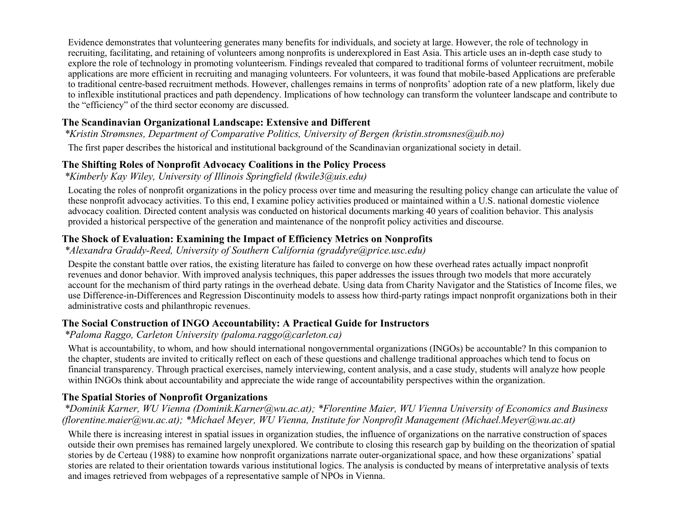Evidence demonstrates that volunteering generates many benefits for individuals, and society at large. However, the role of technology in recruiting, facilitating, and retaining of volunteers among nonprofits is underexplored in East Asia. This article uses an in-depth case study to explore the role of technology in promoting volunteerism. Findings revealed that compared to traditional forms of volunteer recruitment, mobile applications are more efficient in recruiting and managing volunteers. For volunteers, it was found that mobile-based Applications are preferable to traditional centre-based recruitment methods. However, challenges remains in terms of nonprofits' adoption rate of a new platform, likely due to inflexible institutional practices and path dependency. Implications of how technology can transform the volunteer landscape and contribute to the "efficiency" of the third sector economy are discussed.

# **The Scandinavian Organizational Landscape: Extensive and Different**

*\*Kristin Strømsnes, Department of Comparative Politics, University of Bergen (kristin.stromsnes@uib.no)*

The first paper describes the historical and institutional background of the Scandinavian organizational society in detail.

### **The Shifting Roles of Nonprofit Advocacy Coalitions in the Policy Process**

*\*Kimberly Kay Wiley, University of Illinois Springfield (kwile3@uis.edu)*

Locating the roles of nonprofit organizations in the policy process over time and measuring the resulting policy change can articulate the value of these nonprofit advocacy activities. To this end, I examine policy activities produced or maintained within a U.S. national domestic violence advocacy coalition. Directed content analysis was conducted on historical documents marking 40 years of coalition behavior. This analysis provided a historical perspective of the generation and maintenance of the nonprofit policy activities and discourse.

### **The Shock of Evaluation: Examining the Impact of Efficiency Metrics on Nonprofits**

*\*Alexandra Graddy-Reed, University of Southern California (graddyre@price.usc.edu)*

Despite the constant battle over ratios, the existing literature has failed to converge on how these overhead rates actually impact nonprofit revenues and donor behavior. With improved analysis techniques, this paper addresses the issues through two models that more accurately account for the mechanism of third party ratings in the overhead debate. Using data from Charity Navigator and the Statistics of Income files, we use Difference-in-Differences and Regression Discontinuity models to assess how third-party ratings impact nonprofit organizations both in their administrative costs and philanthropic revenues.

#### **The Social Construction of INGO Accountability: A Practical Guide for Instructors**

*\*Paloma Raggo, Carleton University (paloma.raggo@carleton.ca)*

What is accountability, to whom, and how should international nongovernmental organizations (INGOs) be accountable? In this companion to the chapter, students are invited to critically reflect on each of these questions and challenge traditional approaches which tend to focus on financial transparency. Through practical exercises, namely interviewing, content analysis, and a case study, students will analyze how people within INGOs think about accountability and appreciate the wide range of accountability perspectives within the organization.

# **The Spatial Stories of Nonprofit Organizations**

#### *\*Dominik Karner, WU Vienna (Dominik.Karner@wu.ac.at); \*Florentine Maier, WU Vienna University of Economics and Business (florentine.maier@wu.ac.at); \*Michael Meyer, WU Vienna, Institute for Nonprofit Management (Michael.Meyer@wu.ac.at)*

While there is increasing interest in spatial issues in organization studies, the influence of organizations on the narrative construction of spaces outside their own premises has remained largely unexplored. We contribute to closing this research gap by building on the theorization of spatial stories by de Certeau (1988) to examine how nonprofit organizations narrate outer-organizational space, and how these organizations' spatial stories are related to their orientation towards various institutional logics. The analysis is conducted by means of interpretative analysis of texts and images retrieved from webpages of a representative sample of NPOs in Vienna.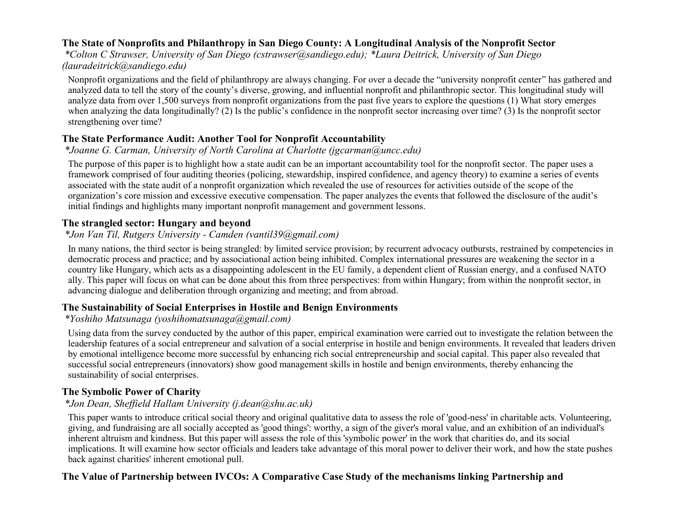### **The State of Nonprofits and Philanthropy in San Diego County: A Longitudinal Analysis of the Nonprofit Sector**

*\*Colton C Strawser, University of San Diego (cstrawser@sandiego.edu); \*Laura Deitrick, University of San Diego (lauradeitrick@sandiego.edu)*

Nonprofit organizations and the field of philanthropy are always changing. For over a decade the "university nonprofit center" has gathered and analyzed data to tell the story of the county's diverse, growing, and influential nonprofit and philanthropic sector. This longitudinal study will analyze data from over 1,500 surveys from nonprofit organizations from the past five years to explore the questions (1) What story emerges when analyzing the data longitudinally? (2) Is the public's confidence in the nonprofit sector increasing over time? (3) Is the nonprofit sector strengthening over time?

### **The State Performance Audit: Another Tool for Nonprofit Accountability**

### *\*Joanne G. Carman, University of North Carolina at Charlotte (jgcarman@uncc.edu)*

The purpose of this paper is to highlight how a state audit can be an important accountability tool for the nonprofit sector. The paper uses a framework comprised of four auditing theories (policing, stewardship, inspired confidence, and agency theory) to examine a series of events associated with the state audit of a nonprofit organization which revealed the use of resources for activities outside of the scope of the organization's core mission and excessive executive compensation. The paper analyzes the events that followed the disclosure of the audit's initial findings and highlights many important nonprofit management and government lessons.

# **The strangled sector: Hungary and beyond**

### *\*Jon Van Til, Rutgers University - Camden (vantil39@gmail.com)*

In many nations, the third sector is being strangled: by limited service provision; by recurrent advocacy outbursts, restrained by competencies in democratic process and practice; and by associational action being inhibited. Complex international pressures are weakening the sector in a country like Hungary, which acts as a disappointing adolescent in the EU family, a dependent client of Russian energy, and a confused NATO ally. This paper will focus on what can be done about this from three perspectives: from within Hungary; from within the nonprofit sector, in advancing dialogue and deliberation through organizing and meeting; and from abroad.

### **The Sustainability of Social Enterprises in Hostile and Benign Environments**

### *\*Yoshiho Matsunaga (yoshihomatsunaga@gmail.com)*

Using data from the survey conducted by the author of this paper, empirical examination were carried out to investigate the relation between the leadership features of a social entrepreneur and salvation of a social enterprise in hostile and benign environments. It revealed that leaders driven by emotional intelligence become more successful by enhancing rich social entrepreneurship and social capital. This paper also revealed that successful social entrepreneurs (innovators) show good management skills in hostile and benign environments, thereby enhancing the sustainability of social enterprises.

### **The Symbolic Power of Charity**

### *\*Jon Dean, Sheffield Hallam University (j.dean@shu.ac.uk)*

This paper wants to introduce critical social theory and original qualitative data to assess the role of 'good-ness' in charitable acts. Volunteering, giving, and fundraising are all socially accepted as 'good things': worthy, a sign of the giver's moral value, and an exhibition of an individual's inherent altruism and kindness. But this paper will assess the role of this 'symbolic power' in the work that charities do, and its social implications. It will examine how sector officials and leaders take advantage of this moral power to deliver their work, and how the state pushes back against charities' inherent emotional pull.

### **The Value of Partnership between IVCOs: A Comparative Case Study of the mechanisms linking Partnership and**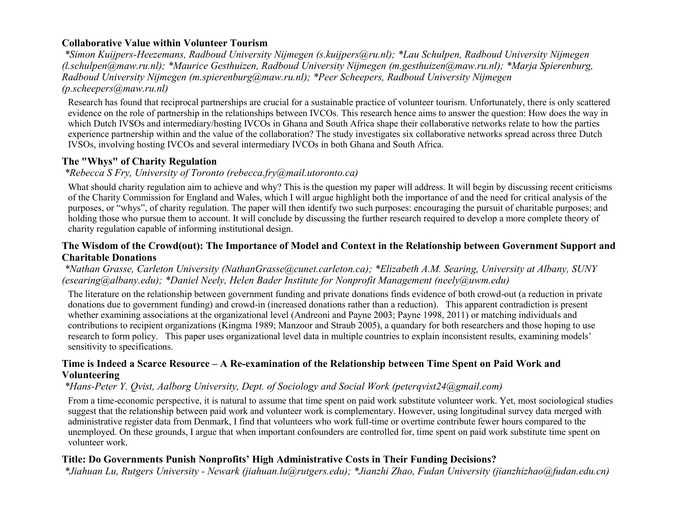### **Collaborative Value within Volunteer Tourism**

*\*Simon Kuijpers-Heezemans, Radboud University Nijmegen (s.kuijpers@ru.nl); \*Lau Schulpen, Radboud University Nijmegen (l.schulpen@maw.ru.nl); \*Maurice Gesthuizen, Radboud University Nijmegen (m.gesthuizen@maw.ru.nl); \*Marja Spierenburg, Radboud University Nijmegen (m.spierenburg@maw.ru.nl); \*Peer Scheepers, Radboud University Nijmegen (p.scheepers@maw.ru.nl)*

Research has found that reciprocal partnerships are crucial for a sustainable practice of volunteer tourism. Unfortunately, there is only scattered evidence on the role of partnership in the relationships between IVCOs. This research hence aims to answer the question: How does the way in which Dutch IVSOs and intermediary/hosting IVCOs in Ghana and South Africa shape their collaborative networks relate to how the parties experience partnership within and the value of the collaboration? The study investigates six collaborative networks spread across three Dutch IVSOs, involving hosting IVCOs and several intermediary IVCOs in both Ghana and South Africa.

### **The "Whys" of Charity Regulation**

#### *\*Rebecca S Fry, University of Toronto (rebecca.fry@mail.utoronto.ca)*

What should charity regulation aim to achieve and why? This is the question my paper will address. It will begin by discussing recent criticisms of the Charity Commission for England and Wales, which I will argue highlight both the importance of and the need for critical analysis of the purposes, or "whys", of charity regulation. The paper will then identify two such purposes: encouraging the pursuit of charitable purposes; and holding those who pursue them to account. It will conclude by discussing the further research required to develop a more complete theory of charity regulation capable of informing institutional design.

#### **The Wisdom of the Crowd(out): The Importance of Model and Context in the Relationship between Government Support and Charitable Donations**

*\*Nathan Grasse, Carleton University (NathanGrasse@cunet.carleton.ca); \*Elizabeth A.M. Searing, University at Albany, SUNY (esearing@albany.edu); \*Daniel Neely, Helen Bader Institute for Nonprofit Management (neely@uwm.edu)*

The literature on the relationship between government funding and private donations finds evidence of both crowd-out (a reduction in private donations due to government funding) and crowd-in (increased donations rather than a reduction). This apparent contradiction is present whether examining associations at the organizational level (Andreoni and Payne 2003; Payne 1998, 2011) or matching individuals and contributions to recipient organizations (Kingma 1989; Manzoor and Straub 2005), a quandary for both researchers and those hoping to use research to form policy. This paper uses organizational level data in multiple countries to explain inconsistent results, examining models' sensitivity to specifications.

#### **Time is Indeed a Scarce Resource – A Re-examination of the Relationship between Time Spent on Paid Work and Volunteering**

#### *\*Hans-Peter Y. Qvist, Aalborg University, Dept. of Sociology and Social Work (peterqvist24@gmail.com)*

From a time-economic perspective, it is natural to assume that time spent on paid work substitute volunteer work. Yet, most sociological studies suggest that the relationship between paid work and volunteer work is complementary. However, using longitudinal survey data merged with administrative register data from Denmark, I find that volunteers who work full-time or overtime contribute fewer hours compared to the unemployed. On these grounds, I argue that when important confounders are controlled for, time spent on paid work substitute time spent on volunteer work.

#### **Title: Do Governments Punish Nonprofits' High Administrative Costs in Their Funding Decisions?**

*\*Jiahuan Lu, Rutgers University - Newark (jiahuan.lu@rutgers.edu); \*Jianzhi Zhao, Fudan University (jianzhizhao@fudan.edu.cn)*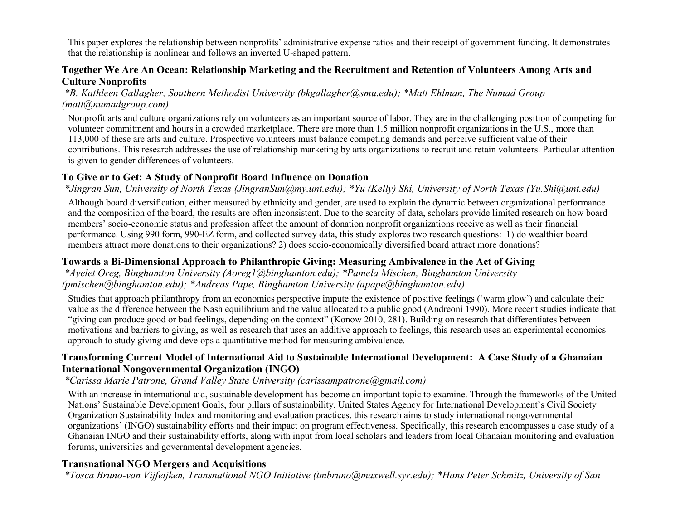This paper explores the relationship between nonprofits' administrative expense ratios and their receipt of government funding. It demonstrates that the relationship is nonlinear and follows an inverted U-shaped pattern.

#### **Together We Are An Ocean: Relationship Marketing and the Recruitment and Retention of Volunteers Among Arts and Culture Nonprofits**

*\*B. Kathleen Gallagher, Southern Methodist University (bkgallagher@smu.edu); \*Matt Ehlman, The Numad Group (matt@numadgroup.com)*

Nonprofit arts and culture organizations rely on volunteers as an important source of labor. They are in the challenging position of competing for volunteer commitment and hours in a crowded marketplace. There are more than 1.5 million nonprofit organizations in the U.S., more than 113,000 of these are arts and culture. Prospective volunteers must balance competing demands and perceive sufficient value of their contributions. This research addresses the use of relationship marketing by arts organizations to recruit and retain volunteers. Particular attention is given to gender differences of volunteers.

#### **To Give or to Get: A Study of Nonprofit Board Influence on Donation**

*\*Jingran Sun, University of North Texas (JingranSun@my.unt.edu); \*Yu (Kelly) Shi, University of North Texas (Yu.Shi@unt.edu)*

Although board diversification, either measured by ethnicity and gender, are used to explain the dynamic between organizational performance and the composition of the board, the results are often inconsistent. Due to the scarcity of data, scholars provide limited research on how board members' socio-economic status and profession affect the amount of donation nonprofit organizations receive as well as their financial performance. Using 990 form, 990-EZ form, and collected survey data, this study explores two research questions: 1) do wealthier board members attract more donations to their organizations? 2) does socio-economically diversified board attract more donations?

#### **Towards a Bi-Dimensional Approach to Philanthropic Giving: Measuring Ambivalence in the Act of Giving**

*\*Ayelet Oreg, Binghamton University (Aoreg1@binghamton.edu); \*Pamela Mischen, Binghamton University (pmischen@binghamton.edu); \*Andreas Pape, Binghamton University (apape@binghamton.edu)*

Studies that approach philanthropy from an economics perspective impute the existence of positive feelings ('warm glow') and calculate their value as the difference between the Nash equilibrium and the value allocated to a public good (Andreoni 1990). More recent studies indicate that "giving can produce good or bad feelings, depending on the context" (Konow 2010, 281). Building on research that differentiates between motivations and barriers to giving, as well as research that uses an additive approach to feelings, this research uses an experimental economics approach to study giving and develops a quantitative method for measuring ambivalence.

### **Transforming Current Model of International Aid to Sustainable International Development: A Case Study of a Ghanaian International Nongovernmental Organization (INGO)**

*\*Carissa Marie Patrone, Grand Valley State University (carissampatrone@gmail.com)*

With an increase in international aid, sustainable development has become an important topic to examine. Through the frameworks of the United Nations' Sustainable Development Goals, four pillars of sustainability, United States Agency for International Development's Civil Society Organization Sustainability Index and monitoring and evaluation practices, this research aims to study international nongovernmental organizations' (INGO) sustainability efforts and their impact on program effectiveness. Specifically, this research encompasses a case study of a Ghanaian INGO and their sustainability efforts, along with input from local scholars and leaders from local Ghanaian monitoring and evaluation forums, universities and governmental development agencies.

### **Transnational NGO Mergers and Acquisitions**

*\*Tosca Bruno-van Vijfeijken, Transnational NGO Initiative (tmbruno@maxwell.syr.edu); \*Hans Peter Schmitz, University of San*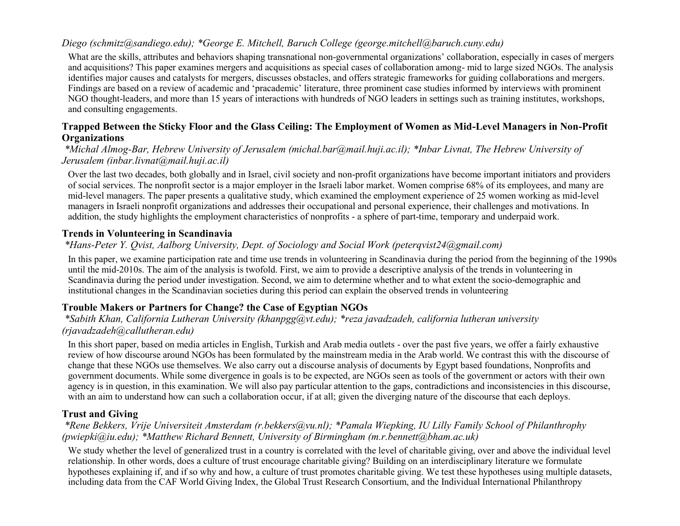### *Diego (schmitz@sandiego.edu); \*George E. Mitchell, Baruch College (george.mitchell@baruch.cuny.edu)*

What are the skills, attributes and behaviors shaping transnational non-governmental organizations' collaboration, especially in cases of mergers and acquisitions? This paper examines mergers and acquisitions as special cases of collaboration among- mid to large sized NGOs. The analysis identifies major causes and catalysts for mergers, discusses obstacles, and offers strategic frameworks for guiding collaborations and mergers. Findings are based on a review of academic and 'pracademic' literature, three prominent case studies informed by interviews with prominent NGO thought-leaders, and more than 15 years of interactions with hundreds of NGO leaders in settings such as training institutes, workshops, and consulting engagements.

#### **Trapped Between the Sticky Floor and the Glass Ceiling: The Employment of Women as Mid-Level Managers in Non-Profit Organizations**

#### *\*Michal Almog-Bar, Hebrew University of Jerusalem (michal.bar@mail.huji.ac.il); \*Inbar Livnat, The Hebrew University of Jerusalem (inbar.livnat@mail.huji.ac.il)*

Over the last two decades, both globally and in Israel, civil society and non-profit organizations have become important initiators and providers of social services. The nonprofit sector is a major employer in the Israeli labor market. Women comprise 68% of its employees, and many are mid-level managers. The paper presents a qualitative study, which examined the employment experience of 25 women working as mid-level managers in Israeli nonprofit organizations and addresses their occupational and personal experience, their challenges and motivations. In addition, the study highlights the employment characteristics of nonprofits - a sphere of part-time, temporary and underpaid work.

#### **Trends in Volunteering in Scandinavia**

#### *\*Hans-Peter Y. Qvist, Aalborg University, Dept. of Sociology and Social Work (peterqvist24@gmail.com)*

In this paper, we examine participation rate and time use trends in volunteering in Scandinavia during the period from the beginning of the 1990s until the mid-2010s. The aim of the analysis is twofold. First, we aim to provide a descriptive analysis of the trends in volunteering in Scandinavia during the period under investigation. Second, we aim to determine whether and to what extent the socio-demographic and institutional changes in the Scandinavian societies during this period can explain the observed trends in volunteering

### **Trouble Makers or Partners for Change? the Case of Egyptian NGOs**

#### *\*Sabith Khan, California Lutheran University (khanpgg@vt.edu); \*reza javadzadeh, california lutheran university (rjavadzadeh@callutheran.edu)*

In this short paper, based on media articles in English, Turkish and Arab media outlets - over the past five years, we offer a fairly exhaustive review of how discourse around NGOs has been formulated by the mainstream media in the Arab world. We contrast this with the discourse of change that these NGOs use themselves. We also carry out a discourse analysis of documents by Egypt based foundations, Nonprofits and government documents. While some divergence in goals is to be expected, are NGOs seen as tools of the government or actors with their own agency is in question, in this examination. We will also pay particular attention to the gaps, contradictions and inconsistencies in this discourse, with an aim to understand how can such a collaboration occur, if at all; given the diverging nature of the discourse that each deploys.

#### **Trust and Giving**

#### *\*Rene Bekkers, Vrije Universiteit Amsterdam (r.bekkers@vu.nl); \*Pamala Wiepking, IU Lilly Family School of Philanthrophy (pwiepki@iu.edu); \*Matthew Richard Bennett, University of Birmingham (m.r.bennett@bham.ac.uk)*

We study whether the level of generalized trust in a country is correlated with the level of charitable giving, over and above the individual level relationship. In other words, does a culture of trust encourage charitable giving? Building on an interdisciplinary literature we formulate hypotheses explaining if, and if so why and how, a culture of trust promotes charitable giving. We test these hypotheses using multiple datasets, including data from the CAF World Giving Index, the Global Trust Research Consortium, and the Individual International Philanthropy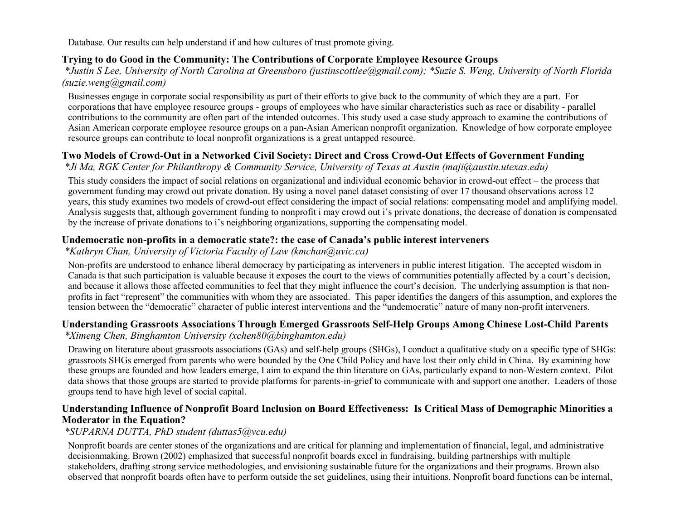Database. Our results can help understand if and how cultures of trust promote giving.

### **Trying to do Good in the Community: The Contributions of Corporate Employee Resource Groups**

*\*Justin S Lee, University of North Carolina at Greensboro (justinscottlee@gmail.com); \*Suzie S. Weng, University of North Florida (suzie.weng@gmail.com)*

Businesses engage in corporate social responsibility as part of their efforts to give back to the community of which they are a part. For corporations that have employee resource groups - groups of employees who have similar characteristics such as race or disability - parallel contributions to the community are often part of the intended outcomes. This study used a case study approach to examine the contributions of Asian American corporate employee resource groups on a pan-Asian American nonprofit organization. Knowledge of how corporate employee resource groups can contribute to local nonprofit organizations is a great untapped resource.

# **Two Models of Crowd-Out in a Networked Civil Society: Direct and Cross Crowd-Out Effects of Government Funding**

*\*Ji Ma, RGK Center for Philanthropy & Community Service, University of Texas at Austin (maji@austin.utexas.edu)*

This study considers the impact of social relations on organizational and individual economic behavior in crowd-out effect – the process that government funding may crowd out private donation. By using a novel panel dataset consisting of over 17 thousand observations across 12 years, this study examines two models of crowd-out effect considering the impact of social relations: compensating model and amplifying model. Analysis suggests that, although government funding to nonprofit i may crowd out i's private donations, the decrease of donation is compensated by the increase of private donations to i's neighboring organizations, supporting the compensating model.

### **Undemocratic non-profits in a democratic state?: the case of Canada's public interest interveners**

*\*Kathryn Chan, University of Victoria Faculty of Law (kmchan@uvic.ca)*

Non-profits are understood to enhance liberal democracy by participating as interveners in public interest litigation. The accepted wisdom in Canada is that such participation is valuable because it exposes the court to the views of communities potentially affected by a court's decision, and because it allows those affected communities to feel that they might influence the court's decision. The underlying assumption is that nonprofits in fact "represent" the communities with whom they are associated. This paper identifies the dangers of this assumption, and explores the tension between the "democratic" character of public interest interventions and the "undemocratic" nature of many non-profit interveners.

#### **Understanding Grassroots Associations Through Emerged Grassroots Self-Help Groups Among Chinese Lost-Child Parents** *\*Ximeng Chen, Binghamton University (xchen80@binghamton.edu)*

Drawing on literature about grassroots associations (GAs) and self-help groups (SHGs), I conduct a qualitative study on a specific type of SHGs: grassroots SHGs emerged from parents who were bounded by the One Child Policy and have lost their only child in China. By examining how these groups are founded and how leaders emerge, I aim to expand the thin literature on GAs, particularly expand to non-Western context. Pilot data shows that those groups are started to provide platforms for parents-in-grief to communicate with and support one another. Leaders of those groups tend to have high level of social capital.

### **Understanding Influence of Nonprofit Board Inclusion on Board Effectiveness: Is Critical Mass of Demographic Minorities a Moderator in the Equation?**

### *\*SUPARNA DUTTA, PhD student (duttas5@vcu.edu)*

Nonprofit boards are center stones of the organizations and are critical for planning and implementation of financial, legal, and administrative decisionmaking. Brown (2002) emphasized that successful nonprofit boards excel in fundraising, building partnerships with multiple stakeholders, drafting strong service methodologies, and envisioning sustainable future for the organizations and their programs. Brown also observed that nonprofit boards often have to perform outside the set guidelines, using their intuitions. Nonprofit board functions can be internal,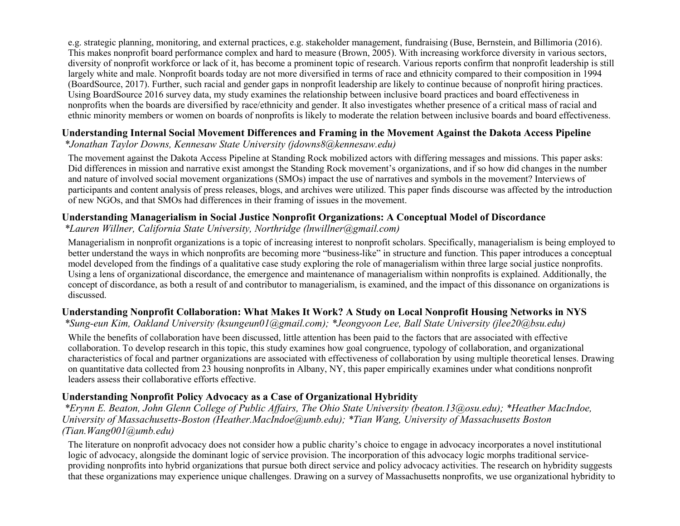e.g. strategic planning, monitoring, and external practices, e.g. stakeholder management, fundraising (Buse, Bernstein, and Billimoria (2016). This makes nonprofit board performance complex and hard to measure (Brown, 2005). With increasing workforce diversity in various sectors, diversity of nonprofit workforce or lack of it, has become a prominent topic of research. Various reports confirm that nonprofit leadership is still largely white and male. Nonprofit boards today are not more diversified in terms of race and ethnicity compared to their composition in 1994 (BoardSource, 2017). Further, such racial and gender gaps in nonprofit leadership are likely to continue because of nonprofit hiring practices. Using BoardSource 2016 survey data, my study examines the relationship between inclusive board practices and board effectiveness in nonprofits when the boards are diversified by race/ethnicity and gender. It also investigates whether presence of a critical mass of racial and ethnic minority members or women on boards of nonprofits is likely to moderate the relation between inclusive boards and board effectiveness.

# **Understanding Internal Social Movement Differences and Framing in the Movement Against the Dakota Access Pipeline**

*\*Jonathan Taylor Downs, Kennesaw State University (jdowns8@kennesaw.edu)*

The movement against the Dakota Access Pipeline at Standing Rock mobilized actors with differing messages and missions. This paper asks: Did differences in mission and narrative exist amongst the Standing Rock movement's organizations, and if so how did changes in the number and nature of involved social movement organizations (SMOs) impact the use of narratives and symbols in the movement? Interviews of participants and content analysis of press releases, blogs, and archives were utilized. This paper finds discourse was affected by the introduction of new NGOs, and that SMOs had differences in their framing of issues in the movement.

# **Understanding Managerialism in Social Justice Nonprofit Organizations: A Conceptual Model of Discordance**

### *\*Lauren Willner, California State University, Northridge (lnwillner@gmail.com)*

Managerialism in nonprofit organizations is a topic of increasing interest to nonprofit scholars. Specifically, managerialism is being employed to better understand the ways in which nonprofits are becoming more "business-like" in structure and function. This paper introduces a conceptual model developed from the findings of a qualitative case study exploring the role of managerialism within three large social justice nonprofits. Using a lens of organizational discordance, the emergence and maintenance of managerialism within nonprofits is explained. Additionally, the concept of discordance, as both a result of and contributor to managerialism, is examined, and the impact of this dissonance on organizations is discussed.

### **Understanding Nonprofit Collaboration: What Makes It Work? A Study on Local Nonprofit Housing Networks in NYS**

*\*Sung-eun Kim, Oakland University (ksungeun01@gmail.com); \*Jeongyoon Lee, Ball State University (jlee20@bsu.edu)*

While the benefits of collaboration have been discussed, little attention has been paid to the factors that are associated with effective collaboration. To develop research in this topic, this study examines how goal congruence, typology of collaboration, and organizational characteristics of focal and partner organizations are associated with effectiveness of collaboration by using multiple theoretical lenses. Drawing on quantitative data collected from 23 housing nonprofits in Albany, NY, this paper empirically examines under what conditions nonprofit leaders assess their collaborative efforts effective.

# **Understanding Nonprofit Policy Advocacy as a Case of Organizational Hybridity**

*\*Erynn E. Beaton, John Glenn College of Public Affairs, The Ohio State University (beaton.13@osu.edu); \*Heather MacIndoe, University of Massachusetts-Boston (Heather.MacIndoe@umb.edu); \*Tian Wang, University of Massachusetts Boston (Tian.Wang001@umb.edu)*

The literature on nonprofit advocacy does not consider how a public charity's choice to engage in advocacy incorporates a novel institutional logic of advocacy, alongside the dominant logic of service provision. The incorporation of this advocacy logic morphs traditional serviceproviding nonprofits into hybrid organizations that pursue both direct service and policy advocacy activities. The research on hybridity suggests that these organizations may experience unique challenges. Drawing on a survey of Massachusetts nonprofits, we use organizational hybridity to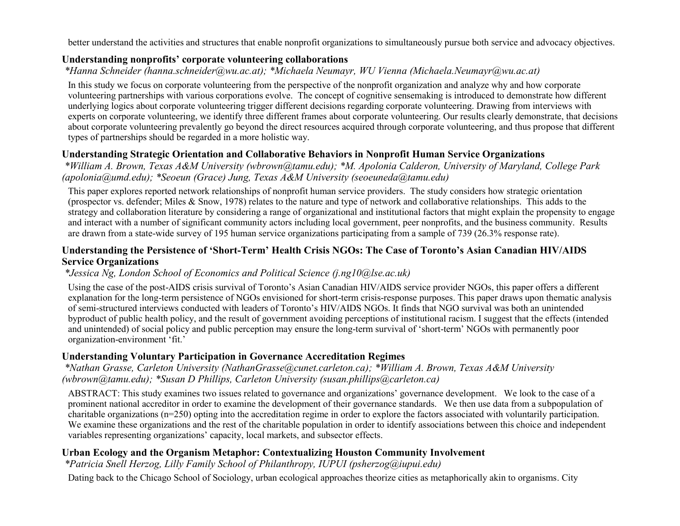better understand the activities and structures that enable nonprofit organizations to simultaneously pursue both service and advocacy objectives.

#### **Understanding nonprofits' corporate volunteering collaborations**

*\*Hanna Schneider (hanna.schneider@wu.ac.at); \*Michaela Neumayr, WU Vienna (Michaela.Neumayr@wu.ac.at)*

In this study we focus on corporate volunteering from the perspective of the nonprofit organization and analyze why and how corporate volunteering partnerships with various corporations evolve. The concept of cognitive sensemaking is introduced to demonstrate how different underlying logics about corporate volunteering trigger different decisions regarding corporate volunteering. Drawing from interviews with experts on corporate volunteering, we identify three different frames about corporate volunteering. Our results clearly demonstrate, that decisions about corporate volunteering prevalently go beyond the direct resources acquired through corporate volunteering, and thus propose that different types of partnerships should be regarded in a more holistic way.

### **Understanding Strategic Orientation and Collaborative Behaviors in Nonprofit Human Service Organizations**

*\*William A. Brown, Texas A&M University (wbrown@tamu.edu); \*M. Apolonia Calderon, University of Maryland, College Park (apolonia@umd.edu); \*Seoeun (Grace) Jung, Texas A&M University (seoeuneda@tamu.edu)*

This paper explores reported network relationships of nonprofit human service providers. The study considers how strategic orientation (prospector vs. defender; Miles & Snow, 1978) relates to the nature and type of network and collaborative relationships. This adds to the strategy and collaboration literature by considering a range of organizational and institutional factors that might explain the propensity to engage and interact with a number of significant community actors including local government, peer nonprofits, and the business community. Results are drawn from a state-wide survey of 195 human service organizations participating from a sample of 739 (26.3% response rate).

#### **Understanding the Persistence of 'Short-Term' Health Crisis NGOs: The Case of Toronto's Asian Canadian HIV/AIDS Service Organizations**

#### *\*Jessica Ng, London School of Economics and Political Science (j.ng10@lse.ac.uk)*

Using the case of the post-AIDS crisis survival of Toronto's Asian Canadian HIV/AIDS service provider NGOs, this paper offers a different explanation for the long-term persistence of NGOs envisioned for short-term crisis-response purposes. This paper draws upon thematic analysis of semi-structured interviews conducted with leaders of Toronto's HIV/AIDS NGOs. It finds that NGO survival was both an unintended byproduct of public health policy, and the result of government avoiding perceptions of institutional racism. I suggest that the effects (intended and unintended) of social policy and public perception may ensure the long-term survival of 'short-term' NGOs with permanently poor organization-environment 'fit.'

### **Understanding Voluntary Participation in Governance Accreditation Regimes**

*\*Nathan Grasse, Carleton University (NathanGrasse@cunet.carleton.ca); \*William A. Brown, Texas A&M University (wbrown@tamu.edu); \*Susan D Phillips, Carleton University (susan.phillips@carleton.ca)*

ABSTRACT: This study examines two issues related to governance and organizations' governance development. We look to the case of a prominent national accreditor in order to examine the development of their governance standards. We then use data from a subpopulation of charitable organizations (n=250) opting into the accreditation regime in order to explore the factors associated with voluntarily participation. We examine these organizations and the rest of the charitable population in order to identify associations between this choice and independent variables representing organizations' capacity, local markets, and subsector effects.

### **Urban Ecology and the Organism Metaphor: Contextualizing Houston Community Involvement**

*\*Patricia Snell Herzog, Lilly Family School of Philanthropy, IUPUI (psherzog@iupui.edu)*

Dating back to the Chicago School of Sociology, urban ecological approaches theorize cities as metaphorically akin to organisms. City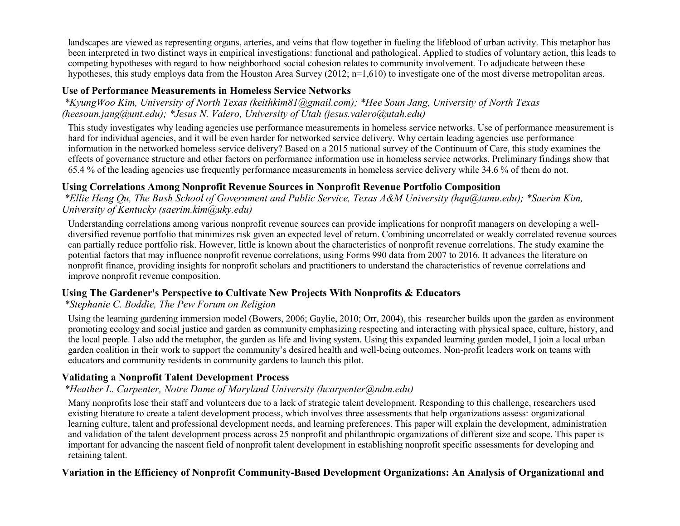landscapes are viewed as representing organs, arteries, and veins that flow together in fueling the lifeblood of urban activity. This metaphor has been interpreted in two distinct ways in empirical investigations: functional and pathological. Applied to studies of voluntary action, this leads to competing hypotheses with regard to how neighborhood social cohesion relates to community involvement. To adjudicate between these hypotheses, this study employs data from the Houston Area Survey (2012; n=1,610) to investigate one of the most diverse metropolitan areas.

#### **Use of Performance Measurements in Homeless Service Networks**

*\*KyungWoo Kim, University of North Texas (keithkim81@gmail.com); \*Hee Soun Jang, University of North Texas (heesoun.jang@unt.edu); \*Jesus N. Valero, University of Utah (jesus.valero@utah.edu)*

This study investigates why leading agencies use performance measurements in homeless service networks. Use of performance measurement is hard for individual agencies, and it will be even harder for networked service delivery. Why certain leading agencies use performance information in the networked homeless service delivery? Based on a 2015 national survey of the Continuum of Care, this study examines the effects of governance structure and other factors on performance information use in homeless service networks. Preliminary findings show that 65.4 % of the leading agencies use frequently performance measurements in homeless service delivery while 34.6 % of them do not.

### **Using Correlations Among Nonprofit Revenue Sources in Nonprofit Revenue Portfolio Composition**

*\*Ellie Heng Qu, The Bush School of Government and Public Service, Texas A&M University (hqu@tamu.edu); \*Saerim Kim, University of Kentucky (saerim.kim@uky.edu)*

Understanding correlations among various nonprofit revenue sources can provide implications for nonprofit managers on developing a welldiversified revenue portfolio that minimizes risk given an expected level of return. Combining uncorrelated or weakly correlated revenue sources can partially reduce portfolio risk. However, little is known about the characteristics of nonprofit revenue correlations. The study examine the potential factors that may influence nonprofit revenue correlations, using Forms 990 data from 2007 to 2016. It advances the literature on nonprofit finance, providing insights for nonprofit scholars and practitioners to understand the characteristics of revenue correlations and improve nonprofit revenue composition.

#### **Using The Gardener's Perspective to Cultivate New Projects With Nonprofits & Educators**

#### *\*Stephanie C. Boddie, The Pew Forum on Religion*

Using the learning gardening immersion model (Bowers, 2006; Gaylie, 2010; Orr, 2004), this researcher builds upon the garden as environment promoting ecology and social justice and garden as community emphasizing respecting and interacting with physical space, culture, history, and the local people. I also add the metaphor, the garden as life and living system. Using this expanded learning garden model, I join a local urban garden coalition in their work to support the community's desired health and well-being outcomes. Non-profit leaders work on teams with educators and community residents in community gardens to launch this pilot.

### **Validating a Nonprofit Talent Development Process**

#### *\*Heather L. Carpenter, Notre Dame of Maryland University (hcarpenter@ndm.edu)*

Many nonprofits lose their staff and volunteers due to a lack of strategic talent development. Responding to this challenge, researchers used existing literature to create a talent development process, which involves three assessments that help organizations assess: organizational learning culture, talent and professional development needs, and learning preferences. This paper will explain the development, administration and validation of the talent development process across 25 nonprofit and philanthropic organizations of different size and scope. This paper is important for advancing the nascent field of nonprofit talent development in establishing nonprofit specific assessments for developing and retaining talent.

#### **Variation in the Efficiency of Nonprofit Community-Based Development Organizations: An Analysis of Organizational and**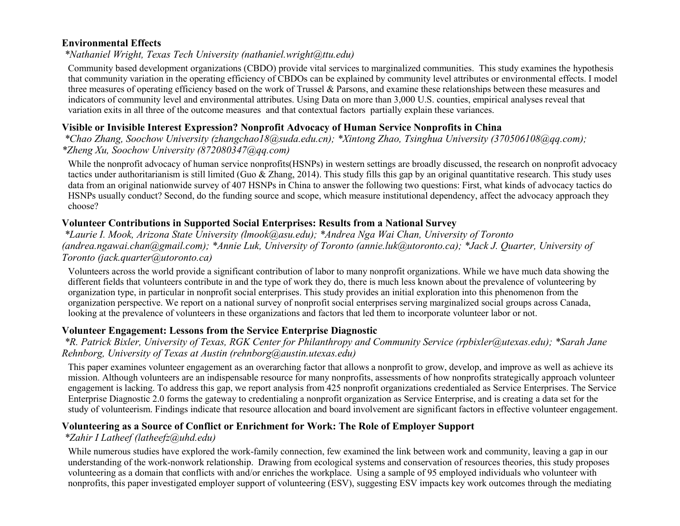#### **Environmental Effects**

*\*Nathaniel Wright, Texas Tech University (nathaniel.wright@ttu.edu)*

Community based development organizations (CBDO) provide vital services to marginalized communities. This study examines the hypothesis that community variation in the operating efficiency of CBDOs can be explained by community level attributes or environmental effects. I model three measures of operating efficiency based on the work of Trussel & Parsons, and examine these relationships between these measures and indicators of community level and environmental attributes. Using Data on more than 3,000 U.S. counties, empirical analyses reveal that variation exits in all three of the outcome measures and that contextual factors partially explain these variances.

#### **Visible or Invisible Interest Expression? Nonprofit Advocacy of Human Service Nonprofits in China**

*\*Chao Zhang, Soochow University (zhangchao18@suda.edu.cn); \*Xintong Zhao, Tsinghua University (370506108@qq.com); \*Zheng Xu, Soochow University (872080347@qq.com)*

While the nonprofit advocacy of human service nonprofits(HSNPs) in western settings are broadly discussed, the research on nonprofit advocacy tactics under authoritarianism is still limited (Guo  $\&$  Zhang, 2014). This study fills this gap by an original quantitative research. This study uses data from an original nationwide survey of 407 HSNPs in China to answer the following two questions: First, what kinds of advocacy tactics do HSNPs usually conduct? Second, do the funding source and scope, which measure institutional dependency, affect the advocacy approach they choose?

### **Volunteer Contributions in Supported Social Enterprises: Results from a National Survey**

*\*Laurie I. Mook, Arizona State University (lmook@asu.edu); \*Andrea Nga Wai Chan, University of Toronto (andrea.ngawai.chan@gmail.com); \*Annie Luk, University of Toronto (annie.luk@utoronto.ca); \*Jack J. Quarter, University of Toronto (jack.quarter@utoronto.ca)*

Volunteers across the world provide a significant contribution of labor to many nonprofit organizations. While we have much data showing the different fields that volunteers contribute in and the type of work they do, there is much less known about the prevalence of volunteering by organization type, in particular in nonprofit social enterprises. This study provides an initial exploration into this phenomenon from the organization perspective. We report on a national survey of nonprofit social enterprises serving marginalized social groups across Canada, looking at the prevalence of volunteers in these organizations and factors that led them to incorporate volunteer labor or not.

### **Volunteer Engagement: Lessons from the Service Enterprise Diagnostic**

*\*R. Patrick Bixler, University of Texas, RGK Center for Philanthropy and Community Service (rpbixler@utexas.edu); \*Sarah Jane Rehnborg, University of Texas at Austin (rehnborg@austin.utexas.edu)*

This paper examines volunteer engagement as an overarching factor that allows a nonprofit to grow, develop, and improve as well as achieve its mission. Although volunteers are an indispensable resource for many nonprofits, assessments of how nonprofits strategically approach volunteer engagement is lacking. To address this gap, we report analysis from 425 nonprofit organizations credentialed as Service Enterprises. The Service Enterprise Diagnostic 2.0 forms the gateway to credentialing a nonprofit organization as Service Enterprise, and is creating a data set for the study of volunteerism. Findings indicate that resource allocation and board involvement are significant factors in effective volunteer engagement.

#### **Volunteering as a Source of Conflict or Enrichment for Work: The Role of Employer Support**

#### *\*Zahir I Latheef (latheefz@uhd.edu)*

While numerous studies have explored the work-family connection, few examined the link between work and community, leaving a gap in our understanding of the work-nonwork relationship. Drawing from ecological systems and conservation of resources theories, this study proposes volunteering as a domain that conflicts with and/or enriches the workplace. Using a sample of 95 employed individuals who volunteer with nonprofits, this paper investigated employer support of volunteering (ESV), suggesting ESV impacts key work outcomes through the mediating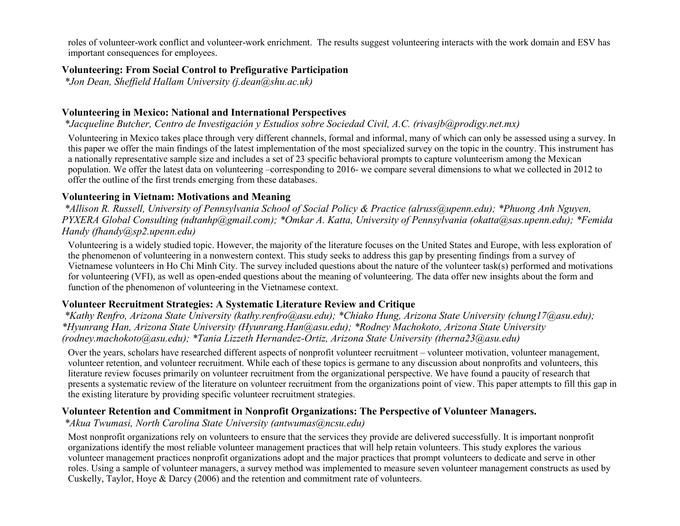roles of volunteer-work conflict and volunteer-work enrichment. The results suggest volunteering interacts with the work domain and ESV has important consequences for employees.

### **Volunteering: From Social Control to Prefigurative Participation**

*\*Jon Dean, Sheffield Hallam University (j.dean@shu.ac.uk)*

# **Volunteering in Mexico: National and International Perspectives**

*\*Jacqueline Butcher, Centro de Investigación y Estudios sobre Sociedad Civil, A.C. (rivasjb@prodigy.net.mx)*

Volunteering in Mexico takes place through very different channels, formal and informal, many of which can only be assessed using a survey. In this paper we offer the main findings of the latest implementation of the most specialized survey on the topic in the country. This instrument has a nationally representative sample size and includes a set of 23 specific behavioral prompts to capture volunteerism among the Mexican population. We offer the latest data on volunteering –corresponding to 2016- we compare several dimensions to what we collected in 2012 to offer the outline of the first trends emerging from these databases.

# **Volunteering in Vietnam: Motivations and Meaning**

*\*Allison R. Russell, University of Pennsylvania School of Social Policy & Practice (alruss@upenn.edu); \*Phuong Anh Nguyen, PYXERA Global Consulting (ndtanhp@gmail.com); \*Omkar A. Katta, University of Pennsylvania (okatta@sas.upenn.edu); \*Femida Handy (fhandy@sp2.upenn.edu)*

Volunteering is a widely studied topic. However, the majority of the literature focuses on the United States and Europe, with less exploration of the phenomenon of volunteering in a nonwestern context. This study seeks to address this gap by presenting findings from a survey of Vietnamese volunteers in Ho Chi Minh City. The survey included questions about the nature of the volunteer task(s) performed and motivations for volunteering (VFI), as well as open-ended questions about the meaning of volunteering. The data offer new insights about the form and function of the phenomenon of volunteering in the Vietnamese context.

# **Volunteer Recruitment Strategies: A Systematic Literature Review and Critique**

*\*Kathy Renfro, Arizona State University (kathy.renfro@asu.edu); \*Chiako Hung, Arizona State University (chung17@asu.edu); \*Hyunrang Han, Arizona State University (Hyunrang.Han@asu.edu); \*Rodney Machokoto, Arizona State University (rodney.machokoto@asu.edu); \*Tania Lizzeth Hernandez-Ortiz, Arizona State University (therna23@asu.edu)*

Over the years, scholars have researched different aspects of nonprofit volunteer recruitment – volunteer motivation, volunteer management, volunteer retention, and volunteer recruitment. While each of these topics is germane to any discussion about nonprofits and volunteers, this literature review focuses primarily on volunteer recruitment from the organizational perspective. We have found a paucity of research that presents a systematic review of the literature on volunteer recruitment from the organizations point of view. This paper attempts to fill this gap in the existing literature by providing specific volunteer recruitment strategies.

# **Volunteer Retention and Commitment in Nonprofit Organizations: The Perspective of Volunteer Managers.**

*\*Akua Twumasi, North Carolina State University (antwumas@ncsu.edu)*

Most nonprofit organizations rely on volunteers to ensure that the services they provide are delivered successfully. It is important nonprofit organizations identify the most reliable volunteer management practices that will help retain volunteers. This study explores the various volunteer management practices nonprofit organizations adopt and the major practices that prompt volunteers to dedicate and serve in other roles. Using a sample of volunteer managers, a survey method was implemented to measure seven volunteer management constructs as used by Cuskelly, Taylor, Hoye & Darcy (2006) and the retention and commitment rate of volunteers.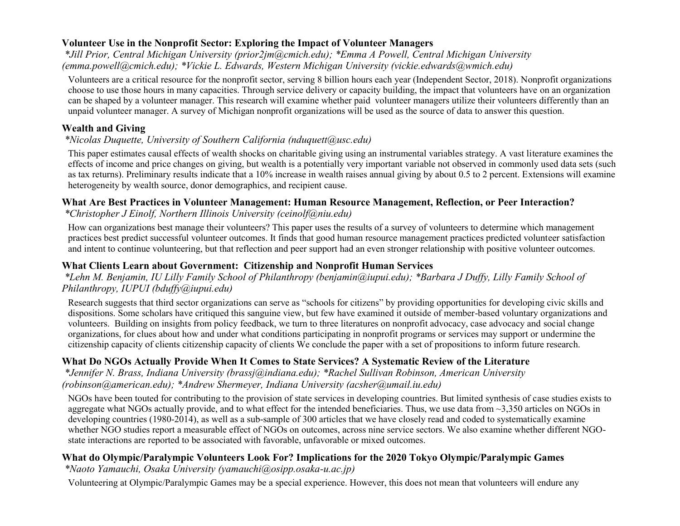### **Volunteer Use in the Nonprofit Sector: Exploring the Impact of Volunteer Managers**

*\*Jill Prior, Central Michigan University (prior2jm@cmich.edu); \*Emma A Powell, Central Michigan University (emma.powell@cmich.edu); \*Vickie L. Edwards, Western Michigan University (vickie.edwards@wmich.edu)*

Volunteers are a critical resource for the nonprofit sector, serving 8 billion hours each year (Independent Sector, 2018). Nonprofit organizations choose to use those hours in many capacities. Through service delivery or capacity building, the impact that volunteers have on an organization can be shaped by a volunteer manager. This research will examine whether paid volunteer managers utilize their volunteers differently than an unpaid volunteer manager. A survey of Michigan nonprofit organizations will be used as the source of data to answer this question.

### **Wealth and Giving**

### *\*Nicolas Duquette, University of Southern California (nduquett@usc.edu)*

This paper estimates causal effects of wealth shocks on charitable giving using an instrumental variables strategy. A vast literature examines the effects of income and price changes on giving, but wealth is a potentially very important variable not observed in commonly used data sets (such as tax returns). Preliminary results indicate that a 10% increase in wealth raises annual giving by about 0.5 to 2 percent. Extensions will examine heterogeneity by wealth source, donor demographics, and recipient cause.

### **What Are Best Practices in Volunteer Management: Human Resource Management, Reflection, or Peer Interaction?**

### *\*Christopher J Einolf, Northern Illinois University (ceinolf@niu.edu)*

How can organizations best manage their volunteers? This paper uses the results of a survey of volunteers to determine which management practices best predict successful volunteer outcomes. It finds that good human resource management practices predicted volunteer satisfaction and intent to continue volunteering, but that reflection and peer support had an even stronger relationship with positive volunteer outcomes.

### **What Clients Learn about Government: Citizenship and Nonprofit Human Services**

*\*Lehn M. Benjamin, IU Lilly Family School of Philanthropy (benjamin@iupui.edu); \*Barbara J Duffy, Lilly Family School of Philanthropy, IUPUI (bduffy@iupui.edu)*

Research suggests that third sector organizations can serve as "schools for citizens" by providing opportunities for developing civic skills and dispositions. Some scholars have critiqued this sanguine view, but few have examined it outside of member-based voluntary organizations and volunteers. Building on insights from policy feedback, we turn to three literatures on nonprofit advocacy, case advocacy and social change organizations, for clues about how and under what conditions participating in nonprofit programs or services may support or undermine the citizenship capacity of clients citizenship capacity of clients We conclude the paper with a set of propositions to inform future research.

# **What Do NGOs Actually Provide When It Comes to State Services? A Systematic Review of the Literature**

*\*Jennifer N. Brass, Indiana University (brassj@indiana.edu); \*Rachel Sullivan Robinson, American University (robinson@american.edu); \*Andrew Shermeyer, Indiana University (acsher@umail.iu.edu)*

NGOs have been touted for contributing to the provision of state services in developing countries. But limited synthesis of case studies exists to aggregate what NGOs actually provide, and to what effect for the intended beneficiaries. Thus, we use data from  $\sim$ 3,350 articles on NGOs in developing countries (1980-2014), as well as a sub-sample of 300 articles that we have closely read and coded to systematically examine whether NGO studies report a measurable effect of NGOs on outcomes, across nine service sectors. We also examine whether different NGOstate interactions are reported to be associated with favorable, unfavorable or mixed outcomes.

### **What do Olympic/Paralympic Volunteers Look For? Implications for the 2020 Tokyo Olympic/Paralympic Games**

*\*Naoto Yamauchi, Osaka University (yamauchi@osipp.osaka-u.ac.jp)*

Volunteering at Olympic/Paralympic Games may be a special experience. However, this does not mean that volunteers will endure any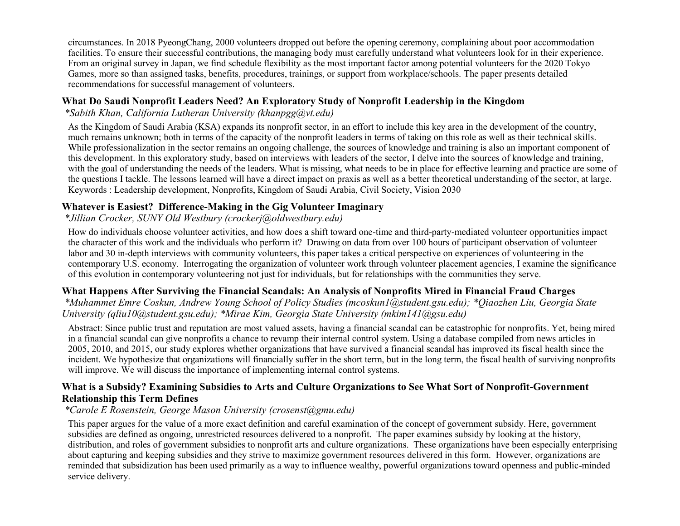circumstances. In 2018 PyeongChang, 2000 volunteers dropped out before the opening ceremony, complaining about poor accommodation facilities. To ensure their successful contributions, the managing body must carefully understand what volunteers look for in their experience. From an original survey in Japan, we find schedule flexibility as the most important factor among potential volunteers for the 2020 Tokyo Games, more so than assigned tasks, benefits, procedures, trainings, or support from workplace/schools. The paper presents detailed recommendations for successful management of volunteers.

### **What Do Saudi Nonprofit Leaders Need? An Exploratory Study of Nonprofit Leadership in the Kingdom**

*\*Sabith Khan, California Lutheran University (khanpgg@vt.edu)*

As the Kingdom of Saudi Arabia (KSA) expands its nonprofit sector, in an effort to include this key area in the development of the country, much remains unknown; both in terms of the capacity of the nonprofit leaders in terms of taking on this role as well as their technical skills. While professionalization in the sector remains an ongoing challenge, the sources of knowledge and training is also an important component of this development. In this exploratory study, based on interviews with leaders of the sector, I delve into the sources of knowledge and training, with the goal of understanding the needs of the leaders. What is missing, what needs to be in place for effective learning and practice are some of the questions I tackle. The lessons learned will have a direct impact on praxis as well as a better theoretical understanding of the sector, at large. Keywords : Leadership development, Nonprofits, Kingdom of Saudi Arabia, Civil Society, Vision 2030

#### **Whatever is Easiest? Difference-Making in the Gig Volunteer Imaginary**

### *\*Jillian Crocker, SUNY Old Westbury (crockerj@oldwestbury.edu)*

How do individuals choose volunteer activities, and how does a shift toward one-time and third-party-mediated volunteer opportunities impact the character of this work and the individuals who perform it? Drawing on data from over 100 hours of participant observation of volunteer labor and 30 in-depth interviews with community volunteers, this paper takes a critical perspective on experiences of volunteering in the contemporary U.S. economy. Interrogating the organization of volunteer work through volunteer placement agencies, I examine the significance of this evolution in contemporary volunteering not just for individuals, but for relationships with the communities they serve.

#### **What Happens After Surviving the Financial Scandals: An Analysis of Nonprofits Mired in Financial Fraud Charges**

*\*Muhammet Emre Coskun, Andrew Young School of Policy Studies (mcoskun1@student.gsu.edu); \*Qiaozhen Liu, Georgia State University (qliu10@student.gsu.edu); \*Mirae Kim, Georgia State University (mkim141@gsu.edu)*

Abstract: Since public trust and reputation are most valued assets, having a financial scandal can be catastrophic for nonprofits. Yet, being mired in a financial scandal can give nonprofits a chance to revamp their internal control system. Using a database compiled from news articles in 2005, 2010, and 2015, our study explores whether organizations that have survived a financial scandal has improved its fiscal health since the incident. We hypothesize that organizations will financially suffer in the short term, but in the long term, the fiscal health of surviving nonprofits will improve. We will discuss the importance of implementing internal control systems.

#### **What is a Subsidy? Examining Subsidies to Arts and Culture Organizations to See What Sort of Nonprofit-Government Relationship this Term Defines**

#### *\*Carole E Rosenstein, George Mason University (crosenst@gmu.edu)*

This paper argues for the value of a more exact definition and careful examination of the concept of government subsidy. Here, government subsidies are defined as ongoing, unrestricted resources delivered to a nonprofit. The paper examines subsidy by looking at the history, distribution, and roles of government subsidies to nonprofit arts and culture organizations. These organizations have been especially enterprising about capturing and keeping subsidies and they strive to maximize government resources delivered in this form. However, organizations are reminded that subsidization has been used primarily as a way to influence wealthy, powerful organizations toward openness and public-minded service delivery.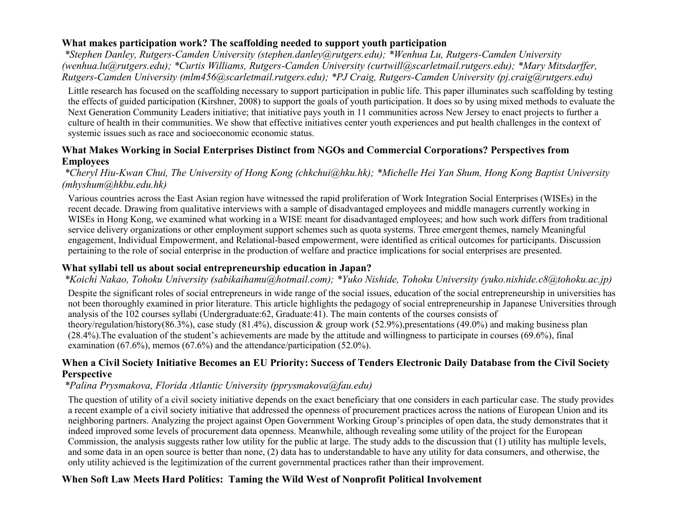### **What makes participation work? The scaffolding needed to support youth participation**

*\*Stephen Danley, Rutgers-Camden University (stephen.danley@rutgers.edu); \*Wenhua Lu, Rutgers-Camden University (wenhua.lu@rutgers.edu); \*Curtis Williams, Rutgers-Camden University (curtwill@scarletmail.rutgers.edu); \*Mary Mitsdarffer, Rutgers-Camden University (mlm456@scarletmail.rutgers.edu); \*PJ Craig, Rutgers-Camden University (pj.craig@rutgers.edu)*

Little research has focused on the scaffolding necessary to support participation in public life. This paper illuminates such scaffolding by testing the effects of guided participation (Kirshner, 2008) to support the goals of youth participation. It does so by using mixed methods to evaluate the Next Generation Community Leaders initiative; that initiative pays youth in 11 communities across New Jersey to enact projects to further a culture of health in their communities. We show that effective initiatives center youth experiences and put health challenges in the context of systemic issues such as race and socioeconomic economic status.

#### **What Makes Working in Social Enterprises Distinct from NGOs and Commercial Corporations? Perspectives from Employees**

#### *\*Cheryl Hiu-Kwan Chui, The University of Hong Kong (chkchui@hku.hk); \*Michelle Hei Yan Shum, Hong Kong Baptist University (mhyshum@hkbu.edu.hk)*

Various countries across the East Asian region have witnessed the rapid proliferation of Work Integration Social Enterprises (WISEs) in the recent decade. Drawing from qualitative interviews with a sample of disadvantaged employees and middle managers currently working in WISEs in Hong Kong, we examined what working in a WISE meant for disadvantaged employees; and how such work differs from traditional service delivery organizations or other employment support schemes such as quota systems. Three emergent themes, namely Meaningful engagement, Individual Empowerment, and Relational-based empowerment, were identified as critical outcomes for participants. Discussion pertaining to the role of social enterprise in the production of welfare and practice implications for social enterprises are presented.

### **What syllabi tell us about social entrepreneurship education in Japan?**

### *\*Koichi Nakao, Tohoku University (sabikaihamu@hotmail.com); \*Yuko Nishide, Tohoku University (yuko.nishide.c8@tohoku.ac.jp)*

Despite the significant roles of social entrepreneurs in wide range of the social issues, education of the social entrepreneurship in universities has not been thoroughly examined in prior literature. This article highlights the pedagogy of social entrepreneurship in Japanese Universities through analysis of the 102 courses syllabi (Undergraduate:62, Graduate:41). The main contents of the courses consists of theory/regulation/history(86.3%), case study (81.4%), discussion & group work (52.9%),presentations (49.0%) and making business plan  $(28.4\%)$ . The evaluation of the student's achievements are made by the attitude and willingness to participate in courses  $(69.6\%)$ , final examination (67.6%), memos (67.6%) and the attendance/participation (52.0%).

### **When a Civil Society Initiative Becomes an EU Priority: Success of Tenders Electronic Daily Database from the Civil Society Perspective**

### *\*Palina Prysmakova, Florida Atlantic University (pprysmakova@fau.edu)*

The question of utility of a civil society initiative depends on the exact beneficiary that one considers in each particular case. The study provides a recent example of a civil society initiative that addressed the openness of procurement practices across the nations of European Union and its neighboring partners. Analyzing the project against Open Government Working Group's principles of open data, the study demonstrates that it indeed improved some levels of procurement data openness. Meanwhile, although revealing some utility of the project for the European Commission, the analysis suggests rather low utility for the public at large. The study adds to the discussion that (1) utility has multiple levels, and some data in an open source is better than none, (2) data has to understandable to have any utility for data consumers, and otherwise, the only utility achieved is the legitimization of the current governmental practices rather than their improvement.

### **When Soft Law Meets Hard Politics: Taming the Wild West of Nonprofit Political Involvement**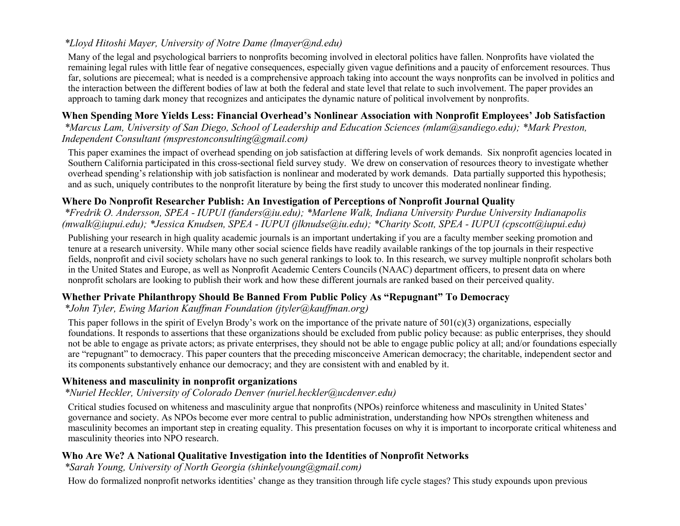# *\*Lloyd Hitoshi Mayer, University of Notre Dame (lmayer@nd.edu)*

Many of the legal and psychological barriers to nonprofits becoming involved in electoral politics have fallen. Nonprofits have violated the remaining legal rules with little fear of negative consequences, especially given vague definitions and a paucity of enforcement resources. Thus far, solutions are piecemeal; what is needed is a comprehensive approach taking into account the ways nonprofits can be involved in politics and the interaction between the different bodies of law at both the federal and state level that relate to such involvement. The paper provides an approach to taming dark money that recognizes and anticipates the dynamic nature of political involvement by nonprofits.

### **When Spending More Yields Less: Financial Overhead's Nonlinear Association with Nonprofit Employees' Job Satisfaction**

*\*Marcus Lam, University of San Diego, School of Leadership and Education Sciences (mlam@sandiego.edu); \*Mark Preston, Independent Consultant (msprestonconsulting@gmail.com)*

This paper examines the impact of overhead spending on job satisfaction at differing levels of work demands. Six nonprofit agencies located in Southern California participated in this cross-sectional field survey study. We drew on conservation of resources theory to investigate whether overhead spending's relationship with job satisfaction is nonlinear and moderated by work demands. Data partially supported this hypothesis; and as such, uniquely contributes to the nonprofit literature by being the first study to uncover this moderated nonlinear finding.

#### **Where Do Nonprofit Researcher Publish: An Investigation of Perceptions of Nonprofit Journal Quality**

*\*Fredrik O. Andersson, SPEA - IUPUI (fanders@iu.edu); \*Marlene Walk, Indiana University Purdue University Indianapolis (mwalk@iupui.edu); \*Jessica Knudsen, SPEA - IUPUI (jlknudse@iu.edu); \*Charity Scott, SPEA - IUPUI (cpscott@iupui.edu)*

Publishing your research in high quality academic journals is an important undertaking if you are a faculty member seeking promotion and tenure at a research university. While many other social science fields have readily available rankings of the top journals in their respective fields, nonprofit and civil society scholars have no such general rankings to look to. In this research, we survey multiple nonprofit scholars both in the United States and Europe, as well as Nonprofit Academic Centers Councils (NAAC) department officers, to present data on where nonprofit scholars are looking to publish their work and how these different journals are ranked based on their perceived quality.

### **Whether Private Philanthropy Should Be Banned From Public Policy As "Repugnant" To Democracy**

*\*John Tyler, Ewing Marion Kauffman Foundation (jtyler@kauffman.org)*

This paper follows in the spirit of Evelyn Brody's work on the importance of the private nature of  $501(c)(3)$  organizations, especially foundations. It responds to assertions that these organizations should be excluded from public policy because: as public enterprises, they should not be able to engage as private actors; as private enterprises, they should not be able to engage public policy at all; and/or foundations especially are "repugnant" to democracy. This paper counters that the preceding misconceive American democracy; the charitable, independent sector and its components substantively enhance our democracy; and they are consistent with and enabled by it.

#### **Whiteness and masculinity in nonprofit organizations**

#### *\*Nuriel Heckler, University of Colorado Denver (nuriel.heckler@ucdenver.edu)*

Critical studies focused on whiteness and masculinity argue that nonprofits (NPOs) reinforce whiteness and masculinity in United States' governance and society. As NPOs become ever more central to public administration, understanding how NPOs strengthen whiteness and masculinity becomes an important step in creating equality. This presentation focuses on why it is important to incorporate critical whiteness and masculinity theories into NPO research.

#### **Who Are We? A National Qualitative Investigation into the Identities of Nonprofit Networks**

*\*Sarah Young, University of North Georgia (shinkelyoung@gmail.com)*

How do formalized nonprofit networks identities' change as they transition through life cycle stages? This study expounds upon previous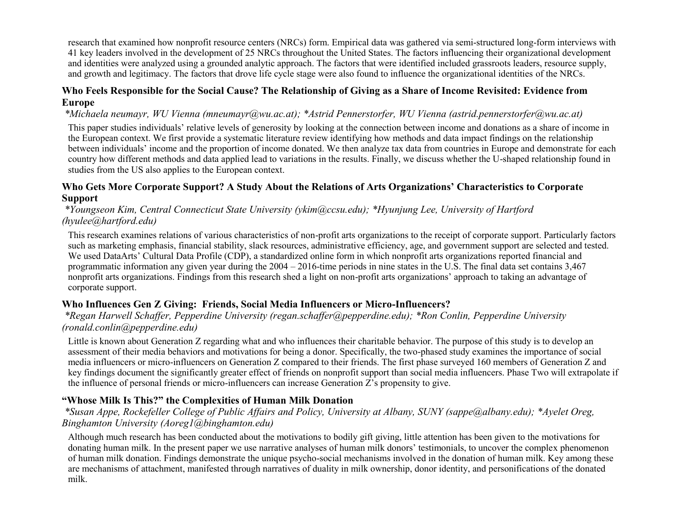research that examined how nonprofit resource centers (NRCs) form. Empirical data was gathered via semi-structured long-form interviews with 41 key leaders involved in the development of 25 NRCs throughout the United States. The factors influencing their organizational development and identities were analyzed using a grounded analytic approach. The factors that were identified included grassroots leaders, resource supply, and growth and legitimacy. The factors that drove life cycle stage were also found to influence the organizational identities of the NRCs.

### **Who Feels Responsible for the Social Cause? The Relationship of Giving as a Share of Income Revisited: Evidence from Europe**

*\*Michaela neumayr, WU Vienna (mneumayr@wu.ac.at); \*Astrid Pennerstorfer, WU Vienna (astrid.pennerstorfer@wu.ac.at)*

This paper studies individuals' relative levels of generosity by looking at the connection between income and donations as a share of income in the European context. We first provide a systematic literature review identifying how methods and data impact findings on the relationship between individuals' income and the proportion of income donated. We then analyze tax data from countries in Europe and demonstrate for each country how different methods and data applied lead to variations in the results. Finally, we discuss whether the U-shaped relationship found in studies from the US also applies to the European context.

#### **Who Gets More Corporate Support? A Study About the Relations of Arts Organizations' Characteristics to Corporate Support**

*\*Youngseon Kim, Central Connecticut State University (ykim@ccsu.edu); \*Hyunjung Lee, University of Hartford (hyulee@hartford.edu)*

This research examines relations of various characteristics of non-profit arts organizations to the receipt of corporate support. Particularly factors such as marketing emphasis, financial stability, slack resources, administrative efficiency, age, and government support are selected and tested. We used DataArts' Cultural Data Profile (CDP), a standardized online form in which nonprofit arts organizations reported financial and programmatic information any given year during the 2004 – 2016-time periods in nine states in the U.S. The final data set contains 3,467 nonprofit arts organizations. Findings from this research shed a light on non-profit arts organizations' approach to taking an advantage of corporate support.

#### **Who Influences Gen Z Giving: Friends, Social Media Influencers or Micro-Influencers?**

*\*Regan Harwell Schaffer, Pepperdine University (regan.schaffer@pepperdine.edu); \*Ron Conlin, Pepperdine University (ronald.conlin@pepperdine.edu)*

Little is known about Generation Z regarding what and who influences their charitable behavior. The purpose of this study is to develop an assessment of their media behaviors and motivations for being a donor. Specifically, the two-phased study examines the importance of social media influencers or micro-influencers on Generation Z compared to their friends. The first phase surveyed 160 members of Generation Z and key findings document the significantly greater effect of friends on nonprofit support than social media influencers. Phase Two will extrapolate if the influence of personal friends or micro-influencers can increase Generation Z's propensity to give.

### **"Whose Milk Is This?" the Complexities of Human Milk Donation**

*\*Susan Appe, Rockefeller College of Public Affairs and Policy, University at Albany, SUNY (sappe@albany.edu); \*Ayelet Oreg, Binghamton University (Aoreg1@binghamton.edu)*

Although much research has been conducted about the motivations to bodily gift giving, little attention has been given to the motivations for donating human milk. In the present paper we use narrative analyses of human milk donors' testimonials, to uncover the complex phenomenon of human milk donation. Findings demonstrate the unique psycho-social mechanisms involved in the donation of human milk. Key among these are mechanisms of attachment, manifested through narratives of duality in milk ownership, donor identity, and personifications of the donated milk.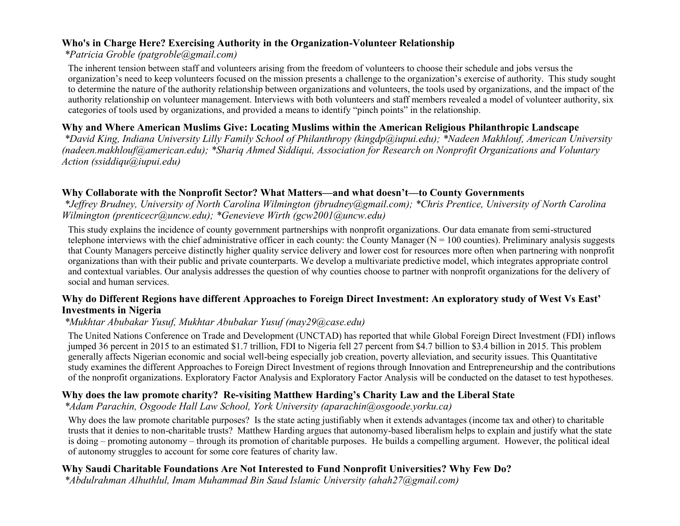#### **Who's in Charge Here? Exercising Authority in the Organization-Volunteer Relationship**

#### *\*Patricia Groble (patgroble@gmail.com)*

The inherent tension between staff and volunteers arising from the freedom of volunteers to choose their schedule and jobs versus the organization's need to keep volunteers focused on the mission presents a challenge to the organization's exercise of authority. This study sought to determine the nature of the authority relationship between organizations and volunteers, the tools used by organizations, and the impact of the authority relationship on volunteer management. Interviews with both volunteers and staff members revealed a model of volunteer authority, six categories of tools used by organizations, and provided a means to identify "pinch points" in the relationship.

#### **Why and Where American Muslims Give: Locating Muslims within the American Religious Philanthropic Landscape**

*\*David King, Indiana University Lilly Family School of Philanthropy (kingdp@iupui.edu); \*Nadeen Makhlouf, American University (nadeen.makhlouf@american.edu); \*Shariq Ahmed Siddiqui, Association for Research on Nonprofit Organizations and Voluntary Action (ssiddiqu@iupui.edu)*

### **Why Collaborate with the Nonprofit Sector? What Matters—and what doesn't—to County Governments**

*\*Jeffrey Brudney, University of North Carolina Wilmington (jbrudney@gmail.com); \*Chris Prentice, University of North Carolina Wilmington (prenticecr@uncw.edu); \*Genevieve Wirth (gcw2001@uncw.edu)*

This study explains the incidence of county government partnerships with nonprofit organizations. Our data emanate from semi-structured telephone interviews with the chief administrative officer in each county: the County Manager ( $N = 100$  counties). Preliminary analysis suggests that County Managers perceive distinctly higher quality service delivery and lower cost for resources more often when partnering with nonprofit organizations than with their public and private counterparts. We develop a multivariate predictive model, which integrates appropriate control and contextual variables. Our analysis addresses the question of why counties choose to partner with nonprofit organizations for the delivery of social and human services.

#### **Why do Different Regions have different Approaches to Foreign Direct Investment: An exploratory study of West Vs East' Investments in Nigeria**

#### *\*Mukhtar Abubakar Yusuf, Mukhtar Abubakar Yusuf (may29@case.edu)*

The United Nations Conference on Trade and Development (UNCTAD) has reported that while Global Foreign Direct Investment (FDI) inflows jumped 36 percent in 2015 to an estimated \$1.7 trillion, FDI to Nigeria fell 27 percent from \$4.7 billion to \$3.4 billion in 2015. This problem generally affects Nigerian economic and social well-being especially job creation, poverty alleviation, and security issues. This Quantitative study examines the different Approaches to Foreign Direct Investment of regions through Innovation and Entrepreneurship and the contributions of the nonprofit organizations. Exploratory Factor Analysis and Exploratory Factor Analysis will be conducted on the dataset to test hypotheses.

#### **Why does the law promote charity? Re-visiting Matthew Harding's Charity Law and the Liberal State**

*\*Adam Parachin, Osgoode Hall Law School, York University (aparachin@osgoode.yorku.ca)*

Why does the law promote charitable purposes? Is the state acting justifiably when it extends advantages (income tax and other) to charitable trusts that it denies to non-charitable trusts? Matthew Harding argues that autonomy-based liberalism helps to explain and justify what the state is doing – promoting autonomy – through its promotion of charitable purposes. He builds a compelling argument. However, the political ideal of autonomy struggles to account for some core features of charity law.

#### **Why Saudi Charitable Foundations Are Not Interested to Fund Nonprofit Universities? Why Few Do?**

*\*Abdulrahman Alhuthlul, Imam Muhammad Bin Saud Islamic University (ahah27@gmail.com)*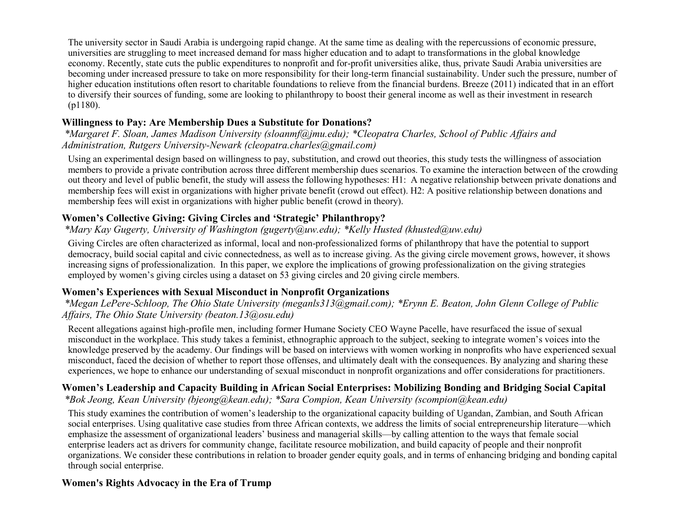The university sector in Saudi Arabia is undergoing rapid change. At the same time as dealing with the repercussions of economic pressure, universities are struggling to meet increased demand for mass higher education and to adapt to transformations in the global knowledge economy. Recently, state cuts the public expenditures to nonprofit and for-profit universities alike, thus, private Saudi Arabia universities are becoming under increased pressure to take on more responsibility for their long-term financial sustainability. Under such the pressure, number of higher education institutions often resort to charitable foundations to relieve from the financial burdens. Breeze (2011) indicated that in an effort to diversify their sources of funding, some are looking to philanthropy to boost their general income as well as their investment in research (p1180).

# **Willingness to Pay: Are Membership Dues a Substitute for Donations?**

*\*Margaret F. Sloan, James Madison University (sloanmf@jmu.edu); \*Cleopatra Charles, School of Public Affairs and Administration, Rutgers University-Newark (cleopatra.charles@gmail.com)*

Using an experimental design based on willingness to pay, substitution, and crowd out theories, this study tests the willingness of association members to provide a private contribution across three different membership dues scenarios. To examine the interaction between of the crowding out theory and level of public benefit, the study will assess the following hypotheses: H1: A negative relationship between private donations and membership fees will exist in organizations with higher private benefit (crowd out effect). H2: A positive relationship between donations and membership fees will exist in organizations with higher public benefit (crowd in theory).

### **Women's Collective Giving: Giving Circles and 'Strategic' Philanthropy?**

# *\*Mary Kay Gugerty, University of Washington (gugerty@uw.edu); \*Kelly Husted (khusted@uw.edu)*

Giving Circles are often characterized as informal, local and non-professionalized forms of philanthropy that have the potential to support democracy, build social capital and civic connectedness, as well as to increase giving. As the giving circle movement grows, however, it shows increasing signs of professionalization. In this paper, we explore the implications of growing professionalization on the giving strategies employed by women's giving circles using a dataset on 53 giving circles and 20 giving circle members.

### **Women's Experiences with Sexual Misconduct in Nonprofit Organizations**

*\*Megan LePere-Schloop, The Ohio State University (meganls313@gmail.com); \*Erynn E. Beaton, John Glenn College of Public Affairs, The Ohio State University (beaton.13@osu.edu)*

Recent allegations against high-profile men, including former Humane Society CEO Wayne Pacelle, have resurfaced the issue of sexual misconduct in the workplace. This study takes a feminist, ethnographic approach to the subject, seeking to integrate women's voices into the knowledge preserved by the academy. Our findings will be based on interviews with women working in nonprofits who have experienced sexual misconduct, faced the decision of whether to report those offenses, and ultimately dealt with the consequences. By analyzing and sharing these experiences, we hope to enhance our understanding of sexual misconduct in nonprofit organizations and offer considerations for practitioners.

#### **Women's Leadership and Capacity Building in African Social Enterprises: Mobilizing Bonding and Bridging Social Capital** *\*Bok Jeong, Kean University (bjeong@kean.edu); \*Sara Compion, Kean University (scompion@kean.edu)*

This study examines the contribution of women's leadership to the organizational capacity building of Ugandan, Zambian, and South African social enterprises. Using qualitative case studies from three African contexts, we address the limits of social entrepreneurship literature—which emphasize the assessment of organizational leaders' business and managerial skills—by calling attention to the ways that female social enterprise leaders act as drivers for community change, facilitate resource mobilization, and build capacity of people and their nonprofit organizations. We consider these contributions in relation to broader gender equity goals, and in terms of enhancing bridging and bonding capital through social enterprise.

### **Women's Rights Advocacy in the Era of Trump**